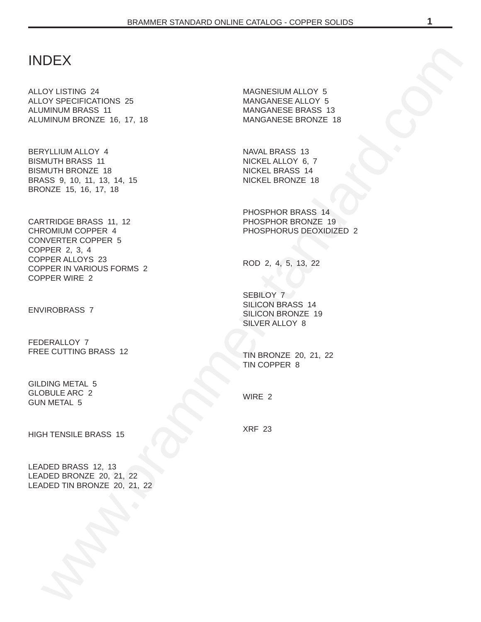# INDEX

[ALLOY LISTING 24](#page-23-0) ALLOY SPECIFICATIONS 25 ALUMINUM BRASS 11 ALUMINUM BRONZE 16, 17, 18

BERYLLIUM ALLOY 4 BISMUTH BRASS 11 BISMUTH BRONZE 18 [BRASS 9](#page-8-0), 10, 11, 13, 14, 15 [BRONZE 15](#page-14-0), 16, 17, 18

DEX<[b](#page-21-0)r>
ov[e](#page-19-0)[r](#page-18-0)[s](#page-13-0)ines 24<br>
oversines 25<br>
oversines 25<br>
communica[t](#page-6-0)ions 25<br>
minimum process in<br>
minimum process in<br>
minimum process in<br>
where [a](#page-13-0)llows a set of the system of the system of the<br>
states a[nd](#page-1-0) the system of the system of t CARTRIDGE BRASS 11, 12 CHROMIUM COPPER 4 CONVERTER COPPER 5 [COPPER 2](#page-1-0), 3, 4 COPPER ALLOYS 23 COPPER IN VARIOUS FORMS 2 [COPPER WIRE 2](#page-1-0)

ENVIROBRASS 7

[FEDERALLOY 7](#page-6-0) FREE CUTTING BRASS 12

[GILDING METAL 5](#page-4-0) [GLOBULE ARC 2](#page-1-0) [GUN METAL 5](#page-4-0)

HIGH TENSILE BRASS 15

LEADED BRASS 12, 13 LEADED BRONZE 20, 21, 22 LEADED TIN BRONZE 20, 21, 22 MAGNESIUM ALLOY 5 MANGANESE ALLOY 5 MANGANESE BRASS 13 MANGANESE BRONZE 18

NAVAL BRASS 13 NICKEL ALLOY 6, 7 NICKEL BRASS 14 NICKEL BRONZE 18

PHOSPHOR BRASS 14 PHOSPHOR BRONZE 19 PHOSPHORUS DEOXIDIZED 2

ROD 2, 4, 5, 13, 22

SEBILOY 7 SILICON BRASS 14 SILICON BRONZE 19 SILVER ALLOY 8

TIN BRONZE 20, 21, 22 TIN COPPER 8

WIRE 2

XRF 23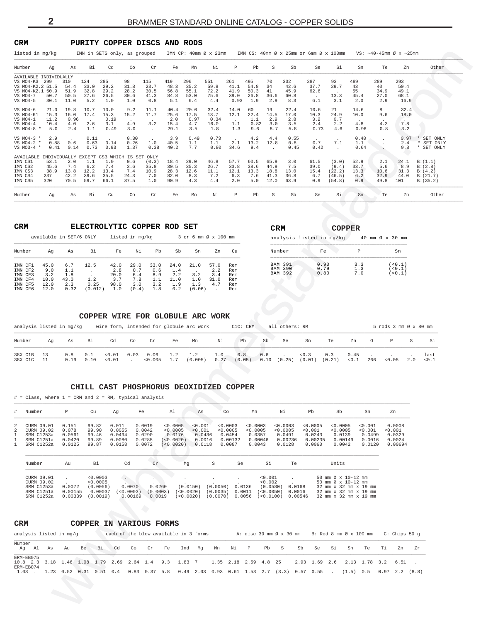<span id="page-1-0"></span>

| <b>CRM</b> | PURITY COPPER DISCS AND RODS |  |  |
|------------|------------------------------|--|--|
|            |                              |  |  |

| Number<br>VS MO4-K3 299                                     |                                                                                           |                                                                                                            |                                              |                                                                  | IMN in SETS only, as grouped            |                                     | IMN CP: 40mm Ø x 23mm                                    |                                                  |                                     |                                                   | IMN CS: 40mm Ø x 25mm or 6mm Ø x 100mm              |                                      |                                                     |                                                                                  |                                                     |                                                                      |                                    |                                                  | VS: $\sim$ 40-45mm Ø x $\sim$ 25mm                       |
|-------------------------------------------------------------|-------------------------------------------------------------------------------------------|------------------------------------------------------------------------------------------------------------|----------------------------------------------|------------------------------------------------------------------|-----------------------------------------|-------------------------------------|----------------------------------------------------------|--------------------------------------------------|-------------------------------------|---------------------------------------------------|-----------------------------------------------------|--------------------------------------|-----------------------------------------------------|----------------------------------------------------------------------------------|-----------------------------------------------------|----------------------------------------------------------------------|------------------------------------|--------------------------------------------------|----------------------------------------------------------|
|                                                             | Αq                                                                                        | As                                                                                                         | Вi                                           | Cd                                                               | Co                                      | Cr                                  | Fe                                                       | Mn                                               | Νi                                  | Р                                                 | Pb                                                  | S                                    | Sb                                                  | Se                                                                               | Si                                                  | Sn                                                                   | Te                                 | Zn                                               | Other                                                    |
| VS M04-7<br>VS MO4-5                                        | AVAILABLE INDIVIDUALLY<br>VS MO4-K2.2 51.5<br>VS MO4-K2.1 50.9<br>50.7<br>30.1            | 310<br>54.4<br>51.9<br>50.5<br>11.0                                                                        | 124<br>33.0<br>32.8<br>27.6<br>5.2           | 285<br>29.2<br>29.2<br>26.5<br>1.0                               | 98<br>31.8<br>28.2<br>30.6<br>1.0       | 115<br>23.7<br>30.5<br>41.3<br>0.8  | 419<br>48.3<br>56.8<br>84.8<br>5.1                       | 296<br>35.2<br>55.1<br>53.0<br>6.4               | 551<br>59.8<br>72.2<br>75.6<br>4.4  | 261<br>41.1<br>41.9<br>39.0<br>0.93               | 495<br>54.8<br>50.3<br>26.8<br>1.9                  | 70<br>34<br>41<br>36.6<br>2.9        | 332<br>42.6<br>45.9<br>60.8<br>8.3                  | 287<br>37.7<br>62.6<br>$\overline{a}$<br>6.1                                     | 93<br>29.7<br>13.3<br>3.1                           | 489<br>43<br>55<br>45.4<br>2.0                                       | 289<br>40<br>34.9<br>27.0<br>2.9   | 293<br>50.4<br>49.1<br>68.1<br>16.9              |                                                          |
| VS MO4-6<br>VS MO4-K1<br>VS MO4-1<br>VS MO4-4<br>VS MO4-8 * | 21.0<br>15.3<br>11.2<br>10.4<br>5.0                                                       | 19.8<br>16.0<br>0.96<br>4.0<br>2.4                                                                         | 10.7<br>17.4<br>$\overline{a}$<br>2.6<br>1.1 | 10.0<br>15.3<br>0.19<br>3.1<br>0.49                              | 9.2<br>15.2<br>4.9<br>3.0               | 11.1<br>11.7<br>3.2<br>$\sim$       | 40.4<br>25.6<br>2.0<br>15.4<br>29.1                      | 20.0<br>17.5<br>0.97<br>4.7<br>3.5               | 32.4<br>13.7<br>0.34<br>16.0<br>1.8 | 14.0<br>12.1<br>$\sim$<br>1.1<br>1.3              | 60<br>22.4<br>1.1<br>0.82<br>9.6                    | 19<br>14.5<br>2.9<br>3.0<br>8.7      | 22.4<br>17.0<br>2.8<br>3.5<br>5.8                   | 10.6<br>10.3<br>3.2<br>2.4<br>0.73                                               | 21<br>24.9<br>0.7<br>2.2<br>4.6                     | 14.6<br>10.0<br>4.8<br>0.96                                          | 8<br>9.6<br>4.3<br>0.8             | 32.4<br>18.0<br>7.8<br>3.2                       |                                                          |
| VS MO4-3 *<br>VS MO4-2 *<br>VS MO3-4 *                      | 2.9<br>0.88<br>0.41                                                                       | 0.6<br>0.14                                                                                                | 0.11<br>0.63<br>0.73                         | 0.14<br>0.93                                                     | 0.30<br>0.26<br>1.37                    | 1.0<br>0.38                         | 3.9<br>40.5<br>40.2                                      | 0.49<br>1.1<br>7.7                               | 0.73<br>1.1<br>0.80                 | 2.1<br>34.6                                       | 4.2<br>13.2<br>9.4                                  | 4.4<br>12.8<br>$\ddot{\phantom{1}}$  | 0.55<br>0.8<br>0.45                                 | 0.7<br>0.42                                                                      | 7.1<br>$\sim$                                       | 0.48<br>1.1<br>0.64                                                  | $\cdot$<br>$\cdot$                 | 2.4<br>9.8                                       | 0.97 * SET ONLY<br>* SET ONLY<br>* SET ONLY              |
| IMN CS1<br>IMN CS2<br>IMN CS3<br>IMN CS4<br>IMN CS5         | AVAILABLE INDIVIDUALLY EXCEPT CS3 WHICH IS SET ONLY<br>53.1<br>45.6<br>38.9<br>237<br>320 | 2.0<br>7.4<br>13.8<br>42.2<br>70.5                                                                         | 1.1<br>6.2<br>12.2<br>39.6<br>59.7           | 1.0<br>7.4<br>13.4<br>35.5<br>66.1                               | 0.6<br>3.6<br>7.4<br>24.3<br>37.5       | (0.3)<br>35.8<br>10.9<br>7.0<br>1.0 | 18.4<br>30.5<br>28.3<br>82.0<br>90.9                     | 29.0<br>35.3<br>12.6<br>8.3<br>4.3               | 46.8<br>26.7<br>11.1<br>7.2<br>4.4  | 57.7<br>33.8<br>12.1<br>6.3<br>2.0                | 60.5<br>38.6<br>13.3<br>7.6<br>5.0                  | 65.9<br>44.9<br>18.8<br>41.3<br>12.0 | 3.0<br>7.5<br>13.0<br>36.8<br>63.9                  | 61.5<br>39.0<br>15.4<br>6.7<br>0.9                                               | (3.0)<br>(9.4)<br>(22.2)<br>(46.5)<br>(54.8)        | 52.9<br>33.7<br>13.3<br>6.2<br>0.9                                   | 2.1<br>5.6<br>10.6<br>32.9<br>49.8 | 24.1<br>8.9<br>31.3<br>44.0<br>101               | B:(1.1)<br>B: (2.8)<br>B: (4.2)<br>B:(21.7)<br>B: (35.2) |
| Number                                                      | Ag                                                                                        | As                                                                                                         | Вi                                           | Cd                                                               | Co                                      | Cr                                  | Fe                                                       | Mn                                               | Νi                                  | P                                                 | Pb                                                  | S                                    | Sb                                                  | Se                                                                               | Si                                                  | Sn                                                                   | Te                                 | Zn                                               | Other                                                    |
| CRM                                                         | available in SET/6 ONLY                                                                   |                                                                                                            |                                              | ELECTROLYTIC COPPER ROD SET                                      | listed in mg/kg                         |                                     |                                                          | 3 or 6 mm Ø x 100 mm                             |                                     |                                                   |                                                     | CRM                                  |                                                     | analysis listed in mg/kg                                                         | <b>COPPER</b>                                       |                                                                      | 40 mm Ø x 30 mm                    |                                                  |                                                          |
| Number                                                      | Aq                                                                                        | As                                                                                                         | Bi                                           | Fe                                                               | Νi                                      | Pb                                  | Sb                                                       | Sn                                               | Zn                                  | Cu                                                |                                                     | Number                               |                                                     | Fe                                                                               |                                                     | P                                                                    |                                    | Sn                                               |                                                          |
| IMN CF1<br>IMN CF2<br>IMN CF3<br>IMN CF4<br>IMN CF5         | 45.0<br>9.0<br>3.2<br>18.0<br>12.0                                                        | 6.7<br>1.1<br>1.8<br>43.0<br>2.3                                                                           | 12.5<br>$\sim 100$<br>1.2<br>0.25            | 42.0<br>2.8<br>20.0<br>3.7<br>98.0                               | 29.0<br>0.7<br>6.4<br>7.8<br>3.0        | 33.0<br>0.6<br>8.9<br>1.1<br>3.2    | 24.0<br>1.4<br>2.2<br>11.0<br>1.9                        | 21.0<br>3.2<br>1.0<br>1.3                        | 57.0<br>2.2<br>3.4<br>31.0<br>4.7   | Rem<br>Rem<br>Rem<br>Rem<br>Rem                   |                                                     |                                      | <b>BAM 391</b><br><b>BAM 390</b><br>BAM 392         | 0.90<br>0.79<br>0.80                                                             |                                                     | 3.3<br>1.3<br>7.0                                                    |                                    | (< 0.1)<br>(< 0.1)<br>(< 0.1)                    |                                                          |
| 38X C1C                                                     | 11                                                                                        | 0.19                                                                                                       | 0.10                                         | < 0.01                                                           | $\sim$                                  | 0.005                               | 1.7                                                      | (0.005)                                          |                                     |                                                   |                                                     |                                      |                                                     | $0.27$ (0.05) 0.10 (0.25) (0.01) (0.21)                                          |                                                     | < 0.1                                                                | 266                                | $< 0.05$ 2.0                                     | 0.1                                                      |
|                                                             |                                                                                           |                                                                                                            |                                              | CHILL CAST PHOSPHORUS DEOXIDIZED COPPER                          |                                         |                                     |                                                          |                                                  |                                     |                                                   |                                                     |                                      |                                                     |                                                                                  |                                                     |                                                                      |                                    |                                                  |                                                          |
| Number                                                      | # = Class, where 1 = CRM and 2 = RM, typical analysis                                     | ₽                                                                                                          | Cu                                           | Ag                                                               | Fe                                      |                                     | Al                                                       | As                                               |                                     | Co                                                | Mn                                                  |                                      | Νi                                                  | Pb                                                                               | Sb                                                  | Sn                                                                   |                                    | Zn                                               |                                                          |
|                                                             | CURM 09.01<br>CURM 09.02<br>SRM C1253a<br>SRM C1251a<br>SRM C1252a                        | 0.151<br>0.078<br>0.0561<br>0.0420<br>0.0125                                                               | 99.82<br>99.90<br>99.46<br>99.89<br>99.87    | 0.011<br>0.0055<br>0.0494<br>0.0080<br>0.0158                    | 0.0042<br>0.0290<br>0.0285<br>0.0072    | 0.0019                              | < 0.0005<br>< 0.0005<br>0.0176<br>(<0.0020)<br>(<0.0020) | < 0.001<br>< 0.001<br>0.0436<br>0.0016<br>0.0118 |                                     | 0.0003<br>< 0.0005<br>0.0454<br>0.00132<br>0.0087 | < 0.0003<br>< 0.0005<br>0.0357<br>0.00046<br>0.0043 |                                      | < 0.0003<br>< 0.0005<br>0.0491<br>0.00236<br>0.0128 | < 0.0005<br>< 0.001<br>0.0243<br>0.00235<br>0.0060                               | < 0.0005<br>< 0.0005<br>0.0139<br>0.00149<br>0.0042 | < 0.001<br>< 0.001                                                   | 0.0499<br>0.0016<br>0.0120         | 0.0008<br>< 0.001<br>0.0329<br>0.0024<br>0.00694 |                                                          |
| Number                                                      |                                                                                           | Au                                                                                                         | Bi                                           |                                                                  | Cd                                      | Cr                                  | X.                                                       | Mq                                               | S                                   | Se                                                |                                                     | Si                                   | Te                                                  |                                                                                  | Units                                               |                                                                      |                                    |                                                  |                                                          |
| #<br>2<br>2                                                 | CURM 09.01<br>CURM 09.02<br>SRM C1253a<br>SRM C1251a<br>SRM C1252a                        | $\sim$<br>0.0072<br>$0.00155$ 0.00037 (<0.0003) (0.0003) (<0.0020) (0.0035) 0.0011<br>$0.00339$ $(0.0019)$ | < 0.0003<br>< 0.0005<br>(0.0056)             |                                                                  | $\left( \cdot, \cdot \right)$<br>0.0070 | 0.0260                              |                                                          | $\blacksquare$ .<br>$(0.0150)$ $(0.0050)$ 0.0136 |                                     |                                                   |                                                     | 0.001<br>0.002                       | $\sim$<br>$(0.0580)$ 0.0168<br>$(<0.0050)$ 0.0016   | 0.00169 0.0019 (<0.0020) (0.0070) 0.0056 (<0.0100) 0.00546 32 mm x 32 mm x 19 mm | 50 mm Ø x 10-12 mm                                  | 50 mm Ø x 10-12 mm<br>32 mm x 32 mm x 19 mm<br>32 mm x 32 mm x 19 mm |                                    |                                                  |                                                          |
| CRM                                                         | analysis listed in mg/g                                                                   |                                                                                                            |                                              | COPPER IN VARIOUS FORMS<br>each of the blow available in 3 forms |                                         |                                     |                                                          |                                                  |                                     |                                                   |                                                     |                                      |                                                     | A: disc 39 mm Ø x 30 mm B: Rod 8 mm Ø x 100 mm C: Chips 50 g                     |                                                     |                                                                      |                                    |                                                  |                                                          |
| Number<br>Ag Al As                                          |                                                                                           | Au                                                                                                         | Be.                                          | Bi Cd                                                            | Co                                      | Cr                                  | Fe                                                       | Ind Mq                                           | Mn                                  | Νi                                                | $\mathbb{P}$                                        | Pb                                   | S<br>Sb                                             | Se                                                                               | Si                                                  | Sn<br>Te                                                             | Тi                                 | Zn                                               | Zr                                                       |

| <b>CRM</b>                                                     |                                            |                                          | ELECTROLYTIC COPPER ROD SET    |                                           |                                           |                                         |                                          |                                     |                                   |                                        |
|----------------------------------------------------------------|--------------------------------------------|------------------------------------------|--------------------------------|-------------------------------------------|-------------------------------------------|-----------------------------------------|------------------------------------------|-------------------------------------|-----------------------------------|----------------------------------------|
|                                                                | available in SET/6 ONLY                    |                                          |                                |                                           | listed in mg/kg                           |                                         |                                          | 3 or 6 mm Ø x 100 mm                |                                   |                                        |
| Number                                                         | Αq                                         | As                                       | Вi                             | Fe                                        | Νi                                        | Pb                                      | Sb                                       | Sn                                  | Zn                                | Cu                                     |
| TMN CF1<br>IMN CF2<br>IMN CF3<br>TMN CF4<br>IMN CF5<br>IMN CF6 | 45.0<br>9.0<br>3.2<br>18.0<br>12.0<br>12.0 | 6.7<br>1.1<br>1.8<br>43.0<br>2.3<br>0.32 | 12.5<br>1.2<br>0.25<br>(0.012) | 42.0<br>2.8<br>20.0<br>3.7<br>98.0<br>1.0 | 29.0<br>0.7<br>6.4<br>7.8<br>3.0<br>(0.4) | 33.0<br>0.6<br>8.9<br>1.1<br>3.2<br>1.8 | 24.0<br>1.4<br>2.2<br>11.0<br>1.9<br>0.2 | 21.0<br>3.2<br>1.0<br>1.3<br>(0.06) | 57.0<br>2.2<br>3.4<br>31.0<br>4.7 | Rem<br>Rem<br>Rem<br>Rem<br>Rem<br>Rem |

| CRM                                                |                          | <b>COPPER</b>     |                               |  |
|----------------------------------------------------|--------------------------|-------------------|-------------------------------|--|
|                                                    | analysis listed in mg/kg |                   | 40 mm Ø x 30 mm               |  |
| Number                                             | Fe                       | P                 | Sn                            |  |
| <b>BAM 391</b><br><b>BAM 390</b><br><b>BAM 392</b> | 0.90<br>0.79<br>0.80     | 3.3<br>1.3<br>7.0 | (< 0.1)<br>(< 0.1)<br>(< 0.1) |  |

### **COPPER WIRE FOR GLOBULE ARC WORK**

|                    | wire form, intended for globule arc work<br>analysis listed in mg/kg |             |             |                         |    |                 |            |                |             | C1C: CRM      |           | all others: RM |                                   |               |               |         | $5$ rods $3$ mm $\emptyset$ $x$ $80$ mm |     |               |
|--------------------|----------------------------------------------------------------------|-------------|-------------|-------------------------|----|-----------------|------------|----------------|-------------|---------------|-----------|----------------|-----------------------------------|---------------|---------------|---------|-----------------------------------------|-----|---------------|
| Number             | Αq                                                                   | As          | Bi          | Cd                      | Co | Cr              | Fe         | Mn             | Νi          | Pb            | <b>Sb</b> | Se             | Sn                                | Te            | Zn            | $\circ$ | P.                                      | S.  | Si            |
| 38X C1B<br>38X C1C | 13                                                                   | 0.8<br>0.19 | 0.1<br>0.10 | $< 0.01$ 0.03<br>< 0.01 |    | 0.06<br>< 0.005 | 1.2<br>1.7 | 1.2<br>(0.005) | 1.0<br>0.27 | 0.8<br>(0.05) | 0.6       |                | < 0.3<br>$0.10$ $(0.25)$ $(0.01)$ | 0.3<br>(0.21) | 0.45<br>< 0.1 | 266     | < 0.05                                  | 2.0 | last<br>< 0.1 |

#### **CHILL CAST PHOSPHORUS DEOXIDIZED COPPER**

|        | $#$ = Class, where 1 = CRM and 2 = RM, typical analysis            |                                              |                                                         |                                               |                                                |                                                                              |                                                                        |                            |                                                      |                                                     |                                                    |                                                                                                                                 |                                                  |                                                  |
|--------|--------------------------------------------------------------------|----------------------------------------------|---------------------------------------------------------|-----------------------------------------------|------------------------------------------------|------------------------------------------------------------------------------|------------------------------------------------------------------------|----------------------------|------------------------------------------------------|-----------------------------------------------------|----------------------------------------------------|---------------------------------------------------------------------------------------------------------------------------------|--------------------------------------------------|--------------------------------------------------|
|        | # Number                                                           | Ρ                                            | Cu                                                      | Aq                                            | Fe                                             | Al<br>As                                                                     | Co                                                                     |                            | Mn                                                   | Νi                                                  | Pb                                                 | Sb                                                                                                                              | Sn                                               | Zn                                               |
| 2<br>2 | CURM 09.01<br>CURM 09.02<br>SRM C1253a<br>SRM C1251a<br>SRM C1252a | 0.151<br>0.078<br>0.0561<br>0.0420<br>0.0125 | 99.82<br>99.90<br>99.46<br>99.89<br>99.87               | 0.011<br>0.0055<br>0.0494<br>0.0080<br>0.0158 | 0.0019<br>0.0042<br>0.0290<br>0.0285<br>0.0072 | < 0.0005<br>< 0.001<br>< 0.0005<br>< 0.001<br>0.0176<br>< 0.0020<br>< 0.0020 | < 0.0003<br>< 0.0005<br>0.0436<br>0.0454<br>0.0016<br>0.0118<br>0.0087 | 0.00132                    | < 0.0003<br>< 0.0005<br>0.0357<br>0.00046<br>0.0043  | < 0.0003<br>< 0.0005<br>0.0491<br>0.00236<br>0.0128 | < 0.0005<br>< 0.001<br>0.0243<br>0.00235<br>0.0060 | < 0.0005<br>< 0.0005<br>0.0139<br>0.00149<br>0.0042                                                                             | < 0.001<br>< 0.001<br>0.0499<br>0.0016<br>0.0120 | 0.0008<br>< 0.001<br>0.0329<br>0.0024<br>0.00694 |
|        | Number                                                             | Au                                           | Bi                                                      | Cd                                            | Cr                                             | Mq                                                                           | S                                                                      | Se                         | Si                                                   | Te                                                  |                                                    | Units                                                                                                                           |                                                  |                                                  |
|        | CURM 09.01<br>CURM 09.02<br>SRM C1253a<br>SRM C1251a<br>SRM C1252a | 0.0072<br>0.00155<br>0.00339                 | < 0.0003<br>< 0.0005<br>(0.0056)<br>0.00037<br>(0.0019) | $\sim$<br>0.0070<br>< 0.0003<br>0.00169       | 0.0260<br>(0.0003)<br>0.0019                   | (0.0150)<br>< 0.0020<br>(0.0020)                                             | (0.0050)<br>(0.0035)<br>(0.0070)                                       | 0.0136<br>0.0011<br>0.0056 | 0.001<br>< 0.002<br>(0.0580)<br>< 0.0050<br>< 0.0100 | 0.0168<br>0.0016<br>0.00546                         |                                                    | 50 mm $\varnothing$ x 10-12 mm<br>50 mm Ø x 10-12 mm<br>32 mm x 32 mm x 19 mm<br>32 mm x 32 mm x 19 mm<br>32 mm x 32 mm x 19 mm |                                                  |                                                  |

#### **CRM COPPER IN VARIOUS FORMS**

| each of the blow available in 3 forms<br>analysis listed in mg/g |      |      |      |      |                    |    |                   |    |                          |    |    |    | A: disc 39 mm Ø x 30 mm |    |                                                |    | B: Rod 8 mm Ø x 100 mm |      |               | C: Chips 50 q |            |      |       |
|------------------------------------------------------------------|------|------|------|------|--------------------|----|-------------------|----|--------------------------|----|----|----|-------------------------|----|------------------------------------------------|----|------------------------|------|---------------|---------------|------------|------|-------|
| Number<br>Aq<br>- Al                                             | As   | Au   | Be.  | Bi   | Cd                 | Co | Cr                | Fe | Ind                      | Mq | Mn | Ni | $\mathbb{P}$            | Pb | S S                                            | Sb | - Se                   | - Si | Sn            | Te            | Ti.        | 7n   | Zr    |
| ERM-EB075<br>$10.8$ 2.3 3.18 1.46 1.08<br>ERM-EB074              |      |      |      | 1.79 |                    |    |                   |    | 2.69 2.64 1.4 9.3 1.83 7 |    |    |    | 1.35 2.18 2.59 4.8 25   |    |                                                |    | 2.93 1.69 2.6          |      | 2.13 1.78 3.2 |               |            | 6.51 |       |
| 1.03                                                             | 1 23 | 0.52 | 0.31 | 0.51 | $0.4$ <sup>r</sup> |    | $0.83$ $0.37$ 5.8 |    |                          |    |    |    |                         |    | $0.49$ 2.03 0.93 0.61 1.53 2.7 (3.3) 0.57 0.55 |    |                        |      | $(1.5)$ 0.5   |               | $0.97$ 2.2 |      | (8.8) |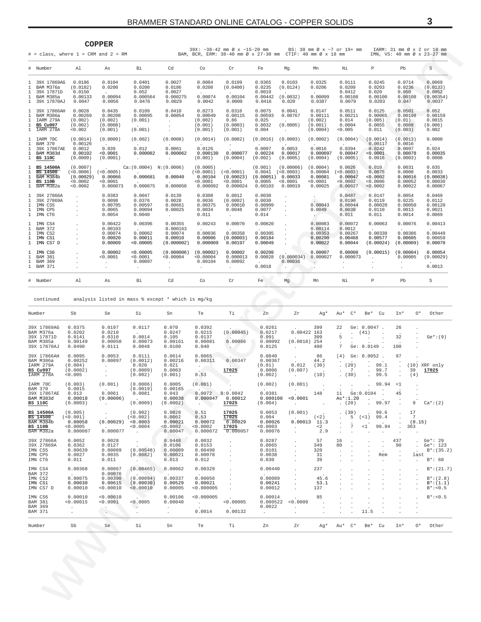#### **COPPER**

|                                                                              | # Number                                                                        | Al                                                         | As                                                            | Βi                                                           | Cd                                                                      | Co                                                            | $\operatorname{Cr}$                                             | Fe                                                        | Mg                                                        | Mn                                                    | Νi                                                    | P                                                    | $_{\rm Pb}$                                          | S                                                   |
|------------------------------------------------------------------------------|---------------------------------------------------------------------------------|------------------------------------------------------------|---------------------------------------------------------------|--------------------------------------------------------------|-------------------------------------------------------------------------|---------------------------------------------------------------|-----------------------------------------------------------------|-----------------------------------------------------------|-----------------------------------------------------------|-------------------------------------------------------|-------------------------------------------------------|------------------------------------------------------|------------------------------------------------------|-----------------------------------------------------|
| $\mathbf{1}$<br>1<br>$\mathbf{1}$<br>$\mathbf{1}$                            | 1 39X 17869AG<br>BAM M376a<br>39X 17871D<br>BAM M385a<br>39X 17870AJ            | 0.0186<br>(0.0182)<br>0.0150<br>0.00133<br>0.0047          | 0.0104<br>0.0200<br>$\sim$<br>0.00094<br>0.0056               | 0.0401<br>0.0200<br>0.052<br>0.000564<br>0.0476              | 0.0027<br>0.0186<br>0.0027<br>0.000275<br>0.0029                        | 0.0084<br>0.0208<br>$\ddot{\phantom{a}}$<br>0.00074<br>0.0042 | 0.0199<br>(0.0400)<br>$\sim$<br>0.00104<br>0.0009               | 0.0365<br>0.0235<br>0.0019<br>0.00442<br>0.0416           | 0.0103<br>(0.0124)<br>$\overline{a}$<br>(0.0032)<br>0.020 | 0.0325<br>0.0206<br>$\sim$<br>0.00099<br>0.0387       | 0.0111<br>0.0209<br>0.0412<br>0.00108<br>0.0079       | 0.0245<br>0.0203<br>0.020<br>0.00100<br>0.0203       | 0.0714<br>0.0236<br>0.050<br>0.00108<br>0.047        | 0.0069<br>(0.0133)<br>0.0052<br>(0.00354)<br>0.0037 |
| $\mathbf{1}$<br>$\mathbf{1}$<br>1<br>1<br>$\mathbf{1}$                       | 39X 17866AH<br>BAM M386a<br>IARM 279A<br><b>BS Cu997</b><br>IARM 278A           | 0.0028<br>0.00269<br>(0.002)<br>(0.002)<br>< 0.002         | 0.0435<br>0.00208<br>(0.002)<br>(0.0008)<br>(0.001)           | 0.0109<br>0.00095<br>(0.001)<br><b>Contractor</b><br>(0.001) | 0.0410<br>0.00054<br>$\sim$<br>$\ddot{\phantom{0}}$<br>$\sim$           | 0.0273<br>0.00049<br>(0.002)<br>(0.001)<br>(0.001)            | 0.0316<br>0.00115<br>0.86<br>(0.0003)<br>(0.001)                | 0.0075<br>0.00593<br>0.025<br>0.0032<br>0.004             | 0.0041<br>0.00767<br>$\sim$<br>(0.0005)<br>$\sim$         | 0.0147<br>0.00111<br>(0.002)<br>(0.001)<br>(0.0004)   | 0.0511<br>0.00211<br>0.014<br>0.0004<br>< 0.005       | 0.0125<br>0.00065<br>(0.005)<br>0.0055<br>0.011      | 0.0501<br>0.00198<br>(0.01)<br>0.0008<br>(0.003)     | 0.052<br>0.00159<br>0.0015<br>(0.006)<br>0.002      |
| 1<br>1<br>1.<br>1<br>$\mathbf{1}$                                            | IARM 70C<br><b>BAM 370</b><br>39X 17867AE<br>BAM M383d<br><b>BS 110C</b>        | (0.0014)<br>0.00126<br>0.0012<br>0.00102<br>(0.0009)       | (0.0009)<br>$\sim 10^{-11}$<br>0.039<br>< 0.0001<br>(0.0001)  | (0.002)<br>$\sim$<br>0.012<br>0.000082<br>$\sim$             | (0.0008)<br>$\sim$<br>0.0061<br>0.000062<br>$\mathcal{L}_{\mathcal{A}}$ | (0.0014)<br>$\sim$<br>0.0126<br>0.000130<br>(0.001)           | (0.0002)<br>$\sim$<br>0.000077<br>(0.0004)                      | (0.0016)<br>$\sim$ $\sim$<br>0.0097<br>0.00224<br>(0.002) | (0.0003)<br>$\cdot$<br>0.0053<br>0.00017<br>(0.0005)      | (0.0002)<br>$\sim$<br>0.0016<br>0.000097<br>(0.0004)  | (0.0004)<br>$\sim$<br>0.0394<br>0.00047<br>(0.0005)   | (0.0014)<br>0.00117<br>0.0242<br>< 0.0001<br>0.0016  | (0.0013)<br>0.0016<br>0.0097<br>0.00078<br>(0.0003)  | 0.0008<br>$\sim$<br>0.024<br>0.00035<br>0.0008      |
| $\mathbf{1}$<br>$\mathbf{1}$<br>$\mathbf{1}$<br>1<br>$\mathbf{1}$            | <b>BS 14500A</b><br><b>BS</b> 14500<br>BAM M384b<br><b>BS 110B</b><br>BAM M382a | (0.0007)<br>(<0.0006)<br>(0.00029)<br>< 0.0002<br>< 0.0002 | $\sim$<br>(<0.0005)<br>0.00066<br>< 0.0001<br>0.000073        | $Ca:(0.0004)$ N: (0.0006)<br>0.000681<br>0.000075            | 0.00040<br>0.000050                                                     | (0.0005)<br>(<0.0001)<br>0.00104<br>< 0.0001<br>0.000092      | $\sim$ $\sim$<br>(<0.0001)<br>(0.00023)<br>< 0.0001<br>0.000024 | (0.001)<br>0.0041<br>(0.00051)<br>0.0005<br>0.00103       | (0.00006)<br>(<0.0003)<br>0.00033<br>< 0.0001<br>0.00019  | (0.0004)<br>0.00004<br>0.00081<br>< 0.0001<br>0.00025 | 0.0026<br>(<0.0003)<br>0.00047<br>< 0.0002<br>0.00027 | 0.010<br>0.0075<br>< 0.0002<br>< 0.0006<br>< 0.0002  | 0.0031<br>0.0008<br>0.00016<br>0.00052<br>0.00022    | 0.035<br>0.0033<br>(0.00038)<br>0.00030<br>0.00067  |
| $\mathbf{1}$<br>$\mathbf{1}$<br>$\mathbf{1}$                                 | 39X 27866A<br>39X 27869A<br>IMN CS5<br>IMN CP5<br>IMN CT6                       |                                                            | 0.0383<br>0.0098<br>0.00705<br>0.0065<br>0.0054               | 0.0047<br>0.0376<br>0.00597<br>0.00094<br>0.0040             | 0.0139<br>0.0028<br>0.00661<br>0.00025<br>$\sim$                        | 0.0308<br>0.0036<br>0.00375<br>0.0034<br>0.011                | 0.0012<br>(0.0002)<br>0.00010<br>0.0048<br>$\cdot$              | 0.0030<br>0.0030<br>0.00909<br>0.0077<br>0.014            |                                                           | 0.00043<br>0.0049<br>$\sim$                           | 0.0487<br>0.0190<br>0.00044<br>0.0039<br>0.011        | 0.0147<br>0.0119<br>0.00020<br>0.0110<br>0.011       | 0.0054<br>0.0225<br>0.00050<br>0.0013<br>0.0014      | 0.0469<br>0.0112<br>0.00120<br>0.0021<br>0.0069     |
| $\mathbf{1}$<br>$\mathbf{1}$<br>$\mathbf{1}$<br>$\mathbf{1}$<br>$\mathbf{1}$ | IMN CS4<br><b>BAM 372</b><br>IMN CS2<br>IMN CS1<br>IMN CS7 D                    |                                                            | 0.00422<br>0.00103<br>0.00074<br>0.00020<br>0.00009           | 0.00396<br>$\sim$<br>0.00062<br>0.00011<br>< 0.00005         | 0.00355<br>0.000163<br>0.00074<br>0.00010<br>(0.000002)                 | 0.00243<br>$\sim$<br>0.00036<br>0.00006<br>0.000009           | 0.00070<br>0.00358<br>(0.00003)<br>0.00197                      | 0.00820<br>$\cdot$<br>0.00305<br>0.00184<br>0.00049       |                                                           | 0.00083<br>0.00114<br>0.00353<br>0.00290<br>0.00022   | 0.00072<br>0.0012<br>0.00267<br>0.00468<br>0.00044    | 0.00063<br>$\sim$<br>0.00338<br>0.00577<br>(0.00024) | 0.00076<br>$\sim$<br>0.00386<br>0.00605<br>(0.00009) | 0.00413<br>0.00449<br>0.00659<br>0.00070            |
| $\mathbf{1}$<br>$\mathbf{1}$                                                 | 1 IMN CS6<br><b>BAM 381</b><br><b>BAM 369</b><br>1 BAM 371                      |                                                            | 0.00002<br>< 0.0001<br>$\mathcal{L}_{\mathcal{A}}$<br>$\cdot$ | < 0.00005<br>< 0.0001<br>0.00097<br>$\cdot$                  | (0.000006)<br>< 0.00004<br>$\ddot{\phantom{0}}$<br>$\lambda$            | (0.00002)<br>< 0.00004<br>0.00104<br>$\blacksquare$           | 0.00002<br>0.000013<br>0.00092<br>$\sim$                        | 0.00208<br>0.00028<br>$\sim$<br>0.0018                    | (0.000034)<br>0.00036                                     | 0.00007<br>0.000027<br>$\ddot{\phantom{a}}$           | 0.00008<br>0.000073                                   | (0.00015)                                            | (0.00004)<br>0.00005                                 | 0.00054<br>(0.00029)<br>0.0013                      |
|                                                                              | # Number                                                                        | Al                                                         | As                                                            | Βi                                                           | Cd                                                                      | Co                                                            | Cr                                                              | Fe                                                        | Mq                                                        | Mn                                                    | Νi                                                    | P                                                    | Pb                                                   | S                                                   |

<span id="page-2-0"></span>

|                                                                                                          | $\#$ = class, where 1 = CRM and 2 = RM                     |                                                       |                                                            |                                                         | 39X: $\sim$ 38-42 mm Ø x $\sim$ 15-20 mm                   | BAM, BCR, ERM: $38-40$ mm $\varnothing \times 27-30$ mm CTIF: 40 mm $\varnothing \times 18$ mm |                                                             |                                               |                                                            | BS: 38 mm Ø x ~7 or 19+ mm                            |                                                          |                                                     | IARM: 31 mm Ø x 2 or 18 mm<br>IMN, VS: 40 mm Ø x 23-27 mm |
|----------------------------------------------------------------------------------------------------------|------------------------------------------------------------|-------------------------------------------------------|------------------------------------------------------------|---------------------------------------------------------|------------------------------------------------------------|------------------------------------------------------------------------------------------------|-------------------------------------------------------------|-----------------------------------------------|------------------------------------------------------------|-------------------------------------------------------|----------------------------------------------------------|-----------------------------------------------------|-----------------------------------------------------------|
| #<br>Number                                                                                              | Al                                                         | As                                                    | Вi                                                         | Cd                                                      | Co                                                         | Cr                                                                                             | Fe                                                          | Mg                                            | Mn                                                         | Νi                                                    | P                                                        | Pb                                                  | $\mathbf S$                                               |
| 39X 17869AG<br>1<br>BAM M376a<br>1<br>39X 17871D<br>1<br>1<br>BAM M385a<br>1<br>39X 17870AJ              | 0.0186<br>(0.0182)<br>0.0150<br>0.00133<br>0.0047          | 0.0104<br>0.0200<br>0.00094<br>0.0056                 | 0.0401<br>0.0200<br>0.052<br>0.000564<br>0.0476            | 0.0027<br>0.0186<br>0.0027<br>0.000275<br>0.0029        | 0.0084<br>0.0208<br>0.00074<br>0.0042                      | 0.0199<br>(0.0400)<br>0.00104<br>0.0009                                                        | 0.0365<br>0.0235<br>0.0019<br>0.00442<br>0.0416             | 0.0103<br>(0.0124)<br>(0.0032)<br>0.020       | 0.0325<br>0.0206<br>0.00099<br>0.0387                      | 0.0111<br>0.0209<br>0.0412<br>0.00108<br>0.0079       | 0.0245<br>0.0203<br>0.020<br>0.00100<br>0.0203           | 0.0714<br>0.0236<br>0.050<br>0.00108<br>0.047       | 0.0069<br>(0.0133)<br>0.0052<br>(0.00354)<br>0.0037       |
| 39X 17866AH<br>1<br>BAM M386a<br>1<br>IARM 279A<br>1<br><b>BS Cu997</b><br>1<br>IARM 278A<br>1           | 0.0028<br>0.00269<br>(0.002)<br>(0.002)<br>0.002           | 0.0435<br>0.00208<br>(0.002)<br>(0.0008)<br>(0.001)   | 0.0109<br>0.00095<br>(0.001)<br>(0.001)                    | 0.0410<br>0.00054<br>$\cdot$<br>$\ddot{\phantom{a}}$    | 0.0273<br>0.00049<br>(0.002)<br>(0.001)<br>(0.001)         | 0.0316<br>0.00115<br>0.86<br>(0.0003)<br>(0.001)                                               | 0.0075<br>0.00593<br>0.025<br>0.0032<br>0.004               | 0.0041<br>0.00767<br>(0.0005)<br>$\sim$       | 0.0147<br>0.00111<br>(0.002)<br>(0.001)<br>(0.0004)        | 0.0511<br>0.00211<br>0.014<br>0.0004<br>0.005         | 0.0125<br>0.00065<br>(0.005)<br>0.0055<br>0.011          | 0.0501<br>0.00198<br>(0.01)<br>0.0008<br>(0.003)    | 0.052<br>0.00159<br>0.0015<br>(0.006)<br>0.002            |
| IARM 70C<br>1<br><b>BAM 370</b><br>1<br>39X 17867AE<br>1<br>BAM M383d<br>1<br>1<br><b>BS 110C</b>        | (0.0014)<br>0.00126<br>0.0012<br>0.00102<br>(0.0009)       | (0.0009)<br>0.039<br>< 0.0001<br>(0.0001)             | (0.002)<br>0.012<br>0.000082<br>$\ddot{\phantom{a}}$       | (0.0008)<br>0.0061<br>0.000062<br>$\cdot$               | (0.0014)<br>0.0126<br>0.000130<br>(0.001)                  | (0.0002)<br>$\sim$<br>0.000077<br>(0.0004)                                                     | (0.0016)<br>0.0097<br>0.00224<br>(0.002)                    | (0.0003)<br>0.0053<br>0.00017<br>(0.0005)     | (0.0002)<br>0.0016<br>0.000097<br>(0.0004)                 | (0.0004)<br>0.0394<br>0.00047<br>(0.0005)             | (0.0014)<br>0.00117<br>0.0242<br>< 0.0001<br>0.0016      | (0.0013)<br>0.0016<br>0.0097<br>0.00078<br>(0.0003) | 0.0008<br>0.024<br>0.00035<br>0.0008                      |
| <b>BS 14500A</b><br>1<br><b>BS 14500</b><br>1<br>BAM M384b<br>1<br>1<br><b>BS 110B</b><br>BAM M382a<br>1 | (0.0007)<br>(<0.0006)<br>(0.00029)<br>< 0.0002<br>< 0.0002 | (<0.0005)<br>0.00066<br>0.0001<br>0.000073            | $Ca:(0.0004)$ $N:(0.0006)$<br>0.000681<br>0.000075         | 0.00040<br>0.000050                                     | (0.0005)<br>( < 0.0001)<br>0.00104<br>< 0.0001<br>0.000092 | (<0.0001)<br>(0.00023)<br>0.0001<br>0.000024                                                   | (0.001)<br>0.0041<br>(0.00051) 0.00033<br>0.0005<br>0.00103 | (0.00006)<br>(<0.0003)<br>< 0.0001<br>0.00019 | (0.0004)<br>0.00004<br>0.00081<br>0.0001<br>0.00025        | 0.0026<br>(<0.0003)<br>0.00047<br>< 0.0002<br>0.00027 | 0.010<br>0.0075<br>< 0.0002<br>0.0006<br>< 0.0002        | 0.0031<br>0.0008<br>0.00016<br>0.00052<br>0.00022   | 0.035<br>0.0033<br>(0.00038)<br>0.00030<br>0.00067        |
| 1<br>39X 27866A<br>1<br>39X 27869A<br>IMN CS5<br>1<br>1<br>IMN CP5<br>1<br>IMN CT6                       | $\cdot$<br>$\cdot$<br>$\cdot$                              | 0.0383<br>0.0098<br>0.00705<br>0.0065<br>0.0054       | 0.0047<br>0.0376<br>0.00597<br>0.00094<br>0.0040           | 0.0139<br>0.0028<br>0.00661<br>0.00025<br>$\sim$        | 0.0308<br>0.0036<br>0.00375<br>0.0034<br>0.011             | 0.0012<br>(0.0002)<br>0.00010<br>0.0048<br>$\sim$                                              | 0.0030<br>0.0030<br>0.00909<br>0.0077<br>0.014              | $\cdot$<br>$\cdot$<br>$\cdot$                 | $\sim$<br>0.00043<br>0.0049<br>$\mathcal{L}_{\mathcal{A}}$ | 0.0487<br>0.0190<br>0.00044<br>0.0039<br>0.011        | 0.0147<br>0.0119<br>0.00020<br>0.0110<br>0.011           | 0.0054<br>0.0225<br>0.00050<br>0.0013<br>0.0014     | 0.0469<br>0.0112<br>0.00120<br>0.0021<br>0.0069           |
| 1<br>IMN CS4<br><b>BAM 372</b><br>1<br>1<br>IMN CS2<br>1<br>IMN CS1<br>1<br>IMN CS7 D                    |                                                            | 0.00422<br>0.00103<br>0.00074<br>0.00020<br>0.00009   | 0.00396<br>0.00062<br>0.00011<br>< 0.00005                 | 0.00355<br>0.000163<br>0.00074<br>0.00010<br>(0.000002) | 0.00243<br>0.00036<br>0.00006<br>0.000009                  | 0.00070<br>0.00358<br>(0.00003)<br>0.00197                                                     | 0.00820<br>0.00305<br>0.00184<br>0.00049                    |                                               | 0.00083<br>0.00114<br>0.00353<br>0.00290<br>0.00022        | 0.00072<br>0.0012<br>0.00267<br>0.00468<br>0.00044    | 0.00063<br>0.00338<br>0.00577<br>(0.00024)               | 0.00076<br>0.00386<br>0.00605<br>(0.00009)          | 0.00413<br>0.00449<br>0.00659<br>0.00070                  |
| IMN CS6<br>1<br>1<br><b>BAM 381</b><br>1<br><b>BAM 369</b><br>1<br><b>BAM 371</b>                        |                                                            | 0.00002<br>< 0.0001<br>$\cdot$<br>$\cdot$             | < 0.00005<br>< 0.0001<br>0.00097<br>$\cdot$                | (0.000006)<br>< 0.00004<br>$\cdot$                      | (0.00002)<br>0.00004<br>0.00104                            | 0.00002<br>0.000013<br>0.00092<br>$\cdot$                                                      | 0.00208<br>0.00028<br>0.0018                                | (0.000034) 0.000027<br>0.00036<br>$\cdot$     | 0.00007<br>$\langle \rangle$<br>$\cdot$                    | 0.00008<br>0.000073<br>$\blacksquare$<br>$\cdot$      | (0.00015)<br>$\ddot{\phantom{a}}$<br>$\cdot$<br>$\cdot$  | (0.00004)<br>0.00005<br>$\cdot$<br>$\cdot$          | 0.00054<br>(0.00029)<br>0.0013                            |
| #<br>Number                                                                                              | Al                                                         | As                                                    | Вi                                                         | Cd                                                      | Co                                                         | Cr                                                                                             | Fe                                                          | Mg                                            | Mn                                                         | Νi                                                    | $\mathbb P$                                              | Pb                                                  | S                                                         |
| continued                                                                                                |                                                            |                                                       |                                                            | analysis listed in mass % except * which is mg/kg       |                                                            |                                                                                                |                                                             |                                               |                                                            |                                                       |                                                          |                                                     |                                                           |
| Number                                                                                                   | Sb                                                         | Se                                                    | Si                                                         | Sn                                                      | Te                                                         | Тi                                                                                             | Zn                                                          | Zr                                            | Ag*                                                        | $C*$<br>Au*                                           | Be*<br>Cu                                                | $0*$<br>In*                                         | Other                                                     |
| 39X 17869AG<br>BAM M376a<br>39X 17871D<br>BAM M385a<br>39X 17870AJ                                       | 0.0375<br>0.0202<br>0.0141<br>0.00149<br>0.0490            | 0.0197<br>0.0210<br>0.0310<br>0.00050<br>0.0111       | 0.0117<br><b>Carl Corp.</b><br>0.0014<br>0.00073<br>0.0048 | 0.070<br>0.0247<br>0.105<br>0.00161<br>0.0100           | 0.0392<br>0.0215<br>0.0137<br>0.00081<br>0.040             | (0.00045)<br>0.00066<br>$\sim$                                                                 | 0.0261<br>0.0217<br>0.091<br>0.00092<br>0.0125              | 0.00422 163<br>$(0.0018)$ 254<br>$\cdot$      | 399<br>309<br>480                                          | 22<br>5<br>7                                          | Ge: 0.0047 .<br>(41)<br>Ge: 0.0149                       | 26<br>32<br>100                                     | $Ge*:(9)$                                                 |
| 39X 17866AH<br>ВАМ М38ба<br>IARM 279A<br><b>BS Cu997</b><br>IARM 278A                                    | 0.0095<br>0.00252<br>(0.004)<br>(0.0002)<br>< 0.005        | 0.0053<br>0.00097<br>$\cdot$<br>$\cdot$<br>$\cdot$    | 0.0111<br>(0.0012)<br>0.020<br>(0.0009)<br>(0.002)         | 0.0614<br>0.00216<br>0.021<br>0.0003<br>(0.001)         | 0.0065<br>0.00311<br>$\sim$<br>0.53                        | 0.00347<br>17025<br>$\sim$                                                                     | 0.0840<br>0.00367<br>(0.01)<br>0.0006<br>(0.002)            | $\sim$<br>0.012<br>(0.007)<br>$\sim$          | 86<br>44.2<br>(30)<br>(10)                                 | (4)<br>(20)<br>7<br>$\cdot$<br>(30)                   | Ge: 0.0052<br>99.1<br>$\cdot$<br>99.7<br>$\cdot$<br>99.5 | 97<br>$\cdot$<br>39<br>$\cdot$<br>(4)               | (10) XRF only<br>17025                                    |
| IARM 70C<br>BAM 370<br>39X 17867AE<br>BAM M383d<br><b>BS 110C</b>                                        | (0.003)<br>0.0015<br>0.013<br>0.00018<br>(0.0003)          | (0.001)<br>0.0061<br>(0.00006)<br>$\cdot$             | (0.0006)<br>(0.0019)<br>0.0081<br>(0.0009)                 | 0.0005<br>0.00165<br>0.043<br>0.00038<br>(0.0002)       | (0.001)<br>$0.0072$ B:0.0042<br>$\sim$                     | $0.000047$ 0.00012<br>17025                                                                    | (0.002)<br>0.0381<br>0.000108<br>(0.004)                    | (0.001)<br>< 0.0001<br>$\cdot$                | $\blacksquare$<br>148                                      | 11<br>: 1.20<br>As*<br>(20)                           | 99.94<br>Ge:0.0104<br>99.97                              | $\leq$ 1<br>45<br>9                                 | $Ca*:(2)$                                                 |
| <b>BS 14500A</b><br><b>BS 14500</b><br>BAM M384b<br><b>BS 110B</b><br>BAM M382a                          | (0.005)<br>(<0.001)<br>0.00058<br>0.0005<br>0.000087       | (0.00029)<br>0.000077                                 | (0.002)<br>(<0.002)<br>0.0003<br>0.0004<br>$\sim$          | 0.0028<br>0.0002<br>0.00021<br>0.0002<br>0.00047        | 0.51<br>0.53<br>0.00072<br>< 0.0002<br>0.000072            | 17025<br>17025<br>0.00029<br>17025<br>0.000057                                                 | 0.0053<br>0.004<br>0.00026<br>0.0003<br>0.00076             | (0.001)<br>$\sim$<br>$\cdot$                  | (< 2)<br>$0.00013$ 11.3<br>$\lt2$<br>2.9                   | (30)<br>5<br>7                                        | 99.6<br>(<1)<br>99.4<br>99.94<br><1                      | 17<br>7<br>(0.15)<br>363                            |                                                           |
| 39X 27866A<br>39X 27869A<br>IMN CS5<br>IMN CP5<br>IMN CT6                                                | 0.0052<br>0.0362<br>0.00639<br>0.0027<br>0.011             | 0.0028<br>0.0127<br>0.00009<br>0.0035<br>0.011        | (0.00548)<br>(0.0082)<br>$\sim$                            | 0.0448<br>0.0106<br>0.00009<br>0.00021<br>0.013         | 0.0032<br>0.0153<br>0.00498<br>0.00078<br>0.012            | $\cdot$                                                                                        | 0.0287<br>0.0065<br>0.0101<br>0.0038<br>0.030               |                                               | 57<br>349<br>320<br>31<br>39                               | 16<br>80                                              | Rem<br>$\ddot{\phantom{a}}$                              | 437<br>90<br>$\cdot$<br>last<br>$\cdot$<br>$\cdot$  | $Ge*: 29$<br>Ge*: $123$<br>$B*: (35.2)$<br>$B*: 60$       |
| IMN CS4<br>BAM 372<br>IMN CS2<br>IMN CS1<br>IMN CS7 D                                                    | 0.00368<br>0.00075<br>0.00030<br>0.00010                   | 0.00067<br>0.00076<br>0.00390<br>0.00615<br>< 0.00010 | (0.00465)<br>(0.00094)<br>(0.00030)<br>< 0.00010           | 0.00062<br>0.00337<br>0.00529<br>0.00005                | 0.00329<br>0.00056<br>0.00021<br>0.000005                  |                                                                                                | 0.00440<br>0.00089<br>0.00241<br>0.00012                    |                                               | 237<br>45.6<br>53.1<br>137                                 |                                                       |                                                          |                                                     | $B*: (21.7)$<br>$B*:(2.8)$<br>$B^*: (1.1)$<br>$B* : 0.5$  |
|                                                                                                          | 0.00010<br>< 0.00015                                       | 0.00010<br>< 0.0001<br>$\sim$                         | 0.0005<br>$\sim$ $\sim$                                    | 0.00106<br>0.00040<br>$\cdot$<br>$\cdot$                | < 0.000005<br>$\sim 10^{-11}$<br>0.0014                    | < 0.00005<br>0.00132                                                                           | 0.00014<br>0.000522<br>0.0022<br>$\sim$                     | 0.0009<br>$\blacksquare$<br>$\cdot$           | 85                                                         |                                                       | 11.5                                                     |                                                     | $B* : 0.5$                                                |
| IMN CS6<br><b>BAM 381</b><br><b>BAM 369</b><br><b>BAM 371</b>                                            | $\cdot$                                                    |                                                       |                                                            |                                                         | Te                                                         | Тi                                                                                             | Zn                                                          | Zr                                            | Ag*                                                        | $C^*$<br>Au*                                          | Cu<br>Be*                                                | $0*$<br>In*                                         |                                                           |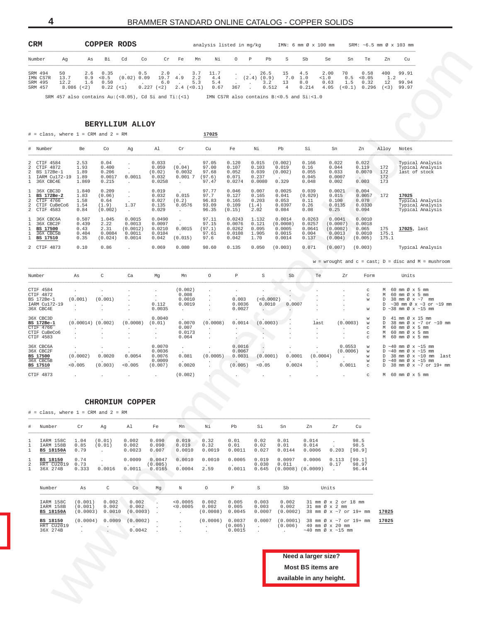<span id="page-3-0"></span>

| <b>CRM</b>          |                                                            |     |                          | COPPER RODS                     |              |                 |        |                    | analysis listed in mg/kg                          |                |        |                         |                      |              | $IMN: 6 mm \oslash x 100 mm$ |                | SRM: $\sim$ 6.5 mm Ø x 103 mm |             |                |
|---------------------|------------------------------------------------------------|-----|--------------------------|---------------------------------|--------------|-----------------|--------|--------------------|---------------------------------------------------|----------------|--------|-------------------------|----------------------|--------------|------------------------------|----------------|-------------------------------|-------------|----------------|
| Number              | Aq                                                         | As  | Bi                       | Cd                              | Co           |                 | Cr Fe  | Mn                 | Νi                                                | $\overline{O}$ | P      | Pb                      | S.                   | Sb           | Se                           | Sn             | Te                            | 7.n         | Cu             |
| SRM 494<br>IMN CS7R | 50<br>13.7                                                 | 0.9 | $2.6\quad 0.35$<br>< 0.5 | <b>College</b><br>$(0.02)$ 0.09 | 0.5          | 2.0<br>19.7 4.9 | $\sim$ | 3.7<br>2.2         | 11.7<br>4.4                                       |                | $\sim$ | 26.5<br>$(2.4)$ $(0.9)$ | 15<br>7.0            | 4.5<br>1.0   | 2.00<br><1.0                 | 70<br>0.5      | 0.58<br>< 0.05                | 400<br>1.2  | 99.91          |
| SRM 495<br>SRM 457  | 12.2<br>$8.086$ $(2)$                                      | 1.6 | 0.50<br>$0.22$ (<1)      |                                 | $0.227$ (<2) | 6.0             |        | 5.3<br>2.4 (< 0.1) | 5.4<br>0.67                                       | 367            |        | 3.2<br>0.512            | 13<br>$\overline{4}$ | 8.0<br>0.214 | 0.63<br>4.05                 | 1.5<br>(< 0.1) | 0.32<br>0.296                 | 12<br>$(3)$ | 99.94<br>99.97 |
|                     | SRM 457 also contains $Au: (<0.05)$ , Cd Si and Ti: $(<1)$ |     |                          |                                 |              |                 |        |                    | IMN CS7R also contains $B: < 0.5$ and $Si: < 1.0$ |                |        |                         |                      |              |                              |                |                               |             |                |

| Number                                                             | Ag                                                                | As                                      | Вi                                          | Cd<br>Co                                                   | Cr                                                | Fe                                                 | Mn<br>Νi                                   | O                                             | P<br>Pb                                    | S                                                | Sb                                           | Se                                                                         | Sn<br>Te                                                       | Zn                       | Cu                                                                                                    |                                                              |
|--------------------------------------------------------------------|-------------------------------------------------------------------|-----------------------------------------|---------------------------------------------|------------------------------------------------------------|---------------------------------------------------|----------------------------------------------------|--------------------------------------------|-----------------------------------------------|--------------------------------------------|--------------------------------------------------|----------------------------------------------|----------------------------------------------------------------------------|----------------------------------------------------------------|--------------------------|-------------------------------------------------------------------------------------------------------|--------------------------------------------------------------|
| SRM 494                                                            | 50                                                                | 2.6                                     | 0.35                                        | 0.5                                                        | 2.0                                               |                                                    | 3.7<br>11.7                                | $\sim$                                        | 26.5                                       | 15                                               | 4.5                                          | 2.00<br>70                                                                 | 0.58                                                           | 400                      | 99.91                                                                                                 |                                                              |
| IMN CS7R<br>SRM 495<br>SRM 457                                     | 13.7<br>12.2                                                      | 0.9<br>1.6<br>$8.086$ (<2)              | $<0.5$<br>0.50<br>$0.22$ (<1)               | (0.02) 0.09                                                | 19.7<br>6.0<br>$0.227$ (<2)                       | 4.9<br>$\sim$<br>$2.4 \approx (-0.1)$              | 2.2<br>4.4<br>5.3<br>5.4<br>0.67           | $\sim$<br>367                                 | $(2.4)$ $(0.9)$<br>3.2<br>0.512            | 7.0<br>13<br>4                                   | 1.0<br>8.0<br>0.214                          | <1.0<br>0.63<br>4.05                                                       | 0.5<br>0.05<br>1.5<br>0.32<br>$(<0.1)$ 0.296                   | 1.2<br>12<br>(< 3)       | 99.94<br>99.97                                                                                        |                                                              |
|                                                                    |                                                                   |                                         |                                             | SRM 457 also contains $Au: (<0.05)$ , Cd Si and Ti: $(<1)$ |                                                   |                                                    |                                            |                                               |                                            | IMN CS7R also contains B:<0.5 and Si:<1.0        |                                              |                                                                            |                                                                |                          |                                                                                                       |                                                              |
|                                                                    |                                                                   |                                         |                                             |                                                            |                                                   |                                                    |                                            |                                               |                                            |                                                  |                                              |                                                                            |                                                                |                          |                                                                                                       |                                                              |
|                                                                    |                                                                   |                                         |                                             | <b>BERYLLIUM ALLOY</b>                                     |                                                   |                                                    |                                            |                                               |                                            |                                                  |                                              |                                                                            |                                                                |                          |                                                                                                       |                                                              |
|                                                                    |                                                                   |                                         | $#$ = class, where $1$ = CRM and $2$ = RM   |                                                            |                                                   |                                                    | 17025                                      |                                               |                                            |                                                  |                                              |                                                                            |                                                                |                          |                                                                                                       |                                                              |
| # Number                                                           |                                                                   | Be                                      | Co                                          | Ag                                                         | Al                                                | Cr                                                 | Cu                                         | Fe                                            | Νi                                         | Pb                                               | Si                                           | Sn                                                                         | Zn                                                             | Alloy                    | Notes                                                                                                 |                                                              |
| 2<br>CTIF 4584<br>2<br>2<br>1<br>$\mathbf{1}$                      | CTIF 4872<br>BS 172Be-1<br>IARM Cu172-19<br>36X CBC4E             | 2.53<br>1.93<br>1.89<br>1.89<br>1.869   | 0.04<br>0.400<br>0.206<br>0.0017<br>0.215   | $\cdot$<br>$\cdot$<br>0.0011<br>$\ddot{\phantom{0}}$       | 0.033<br>0.059<br>(0.02)<br>0.032<br>0.0258       | (0.04)<br>0.0032<br>0.0017<br>$\ddot{\phantom{a}}$ | 97.05<br>97.00<br>97.68<br>(97.6)<br>97.47 | 0.120<br>0.107<br>0.052<br>0.071<br>0.0274    | 0.015<br>0.103<br>0.039<br>0.237<br>0.0080 | (0.002)<br>0.019<br>(0.002)<br>$\sim$<br>0.329   | 0.166<br>0.16<br>0.055<br>0.045<br>0.048     | 0.022<br>0.044<br>0.033<br>0.0007<br>0.002                                 | 0.022<br>0.119<br>0.0070<br>$\sim$ $\sim$<br>0.003             | 172<br>172<br>172<br>173 | last of stock                                                                                         | Typical Analysis<br>Typical Analysis                         |
| 2                                                                  | 36X CBC3D<br>BS 172Be-2<br>CTIF 4766<br>CTIF CuBeCo6<br>CTIF 4583 | 1.840<br>1.83<br>1.58<br>1.54<br>0.84   | 0.209<br>(0.06)<br>0.64<br>(1.9)<br>(0.002) | $\cdot$<br>$\sim$<br>1.37<br>$\sim$                        | 0.019<br>0.032<br>0.027<br>0.135<br>0.029         | 0.015<br>(0.2)<br>0.0576<br>$\ddot{\phantom{a}}$   | 97.77<br>97.7<br>96.83<br>93.09<br>96.35   | 0.046<br>0.127<br>0.165<br>0.109<br>(0.15)    | 0.007<br>0.165<br>0.203<br>(1.4)<br>2.02   | 0.0025<br>0.041<br>0.053<br>0.0397<br>0.084      | 0.039<br>(0.029)<br>0.11<br>0.26<br>0.08     | 0.0021<br>0.015<br>0.100<br>0.0135<br>0.25                                 | 0.004<br>0.0057<br>0.070<br>0.0330<br>0.094                    | 172                      | 17025                                                                                                 | Typical Analysis<br>Typical Analysis<br>Typical Analysis     |
| <b>BS 17500</b><br>BS 17510                                        | 36X CBC6A<br>36X CBC2F<br>36X CBC5B                               | 0.507<br>0.439<br>0.43<br>0.404<br>0.35 | 1.045<br>2.22<br>2.31<br>0.0084<br>(0.024)  | 0.0015<br>0.0013<br>(0.0012)<br>0.0011<br>0.0014           | 0.0490<br>0.0097<br>0.0210<br>0.0104<br>0.042     | $\sim$<br>0.0015<br>(0.015)                        | 97.11<br>97.15<br>(97.1)<br>97.61<br>97.6  | 0.0243<br>0.0076<br>0.0262<br>0.0108<br>0.042 | 1.132<br>0.121<br>0.095<br>1.905<br>1.70   | 0.0014<br>(0.0008)<br>0.0005<br>0.0015<br>0.0014 | 0.0263<br>0.0257<br>0.0641<br>0.004<br>0.137 | 0.0041<br>(0.0007)<br>(0.0002)<br>0.0013<br>(0.004)                        | 0.0010<br>0.0018<br>0.065<br>0.0010<br>(0.005)                 | 175<br>175.1<br>175.1    | 17025, last                                                                                           |                                                              |
| 2 CTIF 4873                                                        |                                                                   | 0.10                                    | 0.86                                        | $\sim$                                                     | 0.069                                             | 0.080                                              | 98.60                                      | 0.135                                         | 0.050                                      | (0.003)                                          | 0.071                                        | (0.007)                                                                    | (0.003)                                                        |                          |                                                                                                       | Typical Analysis                                             |
|                                                                    |                                                                   |                                         |                                             |                                                            |                                                   |                                                    |                                            |                                               |                                            |                                                  |                                              |                                                                            |                                                                |                          |                                                                                                       | $w = w$ rought and $c =$ cast; $D =$ disc and $M =$ mushroom |
| Number                                                             |                                                                   | As                                      | C                                           | Ca                                                         | Mg                                                | Mn                                                 | $\circ$                                    | P                                             | S                                          | Sb                                               | Te                                           | Zr                                                                         | Form                                                           |                          | Units                                                                                                 |                                                              |
| CTIF 4584<br>CTIF 4872<br>BS 172Be-1<br>IARM Cu172-19<br>36X CBC4E |                                                                   | (0.001)<br>$\cdot$                      | (0.001)<br>$\overline{a}$                   |                                                            | $\cdot$<br>$\cdot$<br>0.112<br>0.0035             | (0.002)<br>0.008<br>0.0010<br>0.0019<br>$\sim$     | $\cdot$<br>$\cdot$                         | 0.003<br>0.0036<br>0.0027                     | (< 0.0002)<br>0.0010                       | 0.0007<br>$\cdot$                                |                                              |                                                                            | $_{\rm C}$<br>$_{\rm C}$<br>W<br>W                             | М<br>D<br>D              | M 60 mm Ø x 5 mm<br>60 mm Ø x 5 mm<br>38 mm Ø x ~7 mm<br>$D \sim 38$ mm $\varnothing$ x $\sim 15$ mm  | $\sim$ 38 mm Ø x $\sim$ 3 or $\sim$ 19 mm                    |
| 36X CBC3D<br>BS 172Be-1<br>CTIF 4766<br>CTIF CuBeCo6<br>CTIF 4583  |                                                                   | $(0.00014)$ $(0.002)$<br>$\cdot$        |                                             | (0.0008)<br>$\cdot$                                        | 0.0040<br>(0.01)<br>$\cdot$<br>$\cdot$<br>$\cdot$ | 0.0070<br>0.007<br>0.0173<br>0.064                 | (0.0008)                                   | 0.0014<br>$\cdot$                             | (0.0003)<br>$\sim$<br>$\sim$<br>$\cdot$    | $\cdot$                                          | last<br>$\cdot$                              | $\cdot$<br>$\cdot$                                                         | W<br>(0.0003)<br>W<br>$_{\rm C}$<br>$_{\rm C}$<br>C            | D<br>D<br>M<br>M         | 41 mm Ø x 15 mm<br>60 mm Ø x 5 mm<br>M 60 mm Ø x 5 mm<br>60 mm Ø x 5 mm                               | 38 mm Ø x ~7 or ~10 mm                                       |
| 36X CBC6A<br>36X CBC2F<br>BS 17500<br>36X CBC5B<br><b>BS 17510</b> |                                                                   | (0.0002)<br>< 0.005                     | 0.0020<br>(0.003)                           | 0.0054<br>< 0.005                                          | 0.0070<br>0.0036<br>0.0076<br>0.0009<br>(0.007)   | $\sim$<br>0.081<br>0.0020                          | (0.0005)                                   | 0.0016<br>0.0067<br>0.0031<br>(0.005)         | $\cdot$<br>(0.0001)<br>< 0.05              | 0.0001<br>0.0024                                 | (0.0004)                                     | $\sim$                                                                     | 0.0553<br>W<br>(0.0006)<br>W<br>W<br>W<br>0.0011<br>$_{\rm C}$ |                          | D ~40 mm $\varnothing$ x ~15 mm<br>D ~40 mm $\varnothing$ x ~15 mm<br>D ~40 mm $\varnothing$ x ~15 mm | D 38 mm Ø x ~10 mm last<br>D 38 mm Ø x ~7 or 19+ mm          |
| CTIF 4873                                                          |                                                                   |                                         |                                             |                                                            |                                                   | (0.002)                                            |                                            |                                               |                                            |                                                  |                                              |                                                                            | $_{\rm C}$                                                     |                          | M 60 mm Ø x 5 mm                                                                                      |                                                              |
|                                                                    |                                                                   |                                         |                                             | CHROMIUM COPPER                                            |                                                   |                                                    |                                            |                                               |                                            |                                                  |                                              |                                                                            |                                                                |                          |                                                                                                       |                                                              |
|                                                                    |                                                                   |                                         | $\#$ = class, where 1 = CRM and 2 = RM      |                                                            |                                                   |                                                    |                                            |                                               |                                            |                                                  |                                              |                                                                            |                                                                |                          |                                                                                                       |                                                              |
|                                                                    | Number                                                            | Cr                                      | Ag                                          | Al                                                         | Fe                                                | Mn                                                 | Νi                                         | Pb                                            | Si                                         | Sn                                               | Ζn                                           | Ζr                                                                         | Cu                                                             |                          |                                                                                                       |                                                              |
| 1                                                                  | IARM 158C<br>IARM 158B<br><b>BS 18150A</b><br>BS 18150            | 1.04<br>0.85<br>0.79<br>0.74            | (0.01)<br>(0.01)<br>$\cdot$                 | 0.002<br>0.002<br>0.0023<br>0.0009                         | 0.090<br>0.090<br>0.007<br>0.0047                 | 0.019<br>0.019<br>0.0010<br>0.0010                 | 0.32<br>0.32<br>0.0019<br>0.0010           | 0.01<br>0.01<br>0.0011<br>0.0005              | 0.02<br>0.02<br>0.027<br>0.019             | 0.01<br>0.01<br>0.0144<br>0.0097                 | 0.014<br>0.014<br>0.0006<br>0.0006           | $\cdot$<br>0.203<br>0.113                                                  | 98.5<br>98.5<br>[98.9]<br>[99.1]                               |                          |                                                                                                       |                                                              |
| 2<br>1                                                             | HRT CU2019<br>36X 274B                                            | 0.73<br>0.333                           | 0.0016                                      | 0.0011                                                     | (0.005)<br>0.0165                                 | 0.0004                                             | 2.59                                       | 0.0011                                        | 0.030<br>0.645                             | 0.011<br>$(0.0008)$ $(0.0009)$                   |                                              | 0.17<br>$\ddot{\phantom{a}}$                                               | 98.97<br>96.44                                                 |                          |                                                                                                       |                                                              |
|                                                                    | Number                                                            | As                                      | С                                           | Co                                                         | Mg                                                | Ν                                                  | O                                          | $\, {\mathbb P}$                              | S                                          | Sb                                               |                                              | Units                                                                      |                                                                |                          |                                                                                                       |                                                              |
|                                                                    | IARM 158C<br>IARM 158B<br><b>BS 18150A</b>                        | (0.001)<br>(0.001)                      | 0.002<br>0.002<br>(0.0003) 0.0010           | 0.002<br>0.002<br>(0.0003)                                 | $\ddot{\phantom{a}}$                              | 0.0005<br>0.0005<br>$\ddot{\phantom{a}}$           | 0.002<br>0.002<br>(0.0008)                 | 0.005<br>0.005<br>0.0045                      | 0.003<br>0.003<br>0.0007                   | 0.002<br>0.002<br>(0.0002)                       |                                              | 31 mm Ø x 2 or 18 mm<br>31 mm Ø x 2 mm<br>38 mm Ø x ~7 or 19+ mm           |                                                                | 17025                    |                                                                                                       |                                                              |
|                                                                    | BS 18150<br>HRT CU2019<br>36X 274B                                |                                         | (0.0004) 0.0009                             | (0.0002)<br>0.0042                                         |                                                   |                                                    | (0.0006) 0.0037<br>$\cdot$                 | (0.005)<br>0.0015                             | 0.0007<br>$\cdot$<br>$\ddot{\phantom{a}}$  | (0.0001)<br>(0.006)<br>$\sim$                    |                                              | 38 mm Ø x ~7 or 19+ mm<br>40 mm Ø x 20 mm<br>$\sim$ 40 mm Ø x $\sim$ 15 mm |                                                                | 17025                    |                                                                                                       |                                                              |
|                                                                    |                                                                   |                                         |                                             |                                                            |                                                   |                                                    |                                            |                                               |                                            |                                                  | Need a larger size?                          |                                                                            |                                                                |                          |                                                                                                       |                                                              |
|                                                                    |                                                                   |                                         |                                             |                                                            |                                                   |                                                    |                                            |                                               |                                            |                                                  | <b>Most BS items are</b>                     |                                                                            |                                                                |                          |                                                                                                       |                                                              |
|                                                                    |                                                                   |                                         |                                             |                                                            |                                                   |                                                    |                                            |                                               |                                            |                                                  |                                              | available in any height.                                                   |                                                                |                          |                                                                                                       |                                                              |
|                                                                    |                                                                   |                                         |                                             |                                                            |                                                   |                                                    |                                            |                                               |                                            |                                                  |                                              |                                                                            |                                                                |                          |                                                                                                       |                                                              |
|                                                                    |                                                                   |                                         |                                             |                                                            |                                                   |                                                    |                                            |                                               |                                            |                                                  |                                              |                                                                            |                                                                |                          |                                                                                                       |                                                              |

| Number        | As                    | С       | Ca       | Mq             | Mn           | $\circ$        | P       | S        | Sb     | Te       | Zr           | Form | Units                                            |
|---------------|-----------------------|---------|----------|----------------|--------------|----------------|---------|----------|--------|----------|--------------|------|--------------------------------------------------|
|               |                       |         |          |                |              |                |         |          |        |          |              |      |                                                  |
| CTIF 4584     |                       |         |          |                | (0.002)      |                |         |          |        |          |              | C.   | 60 mm Ø x 5 mm<br>M                              |
| CTIF 4872     |                       |         |          |                | 0.008        |                |         |          |        |          |              | C    | $60 \text{ mm}$ $\varnothing$ $\times$ 5 mm<br>M |
| BS 172Be-1    | (0.001)               | (0.001) |          | $\overline{a}$ | 0.0010       |                | 0.003   | < 0.0002 |        |          |              | W    | 38 mm Ø x ~7 mm                                  |
| IARM Cu172-19 |                       |         |          | 0.112          | 0.0019       |                | 0.0036  | 0.0010   | 0.0007 |          |              |      | $\sim$ 38 mm Ø x $\sim$ 3 or $\sim$ 19 mm        |
| 36X CBC4E     |                       |         |          | 0.0035         | $\mathbf{r}$ |                | 0.0027  |          |        |          |              | W    | $D \sim 38$ mm $\varnothing$ x $\sim 15$ mm      |
| 36X CBC3D     |                       |         |          | 0.0040         |              |                |         |          |        |          |              | W    | 41 mm Ø x 15 mm<br>D.                            |
| BS 172Be-1    | $(0.00014)$ $(0.002)$ |         | (0.0008) | (0.01)         | 0.0070       | (0.0008)       | 0.0014  | (0.0003) |        | last     | (0.0003)     | W    | 38 mm Ø x ~7 or ~10 mm                           |
| CTIF 4766     |                       |         |          |                | 0.007        | $\overline{a}$ |         |          |        |          |              | c    | 60 mm Ø x 5 mm<br>M                              |
| CTIF CuBeCo6  |                       |         |          | $\cdot$        | 0.0173       | $\mathbf{r}$   |         |          |        |          |              | c    | 60 mm Ø x 5 mm<br>M                              |
| CTIF 4583     |                       |         |          |                | 0.064        |                |         |          |        |          |              | C    | 60 mm Ø x 5 mm<br>M                              |
|               |                       |         |          |                |              |                |         |          |        |          |              |      |                                                  |
| 36X CBC6A     |                       |         |          | 0.0070         |              |                | 0.0016  |          |        |          | 0.0553       | W    | $D \sim 40$ mm $\varnothing$ x $\sim 15$ mm      |
| 36X CBC2F     |                       |         |          | 0.0036         |              |                | 0.0067  |          |        |          | (0.0006)     | W    | $D \sim 40$ mm $\varnothing$ x $\sim 15$ mm      |
| BS 17500      | (0.0002)              | 0.0020  | 0.0054   | 0.0076         | 0.081        | (0.0005)       | 0.0031  | (0.0001) | 0.0001 | (0.0004) | $\mathbf{r}$ | W    | 38 mm $\varnothing$ x $\sim$ 10 mm<br>last       |
| 36X CBC5B     |                       |         |          | 0.0009         |              |                | $\cdot$ |          |        |          |              | W    | $D \sim 40$ mm $\varnothing$ x $\sim 15$ mm      |
| BS 17510      | < 0.005               | (0.003) | < 0.005  | (0.007)        | 0.0020       |                | (0.005) | < 0.05   | 0.0024 |          | 0.0011       | C    | 38 mm Ø x ~7 or 19+ mm<br>D.                     |
| CTIF 4873     |                       |         |          | $\cdot$        | (0.002)      |                |         |          |        |          |              | C    | M 60 mm Ø x 5 mm                                 |

#### **CHROMIUM COPPER**

| #                                    | Number                                     | Cr                    | Aq               | Al                       | Fe                          | Mn                         | Νi                     | Pb                     | Si                      | Sn                     | Zn                                | Zr            | Cu                      |
|--------------------------------------|--------------------------------------------|-----------------------|------------------|--------------------------|-----------------------------|----------------------------|------------------------|------------------------|-------------------------|------------------------|-----------------------------------|---------------|-------------------------|
| 1<br>$\mathbf{1}$<br>$\mathbf{1}$    | IARM 158C<br>IARM 158B<br><b>BS 18150A</b> | 1.04<br>0.85<br>0.79  | (0.01)<br>(0.01) | 0.002<br>0.002<br>0.0023 | 0.090<br>0.090<br>0.007     | 0.019<br>0.019<br>0.0010   | 0.32<br>0.32<br>0.0019 | 0.01<br>0.01<br>0.0011 | 0.02<br>0.02<br>0.027   | 0.01<br>0.01<br>0.0144 | 0.014<br>0.014<br>0.0006          | 0.203         | 98.5<br>98.5<br>98.91   |
| $\overline{1}$<br>-2<br>$\mathbf{1}$ | <b>BS 18150</b><br>HRT CU2019<br>36X 274B  | 0.74<br>0.73<br>0.333 | 0.0016           | 0.0009<br>0.0011         | 0.0047<br>(0.005)<br>0.0165 | 0.0010<br>$\sim$<br>0.0004 | 0.0010<br>2.59         | 0.0005<br>0.0011       | 0.019<br>0.030<br>0.645 | 0.0097<br>0.011        | 0.0006<br>$(0.0008)$ $(0.0009)$ . | 0.113<br>0.17 | 99.11<br>98.97<br>96.44 |

| Number                                     | As                             | C                        | Co                         | Mq | N                    | $\circ$                    | P                           | S                        | Sb                         | Units                                                                                                   |       |
|--------------------------------------------|--------------------------------|--------------------------|----------------------------|----|----------------------|----------------------------|-----------------------------|--------------------------|----------------------------|---------------------------------------------------------------------------------------------------------|-------|
| IARM 158C<br>IARM 158B<br><b>BS 18150A</b> | (0.001)<br>(0.001)<br>(0.0003) | 0.002<br>0.002<br>0.0010 | 0.002<br>0.002<br>(0.0003) |    | < 0.0005<br>< 0.0005 | 0.002<br>0.002<br>(0.0008) | 0.005<br>0.005<br>0.0045    | 0.003<br>0.003<br>0.0007 | 0.002<br>0.002<br>(0.0002) | 31 mm Ø x 2 or 18 mm<br>$31 \text{ mm}$ $\alpha$ $\times$ 2 mm<br>38 mm Ø x ~7 or 19+ mm                | 17025 |
| <b>BS 18150</b><br>HRT CU2019<br>36X 274B  | (0.0004)                       | 0.0009                   | (0.0002)<br>0.0042         |    |                      | (0.0006)                   | 0.0037<br>(0.005)<br>0.0015 | 0.0007                   | (0.0001)<br>(0.006)        | 38 mm Ø x ~7 or 19+ mm<br>$40 \text{ mm}$ $\varnothing$ $\times$ 20 mm<br>$\sim$ 40 mm Ø x $\sim$ 15 mm | 17025 |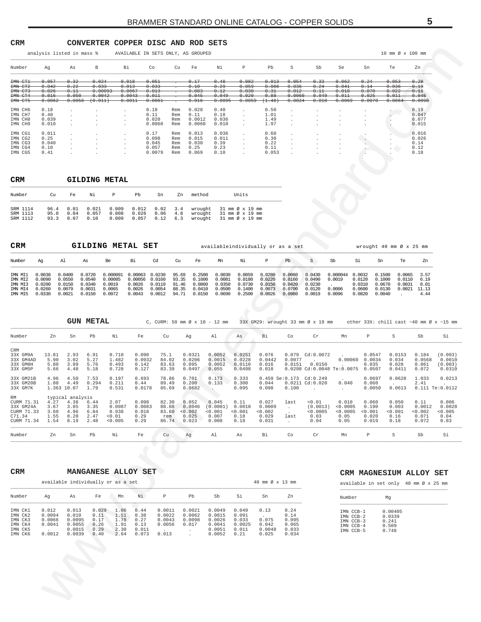#### <span id="page-4-0"></span> $\mathtt{CRM}$

#### CONVERTER COPPER DISC AND ROD SETS

|                                                     | analysis listed in mass %                  |                                         |                                                | AVAILABLE IN SETS ONLY, AS GROUPED           |                                            |                                 |                                          |                                         |                                              |                                          |                                             |                                        |                                                    |                                          | 10 mm Ø x 100 mm                           |                                         |
|-----------------------------------------------------|--------------------------------------------|-----------------------------------------|------------------------------------------------|----------------------------------------------|--------------------------------------------|---------------------------------|------------------------------------------|-----------------------------------------|----------------------------------------------|------------------------------------------|---------------------------------------------|----------------------------------------|----------------------------------------------------|------------------------------------------|--------------------------------------------|-----------------------------------------|
| Number                                              | Aq                                         | As                                      | B                                              | Bi                                           | Co                                         | Cu                              | Fe                                       | Νi                                      | P                                            | Pb                                       | S                                           | Sb                                     | Se                                                 | Sn                                       | Te                                         | Zn                                      |
| IMN CT1<br>IMN CT2<br>IMN CT3<br>IMN CT4<br>IMN CT5 | 0.057<br>0.042<br>0.026<br>0.016<br>0.0062 | 0.32<br>0.22<br>0.11<br>0.050<br>0.0056 | 0.024<br>0.033<br>0.00093<br>0.0042<br>(0.011) | 0.018<br>0.013<br>0.0067<br>0.0043<br>0.0011 | 0.051<br>0.033<br>0.013<br>0.011<br>0.0061 |                                 | 0.17<br>0.10<br>0.083<br>0.045<br>0.016  | 0.48<br>0.29<br>0.12<br>0.049<br>0.0095 | 0.082<br>0.059<br>0.038<br>0.020<br>0.0059   | 0.013<br>0.086<br>0.31<br>0.88<br>(1.48) | 0.054<br>0.036<br>0.012<br>0.0060<br>0.0024 | 0.33<br>0.24<br>0.11<br>0.049<br>0.010 | 0.062<br>0.041<br>0.018<br>0.011<br>0.0069         | 0.24<br>0.14<br>0.070<br>0.025<br>0.0070 | 0.053<br>0.036<br>0.022<br>0.011<br>0.0064 | 0.28<br>0.19<br>0.11<br>0.045<br>0.0098 |
| IMN CH6<br>IMN CH7<br>IMN CH8<br>IMN CH9            | 0.18<br>0.40<br>0.039<br>0.010             |                                         |                                                | $\sim$<br>$\sim$                             | 0.18<br>0.11<br>0.020<br>0.0060            | Rem<br>Rem<br>Rem<br>Rem        | 0.028<br>0.11<br>0.0012<br>0.0060        | 0.40<br>0.18<br>0.036<br>0.010          | $\mathbf{r}$<br>$\overline{a}$               | 0.50<br>1.01<br>1.49<br>1.97             |                                             |                                        |                                                    |                                          |                                            | 0.19<br>0.047<br>0.077<br>0.015         |
| IMN CG1<br>IMN CG2<br>IMN CG3<br>IMN CG4<br>IMN CG5 | 0.011<br>0.25<br>0.040<br>0.10<br>0.41     |                                         |                                                | $\sim$<br>$\sim$                             | 0.17<br>0.098<br>0.045<br>0.057<br>0.0079  | Rem<br>Rem<br>Rem<br>Rem<br>Rem | 0.013<br>0.015<br>0.030<br>0.25<br>0.069 | 0.036<br>0.011<br>0.39<br>0.23<br>0.10  | $\mathbf{r}$<br>$\mathbf{r}$<br>$\mathbf{r}$ | 0.60<br>0.30<br>0.22<br>0.11<br>0.053    |                                             |                                        | $\cdot$<br>$\mathbf{r}$<br>$\mathbf{r}$<br>$\cdot$ |                                          | $\sim$                                     | 0.016<br>0.026<br>0.14<br>0.12<br>0.18  |

| <b>CRM</b>                       |                      |                      |                        | <b>GILDING METAL</b>    |                         |                      |                   |                    |                                                                                               |
|----------------------------------|----------------------|----------------------|------------------------|-------------------------|-------------------------|----------------------|-------------------|--------------------|-----------------------------------------------------------------------------------------------|
| Number                           | Cu                   | Fe                   | Νi                     | P                       | Ph                      | Sn                   | Zn                | method             | Units                                                                                         |
| SRM 1114<br>SRM 1113<br>SRM 1112 | 96.4<br>95.0<br>93.3 | 0.01<br>0.04<br>0.07 | 0.021<br>0.057<br>0.10 | 0.009<br>0.008<br>0.009 | 0.012<br>0.026<br>0.057 | 0.02<br>0.06<br>0.12 | 3.4<br>4.8<br>6.3 | wrought<br>wrought | 31 mm Ø x 19 mm<br>wrought $31 \text{ mm } \emptyset \times 19 \text{ mm}$<br>31 mm Ø x 19 mm |

| <b>CRM</b>                                          |                                                |                                                |                                                | GILDING METAL                                     |                                                  | SET                                            |                                           |                                                |                                                |                                                |                                                | availableindividually or as a set              |                                                |                                        |                                                |                                                | wrought 40 mm Ø x 25 mm              |                                       |
|-----------------------------------------------------|------------------------------------------------|------------------------------------------------|------------------------------------------------|---------------------------------------------------|--------------------------------------------------|------------------------------------------------|-------------------------------------------|------------------------------------------------|------------------------------------------------|------------------------------------------------|------------------------------------------------|------------------------------------------------|------------------------------------------------|----------------------------------------|------------------------------------------------|------------------------------------------------|--------------------------------------|---------------------------------------|
| Number                                              | Aq                                             | Al                                             | As                                             | Be                                                | Вi                                               | Cd                                             | Cu                                        | Fe                                             | Mn                                             | Νi                                             |                                                | Ph                                             |                                                | Sb                                     | Si                                             | Sn                                             | Тe                                   | Zn                                    |
| TMN MT1<br>IMN MI2<br>IMN MI3<br>IMN MI4<br>IMN MI5 | 0.0038<br>0.0090<br>0.0200<br>0.0260<br>0.0330 | 0.0400<br>0.0550<br>0.0150<br>0.0079<br>0.0021 | 0.0720<br>0.0540<br>0.0340<br>0.0031<br>0 0150 | 0.000091<br>0.00085<br>0.0019<br>0.0065<br>0.0072 | 0.00063<br>0.00056<br>0.0026<br>0.0026<br>0.0043 | 0.0230<br>0.0160<br>0.0110<br>0.0054<br>0 0012 | 95.69<br>93.35<br>91.46<br>88.35<br>94.71 | 0.2500<br>0.1600<br>0.0860<br>0.0410<br>0.0150 | 0.0030<br>0.0081<br>0.0350<br>0.0500<br>0.0690 | 0.0059<br>0.0180<br>0.0730<br>0.1400<br>0.2500 | 0.0280<br>0.0220<br>0.0150<br>0.0073<br>0.0026 | 0.0060<br>0.0160<br>0.0420<br>0.0700<br>0.0960 | 0.0430<br>0.0490<br>0.0230<br>0.0120<br>0.0019 | 0.000044<br>0.0019<br>0.0006<br>0.0096 | 0.0032<br>0.0120<br>0.0310<br>0.0600<br>0.0820 | 0.1500<br>0.1000<br>0.0670<br>0.0130<br>0.0040 | 0.0065<br>0.0110<br>0.0031<br>0.0021 | 3.57<br>6.19<br>8.01<br>11.13<br>4.44 |

|            |       |                  | <b>GUN METAL</b> |         |        |       |        | C, CURM: 50 mm $\varnothing$ x 10 - 12 mm |        |        |                     | 33X GM29: wrought 33 mm Ø x 19 mm |                                                  |        |         | other 33X: chill cast ~40 mm $\emptyset$ x ~15 mm |                      |
|------------|-------|------------------|------------------|---------|--------|-------|--------|-------------------------------------------|--------|--------|---------------------|-----------------------------------|--------------------------------------------------|--------|---------|---------------------------------------------------|----------------------|
| Number     | Zn    | Sn               | Pb               | Νi      | Fe     | Cu    | Aq     | Al                                        | As     | Bi     | Co                  | Cr                                | Mn                                               | P      | S       | Sb                                                | Si                   |
| CRM        |       |                  |                  |         |        |       |        |                                           |        |        |                     |                                   |                                                  |        |         |                                                   |                      |
| 33X GM9A   | 13.81 | 2.93             | 6.91             | 0.710   | 0.090  | 75.1  | 0.0321 | 0.0052                                    | 0.0251 | 0.076  | 0.079               | Cd:0.0072                         |                                                  | 0.0547 | 0.0153  | 0.184                                             | (0.003)              |
| 33X GM4AD  | 5.90  | 3.02             | 5.27             | 1.482   | 0.0932 | 84.02 | 0.0206 | 0.0015                                    | 0.0228 | 0.0442 | 0.0077              |                                   | 0.00060                                          | 0.0034 | 0.034   | 0.0568                                            | 0.0010               |
| 33X GM8H   | 5.80  | 3.89             | 5.76             | 0.493   | 0.142  | 83.63 | 0.095  | 0.0052                                    | 0.0110 | 0.016  | 0.0151              | 0.0150                            |                                                  | 0.035  | 0.028   | 0.061                                             | (0.003)              |
| 33X GM5P   | 5.66  | 4.48             | 5.18             | 0.728   | 0.127  | 83.39 | 0.0497 | 0.055                                     | 0.0498 | 0.018  |                     |                                   | $0.0298 \text{ Cd: } 0.0048 \text{ Te: } 0.0075$ | 0.0507 | 0.0411  | 0.072                                             | 0.0310               |
| 33X GM21B  | 4.96  | 4.50             | 7.53             | 0.197   | 0.693  | 78.86 | 0.701  | 0.173                                     | 0.333  |        | $0.459$ Se: $0.173$ | Cd:0.249                          | $\sim$                                           | 0.0697 | 0.0628  | 1.033                                             | 0.0213               |
| 33X GM20B  | 1.80  | 4.49             | 0.294            | 0.211   | 0.44   | 89.49 | 0.200  | 0.133                                     | 0.300  | 0.044  |                     | $0.0211 \text{ Cd}: 0.020$        | 0.040                                            | 0.060  |         | 2.41                                              |                      |
| 33X GM7K   |       | 1.363 10.07      | 1.79             | 0.531   | 0.0178 | 85.69 | 0.0682 |                                           | 0.095  | 0.098  | 0.100               | $\sim$                            | $\sim$                                           | 0.0050 | 0.0613  |                                                   | $0.111$ Te: $0.0112$ |
| RM         |       | typical analysis |                  |         |        |       |        |                                           |        |        |                     |                                   |                                                  |        |         |                                                   |                      |
| CURM 71.31 | 4.27  | 4.38             | 6.44             | 2.07    | 0.098  | 82.30 | 0.052  | 0.045                                     | 0.11   | 0.027  | last                | < 0.01                            | 0.010                                            | 0.060  | 0.050   | 0.11                                              | 0.006                |
| 33X GM24A  | 3.67  | 3.85             | 3.35             | 0.0087  | 0.0083 | 88.88 | 0.0046 | (0.0001)                                  | 0.0010 | 0.0009 | $\mathbf{r}$        | (0.0013)                          | < 0.0005                                         | 0.190  | 0.003   | 0.0012                                            | 0.0028               |
| CURM 71.33 | 3.60  | 4.96             | 6.84             | 0.938   | 0.018  | 83.60 | 0.002  | 0.001                                     | 0.001  | 0.002  |                     | < 0.0005                          | < 0.0005                                         | 0.001  | < 0.001 | 0.002                                             | 0.005                |
| C71.34     | 1.55  | 8.20             | 2.47             | 0.01    | 0.29   | rem   | 0.025  | 0.007                                     | 0.18   | 0.029  | last                | 0.03                              | 0.05                                             | 0.020  | 0.16    | 0.071                                             | 0.04                 |
| CURM 71.34 | 1.54  | 8.19             | 2.48             | < 0.005 | 0.29   | 86.74 | 0.023  | 0.008                                     | 0.18   | 0.031  |                     | 0.04                              | 0.05                                             | 0.019  | 0.18    | 0.072                                             | 0.03                 |
| Number     | Zn    | Sn               | Pb               | Νi      | Fe     | Cu    | Aq     | Al                                        | As     | Вi     | Co                  | Cr                                | Mn                                               | P      | S       | Sb                                                | Si                   |
|            |       |                  |                  |         |        |       |        |                                           |        |        |                     |                                   |                                                  |        |         |                                                   |                      |

#### **CRM** MANGANESE ALLOY SET

|         |        | available individually or as a set |       |      |         |         |        |        |        | 40 mm Ø x 13 mm |         |
|---------|--------|------------------------------------|-------|------|---------|---------|--------|--------|--------|-----------------|---------|
| Number  | Αq     | As                                 | Fe    | Mn   | Νi      | P       | Pb     | Sb     | Si     | Sn              | Zn      |
| IMN CK1 | 0.012  | 0.013                              | 0.029 | 1.06 | 0.44    | 0.0011  | 0.0021 | 0.0049 | 0.049  | 0.13            | 0.24    |
| IMN CK2 | 0.0094 | 0.010                              | 0.11  | 1.51 | 0.38    | 0.0022  | 0.0062 | 0.0015 | 0.091  |                 | 0.14    |
| IMN CK3 | 0.0066 | 0.0095                             | 0.17  | 1.78 | 0.27    | 0.0043  | 0.0098 | 0.0026 | 0.033  | 0.075           | 0.095   |
| IMN CK4 | 0.0041 | 0.0055                             | 0.26  | 1.91 | 0.13    | 0.0056  | 0.017  | 0.0041 | 0.0025 | 0.042           | 0.065   |
| IMN CK5 |        | 0.0015                             | 0.29  | 2.30 | 0.011   |         |        | 0.0051 | 0.011  | 0.0048          | 0.033   |
| TMN CK6 | 0 0012 | 0 0039                             | 0.40  | 2.64 | 0 0 7 3 | 0 0 1 3 |        | 0 0052 | 0 21   | 0 0 2 5         | 0 0 3 4 |

#### CRM MAGNESIUM ALLOY SET

available in set only  $40 \text{ mm } \emptyset \times 25 \text{ mm}$ 

| Number                                                        | Mα                                           |  |
|---------------------------------------------------------------|----------------------------------------------|--|
| IMN CCB-1<br>IMN CCB-2<br>IMN CCB-3<br>IMN CCB-4<br>TMN CCB-5 | 0.00405<br>0.0339<br>0.241<br>0.509<br>0.748 |  |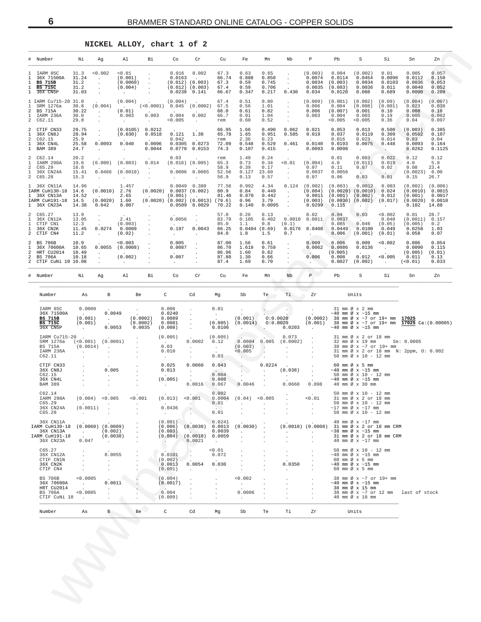## **NICKEL ALLOY, chart 1 of 2**

<span id="page-5-0"></span>

| 1<br>1                           | Number                                                                      | Νi                                                        | Ag                                                                                       | Al                                                                   | Вi                                             | Co                                                                  | Cr                                                                           | Cu                                             | Fe                                                   | Mn                                       | Nb                                                                 | P                                                          | Pb                                                  | S                                                                                                                                         | Si                                                                   | Sn                                                                | Zn                                         |
|----------------------------------|-----------------------------------------------------------------------------|-----------------------------------------------------------|------------------------------------------------------------------------------------------|----------------------------------------------------------------------|------------------------------------------------|---------------------------------------------------------------------|------------------------------------------------------------------------------|------------------------------------------------|------------------------------------------------------|------------------------------------------|--------------------------------------------------------------------|------------------------------------------------------------|-----------------------------------------------------|-------------------------------------------------------------------------------------------------------------------------------------------|----------------------------------------------------------------------|-------------------------------------------------------------------|--------------------------------------------|
| 1<br>$\mathbf{1}$<br>1           | IARM 85C<br>36X 71500A<br><b>BS 715B</b><br><b>BS 715C</b><br>36X CN5P      | 31.3<br>31.24<br>31.2<br>31.2<br>31.03                    | 0.002<br>$\ddot{\phantom{a}}$<br>$\ddot{\phantom{a}}$<br>$\cdot$<br>$\ddot{\phantom{0}}$ | 0.01<br>(0.001)<br>(0.0060)<br>(0.004)<br>$\sim$                     | $\cdot$                                        | 0.016<br>0.0163<br>(0.012)<br>(0.012)<br>0.0238                     | 0.002<br>(0.003)<br>(0.003)<br>0.141                                         | 67.3<br>66.74<br>67.3<br>67.4<br>66.67         | 0.63<br>0.888<br>0.59<br>0.59<br>0.347               | 0.65<br>0.850<br>0.745<br>0.706<br>0.217 | $\cdot$<br>$\cdot$<br>$\ddot{\phantom{a}}$<br>$\cdot$<br>0.430     | (0.003)<br>0.0074<br>0.0034<br>0.0035<br>0.034             | 0.004<br>0.0114<br>(0.003)<br>(0.003)<br>0.0120     | (0.002)<br>0.0454<br>0.0034<br>0.0036<br>0.088                                                                                            | 0.01<br>0.0096<br>0.0103<br>0.011<br>0.689                           | 0.005<br>0.0112<br>0.0036<br>0.0040<br>0.0090                     | 0.057<br>0.150<br>0.053<br>0.052<br>0.209  |
| 1<br>2<br>1<br>2                 | 1 IARM Cu715-20<br>SRM 1276a<br><b>BS 715A</b><br>IARM 236A<br>C62.11       | 31.0<br>30.8<br>30.22<br>30.0<br>29.8                     | (0.004)<br>$\ddot{\phantom{0}}$<br>$\cdot$<br>$\ddot{\phantom{a}}$                       | (0.004)<br><b>College</b><br>(0.01)<br>0.003<br>$\ddot{\phantom{a}}$ | (<0.0001)<br>0.003<br>$\ddot{\phantom{a}}$     | (0.004)<br>0.045<br>$\sim$<br>0.004<br>0.005                        | (0.0002)<br>$\sim$<br>0.002<br>$\sim$                                        | 67.4<br>67.5<br>68.0<br>66.7<br>rem            | 0.51<br>0.56<br>0.61<br>0.91<br>0.60                 | 0.80<br>1.01<br>0.82<br>1.04<br>0.52     | $\cdot$<br>$\ddot{\phantom{a}}$<br>$\ddot{\phantom{a}}$<br>$\cdot$ | (0.009)<br>0.006<br>0.006<br>0.003<br>$\ddot{\phantom{a}}$ | (0.001)<br>0.004<br>(0.007)<br>0.004<br>< 0.005     | (0.002)<br>(0.008)<br>0.001<br>0.003<br>0.005                                                                                             | (0.09)<br>(0.001)<br>0.10<br>0.19<br>0.36                            | (0.004)<br>0.023<br>0.008<br>0.005<br>0.04                        | (0.007)<br>0.038<br>0.10<br>0.002<br>0.097 |
| 2<br>1<br>2<br>1<br>$\mathbf{1}$ | CTIF CN33<br>36X CN8J<br>C62.15<br>36X CN4L<br><b>BAM 389</b>               | 29.75<br>28.94<br>25.9<br>25.58<br>24.7                   | $\cdot$<br>$\ddot{\phantom{0}}$<br>0.0093<br>$\ddot{\phantom{a}}$                        | (0.0105)<br>(0.030)<br>0.040<br>$\ddot{\phantom{0}}$                 | 0.0212<br>0.0518<br>$\sim$<br>0.0096<br>0.0044 | 0.121<br>0.042<br>0.0770                                            | 1.38<br>$\sim$<br>$0.0305$ 0.0273<br>0.0153                                  | 66.95<br>65.78<br>rem<br>72.09<br>74.3         | 1.66<br>1.65<br>2.36<br>0.548<br>0.107               | 0.490<br>0.951<br>0.23<br>0.529<br>0.415 | 0.062<br>0.585<br>$\ddot{\phantom{a}}$<br>0.461<br>$\cdot$         | 0.021<br>0.019<br>0.0140<br>0.0093                         | 0.053<br>0.037<br>0.016<br>0.0193<br>0.0098         | 0.013<br>0.0119<br>0.023<br>0.0075<br>$\ddot{\phantom{a}}$                                                                                | 0.500<br>0.309<br>0.014<br>0.448<br>$\Delta \phi$                    | (0.003)<br>0.0502<br>0.03<br>0.0093<br>0.0262                     | 0.385<br>0.107<br>0.04<br>0.164<br>0.1125  |
| $\,2$<br>1<br>2<br>1<br>2        | C62.14<br>IARM 298A<br>C65.29<br>36X CN24A<br>C65.28                        | 20.2<br>19.6<br>16.8<br>15.41<br>15.3                     | (0.009)<br>0.0466<br>$\cdot$                                                             | (0.003)<br>(0.0010)<br>$\cdot$                                       | 0.014                                          | 0.03<br>$\ddot{\phantom{a}}$                                        | $(0.016)$ $(0.005)$<br>$0.0096$ 0.0065<br>$\ddot{\phantom{a}}$               | rem<br>65.3<br>58.9<br>52.56<br>56.9           | 1.49<br>0.73<br>0.39<br>0.127<br>0.13                | 0.24<br>0.34<br>0.17<br>23.60<br>0.57    | 0.01<br>$\cdot$<br>$\cdot$<br>$\cdot$                              | (0.004)<br>0.07<br>0.0037<br>0.07                          | 0.01<br>4.0<br>0.11<br>0.0056<br>0.06               | 0.083<br>(0.011)<br>0.07<br>$\ddot{\phantom{0}}$<br>0.03                                                                                  | 0.022<br>0.019<br>0.02<br>$\sim$<br>0.01                             | 0.12<br>4.0<br>0.08<br>$(0.0023)$ 8.00<br>0.15                    | 0.12<br>5.8<br>23.4<br>26.7                |
| 1<br>$\mathbf{1}$                | 36X CN11A<br>IARM CuH130-18<br>36X CN13A<br>IARM CuH191-18<br>1 36X CN23A   | 14.96<br>14.6<br>14.52<br>14.5<br>14.38                   | (0.0010)<br>(0.0020)<br>0.042                                                            | 1.457<br>2.76<br>2.65<br>1.60<br>0.007                               | (0.0020)<br><b>Contract</b><br>$\sim$          | (0.001)<br>0.0509                                                   | $0.0049$ 0.380<br>0.0037(0.002)<br>$(0.0020)$ $(0.002)$ $(0.0013)$<br>0.0029 | 77.56<br>80.9<br>81.46<br>(79.6)<br>70.22      | 0.992<br>0.84<br>0.870<br>0.96<br>0.140              | 4.34<br>0.449<br>0.442<br>3.79<br>0.0095 | 0.124<br>$\cdot$<br>$\ddot{\phantom{a}}$<br>$\cdot$                | (0.002)<br>(0.004)<br>0.0011<br>(0.003)<br>0.0299          | (0.003)<br>(0.0020)<br>(0.001)<br>(0.0030)<br>0.115 | 0.0012<br>(0.0010)<br>(0.002)<br>(0.002)<br>$\cdot$                                                                                       | 0.083<br>0.024<br>0.012<br>(0.017)<br>$\cdot$                        | (0.002)<br>(0.0010) 0.0015<br>(0.001)<br>(0.0020) 0.0010<br>0.102 | (0.006)<br>0.0017<br>14.88                 |
| 2<br>1<br>1<br>1<br>2            | C65.27<br>36X CN12A<br>CTIF CN1<br>36X CN2K<br>CTIF CN4                     | 13.9<br>13.05<br>12.3<br>11.45<br>11.2                    | $\cdot$<br>$\blacksquare$<br>0.0274<br>$\ddot{\phantom{0}}$                              | 2.41<br>(0.003)<br>0.0009<br>(0.02)                                  |                                                | 0.0056<br>0.197<br>$\cdot$                                          | 0.0043<br>$\cdot$                                                            | 57.0<br>83.79<br>85.0<br>86.25<br>84.0         | 0.26<br>0.105<br>1.1<br>0.0404(0.69)<br>1.8          | 0.13<br>0.402<br>0.8<br>1.5              | 0.0010<br>(0.1)<br>0.0176<br>0.7                                   | 0.02<br>0.0011<br>$\sim$<br>0.0408<br>$\sim$               | 0.04<br>0.0037<br>0.085<br>0.0449<br>0.006          | 0.03<br>$\sim$<br>0.046<br>0.0100<br>(0.001)                                                                                              | 0.002<br>0.040<br>(0.05)<br>0.049<br>(0.01)                          | 0.01<br>(0.0011)<br>(0.005)<br>0.0258<br>0.058                    | 28.7<br>0.157<br>0.2<br>1.03<br>0.07       |
| 2<br>1<br>2<br>2<br>2            | <b>BS 706B</b><br>36X 70600A<br>HRT CU2014<br>BS 706A<br>CTIF CuNi 10 10.08 | 10.9<br>10.65<br>10.49<br>10.18                           | 0.0055<br>$\cdot$<br>$\ddot{\phantom{a}}$<br>$\ddot{\phantom{0}}$                        | 0.003<br>(0.0008)<br>(0.002)<br>$\ddot{\phantom{0}}$                 |                                                | 0.005<br>0.0087<br>0.007                                            |                                                                              | 87.00<br>86.70<br>86.96<br>87.80<br>87.4       | 1.56<br>1.619<br>1.60<br>1.30<br>1.69                | 0.61<br>0.759<br>0.82<br>0.66<br>0.70    | $\cdot$<br>$\cdot$                                                 | 0.009<br>0.0062<br>$\sim$<br>0.006<br>$\cdot$              | 0.006<br>0.0086<br>(0.005)<br>0.008<br>0.0027       | 0.009<br>0.0136<br>$\ddot{\phantom{a}}$<br>0.012<br>(0.002)                                                                               | 0.002<br>$\ddot{\phantom{a}}$<br>$\sim$<br>< 0.005<br>$\cdot$        | 0.006<br>0.0090<br>(0.005)<br>0.011<br>(0.01)                     | 0.054<br>0.115<br>(0.01)<br>0.13<br>0.033  |
|                                  | Number                                                                      | Νi                                                        | Αg                                                                                       | Al                                                                   | Вi                                             | Co                                                                  | Cr                                                                           | Cu                                             | Fe                                                   | Mn                                       | Nb                                                                 | P                                                          | Pb                                                  | S                                                                                                                                         | Si                                                                   | Sn                                                                | Zn                                         |
|                                  | Number                                                                      | As                                                        | В                                                                                        | Be                                                                   |                                                | C                                                                   | Cd                                                                           | Mg                                             | Sb                                                   | Te                                       | Тi                                                                 | Zr                                                         |                                                     | Units                                                                                                                                     |                                                                      |                                                                   |                                            |
|                                  | IARM 85C<br>36X 71500A<br><b>BS 715B</b><br><b>BS 715C</b><br>36X CN5P      | 0.0009<br>$\sim 10^{-11}$<br>(0.001)<br>(0.001)<br>$\sim$ | 0.0049<br>$\sim$<br>0.0053                                                               |                                                                      | (0.0002)<br>(0.0002)<br>0.0035                 | 0.008<br>0.0240<br>0.0089<br>0.0081<br>(0.008)                      | $\cdot$<br>$\cdot$<br>$\cdot$<br>$\cdot$                                     | 0.01<br>$\sim$<br>(0.005)<br>0.0106            | (0.001)<br>(0.0014)<br>$\ddot{\phantom{a}}$          | 0:0.0020<br>0:0.0020                     | $\mathcal{L}_{\mathcal{A}}$<br>0.0203                              | (0.0002)<br>(0.001)<br>$\ddot{\phantom{a}}$                |                                                     | 31 mm Ø x 2 mm<br>$\sim$ 40 mm Ø x $\sim$ 15 mm<br>$\sim$ 40 mm Ø x $\sim$ 15 mm                                                          | 38 mm Ø x ~7 or 19+ mm 17025                                         |                                                                   | 38 mm Ø x ~7 or 19+ mm 17025 Ca: (0.00005) |
|                                  | IARM Cu715-20<br>SRM 1276a<br><b>BS 715A</b><br>IARM 236A<br>C62.11         | (< 0.001)<br>(0.0014)<br>$\blacksquare$                   | (0.0001)<br>$\overline{\phantom{a}}$                                                     |                                                                      |                                                | (0.005)<br>$\sim 10^{-11}$<br>0.03<br>0.010<br>$\ddot{\phantom{a}}$ | 0.0002<br>$\cdot$<br>$\cdot$                                                 | (0.005)<br>0.12<br>$\sim$<br>$\cdot$<br>0.03   | 0.0004<br>(0.003)<br>< 0.005<br>$\ddot{\phantom{0}}$ | 0.005<br>$\sim$<br>$\mathcal{A}$<br>٠.   | 0.073<br>(0.0002)<br>$\blacksquare$<br>$\ddot{\phantom{a}}$        | $\cdot$                                                    |                                                     | 31 mm Ø x 2 or 18 mm<br>38 mm Ø x ~7 or 19+ mm<br>50 mm Ø x 10 - 12 mm                                                                    | 32 mm Ø x 19 mm Se: 0.0005<br>31 mm Ø x 2 or 18 mm N: 2ppm, 0: 0.002 |                                                                   |                                            |
|                                  | CTIF CN33<br>36X CN8J<br>C62.15<br>36X CN4L<br><b>BAM 389</b>               |                                                           | 0.005                                                                                    |                                                                      |                                                | 0.025<br>0.013<br>(0.005)                                           | 0.0060<br>$\cdot$<br>$\cdot$<br>0.0016                                       | 0.043<br>$\cdot$<br>0.004<br>0.008<br>0.067    | $\cdot$<br>$\cdots$<br>0.0046                        | 0.0224                                   | (0.038)<br>$\ddot{\phantom{0}}$<br>0.0660                          | $\ddot{\phantom{0}}$<br>0.098                              |                                                     | 60 mm Ø x 5 mm<br>$\sim$ 40 mm Ø x $\sim$ 15 mm<br>50 mm $\varnothing$ x 10 - 12 mm<br>$\sim$ 40 mm Ø x $\sim$ 15 mm<br>40 mm Ø x 30 mm   |                                                                      |                                                                   |                                            |
|                                  | C62.14<br>IARM 298A<br>C65.29<br>36X CN24A<br>C65.28                        | (0.004)<br>(0.0011)                                       | < 0.005                                                                                  | < 0.001                                                              |                                                | (0.013)<br>0.0436                                                   | < 0.001                                                                      | 0.002<br>0.0004<br>0.01<br>$\sim$ .<br>0.01    | (0.04)                                               | < 0.005                                  |                                                                    | 0.01                                                       |                                                     | 50 mm Ø x 10 - 12 mm<br>31 mm Ø x 2 or 18 mm<br>50 mm Ø x 10 - 12 mm<br>$\sim$ 17 mm Ø x $\sim$ 17 mm<br>50 mm $\varnothing$ x 10 - 12 mm |                                                                      |                                                                   |                                            |
|                                  | 36X CN11A<br>IARM CuH130-18<br>36X CN13A<br>IARM CuH191-18<br>36X CN23A     | $\cdot$<br>$\sim$<br>0.047                                | $(0.0060)$ $(0.0009)$<br>(0.002)<br>(0.0030)<br>$\ddot{\phantom{a}}$                     |                                                                      | $\ddot{\phantom{1}}$                           | (0.001)<br>(0.006)<br>(0.003)<br>(0.004)                            | (0.0030)<br>$\ddot{\phantom{1}}$<br>(0.0010)<br>0.0021                       | 0.0241<br>0.0013<br>0.0039<br>0.0059<br>$\sim$ | (0.0030)                                             |                                          |                                                                    | $(0.0010)$ $(0.0008)$                                      |                                                     | 40 mm Ø x ~17 mm<br>$\sim$ 38 mm Ø x $\sim$ 15 mm<br>40 mm Ø x ~17 mm                                                                     | 31 mm Ø x 2 or 18 mm CRM<br>31 mm Ø x 2 or 18 mm CRM                 |                                                                   |                                            |
|                                  | C65.27<br>36X CN12A<br>CTIF CN1N<br>36X CN2K<br>CTIF CN4                    |                                                           | 0.0055                                                                                   |                                                                      |                                                | 0.0101<br>(0.002)<br>0.0013<br>(0.001)                              | 0.0054<br>$\overline{a}$                                                     | < 0.01<br>0.072<br>0.030<br>$\blacksquare$     |                                                      |                                          | 0.0350<br>$\cdot$                                                  |                                                            |                                                     | 50 mm Ø x 10 - 12 mm<br>$\sim$ 40 mm Ø x $\sim$ 15 mm<br>60 mm Ø x 5 mm<br>$\sim$ 40 mm Ø x $\sim$ 15 mm<br>60 mm Ø x 5 mm                |                                                                      |                                                                   |                                            |
|                                  | <b>BS 706B</b><br>36X 70600A<br>HRT CU2014<br>BS 706A<br>CTIF CuNi 10       | < 0.0005<br>$\cdot$<br>< 0.0005<br>$\ddot{\phantom{a}}$   | 0.0011                                                                                   |                                                                      |                                                | (0.004)<br>(0.0017)<br>0.004<br>(0.009)                             |                                                                              |                                                | 0.002<br>$\blacksquare$<br>0.0006<br>$\cdot$         |                                          |                                                                    |                                                            |                                                     | 38 mm Ø x ~7 or 19+ mm<br>$\sim$ 40 mm Ø x $\sim$ 15 mm<br>38 mm Ø x 15 mm<br>38 mm Ø x ~7 or 12 mm<br>40 mm Ø x 18 mm                    |                                                                      | last of stock                                                     |                                            |
|                                  | Number                                                                      | As                                                        | В                                                                                        | Be                                                                   |                                                | C                                                                   | Cd                                                                           | Mg                                             | Sb                                                   | Te                                       | Тi                                                                 | Zr                                                         |                                                     | Units                                                                                                                                     |                                                                      |                                                                   |                                            |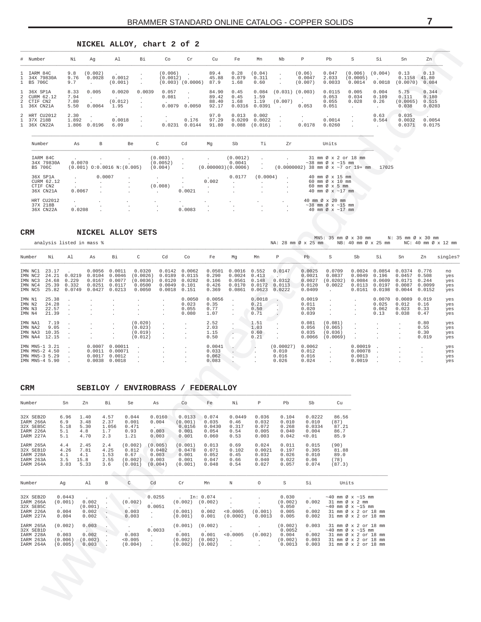#### **NICKEL ALLOY, chart 2 of 2**

| # Number                                                | Ni                           | Aq                                  | Al                                            | Вi                      | Co                                                  | Cr                         | Cu                               | Fe                             | Mn                                   | Nb                           | P                                      | Ph.                               | S                                         | Si                                 | Sn                                 | Zn                                |
|---------------------------------------------------------|------------------------------|-------------------------------------|-----------------------------------------------|-------------------------|-----------------------------------------------------|----------------------------|----------------------------------|--------------------------------|--------------------------------------|------------------------------|----------------------------------------|-----------------------------------|-------------------------------------------|------------------------------------|------------------------------------|-----------------------------------|
| 1 IARM 84C<br>1 34X 79830A<br>1 BS 706C                 | 9.8<br>9.76<br>9.7           | (0.002)<br>0.0028<br><b>Service</b> | <b>Contract Contract</b><br>0.0012<br>(0.001) | $\sim$ $\sim$<br>$\sim$ | $(0.006)$ .<br>$(0.0012)$ .<br>$(0.003)$ $(0.0006)$ |                            | 89.4<br>45.88<br>87.9            | 0.28<br>0.079<br>1.68          | (0.04)<br>0.311<br>0.60              | $\sim$<br>$\sim$<br>$\sim$   | (0.06)<br>0.0047<br>(0.007)            | 0.047<br>2.033<br>0.0033          | $(0.006)$ $(0.004)$<br>(0.0005)<br>0.0014 | <b>Contract Contract</b><br>0.0018 | 0.13<br>0.1158<br>$(0.0070)$ 0.084 | 0.13<br>41.80                     |
| 1 36X SP1A<br>2 CURM 62.12<br>2 CTIF CN2<br>1 36X CN21A | 8.33<br>7.94<br>7.80<br>5.50 | 0.005<br>0.0064                     | 0.0020<br>(0.012)<br>1.95                     | 0.0039<br>$\sim$        | 0.057<br>0.081<br>$\sim$<br>0.0079                  | $\sim$<br>0.0050           | 84.90<br>89.42<br>88.40<br>92.17 | 0.45<br>0.45<br>1.68<br>0.0316 | 0.084<br>1.59<br>1.19<br>0.0391      | (0.007)<br><b>Contractor</b> | $(0.031)$ $(0.003)$<br>$\sim$<br>0.053 | 0.0115<br>0.053<br>0.055<br>0.051 | 0.005<br>0.034<br>0.028                   | 0.004<br>0.109<br>0.26             | 5.75<br>0.111<br>(0.0065)<br>0.038 | 0.344<br>0.180<br>0.515<br>0.0203 |
| 2 HRT CU2012<br>1 37X 218B<br>1 36X CN22A               | 2.30<br>1.892                | 1.806 0.0196                        | 0.0018<br>6.09                                |                         | $\sim$<br>$\sim$                                    | 0.176<br>$0.0231$ $0.0144$ | 97.0<br>97.29<br>91.80           | 0.013<br>0.0209                | 0.002<br>0.0022<br>$0.088$ $(0.016)$ | $\sim$<br>$\sim$             | 0.0178                                 | 0.0014<br>0.0260                  |                                           | 0.63<br>0.564                      | 0.035<br>0.0032<br>0.0371          | 0.0054<br>0.0175                  |

| Number                       | As     | В      | Be                               | C                   | Cd     | Mq                   | Sb                           | Τi           | Zr     | Units                                                                             |       |
|------------------------------|--------|--------|----------------------------------|---------------------|--------|----------------------|------------------------------|--------------|--------|-----------------------------------------------------------------------------------|-------|
| IARM 84C                     |        |        |                                  | (0.003)             |        |                      | (0.0012)                     |              |        | 31 mm Ø x 2 or 18 mm                                                              |       |
| 34X 79830A<br><b>BS 706C</b> | 0.0070 |        | $(0.001)$ $0:0.0016$ $N:(0.005)$ | (0.0052)<br>(0.004) |        |                      | 0.0041<br>(0.000003)(0.0006) | $\sim$       |        | $\sim$ 38 mm Ø x $\sim$ 15 mm<br>$(0.0000002)$ 38 mm $\varnothing$ x ~7 or 19+ mm | 17025 |
| 36X SP1A                     |        | 0.0007 |                                  |                     |        |                      | 0.0177                       | (0.0004)     | $\sim$ | 40 mm Ø x 15 mm                                                                   |       |
| CURM 62.12                   |        |        |                                  |                     |        | 0.002                |                              | $\mathbf{r}$ |        | $60$ mm $\varnothing \times 10$ mm                                                |       |
| CTIF CN2                     |        |        |                                  | (0.008)             |        | $\sim$               |                              |              |        | $60$ mm $\varnothing$ x 5 mm                                                      |       |
| 36X CN21A                    | 0.0067 |        |                                  |                     | 0.0021 |                      |                              |              |        | 40 mm $\varnothing$ x $\sim$ 17 mm                                                |       |
| HRT CU2012                   |        |        |                                  |                     |        |                      |                              |              |        | 40 mm Ø x 20 mm                                                                   |       |
| 37X 218B                     |        | $\sim$ | $\sim$                           | $\cdot$             | $\sim$ | $\sim$               | $\sim$                       |              |        | $\sim$ 38 mm Ø x $\sim$ 15 mm                                                     |       |
| 36X CN22A                    | 0.0208 |        |                                  |                     | 0.0083 | $\ddot{\phantom{a}}$ |                              |              |        | 40 mm $\varnothing$ x ~17 mm                                                      |       |

#### **CRM NICKEL ALLOY SETS**

analysis listed in mass \$<br>MA: 28 mm  $\varnothing$  x 25 mm  $\varnothing$  x 25 mm  $\varnothing$  x 25 mm  $\varnothing$  x 25 mm  $\varnothing$  x 25 mm  $\varnothing$  x 25 mm  $\varnothing$  x 25 mm  $\varnothing$  x 25 mm  $\varnothing$  x 25 mm  $\varnothing$  x 25 mm  $\varnothing$  x 25 mm  $\varnothing$  x 25 mm  $\varnothing$  x 25 mm  $\var$ 

| Number                                                               | Νi                                        | A1                                 | As                                             | Bi                                             | C                                                  | Cd                                             | Co                                           | Fe                                         | Mg                                             | Mn                                          | P                                    | Pb                                             | S                                         | Sb                                             | Si                                            | Sn                                             | Zn                                          | singles?                       |
|----------------------------------------------------------------------|-------------------------------------------|------------------------------------|------------------------------------------------|------------------------------------------------|----------------------------------------------------|------------------------------------------------|----------------------------------------------|--------------------------------------------|------------------------------------------------|---------------------------------------------|--------------------------------------|------------------------------------------------|-------------------------------------------|------------------------------------------------|-----------------------------------------------|------------------------------------------------|---------------------------------------------|--------------------------------|
| IMN NC1<br>IMN NC2<br>IMN NC3<br>IMN NC4<br>IMN NC5                  | 23.17<br>24.21<br>24.68<br>25.39<br>25.82 | 0.0219<br>0.229<br>0.332<br>0.0749 | 0.0056<br>0.0104<br>0.0167<br>0.0251<br>0.0427 | 0.0011<br>0.0046<br>0.0077<br>0.0117<br>0.0213 | 0.0320<br>(0.0026)<br>(0.0036)<br>0.0500<br>0.0050 | 0.0142<br>0.0189<br>0.0120<br>0.0049<br>0.0018 | 0.0062<br>0.0115<br>0.0282<br>0.101<br>0.151 | 0.0501<br>0.290<br>0.106<br>0.426<br>0.369 | 0.0016<br>0.0024<br>0.0561<br>0.0170<br>0.0861 | 0.552<br>0.413<br>0.148<br>0.0172<br>0.0623 | 0.0147<br>0.0312<br>0.0113<br>0.0222 | 0.0025<br>0.0021<br>0.0027<br>0.0120<br>0.0409 | 0.0709<br>0.0837<br>(0.0202)<br>0.0022    | 0.0024<br>0.0049<br>0.0084<br>0.0113<br>0.0161 | 0.0854<br>0.196<br>0.0609<br>0.0197<br>0.0198 | 0.0374<br>0.0457<br>0.0171<br>0.0087<br>0.0044 | 0.776<br>0.508<br>0.244<br>0.0099<br>0.0152 | no<br>yes<br>yes<br>yes<br>yes |
| IMN N1<br>IMN N2<br>IMN N3<br>IMN N4                                 | 25.38<br>24.28<br>22.57<br>21.39          |                                    |                                                |                                                |                                                    | $\mathbf{r}$<br>$\mathbf{r}$                   | 0.0050<br>0.023<br>0.055<br>0.080            | 0.0056<br>0.35<br>0.77<br>1.07             |                                                | 0.0018<br>0.21<br>0.50<br>0.71              |                                      | 0.0019<br>0.011<br>0.020<br>0.039              |                                           |                                                | 0.0070<br>0.025<br>0.062<br>0.13              | 0.0089<br>0.012<br>0.023<br>0.038              | 0.019<br>0.16<br>0.33<br>0.47               | yes<br>yes<br>yes<br>yes       |
| IMN NA1<br>IMN NA2<br>IMN NA3<br>IMN NA4                             | 7.19<br>9.05<br>10.35<br>12.15            |                                    |                                                |                                                | (0.020)<br>(0.023)<br>(0.019)<br>(0.012)           |                                                |                                              | 2.52<br>2.03<br>1.15<br>0.50               |                                                | 1.51<br>1.03<br>0.60<br>0.21                |                                      | 0.081<br>0.056<br>0.035<br>0.0066              | (0.081)<br>(0.065)<br>(0.036)<br>(0.0069) |                                                |                                               | $\mathbf{r}$<br>$\mathbf{r}$                   | 0.80<br>0.55<br>0.30<br>0.019               | yes<br>yes<br>yes<br>yes       |
| IMN MN5-1 3.21<br>IMN MN5-2 4.50<br>IMN MN5-3 5.29<br>IMN MN5-4 5.90 |                                           |                                    | 0.0007<br>0.0011<br>0.0017<br>0.0038           | 0.00011<br>0.00071<br>0.0012<br>0.0018         |                                                    |                                                |                                              | 0.0041<br>0.033<br>0.062<br>0.083          |                                                |                                             | (0.00027)<br>0.010<br>0.016<br>0.026 | 0.0062<br>0.012<br>0.016<br>0.024              |                                           | 0.00019<br>0.00078<br>0.0013<br>0.0019         |                                               |                                                | $\cdot$<br>$\cdot$                          | yes<br>yes<br>yes<br>yes       |

<span id="page-6-0"></span>

| # Number                                                      |                                                                      | Νi                                                    | Ag                                             | Al                                             | Bi                                                 | Co                                                        | $\operatorname{Cr}$                          | Cu                                         | Fe                                                                                 | Mn                                                 | Nb                                                                      | $\, {\mathbb P}$                                 | Pb                                                            | S                                                                                                                                | Si                                            | Sn                                                                                 | Zn                                          |                                |
|---------------------------------------------------------------|----------------------------------------------------------------------|-------------------------------------------------------|------------------------------------------------|------------------------------------------------|----------------------------------------------------|-----------------------------------------------------------|----------------------------------------------|--------------------------------------------|------------------------------------------------------------------------------------|----------------------------------------------------|-------------------------------------------------------------------------|--------------------------------------------------|---------------------------------------------------------------|----------------------------------------------------------------------------------------------------------------------------------|-----------------------------------------------|------------------------------------------------------------------------------------|---------------------------------------------|--------------------------------|
| 1.                                                            | IARM 84C                                                             | 9.8                                                   | (0.002)                                        |                                                |                                                    | (0.006)                                                   |                                              | 89.4                                       | 0.28                                                                               | (0.04)                                             | $\cdot$                                                                 | (0.06)                                           | 0.047                                                         | (0.006)                                                                                                                          | (0.004)                                       | 0.13                                                                               | 0.13                                        |                                |
| 1<br>$\mathbf{1}$                                             | 34X 79830A<br><b>BS 706C</b>                                         | 9.76<br>9.7                                           | 0.0028<br>$\sim$                               | 0.0012<br>(0.001)                              | $\cdot$<br>$\cdot$                                 |                                                           | $(0.0012)$ .<br>$(0.003)$ $(0.0006)$         | 45.88<br>87.9                              | 0.079<br>1.68                                                                      | 0.311<br>0.60                                      |                                                                         | 0.0047<br>(0.007)                                | 2.033<br>0.0033                                               | (0.0005)<br>0.0014                                                                                                               | $\sim$<br>0.0018                              | 0.1158<br>(0.0070)                                                                 | 41.80<br>0.084                              |                                |
| 1<br>2<br>2<br>$\mathbf{1}$                                   | 36X SP1A<br>CURM 62.12<br>CTIF CN2<br>36X CN21A                      | 8.33<br>7.94<br>7.80<br>5.50                          | 0.005<br>$\sim$<br>0.0064                      | 0.0020<br><b>Service</b><br>(0.012)<br>1.95    | $\sim 10^{-1}$<br>$\overline{\phantom{a}}$         | 0.0039<br>0.057<br>0.081                                  | $\cdot$<br>$0.0079$ 0.0050                   | 84.90<br>89.42<br>88.40<br>92.17           | 0.45<br>0.45<br>1.68<br>0.0316                                                     | 0.084<br>1.59<br>1.19<br>0.0391                    | $(0.031)$ $(0.003)$<br>$\sim$<br>(0.007)<br><b>Contractor</b>           | $\sim$ 100 $\pm$<br>0.053                        | 0.0115<br>0.053<br>0.055<br>0.051                             | 0.005<br>0.034<br>0.028<br>$\cdot$                                                                                               | 0.004<br>0.109<br>0.26<br>$\sim$              | 5.75<br>0.111<br>(0.0065)<br>0.038                                                 | 0.344<br>0.180<br>0.515<br>0.0203           |                                |
| 2<br>1<br>1                                                   | HRT CU2012<br>37X 218B<br>36X CN22A                                  | 2.30<br>1.892<br>1.806                                | 0.0196                                         | 0.0018                                         | $\cdot$<br>6.09                                    |                                                           | 0.176<br>$0.0231$ $0.0144$                   | 97.0<br>97.29<br>91.80                     | 0.013<br>0.0209                                                                    | 0.002<br>0.0022<br>(0.016)                         | $\sim$<br>$\sim$                                                        | 0.0178                                           | 0.0014                                                        |                                                                                                                                  | 0.63<br>0.564                                 | 0.035<br>0.0032<br>0.0371                                                          | 0.0054                                      |                                |
|                                                               |                                                                      |                                                       |                                                |                                                |                                                    |                                                           |                                              |                                            | 0.088                                                                              |                                                    |                                                                         |                                                  | 0.0260                                                        |                                                                                                                                  | $\sim$                                        |                                                                                    | 0.0175                                      |                                |
|                                                               | Number                                                               | As                                                    | $\mathbf{B}$                                   |                                                | Be                                                 | C                                                         | Cd                                           | Mg                                         | Sb                                                                                 | Τi                                                 | Zr                                                                      |                                                  | Units                                                         |                                                                                                                                  |                                               |                                                                                    |                                             |                                |
|                                                               | IARM 84C<br>34X 79830A<br>BS 706C                                    | 0.0070                                                |                                                |                                                | $(0.001)$ $0:0.0016$ $N:(0.005)$                   | (0.003)<br>(0.0052)<br>(0.004)                            | $\cdot$<br>$\bullet$<br>$\mathcal{L}$        |                                            | (0.0012)<br>0.0041<br>(0.000003)(0.0006)                                           | $\cdot$<br>$\blacksquare$                          |                                                                         | $(0.0000002)$ 38 mm Ø x ~7 or 19+ mm             | 31 mm Ø x 2 or 18 mm<br>$\sim$ 38 mm Ø x $\sim$ 15 mm         |                                                                                                                                  | 17025                                         |                                                                                    |                                             |                                |
|                                                               | 36X SP1A<br>CURM 62.12<br>CTIF CN2                                   | $\ddot{\phantom{a}}$<br>$\sim$                        | $\sim$                                         | 0.0007                                         |                                                    | $\ddot{\phantom{a}}$<br>(0.008)                           | $\bullet$<br>$\cdot$                         | 0.002<br>$\cdot$                           | 0.0177<br>$\cdot$                                                                  | (0.0004)<br>$\cdot$                                | $\blacksquare$<br>$\cdot$<br>$\cdot$                                    |                                                  | 40 mm Ø x 15 mm<br>60 mm Ø x 10 mm<br>60 mm Ø x 5 mm          |                                                                                                                                  |                                               |                                                                                    |                                             |                                |
|                                                               | 36X CN21A<br>HRT CU2012                                              | 0.0067<br>$\sim$                                      | $\cdot$                                        |                                                |                                                    | $\ddot{\phantom{a}}$                                      | 0.0021                                       |                                            |                                                                                    |                                                    | $\cdot$                                                                 |                                                  | 40 mm Ø x ~17 mm<br>40 mm Ø x 20 mm                           |                                                                                                                                  |                                               |                                                                                    |                                             |                                |
|                                                               | 37X 218B<br>36X CN22A                                                | 0.0208                                                | $\cdot$                                        |                                                |                                                    |                                                           | 0.0083                                       | $\cdot$                                    |                                                                                    |                                                    | $\cdot$<br>$\cdot$                                                      |                                                  | $\sim$ 38 mm Ø x $\sim$ 15 mm<br>40 mm $\varnothing$ x ~17 mm |                                                                                                                                  |                                               |                                                                                    |                                             |                                |
| CRM                                                           |                                                                      |                                                       |                                                |                                                | NICKEL ALLOY SETS                                  |                                                           |                                              |                                            |                                                                                    |                                                    |                                                                         |                                                  |                                                               |                                                                                                                                  |                                               |                                                                                    |                                             |                                |
|                                                               | analysis listed in mass %                                            |                                                       |                                                |                                                |                                                    |                                                           |                                              |                                            |                                                                                    |                                                    |                                                                         | NA: 28 mm Ø x 25 mm                              |                                                               |                                                                                                                                  |                                               | MN5: 35 mm Ø x 30 mm N: 35 mm Ø x 30 mm<br>NB: 40 mm Ø x 25 mm NC: 40 mm Ø x 12 mm |                                             |                                |
| Number                                                        | Νi                                                                   | Al                                                    | As                                             | Вi                                             | C                                                  | Cd                                                        | Co                                           | Fe                                         | Mg                                                                                 | Mn                                                 | $\, {\bf P}$                                                            | Pb                                               | S                                                             | Sb                                                                                                                               | Si                                            | Sn                                                                                 | Zn                                          | singles?                       |
| IMN NC1<br>IMN NC2<br>IMN NC3<br>IMN NC4<br>IMN NC5           | 23.17<br>24.21<br>24.68<br>25.39<br>25.82                            | 0.0219<br>0.229<br>0.332<br>0.0749                    | 0.0056<br>0.0104<br>0.0167<br>0.0251<br>0.0427 | 0.0011<br>0.0046<br>0.0077<br>0.0117<br>0.0213 | 0.0320<br>(0.0026)<br>(0.0036)<br>0.0500<br>0.0050 | 0.0142<br>0.0189<br>0.0120<br>0.0049<br>0.0018            | 0.0062<br>0.0115<br>0.0282<br>0.101<br>0.151 | 0.0501<br>0.290<br>0.106<br>0.426<br>0.369 | 0.0016<br>0.0024<br>0.0561<br>0.0170<br>0.0861                                     | 0.552<br>0.413<br>0.148<br>0.0623                  | 0.0147<br>$\sim$ $\sim$ $\sim$<br>0.0312<br>$0.0172$ $0.0113$<br>0.0222 | 0.0025<br>0.0021<br>0.0027<br>0.0120<br>0.0409   | 0.0709<br>0.0837<br>(0.0202)<br>0.0022<br>$\sim$              | 0.0024<br>0.0049<br>0.0084<br>0.0113<br>0.0161                                                                                   | 0.0854<br>0.196<br>0.0609<br>0.0197<br>0.0198 | 0.0374<br>0.0457<br>0.0171<br>0.0087<br>0.0044                                     | 0.776<br>0.508<br>0.244<br>0.0099<br>0.0152 | no<br>yes<br>yes<br>yes<br>yes |
| IMN N1<br>IMN N2<br>IMN N3<br>IMN N4                          | 25.38<br>24.28<br>22.57<br>21.39                                     | $\cdot$<br>$\blacksquare$                             |                                                |                                                |                                                    |                                                           | 0.0050<br>0.023<br>0.055<br>0.080            | 0.0056<br>0.35<br>0.77<br>1.07             |                                                                                    | 0.0018<br>0.21<br>0.50<br>0.71                     | ¥.<br>$\sim$                                                            | 0.0019<br>0.011<br>0.020<br>0.039                | $\ddot{\phantom{a}}$<br>$\cdot$                               | $\cdot$                                                                                                                          | 0.0070<br>0.025<br>0.062<br>0.13              | 0.0089<br>0.012<br>0.023<br>0.038                                                  | 0.019<br>0.16<br>0.33<br>0.47               | yes<br>yes<br>yes<br>yes       |
| IMN NA1<br>IMN NA2<br>IMN NA3                                 | 7.19<br>9.05<br>10.35<br>IMN NA4 12.15                               | $\cdot$                                               | $\cdot$                                        |                                                | (0.020)<br>(0.023)<br>(0.019)<br>(0.012)           |                                                           |                                              | 2.52<br>2.03<br>1.15<br>0.50               |                                                                                    | 1.51<br>1.03<br>0.60<br>0.21                       | $\cdot$<br>$\cdot$                                                      | 0.081<br>0.056<br>0.035<br>0.0066                | (0.081)<br>(0.065)<br>(0.036)<br>(0.0069)                     |                                                                                                                                  |                                               |                                                                                    | 0.80<br>0.55<br>0.30<br>0.019               | yes<br>yes<br>yes<br>yes       |
|                                                               | IMN MN5-1 3.21<br>IMN MN5-2 4.50<br>IMN MN5-3 5.29<br>IMN MN5-4 5.90 | $\sim$<br>$\epsilon$                                  | 0.0007<br>0.0011<br>0.0017<br>0.0038           | 0.00011<br>0.00071<br>0.0012<br>0.0018         | $\ddot{\phantom{a}}$                               |                                                           |                                              | 0.0041<br>0.033<br>0.062<br>0.083          | $\sim$                                                                             | $\overline{\phantom{a}}$                           | (0.00027)<br>0.010<br>0.016<br>0.026                                    | 0.0062<br>0.012<br>0.016<br>0.024                | $\sim$<br>$\sim$                                              | 0.00019<br>0.00078<br>0.0013<br>0.0019                                                                                           |                                               |                                                                                    |                                             | yes<br>yes<br>yes<br>yes       |
| <b>CRM</b>                                                    |                                                                      |                                                       |                                                |                                                |                                                    |                                                           | SEBILOY / ENVIROBRASS / FEDERALLOY           |                                            |                                                                                    |                                                    |                                                                         |                                                  |                                                               |                                                                                                                                  |                                               |                                                                                    |                                             |                                |
| Number                                                        |                                                                      | Sn                                                    | Zn                                             | Вi                                             | Se                                                 | As                                                        | Co                                           | Fe                                         | Νi                                                                                 | Ρ                                                  | Pb                                                                      | Sb                                               | Cu                                                            |                                                                                                                                  |                                               |                                                                                    |                                             |                                |
| 32X SEB2D                                                     |                                                                      | 6.96                                                  | 1.40                                           | 4.57                                           | 0.044                                              | 0.0160                                                    | 0.0133                                       | 0.074                                      | 0.0449                                                                             | 0.036                                              | 0.104                                                                   | 0.0222                                           | 86.56                                                         |                                                                                                                                  |                                               |                                                                                    |                                             |                                |
| IARM 266A<br>32X SEB5C<br>IARM 226A<br>IARM 227A              |                                                                      | 6.9<br>5.18<br>5.1<br>5.1                             | 3.48<br>5.30<br>4.8<br>4.70                    | 2.37<br>1.056<br>1.7<br>2.3                    | 0.001<br>0.471<br>0.93<br>1.21                     | 0.004<br>0.003<br>0.003                                   | (0.001)<br>0.0156<br>0.001<br>0.001          | 0.035<br>0.0430<br>0.054<br>0.060          | 0.46<br>0.317<br>0.54<br>0.53                                                      | 0.032<br>0.072<br>0.005<br>0.003                   | 0.010<br>0.268<br>0.040<br>0.042                                        | 0.010<br>0.0334<br>0.004<br>0.01                 | (87)<br>87.21<br>86.7<br>85.9                                 |                                                                                                                                  |                                               |                                                                                    |                                             |                                |
| IARM 265A<br>32X SEB1D<br>IARM 228A<br>IARM 263A              |                                                                      | 4.4<br>4.26<br>4.1<br>3.5                             | 2.45<br>7.81<br>4.1<br>15.8                    | 2.4<br>4.25<br>1.53<br>2.55                    | (0.002)<br>0.812<br>0.67<br>(0.002)                | (0.005)<br>0.0402<br>0.003<br>0.003                       | (0.001)<br>0.0478<br>0.001<br>0.001          | 0.013<br>0.071<br>0.052                    | 0.69<br>0.102<br>0.45                                                              | 0.024<br>0.0021<br>0.032<br>0.040                  | 0.011<br>0.197<br>0.026<br>0.022                                        | 0.015<br>0.305<br>0.010<br>0.06                  | (90)<br>81.88<br>89.0<br>(78)                                 |                                                                                                                                  |                                               |                                                                                    |                                             |                                |
| IARM 264A                                                     |                                                                      | 3.03                                                  | 5.33                                           | 3.6                                            | (0.001)                                            | (0.004)                                                   | (0.001)                                      | 0.047<br>0.048                             | 0.66<br>0.54                                                                       | 0.027                                              | 0.057                                                                   | 0.074                                            | (87.3)                                                        |                                                                                                                                  |                                               |                                                                                    |                                             |                                |
| Number                                                        |                                                                      | Ag                                                    | Al                                             | В                                              | $\mathtt{C}$                                       | Cd                                                        | Cr                                           | Mn                                         | Ν                                                                                  | $\circ$                                            | S                                                                       | Si                                               |                                                               | Units                                                                                                                            |                                               |                                                                                    |                                             |                                |
| 32X SEB2D<br>IARM 266A<br>32X SEB5C<br>IARM 226A<br>IARM 227A |                                                                      | 0.0443<br>(0.001)<br><b>Service</b><br>0.004<br>0.004 | 0.002<br>(0.001)<br>0.002<br>0.002             |                                                | (0.002)<br>$\sim$<br>0.003<br>0.003                | 0.0255<br>$\sim$ 100 $\pm$<br>0.0051<br>$\sim$<br>$\cdot$ | (0.002)<br>(0.001)<br>(0.001)                | In: 0.074<br>(0.002)<br>0.002<br>0.001     | $\cdot$<br>< 0.0005<br>(0.0002)                                                    | $\cdot$<br>(0.001)<br>0.0013                       | 0.030<br>(0.002)<br>0.050<br>0.005<br>0.005                             | 0.002<br><b>Carl Corporate</b><br>0.002<br>0.002 |                                                               | $\sim$ 40 mm Ø x $\sim$ 15 mm<br>31 mm Ø x 2 mm<br>$\sim$ 40 mm Ø x $\sim$ 15 mm<br>31 mm Ø x 2 or 18 mm<br>31 mm Ø x 2 or 18 mm |                                               |                                                                                    |                                             |                                |
| IARM 265A<br>32X SEB1D                                        |                                                                      | (0.002)                                               | 0.003<br>$\sim$                                |                                                | $\sim$                                             | 0.0033                                                    | (0.001)                                      | (0.002)                                    | $\cdot$                                                                            | $\sim$                                             | (0.002)<br>0.0052                                                       | 0.003                                            |                                                               | 31 mm Ø x 2 or 18 mm<br>$\sim$ 40 mm Ø x $\sim$ 15 mm                                                                            |                                               |                                                                                    |                                             |                                |
| IARM 228A<br>IARM 263A<br>IARM 264A                           |                                                                      | 0.003<br>(0.006)<br>(0.005)                           | 0.002<br>(0.002)<br>0.003                      |                                                | 0.003<br>0.005<br>(0.004)                          | $\sim$<br>$\cdot$<br>$\ddot{\phantom{a}}$                 | 0.001<br>(0.002)<br>(0.002)                  | 0.001<br>(0.002)<br>(0.002)                | < 0.0005<br>$\mathcal{A}^{\mathcal{A}}$ and $\mathcal{A}^{\mathcal{A}}$<br>$\cdot$ | (0.002)<br><b>Contract</b><br>$\ddot{\phantom{0}}$ | 0.004<br>(0.002)<br>0.0013                                              | 0.002<br>0.003<br>0.003                          |                                                               | 31 mm Ø x 2 or 18 mm<br>31 mm Ø x 2 or 18 mm<br>31 mm Ø x 2 or 18 mm                                                             |                                               |                                                                                    |                                             |                                |
|                                                               |                                                                      |                                                       |                                                |                                                |                                                    |                                                           |                                              |                                            |                                                                                    |                                                    |                                                                         |                                                  |                                                               |                                                                                                                                  |                                               |                                                                                    |                                             |                                |
|                                                               |                                                                      |                                                       |                                                |                                                |                                                    |                                                           |                                              |                                            |                                                                                    |                                                    |                                                                         |                                                  |                                                               |                                                                                                                                  |                                               |                                                                                    |                                             |                                |
|                                                               |                                                                      |                                                       |                                                |                                                |                                                    |                                                           |                                              |                                            |                                                                                    |                                                    |                                                                         |                                                  |                                                               |                                                                                                                                  |                                               |                                                                                    |                                             |                                |
|                                                               |                                                                      |                                                       |                                                |                                                |                                                    |                                                           |                                              |                                            |                                                                                    |                                                    |                                                                         |                                                  |                                                               |                                                                                                                                  |                                               |                                                                                    |                                             |                                |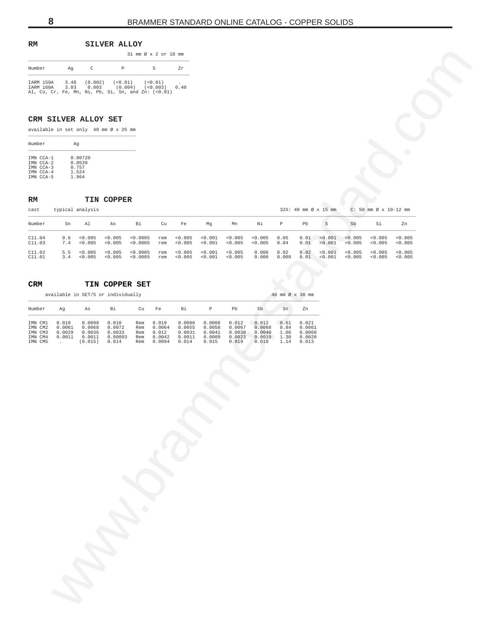#### <span id="page-7-0"></span>**RM SILVER ALLOY**

|        |    |              |                                                                                                                                             | $31 \text{ mm}$ $\emptyset$ $\times$ $2 \text{ or } 18 \text{ mm}$ |    |
|--------|----|--------------|---------------------------------------------------------------------------------------------------------------------------------------------|--------------------------------------------------------------------|----|
| Number | Aq | $\mathbb{C}$ | P                                                                                                                                           | S                                                                  | Zr |
|        |    |              | IARM 159A 3.48 (0.002) (<0.01) (<0.01)<br>TARM 160A 3.03 0.003 (0.004) (<0.003) 0.40<br>Al, Co, Cr, Fe, Mn, Ni, Pb, Si, Sn, and Zn: (<0.01) |                                                                    |    |

#### **CRM SILVER ALLOY SET**

| Number        | Aα      |
|---------------|---------|
| IMN CCA-1     | 0.00720 |
| $TMN$ $CCA-2$ | 0.0539  |
| IMN CCA-3     | 0.757   |
| IMN CCA-4     | 1.524   |
| TMN CCA-5     | 1.964   |

#### **RM TIN COPPER**

|                                                               |                                               |                                                                         |                                               | 31 mm Ø x 2 or 18 mm                         |                                              |                                               |                                               |                                              |                                              |                                      |                                              |                                          |                                        |                                          |                                          |
|---------------------------------------------------------------|-----------------------------------------------|-------------------------------------------------------------------------|-----------------------------------------------|----------------------------------------------|----------------------------------------------|-----------------------------------------------|-----------------------------------------------|----------------------------------------------|----------------------------------------------|--------------------------------------|----------------------------------------------|------------------------------------------|----------------------------------------|------------------------------------------|------------------------------------------|
| Number                                                        | Ag                                            | $\mathbb C$                                                             | $\, {\mathbb P}$                              |                                              | $\mathbb S$                                  | Zr                                            |                                               |                                              |                                              |                                      |                                              |                                          |                                        |                                          |                                          |
| IARM 159A<br>IARM 160A                                        | 3.48<br>3.03                                  | (0.002)<br>0.003<br>Al, Co, Cr, Fe, Mn, Ni, Pb, Si, Sn, and Zn: (<0.01) | (<0.01)<br>(0.004)                            |                                              | (< 0.01)<br>(< 0.003)                        | 0.40                                          |                                               |                                              |                                              |                                      |                                              |                                          |                                        |                                          |                                          |
|                                                               |                                               | CRM SILVER ALLOY SET<br>available in set only 40 mm Ø x 25 mm           |                                               |                                              |                                              |                                               |                                               |                                              |                                              |                                      |                                              |                                          |                                        |                                          |                                          |
| Number                                                        |                                               | Ag                                                                      |                                               |                                              |                                              |                                               |                                               |                                              |                                              |                                      |                                              |                                          |                                        |                                          |                                          |
| IMN CCA-1<br>IMN CCA-2<br>IMN CCA-3<br>IMN CCA-4<br>IMN CCA-5 |                                               | 0.00720<br>0.0539<br>0.757<br>1.524<br>1.964                            |                                               |                                              |                                              |                                               |                                               |                                              |                                              |                                      |                                              |                                          |                                        |                                          |                                          |
| RM<br>cast                                                    |                                               | typical analysis                                                        | TIN COPPER                                    |                                              |                                              |                                               |                                               |                                              |                                              |                                      | 32X: 40 mm Ø x 15 mm                         |                                          |                                        | C: 50 mm Ø x 10-12 mm                    |                                          |
| Number                                                        | Sn                                            | Al                                                                      | As                                            | Bi                                           | Cu                                           | Fe                                            | Mg                                            | Mn                                           | Νi                                           | $\mathbb P$                          | Pb                                           | $\rm S$                                  | Sb                                     | Si                                       | Zn                                       |
| C11.04<br>C11.03<br>C11.02<br>C11.01                          | 9.6<br>7.4<br>5.5<br>3.4                      | < 0.005<br>< 0.005<br>< 0.005<br>< 0.005                                | < 0.005<br>< 0.005<br>< 0.005<br>< 0.005      | < 0.0005<br>< 0.0005<br>< 0.0005<br>< 0.0005 | rem<br>rem<br>rem<br>rem                     | < 0.005<br>< 0.005<br>< 0.005<br>0.005        | 0.001<br>0.001<br>< 0.001<br>< 0.001          | < 0.005<br>< 0.005<br>< 0.005<br>< 0.005     | < 0.005<br>0.005<br>0.006<br>0.006           | 0.05<br>0.04<br>0.02<br>0.009        | 0.01<br>0.01<br>0.02<br>0.01                 | < 0.001<br>< 0.001<br>< 0.001<br>< 0.001 | < 0.005<br>0.005<br>< 0.005<br>< 0.005 | < 0.005<br>< 0.005<br>< 0.005<br>< 0.005 | < 0.005<br>< 0.005<br>< 0.005<br>< 0.005 |
| CRM                                                           |                                               | available in SET/5 or individually                                      | TIN COPPER SET                                |                                              |                                              |                                               |                                               |                                              |                                              | 40 mm Ø x 30 mm                      |                                              |                                          |                                        |                                          |                                          |
| Number                                                        | Αg                                            | As                                                                      | Bi                                            | Cu                                           | Fe                                           | Νi                                            | $\mathbb P$                                   | Pb                                           | Sb                                           | Sn                                   | Zn                                           |                                          |                                        |                                          |                                          |
| IMN CM1<br>IMN CM2<br>IMN CM3<br>IMN CM4<br>IMN CM5           | 0.010<br>0.0061<br>0.0029<br>0.0011<br>$\sim$ | 0.0098<br>0.0068<br>0.0036<br>0.0011<br>(0.015)                         | 0.010<br>0.0072<br>0.0033<br>0.00093<br>0.014 | Rem<br>Rem<br>Rem<br>Rem<br>Rem              | 0.019<br>0.0064<br>0.012<br>0.0042<br>0.0094 | 0.0086<br>0.0055<br>0.0031<br>0.0011<br>0.014 | 0.0088<br>0.0058<br>0.0041<br>0.0009<br>0.015 | 0.012<br>0.0067<br>0.0038<br>0.0023<br>0.019 | 0.012<br>0.0068<br>0.0040<br>0.0019<br>0.018 | 0.61<br>0.84<br>1.06<br>1.30<br>1.14 | 0.021<br>0.0061<br>0.0060<br>0.0020<br>0.013 |                                          |                                        |                                          |                                          |
|                                                               |                                               |                                                                         |                                               |                                              |                                              |                                               |                                               |                                              |                                              |                                      |                                              |                                          |                                        |                                          |                                          |
|                                                               |                                               |                                                                         |                                               |                                              |                                              |                                               |                                               |                                              |                                              |                                      |                                              |                                          |                                        |                                          |                                          |
|                                                               |                                               |                                                                         |                                               |                                              |                                              |                                               |                                               |                                              |                                              |                                      |                                              |                                          |                                        |                                          |                                          |
|                                                               |                                               |                                                                         |                                               |                                              |                                              |                                               |                                               |                                              |                                              |                                      |                                              |                                          |                                        |                                          |                                          |
|                                                               |                                               |                                                                         |                                               |                                              |                                              |                                               |                                               |                                              |                                              |                                      |                                              |                                          |                                        |                                          |                                          |
|                                                               |                                               | <b>SP</b>                                                               |                                               |                                              |                                              |                                               |                                               |                                              |                                              |                                      |                                              |                                          |                                        |                                          |                                          |
|                                                               |                                               |                                                                         |                                               |                                              |                                              |                                               |                                               |                                              |                                              |                                      |                                              |                                          |                                        |                                          |                                          |

## **CRM TIN COPPER SET**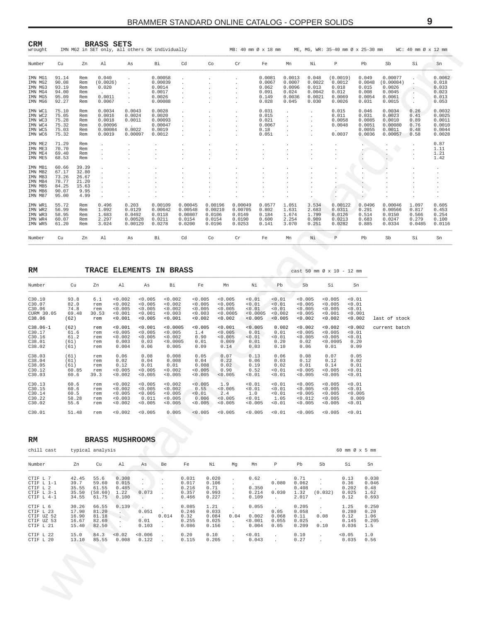<span id="page-8-0"></span>

| <b>CRM</b><br>wrought                                                     |                                                             |                                                           | <b>BRASS SETS</b><br>IMN MG2 in SET only, all others OK individually |                                                 |                                                            |                                                   |                                                  | MB: 40 mm Ø x 18 mm                              |                                                    |                                               |                                              | ME, MG, WR: 35-40 mm Ø x 25-30 mm               |                                                        |                                                            | $WC: 40$ mm $\emptyset \times 12$ mm         |                                                          |
|---------------------------------------------------------------------------|-------------------------------------------------------------|-----------------------------------------------------------|----------------------------------------------------------------------|-------------------------------------------------|------------------------------------------------------------|---------------------------------------------------|--------------------------------------------------|--------------------------------------------------|----------------------------------------------------|-----------------------------------------------|----------------------------------------------|-------------------------------------------------|--------------------------------------------------------|------------------------------------------------------------|----------------------------------------------|----------------------------------------------------------|
| Number                                                                    | Cu                                                          | Zn                                                        | Al                                                                   | As                                              | Bi                                                         | Cd                                                | Co                                               | $\operatorname{Cr}$                              | Fe                                                 | Mn                                            | Νi                                           | Р                                               | Pb                                                     | Sb                                                         | Si                                           | Sn                                                       |
| IMN MG1<br>IMN MG2<br>IMN MG3<br>IMN MG4<br>IMN MG5                       | 91.14<br>90.08<br>93.19<br>94.00<br>95.09                   | Rem<br>Rem<br>Rem<br>Rem<br>Rem                           | 0.040<br>(0.0026)<br>0.020<br>0.0011                                 |                                                 | 0.00058<br>0.00039<br>0.0014<br>0.0017<br>0.0026           |                                                   |                                                  |                                                  | 0.0081<br>0.0067<br>0.062<br>0.091<br>0.149        | 0.0013<br>0.0007<br>0.0096<br>0.024<br>0.0036 | 0.048<br>0.0022<br>0.013<br>0.0042<br>0.0021 | (0.0019)<br>0.0012<br>0.018<br>0.012<br>0.0069  | 0.049<br>0.0048<br>0.015<br>0.008<br>0.0054            | 0.00077<br>(0.00084)<br>0.0026<br>0.0045<br>0.0061         |                                              | 0.0062<br>0.018<br>0.033<br>0.023<br>0.013               |
| IMN MG6                                                                   | 92.27                                                       | Rem                                                       | 0.0067                                                               |                                                 | 0.00088                                                    |                                                   |                                                  |                                                  | 0.028                                              | 0.045                                         | 0.030                                        | 0.0026                                          | 0.031                                                  | 0.0015                                                     | $\cdot$                                      | 0.053                                                    |
| IMN WC1<br>IMN WC2<br>IMN WC3<br>IMN WC4<br>IMN WC5<br>IMN WC6            | 75.10<br>75.05<br>75.28<br>75.32<br>75.03<br>75.32          | Rem<br>Rem<br>Rem<br>Rem<br>Rem<br>Rem                    | 0.0034<br>0.0016<br>0.0018<br>0.00096<br>0.00084<br>0.0019           | 0.0043<br>0.0024<br>0.0011<br>0.0022<br>0.00097 | 0.0028<br>0.0020<br>0.00093<br>0.00047<br>0.0019<br>0.0012 |                                                   |                                                  |                                                  | 0.031<br>0.015<br>0.021<br>0.0067<br>0.18<br>0.051 |                                               |                                              | 0.015<br>0.011<br>0.0058<br>0.0048<br>0.0037    | 0.046<br>0.031<br>0.0085<br>0.0051<br>0.0055<br>0.0036 | 0.0034<br>0.0023<br>0.0010<br>0.00080<br>0.0011<br>0.00057 | 0.26<br>0.41<br>0.89<br>0.76<br>0.48<br>0.58 | 0.0032<br>0.0025<br>0.0011<br>0.0010<br>0.0044<br>0.0028 |
| IMN ME2<br>IMN ME3<br>IMN ME4<br>IMN ME5                                  | 71.29<br>70.70<br>69.40<br>68.53                            | Rem<br>Rem<br>Rem<br>Rem                                  |                                                                      |                                                 |                                                            | $\lambda$                                         |                                                  |                                                  |                                                    |                                               |                                              |                                                 |                                                        |                                                            |                                              | 0.87<br>1.11<br>1.21<br>1.42                             |
| IMN MB1<br>IMN MB2<br>IMN MB3<br>IMN MB4<br>IMN MB5<br>IMN MB6<br>IMN MB7 | 60.66<br>67.17<br>73.26<br>78.77<br>84.25<br>90.07<br>95.00 | 39.39<br>32.80<br>26.67<br>21.20<br>15.63<br>9.95<br>4.99 |                                                                      |                                                 |                                                            |                                                   |                                                  |                                                  |                                                    |                                               |                                              | ٠                                               | $\bullet$ .                                            |                                                            |                                              |                                                          |
| IMN WR1<br>IMN WR2<br>IMN WR3<br>IMN WR4<br>IMN WR5                       | 55.72<br>56.99<br>58.95<br>60.07<br>61.20                   | Rem<br>Rem<br>Rem<br>Rem<br>Rem                           | 0.496<br>1.092<br>1.683<br>2.297<br>3.024                            | 0.203<br>0.0129<br>0.0492<br>0.00528<br>0.00129 | 0.00109<br>0.00642<br>0.0118<br>0.0211<br>0.0278           | 0.00045<br>0.00548<br>0.00807<br>0.0154<br>0.0200 | 0.00196<br>0.00210<br>0.0106<br>0.0154<br>0.0196 | 0.00049<br>0.00705<br>0.0149<br>0.0190<br>0.0253 | 0.0577<br>0.802<br>0.184<br>0.600<br>0.141         | 1.051<br>1.631<br>1.674<br>2.254<br>3.070     | 3.534<br>2.683<br>1.799<br>0.989<br>0.251    | 0.00122<br>0.0311<br>0.0126<br>0.0213<br>0.0282 | 0.0496<br>0.291<br>0.514<br>0.683<br>0.885             | 0.00046<br>0.00566<br>0.0150<br>0.0247<br>0.0334           | 1.097<br>0.817<br>0.566<br>0.279<br>0.0485   | 0.605<br>0.453<br>0.254<br>0.100<br>0.0116               |
| Number                                                                    | Cu                                                          | Zn                                                        | Al                                                                   | As                                              | Вi                                                         | Cd                                                | Co                                               | Cr                                               | Fe                                                 | Mn                                            | Νi                                           | P                                               | Pb                                                     | Sb                                                         | Si                                           | Sn                                                       |

| RM           |       |       |         |         | TRACE ELEMENTS IN BRASS |         |          |          |         |         | cast 50 mm Ø x 10 - 12 mm |         |               |
|--------------|-------|-------|---------|---------|-------------------------|---------|----------|----------|---------|---------|---------------------------|---------|---------------|
| Number       | Cu    | Zn    | A1      | As      | Bi                      | Fe      | Mn       | Νi       | Pb      | Sb      | Si                        | Sn      |               |
| C30.10       | 93.8  | 6.1   | < 0.002 | < 0.005 | < 0.002                 | < 0.005 | < 0.005  | < 0.01   | < 0.01  | < 0.005 | < 0.005                   | < 0.01  | last of stock |
| C30.07       | 82.0  | rem   | < 0.002 | < 0.005 | < 0.002                 | < 0.005 | < 0.005  | < 0.01   | < 0.01  | < 0.005 | < 0.005                   | < 0.01  |               |
| C30.06       | 74.8  | rem   | < 0.005 | < 0.005 | < 0.002                 | < 0.005 | < 0.005  | < 0.01   | < 0.01  | < 0.005 | < 0.005                   | < 0.01  |               |
| CURM 30.05   | 69.48 | 30.53 | < 0.001 | < 0.001 | < 0.003                 | < 0.003 | < 0.0005 | < 0.0005 | < 0.002 | < 0.005 | < 0.001                   | < 0.001 |               |
| C38.06       | (62)  | rem   | < 0.001 | < 0.005 | < 0.001                 | < 0.002 | < 0.002  | < 0.005  | < 0.005 | < 0.002 | < 0.002                   | < 0.002 |               |
| $C38.06 - 1$ | (62)  | rem   | < 0.001 | < 0.001 | < 0.0005                | < 0.005 | < 0.001  | < 0.005  | 0.002   | < 0.002 | < 0.002                   | < 0.002 | current batch |
| C30.17       | 61.6  | rem   | < 0.005 | < 0.005 | < 0.005                 | 1.4     | < 0.005  | 0.01     | 0.01    | < 0.005 | < 0.005                   | < 0.01  |               |
| C30.16       | 61.2  | rem   | < 0.002 | < 0.005 | < 0.002                 | 0.90    | < 0.005  | < 0.01   | < 0.01  | < 0.005 | < 0.005                   | < 0.01  |               |
| C38.01       | (61)  | rem   | 0.003   | 0.03    | < 0.0005                | 0.01    | 0.009    | 0.01     | 0.20    | 0.02    | < 0.0005                  | 0.20    |               |
| C38.02       | (61)  | rem   | 0.004   | 0.06    | 0.005                   | 0.09    | 0.14     | 0.03     | 0.10    | 0.06    | 0.01                      | 0.09    |               |
| C38.03       | (61)  | rem   | 0.06    | 0.08    | 0.008                   | 0.05    | 0.07     | 0.13     | 0.06    | 0.08    | 0.07                      | 0.05    |               |
| C38.04       | (61)  | rem   | 0.02    | 0.04    | 0.008                   | 0.04    | 0.22     | 0.06     | 0.03    | 0.12    | 0.12                      | 0.02    |               |
| C38.05       | (61)  | rem   | 0.12    | 0.01    | 0.01                    | 0.008   | 0.02     | 0.19     | 0.02    | 0.01    | 0.14                      | 0.01    |               |
| C30.12       | 60.85 | rem   | < 0.005 | < 0.005 | < 0.002                 | < 0.005 | 0.90     | 0.52     | < 0.01  | < 0.005 | < 0.005                   | < 0.01  |               |
| C30.03       | 60.6  | 39.3  | < 0.002 | < 0.005 | < 0.005                 | < 0.005 | < 0.005  | < 0.01   | < 0.01  | < 0.005 | < 0.005                   | < 0.01  |               |
| C30.13       | 60.6  | rem   | < 0.002 | < 0.005 | < 0.002                 | < 0.005 | 1.9      | < 0.01   | < 0.01  | < 0.005 | < 0.005                   | < 0.01  |               |
| C30.15       | 60.6  | rem   | < 0.002 | < 0.005 | < 0.002                 | 0.55    | < 0.005  | < 0.01   | < 0.01  | < 0.005 | < 0.005                   | < 0.01  |               |
| C30.14       | 60.5  | rem   | < 0.005 | < 0.005 | < 0.005                 | < 0.01  | 2.4      | 1.0      | < 0.01  | < 0.005 | < 0.005                   | < 0.005 |               |
| C30.22       | 58.28 | rem   | < 0.003 | 0.011   | < 0.005                 | 0.006   | < 0.005  | < 0.01   | 1.05    | < 0.012 | < 0.005                   | 0.009   |               |
| C30.02       | 55.6  | rem   | < 0.002 | < 0.005 | < 0.005                 | < 0.005 | < 0.005  | < 0.005  | < 0.01  | < 0.005 | < 0.005                   | < 0.01  |               |
| C30.01       | 51.48 | rem   | < 0.002 | < 0.005 | 0.005                   | < 0.005 | < 0.005  | < 0.005  | < 0.01  | < 0.005 | < 0.005                   | < 0.01  |               |

#### $\mathbf{RM}$ **BRASS MUSHROOMS**

| chill cast                                                            |                                           | typical analysis                           |                                          |                        |       |                                           |                                          |      |                                    |                                |                                          |                         | $60$ mm $\varnothing$ x 5 mm            |                                         |
|-----------------------------------------------------------------------|-------------------------------------------|--------------------------------------------|------------------------------------------|------------------------|-------|-------------------------------------------|------------------------------------------|------|------------------------------------|--------------------------------|------------------------------------------|-------------------------|-----------------------------------------|-----------------------------------------|
| Number                                                                | Zn                                        | Cu                                         | Al                                       | As                     | Be    | Fe                                        | Νi                                       | Mq   | Mn                                 | Р                              | Pb                                       | Sb                      | Si                                      | Sn                                      |
| CTIF L 7<br>CTIF $L$ 1-1<br>CTIF L 2<br>CTIF $L$ 3-1<br>CTIF L 4-1    | 42.45<br>39.7<br>35.55<br>35.50<br>34.55  | 55.6<br>59.60<br>61.55<br>(58.60)<br>61.75 | 0.308<br>0.015<br>0.485<br>1.22<br>0.100 | 0.073                  |       | 0.031<br>0.017<br>0.216<br>0.357<br>0.466 | 0.020<br>0.106<br>0.71<br>0.993<br>0.227 |      | 0.62<br>0.350<br>0.214<br>0.109    | 0.080<br>0.030<br>$\sim$       | 0.71<br>0.062<br>0.408<br>1.32<br>2.017  | (0.032)<br>$\mathbf{r}$ | 0.13<br>0.36<br>0.202<br>0.025<br>0.12  | 0.038<br>0.046<br>0.48<br>1.62<br>0.693 |
| CTIF L 6<br>CTIF L 23<br>CTIF UZ 52<br><b>CTIF UZ 53</b><br>CTIF L 21 | 30.26<br>17.90<br>16.90<br>16.67<br>15.40 | 66.55<br>81.20<br>81.18<br>82.60<br>82.50  | 0.139<br>$\cdot$                         | 0.051<br>0.01<br>0.103 | 0.014 | 0.085<br>0.246<br>0.32<br>0.255<br>0.086  | 1.21<br>0.033<br>0.084<br>0.025<br>0.156 | 0.04 | 0.055<br>0.002<br>< 0.001<br>0.004 | 0.05<br>0.068<br>0.055<br>0.05 | 0.205<br>0.058<br>0.11<br>0.025<br>0.209 | 0.08<br>0.10            | 1.25<br>0.280<br>0.12<br>0.145<br>0.036 | 0.250<br>0.20<br>1.06<br>0.205<br>1.5   |
| CTIF L 22<br>CTIF L 20                                                | 15.0<br>13.10                             | 84.3<br>85.55                              | < 0.02<br>0.008                          | 0.006<br>0.122         |       | 0.20<br>0.115                             | 0.10<br>0.205                            |      | < 0.01<br>0.043                    |                                | 0.10<br>0.27                             | $\mathbf{r}$            | < 0.05<br>0.035                         | 1.0<br>0.56                             |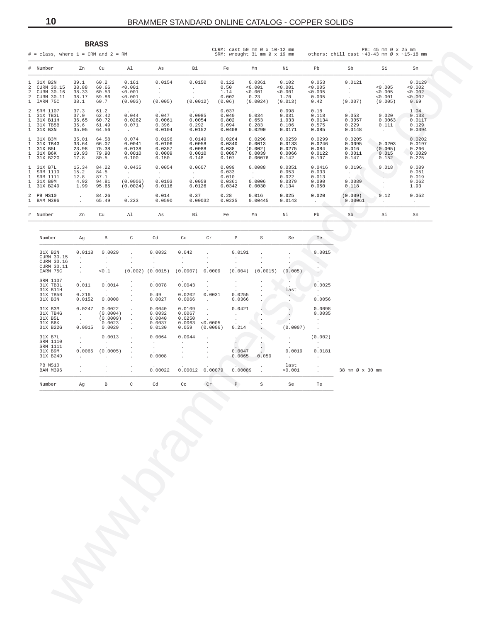<span id="page-9-0"></span> $10$ 

 $#$  = class, where 1 = CRM and 2 = RM

**BRASS** 

CURM: cast 50 mm  $\emptyset$  x 10-12 mm<br>SRM: wrought 31 mm  $\emptyset$  x 19 mm

 $\verb|PB: 45 mm $\emptyset$ x 25 mm}$  others: chill cast ~40-43 mm  $\emptyset$  x ~15-18 mm

|                              | # Number                                                          | Zn                                       | Cu                                       | Al                                                   | As                                                             | Bi                                                          | Fe                                           | Mn                                                   | Νi                                             | Pb                                           | Sb                                                             | Si                                                                   | Sn                                              |
|------------------------------|-------------------------------------------------------------------|------------------------------------------|------------------------------------------|------------------------------------------------------|----------------------------------------------------------------|-------------------------------------------------------------|----------------------------------------------|------------------------------------------------------|------------------------------------------------|----------------------------------------------|----------------------------------------------------------------|----------------------------------------------------------------------|-------------------------------------------------|
| 2<br>2<br>2                  | 1 31X B2N<br>CURM 30.15<br>CURM 30.16<br>CURM 30.11<br>1 IARM 75C | 39.1<br>38.88<br>38.33<br>38.17<br>38.1  | 60.2<br>60.66<br>60.53<br>59.86<br>60.7  | 0.161<br>< 0.001<br>< 0.001<br>< 0.001<br>(0.003)    | 0.0154<br>$\mathbf{r}$<br>$\ddot{\phantom{0}}$<br>(0.005)      | 0.0150<br>$\ddot{\phantom{0}}$<br>(0.0012)                  | 0.122<br>0.50<br>1.14<br>0.002<br>(0.06)     | 0.0361<br>< 0.001<br>< 0.001<br>0.23<br>(0.0024)     | 0.102<br>< 0.001<br>< 0.001<br>1.70<br>(0.013) | 0.053<br>< 0.005<br>< 0.005<br>0.005<br>0.42 | 0.0121<br>$\mathbf{r}$<br>$\sim$<br>$\sim$<br>(0.007)          | <b>Contract Contract</b><br>< 0.005<br>< 0.005<br>< 0.001<br>(0.005) | 0.0129<br>< 0.002<br>< 0.002<br>< 0.002<br>0.69 |
|                              | 2 SRM 1107<br>1 31X TB3L<br>1 31X B11H<br>1 31X TB5B<br>1 31X B3N | 37.3<br>37.0<br>36.65<br>35.6<br>35.05   | 61.2<br>62.42<br>60.72<br>61.49<br>64.56 | $\sim$<br>0.044<br>0.0262<br>0.071<br><b>Service</b> | <b>Contract Contract</b><br>0.047<br>0.0061<br>0.396<br>0.0104 | $\ddot{\phantom{0}}$<br>0.0085<br>0.0054<br>0.292<br>0.0152 | 0.037<br>0.040<br>0.802<br>0.094<br>0.0408   | <b>Contract</b><br>0.034<br>0.653<br>0.283<br>0.0290 | 0.098<br>0.031<br>1.033<br>0.106<br>0.0171     | 0.18<br>0.118<br>0.0134<br>0.575<br>0.085    | <b>Contract Contract</b><br>0.053<br>0.0057<br>0.229<br>0.0148 | <b>Contract</b><br>0.020<br>0.0063<br>0.111<br><b>Allen</b>          | 1.04<br>0.133<br>0.0117<br>0.129<br>0.0394      |
| $\mathbf{1}$                 | 1 31X B3M<br>1 31X TB4G<br>31X B5L<br>1 31X B6K<br>1 31X B22G     | 35.01<br>33.64<br>23.98<br>19.93<br>17.8 | 64.58<br>66.07<br>75.38<br>79.90<br>80.5 | 0.074<br>0.0041<br>0.0138<br>0.0010<br>0.100         | 0.0196<br>0.0106<br>0.0357<br>0.0009<br>0.150                  | 0.0149<br>0.0058<br>0.0088<br>0.0010<br>0.148               | 0.0264<br>0.0340<br>0.038<br>0.0097<br>0.107 | 0.0296<br>0.0013<br>(0.002)<br>0.0039<br>0.00076     | 0.0259<br>0.0133<br>0.0275<br>0.0066<br>0.142  | 0.0299<br>0.0246<br>0.084<br>0.0122<br>0.197 | 0.0205<br>0.0095<br>0.016<br>0.0011<br>0.147                   | $\sim$<br>0.0203<br>(0.005)<br>0.015<br>0.152                        | 0.0202<br>0.0197<br>0.266<br>0.0029<br>0.225    |
| $\mathbf{1}$<br>$\mathbf{1}$ | 1 31X B7L<br>SRM 1110<br>SRM 1111<br>1 31X B9M<br>1 31X B24D      | 15.34<br>15.2<br>12.8<br>4.92<br>1.99    | 84.22<br>84.5<br>87.1<br>94.81<br>95.65  | 0.0435<br>$\sim$<br>(0.0006)<br>(0.0024)             | 0.0054<br>$\sim$<br>0.0103<br>0.0116                           | 0.0607<br>$\sim$<br>0.0059<br>0.0126                        | 0.099<br>0.033<br>0.010<br>0.0361<br>0.0342  | 0.0088<br>$\sim$<br>0.0006<br>0.0030                 | 0.0351<br>0.053<br>0.022<br>0.0379<br>0.134    | 0.0416<br>0.033<br>0.013<br>0.090<br>0.050   | 0.0196<br><b>Contractor</b><br>0.0089<br>0.118                 | 0.018                                                                | 0.089<br>0.051<br>0.019<br>0.062<br>1.93        |
|                              | 2 PB MS10<br>1 BAM M396                                           | $\sim$<br>$\sim$                         | 84.26<br>65.49                           | $\sim$ 100 $\pm$<br>0.223                            | 0.014<br>0.0590                                                | 0.37<br>0.00032                                             | 0.28<br>0.0235                               | 0.016<br>0.00445                                     | 0.025<br>0.0143                                | 0.020<br>$\sim$ $\sim$                       | (0.009)<br>0.00061                                             | 0.12<br>$\sim$                                                       | 0.052<br>$\sim$                                 |
|                              | # Number                                                          | Zn                                       | Cu                                       | Al                                                   | As                                                             | Bi                                                          | Fe                                           | Mn                                                   | Νi                                             | Pb                                           | Sb                                                             | Si                                                                   | Sn                                              |

| Number                                                        | Aq                                                     | $\mathbf{B}$                                       | C                            | Cd                                             | Co                                                     | Cr                                       | $\mathbb{P}$                                         | S                                    | Se                                                         | Te                                                                           |                 |
|---------------------------------------------------------------|--------------------------------------------------------|----------------------------------------------------|------------------------------|------------------------------------------------|--------------------------------------------------------|------------------------------------------|------------------------------------------------------|--------------------------------------|------------------------------------------------------------|------------------------------------------------------------------------------|-----------------|
| 31X B2N<br>CURM 30.15<br>CURM 30.16<br>CURM 30.11<br>IARM 75C | 0.0118<br>$\ddot{\phantom{1}}$<br>$\ddot{\phantom{0}}$ | 0.0029<br>0.1                                      | (0.002)                      | 0.0032<br>(0.0015)                             | 0.042<br>(0.0007)                                      | 0.0009                                   | 0.0191<br>(0.004)                                    | (0.0015)                             | (0.005)                                                    | 0.0015                                                                       |                 |
| SRM 1107<br>31X TB3L<br>31X B11H<br>31X TB5B<br>31X B3N       | $\sim$<br>0.011<br>$\sim$ $\sim$<br>0.216<br>0.0152    | $\cdot$<br>0.0014<br>$\sim$<br>0.0008              |                              | 0.0078<br>$\sim$<br>0.49<br>0.0027             | $\sim$<br>0.0043<br><b>Service</b><br>0.0202<br>0.0066 | $\sim$<br>0.0031<br>$\sim$ 100 $\sim$    | $\ddot{\phantom{0}}$<br>0.0255<br>0.0366             |                                      | last                                                       | 0.0025<br>$\sim$<br>$\sim$<br>0.0056                                         |                 |
| 31X B3M<br>31X TB4G<br>31X B5L<br>31X B6K<br>31X B22G         | 0.0247<br>$\sim$<br>$\sim$<br>$\mathbf{r}$<br>0.0015   | 0.0022<br>(0.0004)<br>(0.0009)<br>0.0023<br>0.0029 | $\mathbf{r}$<br>$\mathbf{r}$ | 0.0040<br>0.0032<br>0.0040<br>0.0037<br>0.0130 | 0.0109<br>0.0067<br>0.0250<br>0.0063<br>0.059          | $\sim$<br>$\sim$<br>< 0.0005<br>(0.0006) | 0.0421<br>$\ddot{\phantom{0}}$<br>$\bullet$<br>0.214 |                                      | (0.0007)                                                   | 0.0098<br>0.0035<br>$\cdot$<br>$\sim$                                        |                 |
| 31X B7L<br>SRM 1110<br>SRM 1111<br>31X B9M<br>31X B24D        | $\sim$<br>$\mathbf{r}$<br>0.0065<br>$\sim$             | 0.0013<br>(0.0005)<br>$\sim$ $\sim$                | $\mathbf{r}$<br>$\mathbf{r}$ | 0.0064<br>0.0008                               | 0.0044                                                 |                                          | 0.0047<br>0.0065                                     | 0.050                                | $\ddot{\phantom{0}}$<br>0.0019<br><b>Contract Contract</b> | (0.002)<br>$\cdot$<br>$\cdot$<br>0.0181<br><b>Contract Contract Contract</b> |                 |
| PB MS10<br><b>BAM M396</b>                                    |                                                        |                                                    | $\mathbf{r}$                 | 0.00022                                        |                                                        | 0.00012 0.00079                          | 0.00089                                              | $\ddot{\phantom{0}}$<br>$\mathbf{r}$ | last<br>< 0.001                                            | $\cdot$<br><b>Service</b> State                                              | 38 mm Ø x 30 mm |
| Number                                                        | Aq                                                     | $\mathbf{B}$                                       | C                            | Cd                                             | Co                                                     | Cr                                       | P                                                    | S                                    | Se                                                         | Te                                                                           |                 |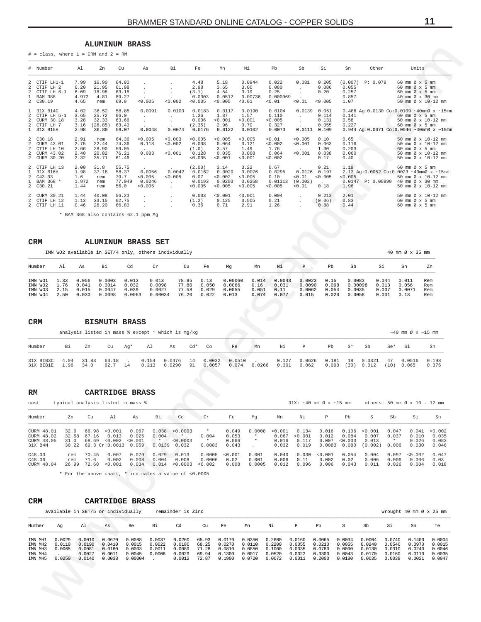#### **ALUMINUM BRASS**

<span id="page-10-0"></span>

|                                                                                                      |                                            |                                                | $\#$ = class, where 1 = CRM and 2 = RM                                                    |                                                 |                                                                         |                                        |                                             |                                             |                                             |                                              |                                        |                                            |                                            |                                                       |                                        |                                                                       |                                                                                                                                   |
|------------------------------------------------------------------------------------------------------|--------------------------------------------|------------------------------------------------|-------------------------------------------------------------------------------------------|-------------------------------------------------|-------------------------------------------------------------------------|----------------------------------------|---------------------------------------------|---------------------------------------------|---------------------------------------------|----------------------------------------------|----------------------------------------|--------------------------------------------|--------------------------------------------|-------------------------------------------------------|----------------------------------------|-----------------------------------------------------------------------|-----------------------------------------------------------------------------------------------------------------------------------|
| $\#$<br>Number                                                                                       |                                            | Al                                             | Zn<br>Cu                                                                                  | As                                              |                                                                         | Вi                                     | Fe                                          | Mn                                          | Νi                                          | Pb                                           | Sb                                     | Si                                         | Sn                                         | Other                                                 |                                        | Units                                                                 |                                                                                                                                   |
| CTIF LH1-1<br>2<br>CTIF LH 2<br>2<br>2<br><b>BAM 388</b><br>-1.<br>2<br>C30.19                       | CTIF LH 6-1                                | 7.99<br>6.20<br>6.09<br>4.972<br>4.65          | 16.90<br>64.90<br>21.95<br>61.98<br>18.98<br>63.18<br>4.81<br>89.27<br>rem<br>69.9        | $\cdot$                                         | 0.005                                                                   | 0.002                                  | 4.48<br>2.98<br>(3.1)<br>0.0303<br>< 0.005  | 5.18<br>3.65<br>4.54<br>0.0512<br>0.005     | 0.0944<br>3.00<br>3.19<br>0.00736<br>0.01   | 0.022<br>0.080<br>0.25<br>0.000969<br>< 0.01 | 0.081<br>$\cdot$<br>0.01               | 0.205<br>0.086<br>0.20<br>< 0.005          | (0.007)<br>0.055<br>0.257<br>0.857<br>1.07 | P: 0.079                                              |                                        | 60 mm Ø x 5 mm<br>60 mm Ø x 5 mm<br>60 mm Ø x 5 mm<br>40 mm Ø x 30 mm | 50 mm Ø x 10-12 mm                                                                                                                |
| -1.<br>31X B14G<br>2<br>CTIF LH 5-1<br>CURM 30.18<br>2<br>CTIF LH 7<br>2<br>31X B15H<br>$\mathbf{1}$ |                                            | 4.02<br>3.65<br>3.28<br>3.16<br>2.98           | 36.52<br>58.85<br>25.72<br>66.0<br>32.33<br>63.66<br>(26.85)<br>63.40<br>36.80<br>59.07   | $\cdot$<br>$\cdot$                              | 0.0091<br>0.0048                                                        | 0.0103<br>$\cdot$<br>$\cdot$<br>0.0074 | 0.0183<br>1.26<br>0.006<br>(2.35)<br>0.0176 | 0.0117<br>1.37<br>< 0.001<br>2.96<br>0.0122 | 0.0190<br>1.57<br>< 0.001<br>0.70<br>0.0102 | 0.0104<br>0.110<br>0.005<br>0.327<br>0.0073  | 0.0139<br>$\cdot$<br>$\cdot$<br>0.0111 | 0.051<br>0.114<br>0.131<br>0.055<br>0.109  | 0.141<br>0.58<br>0.227                     |                                                       |                                        | 60 mm Ø x 5 mm<br>60 mm Ø x 5 mm                                      | $0.486$ Ag: 0.0130 Co: 0.0109 ~40mmØ x ~15mm<br>50 mm Ø x 10-12 mm<br>$0.944$ Ag: $0.0071$ Co: $0.0046$ ~40mm $\emptyset$ x ~15mm |
| 2<br>C30.18<br>CURM 43.01<br>2<br>CTIF LH 10<br>2<br>CURM 43.02<br>2<br>2<br>CURM 30.20              |                                            | 2.91<br>2.75<br>2.66<br>2.40<br>2.32           | rem<br>64.36<br>22.44<br>74.36<br>28.90<br>59.05<br>20.82<br>76.21<br>35.71<br>61.46      | $\cdot$                                         | 0.005<br>0.118<br>0.083                                                 | 0.003<br>0.002<br>0.001<br>$\sim$      | 0.005<br>0.008<br>(1.0)<br>0.128<br>0.005   | 0.005<br>0.064<br>3.57<br>0.035<br>0.001    | 0.005<br>0.121<br>1.49<br>0.068<br>0.001    | < 0.01<br>0.002<br>1.76<br>0.064<br><0.002   | 0.005<br>0.001<br>0.001<br>$\sim$      | 0.10<br>0.063<br>1.30<br>0.038<br>0.17     | 0.65<br>0.116<br>0.203<br>0.060<br>0.40    |                                                       |                                        | 60 mm Ø x 5 mm                                                        | 50 mm Ø x 10-12 mm<br>50 mm Ø x 10-12 mm<br>50 mm Ø x 10-12 mm<br>50 mm Ø x 10-12 mm                                              |
| CTIF LH 13<br>2<br>31X B16H<br>-1.<br>2<br>C43.03<br>BAM 368 *<br>-1.<br>2<br>C30.21                 |                                            | 2.00<br>1.98<br>1.6<br>1.972<br>1.44           | 55.75<br>31.8<br>37.18<br>58.37<br>79.7<br>rem<br>rem<br>rem<br>56.0                      | 77.049                                          | 0.0056<br>0.005<br>0.0246<br>0.005                                      | 0.0042<br>0.005<br>$\cdot$             | (2.00)<br>0.0162<br>0.07<br>0.0193<br>0.005 | 3.14<br>0.0029<br>0.002<br>0.0203<br>0.005  | 3.22<br>0.0076<br>0.005<br>0.0258<br>0.005  | 0.67<br>0.0295<br>0.10<br>0.01313<br>0.005   | 0.0126<br>0.01<br>(0.002)<br>0.01      | 0.21<br>0.197<br>0.005<br>0.18             | 1.19<br>< 0.005<br>0.0147<br>1.96          | 2.13 Ag:0.0052 Co:0.0023 ~40mmØ x ~15mm<br>P: 0.00899 |                                        | 60 mm Ø x 5 mm<br>40 mm Ø x 30 mm                                     | 50 mm Ø x 10-12 mm<br>50 mm Ø x 10-12 mm                                                                                          |
| CURM 30.21<br>2<br>CTIF LH 12<br>2<br>CTIF LH 11<br>2                                                |                                            | 1.44<br>1.13<br>0.46                           | 40.08<br>56.23<br>62.75<br>33.15<br>26.20<br>66.80<br>* BAM 368 also contains 62.1 ppm Mg |                                                 |                                                                         | $\cdot$                                | 0.003<br>(1.2)<br>0.36                      | 0.001<br>0.125<br>0.71                      | 0.001<br>0.505<br>2.91                      | 0.004<br>0.21<br>1.26                        | $\bullet$                              | 0.213<br>(0.06)<br>0.88                    | 2.01<br>0.83<br>0.44                       |                                                       |                                        | 60 mm Ø x 5 mm<br>60 mm Ø x 5 mm                                      | 50 mm Ø x 10-12 mm                                                                                                                |
| CRM                                                                                                  |                                            |                                                | <b>ALUMINUM BRASS SET</b>                                                                 |                                                 |                                                                         |                                        |                                             |                                             |                                             |                                              |                                        |                                            |                                            |                                                       |                                        |                                                                       |                                                                                                                                   |
|                                                                                                      |                                            |                                                |                                                                                           |                                                 | IMN WO2 available in SET/4 only, others individually                    |                                        |                                             |                                             |                                             |                                              |                                        |                                            |                                            |                                                       |                                        | 40 mm Ø x 35 mm                                                       |                                                                                                                                   |
| Number                                                                                               | Al                                         | As                                             | Вi                                                                                        | Cd                                              | Cr                                                                      | Cu                                     | Fe                                          | Mg                                          | Mn                                          | Νi                                           | Р                                      | Pb                                         | Sb                                         | Si                                                    | Sn                                     |                                                                       | Zn                                                                                                                                |
| IMN WO1<br>IMN WO2<br>IMN WO3<br>IMN WO4                                                             | 1.33<br>1.76<br>2.15<br>2.50               | 0.056<br>0.041<br>0.015<br>0.030               | 0.0003<br>0.0014<br>0.0047<br>0.0098                                                      | 0.013<br>0.032<br>0.039<br>0.0063               | 0.013<br>0.0098<br>0.0027<br>0.00034                                    | 78.85<br>77.80<br>77.58<br>76.20       | 0.13<br>0.050<br>0.029<br>0.022             | 0.00060<br>0.0066<br>0.0055<br>0.013        | 0.014<br>0.16<br>0.051<br>0.074             | 0.0043<br>0.031<br>0.11<br>0.077             | 0.0023<br>0.0090<br>0.0062<br>0.015    | 0.15<br>0.098<br>0.054<br>0.020            | 0.0083<br>0.00098<br>0.0035<br>0.0058      | 0.044<br>0.013<br>0.007<br>0.001                      | 0.13                                   | 0.011<br>0.056<br>0.0071                                              | Rem<br>Rem<br>Rem<br>Rem                                                                                                          |
| <b>CRM</b>                                                                                           |                                            |                                                | <b>BISMUTH BRASS</b>                                                                      |                                                 | analysis listed in mass % except * which is mg/kg                       |                                        |                                             |                                             |                                             |                                              |                                        |                                            |                                            |                                                       |                                        | $\sim$ 40 mm Ø x $\sim$ 15 mm                                         |                                                                                                                                   |
| Number                                                                                               | Bi                                         | Zn                                             | Cu                                                                                        | Ag*                                             | Al                                                                      | $Cd*$<br>As                            | Co                                          | Fe                                          | Mn                                          | Νi                                           | Р                                      | Pb                                         | S*                                         | Sb                                                    | Se*                                    | Si                                                                    | Sn                                                                                                                                |
| 31X BIB3C<br>31X BIB1E                                                                               | 4.04<br>1.96                               | 31.83<br>34.0                                  | 63.18<br>62.7                                                                             | 14                                              | 0.154<br>0.213                                                          | 0.0476<br>14<br>91<br>0.0290           | 0.0032<br>0.0057                            | 0.0510<br>0.074                             | 0.0266                                      | 0.127<br>0.301                               | 0.0626<br>0.062                        | 0.181<br>0.090                             | 18<br>(30)                                 | 0.0321<br>0.012                                       | 47<br>(10)                             | 0.0516<br>0.065                                                       | 0.198<br>0.376                                                                                                                    |
| RM<br>cast                                                                                           |                                            |                                                | CARTRIDGE BRASS<br>typical analysis listed in mass %                                      |                                                 |                                                                         |                                        |                                             |                                             |                                             |                                              |                                        | $31X: ~ -40$ mm $\varnothing$ x $~ -15$ mm |                                            |                                                       | others: 50 mm $\emptyset$ x 10 - 12 mm |                                                                       |                                                                                                                                   |
| Number                                                                                               | Zn                                         | Cu                                             | Al                                                                                        | As                                              | Вi                                                                      | Cd                                     | Cr                                          | Fe                                          | Mg                                          | Mn                                           | Νi                                     | $\mathbb{P}$                               | Pb                                         | S                                                     | Sb                                     | Si                                                                    | Sn                                                                                                                                |
| CURM 48.01<br>CURM 48.02<br>CURM 48.05<br>31X B4N                                                    | 32.6<br>32.58<br>31.0<br>30.22             | 66.98<br>67.16<br>68.69                        | < 0.001<br>0.013<br>< 0.002<br>69.3 Cr:0.0013                                             | 0.067<br>0.025<br>< 0.001<br>0.059              | 0.004<br>$\star$ $\star$<br>$0.0139$ $0.032$                            | 0.038 < 0.0003<br>$\star$<br>< 0.0003  | $\star$<br>0.004<br>$*$<br>0.0083           | 0.049<br>0.053<br>0.066<br>0.043            | 0.0008<br>$\star$<br>$^\star$<br>$\sim$     | 0.001<br>0.067<br>0.016<br>0.032             | 0.134<br>< 0.001<br>0.117<br>0.019     | 0.016<br>0.012<br>0.007<br>0.0083          | 0.106<br>0.084<br>0.003<br>0.080           | < 0.001<br>0.007<br>0.013<br>(0.002)                  | 0.047<br>0.037<br>$\star$<br>0.006     | 0.041<br>0.010<br>0.026<br>0.030                                      | < 0.002<br>0.035<br>0.083<br>0.046                                                                                                |
| C48.03<br>C48.06<br>CURM 48.04                                                                       | rem<br>rem                                 | 70.45<br>71.6                                  | 0.007<br>0.002<br>26.99 72.68 < 0.001                                                     | 0.079<br>0.008<br>0.034                         | 0.029<br>0.004<br>* For the above chart, * indicates a value of <0.0005 | 0.013<br>0.008<br>0.014 < 0.0003       | 0.0005<br>0.0006<br>< 0.002                 | < 0.001<br>0.02<br>0.008                    | 0.001<br>0.001<br>0.0005                    | 0.040<br>0.006<br>0.012                      | 0.030<br>0.11<br>0.096                 | 0.001<br>0.002<br>0.006                    | 0.054<br>0.02<br>0.043                     | 0.004<br>0.006<br>0.011                               | 0.097<br>0.006<br>0.026                | < 0.002<br>0.006<br>0.004                                             | 0.047<br>0.03<br>0.018                                                                                                            |
| CRM                                                                                                  |                                            |                                                | <b>CARTRIDGE BRASS</b><br>available in SET/5 or individually                              |                                                 |                                                                         | remainder is Zinc                      |                                             |                                             |                                             |                                              |                                        |                                            |                                            |                                                       |                                        |                                                                       | wrought 40 mm Ø x 25 mm                                                                                                           |
|                                                                                                      | Ag                                         | $\mathbf{A1}$                                  | As                                                                                        | Be                                              | Вi                                                                      | Cd                                     | Cu                                          | Fe                                          | Mn                                          | Νi                                           | $\, {\mathbb P}$                       | Pb                                         | $\rm S$                                    | Sb                                                    | Si                                     | Sn                                                                    | Te                                                                                                                                |
|                                                                                                      |                                            |                                                |                                                                                           |                                                 | 0.0037                                                                  | 0.0260                                 | 65.93                                       | 0.0170<br>0.0270                            | 0.0350<br>0.0110                            | 0.2600<br>0.2200                             | 0.0160<br>0.0055                       | 0.0065<br>0.0210                           | 0.0034<br>0.0055                           | 0.0004<br>0.0240                                      | 0.0740<br>0.0540                       | 0.1400<br>0.0970                                                      | 0.0004<br>0.0015                                                                                                                  |
| Number<br>IMN MH1<br>IMN MH2<br>IMN MH3<br>IMN MH4<br>IMN MH5                                        | 0.0029<br>0.0110<br>0.0065<br>0.0250<br>N. | 0.0010<br>0.0190<br>0.0081<br>0.0027<br>0.0140 | 0.0670<br>0.0410<br>0.0160<br>0.0011<br>0.0038                                            | 0.0088<br>0.0015<br>0.0003<br>0.0045<br>0.00004 | 0.0022<br>0.0011<br>0.0006<br>$\sim$ $\sim$                             | 0.0180<br>0.0089<br>0.0029<br>0.0012   | 68.25<br>71.28<br>69.94<br>72.87            | 0.0810<br>0.1300<br>0.1900                  | 0.0850<br>0.0017<br>0.0720                  | 0.1000<br>0.0520<br>0.0072                   | 0.0035<br>0.0022<br>0.0011             | 0.0780<br>0.3300<br>0.2000                 | 0.0090<br>0.0043<br>0.0180                 | 0.0130<br>0.0170<br>0.0035                            | 0.0310<br>0.0160<br>0.0039             | 0.0240<br>0.0110<br>0.0021                                            | 0.0046<br>0.0035<br>0.0047                                                                                                        |

| <b>CRM</b>                               |                              |                                  |                                      |                                   | <b>ALUMINUM BRASS SET</b>                            |                                  |                                 |                                      |                                 |                                  |                                     |                                 |                                       |                                  |                                  |                          |
|------------------------------------------|------------------------------|----------------------------------|--------------------------------------|-----------------------------------|------------------------------------------------------|----------------------------------|---------------------------------|--------------------------------------|---------------------------------|----------------------------------|-------------------------------------|---------------------------------|---------------------------------------|----------------------------------|----------------------------------|--------------------------|
|                                          |                              |                                  |                                      |                                   | IMN WO2 available in SET/4 only, others individually |                                  |                                 |                                      |                                 |                                  |                                     |                                 |                                       |                                  | 40 mm Ø x 35 mm                  |                          |
| Number                                   | Al                           | As                               | Вi                                   | Cd                                | Cr                                                   | Cu                               | Fe                              | Mq                                   | Mn                              | Νi                               | P                                   | Pb                              | Sb                                    | Si                               | Sn                               | Zn                       |
| IMN WO1<br>IMN WO2<br>IMN WO3<br>IMN WO4 | 1.33<br>1.76<br>2.15<br>2.50 | 0.056<br>0.041<br>0.015<br>0.030 | 0.0003<br>0.0014<br>0.0047<br>0.0098 | 0.013<br>0.032<br>0.039<br>0.0063 | 0.013<br>0.0098<br>0.0027<br>0.00034                 | 78.85<br>77.80<br>77.58<br>76.20 | 0.13<br>0.050<br>0.029<br>0.022 | 0.00060<br>0.0066<br>0.0055<br>0.013 | 0.014<br>0.16<br>0.051<br>0.074 | 0.0043<br>0.031<br>0.11<br>0.077 | 0.0023<br>0.0090<br>0.0062<br>0.015 | 0.15<br>0.098<br>0.054<br>0.020 | 0.0083<br>0.00098<br>0.0035<br>0.0058 | 0.044<br>0.013<br>0.007<br>0.001 | 0.011<br>0.056<br>0.0071<br>0.13 | Rem<br>Rem<br>Rem<br>Rem |

| × |  |  |
|---|--|--|

| Number                                                                                                                                                                                                                     | Bi Zn Cu Aq* |  | Al a | As Cd* Co |  | Fe | Mn | Ni P | Pb S* | – Sb | Se* Si | Sn |
|----------------------------------------------------------------------------------------------------------------------------------------------------------------------------------------------------------------------------|--------------|--|------|-----------|--|----|----|------|-------|------|--------|----|
| 31X BIB3C 4.04 31.83 63.18 . 0.154 0.0476 14 0.0032 0.0510 . 0.127 0.0626 0.181 18 0.0321 47 0.0516 0.198<br>31X BIB1E 1.96 34.0 62.7 14 0.213 0.0290 91 0.0057 0.074 0.0266 0.301 0.062 0.090 (30) 0.012 (10) 0.065 0.376 |              |  |      |           |  |    |    |      |       |      |        |    |

#### **RM CARTRIDGE BRASS**

| cast                                              | typical analysis listed in mass % |                        |                                                                                 |                         |                            |                                     |                                       |                                  |                              |                                    |                                    | $31X: ~ -40$ mm $\varnothing$ x $~ -15$ mm |                                        |                                            |                         | others: 50 mm $\varnothing$ x 10 - 12 mm |                                              |
|---------------------------------------------------|-----------------------------------|------------------------|---------------------------------------------------------------------------------|-------------------------|----------------------------|-------------------------------------|---------------------------------------|----------------------------------|------------------------------|------------------------------------|------------------------------------|--------------------------------------------|----------------------------------------|--------------------------------------------|-------------------------|------------------------------------------|----------------------------------------------|
| Number                                            | Zn                                | Cu                     | A1                                                                              | As                      | Bi                         | Cd                                  | Cr                                    | Fe                               | Mq                           | Mn                                 | Νi                                 | P                                          | Pb                                     | S.                                         | Sb                      | Si                                       | Sn                                           |
| CURM 48.01<br>CURM 48.02<br>CURM 48.05<br>31X B4N | 32.6<br>31.0                      | 32.58 67.16            | 66.98 < 0.001<br>0.013<br>$68.69$ < 0.002 < 0.001<br>30.22 69.3 Cr:0.0013 0.059 | 0.067<br>0.025          | 0.004<br>$\star$<br>0.0139 | 0.038 < 0.0003<br>< 0.0003<br>0.032 | $\star$<br>0.004<br>$\star$<br>0.0083 | 0.049<br>0.053<br>0.066<br>0.043 | 0.0008<br>$\star$<br>$\star$ | < 0.001<br>0.067<br>0.016<br>0.032 | 0.134<br>< 0.001<br>0.117<br>0.019 | 0.016<br>0.012                             | 0.084<br>0.007 < 0.003<br>0.0083 0.080 | 0.106 < 0.001<br>0.007<br>0.013<br>(0.002) | 0.047<br>0.037<br>0.006 | 0.010<br>0.026<br>0.030                  | $0.041$ < $0.002$<br>0.035<br>0.083<br>0.046 |
| C48.03<br>C48.06<br>CURM 48.04                    | rem<br>rem<br>26.99               | 70.45<br>71.6<br>72.68 | 0.007<br>0.002<br>< 0.001                                                       | 0.079<br>0.008<br>0.034 | 0.029<br>0.004<br>0.014    | 0.013<br>0.008<br>< 0.0003          | 0.0005<br>0.0006<br>< 0.002           | < 0.001<br>0.02<br>0.008         | 0.001<br>0.001<br>0.0005     | 0.040<br>0.006<br>0.012            | 0.11<br>0.096                      | 0.030 < 0.001<br>0.002<br>0.006            | 0.054<br>0.02<br>0.043                 | 0.004<br>0.006<br>0.011                    | 0.006<br>0.026          | 0.097 < 0.002<br>0.006<br>0.004          | 0.047<br>0.03<br>0.018                       |

#### **CRM CARTRIDGE BRASS**

|         | available in SET/5 or individually |        |        |         |        | remainder is Zinc |       |        |        |        |        |        |        |        | wrought 40 mm $\emptyset$ x 25 mm |        |        |
|---------|------------------------------------|--------|--------|---------|--------|-------------------|-------|--------|--------|--------|--------|--------|--------|--------|-----------------------------------|--------|--------|
| Number  | Aq                                 | Al     | As     | Be      | Вi     | Cd                | Cu    | Fe     | Mn     | Νi     | Ρ      | Pb     |        | Sb     | Si                                | Sn     | Te     |
|         |                                    |        |        |         |        |                   |       |        |        |        |        |        |        |        |                                   |        |        |
| IMN MH1 | 0.0029                             | 0.0010 | 0.0670 | 0.0088  | 0.0037 | 0.0260            | 65.93 | 0.0170 | 0.0350 | 0.2600 | 0.0160 | 0.0065 | 0.0034 | 0.0004 | 0.0740                            | 0.1400 | 0.0004 |
| IMN MH2 | 0.0110                             | 0.0190 | 0.0410 | 0.0015  | 0.0022 | 0.0180            | 68.25 | 0.0270 | 0.0110 | 0.2200 | 0.0055 | 0.0210 | 0.0055 | 0.0240 | 0.0540                            | 0.0970 | 0.0015 |
| IMN MH3 | 0.0065                             | 0.0081 | 0.0160 | 0.0003  | 0.0011 | 0.0089            | 71.28 | 0.0810 | 0.0850 | 0.1000 | 0.0035 | 0.0780 | 0.0090 | 0.0130 | 0.0310                            | 0.0240 | 0.0046 |
| IMN MH4 |                                    | 0.0027 | 0.0011 | 0.0045  | 0.0006 | 0.0029            | 69.94 | 0.1300 | 0.0017 | 0.0520 | 0.0022 | 0.3300 | 0.0043 | 0.0170 | 0.0160                            | 0.0110 | 0.0035 |
| IMN MH5 | 0.0250                             | 0.0140 | 0.0038 | 0.00004 |        | 0.0012            | 72.87 | 0.1900 | 0.0720 | 0.0072 | 0.0011 | 0.2000 | 0.0180 | 0.0035 | 0.0039                            | 0.0021 | 0.0047 |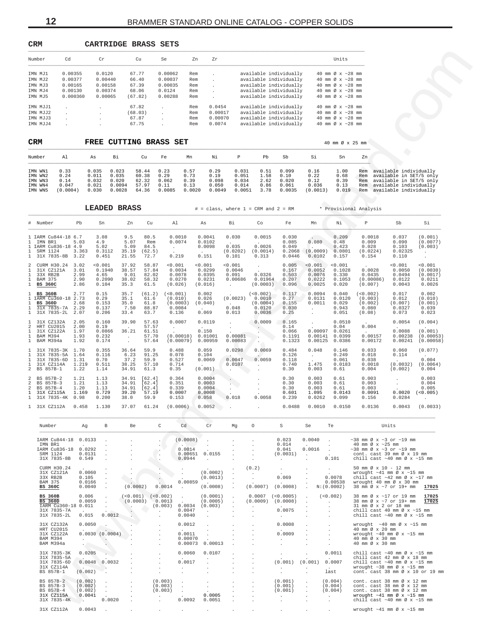<span id="page-11-0"></span>

| CRM                                                 |                                                                                              |                                                                                                   |                                                            | CARTRIDGE BRASS SETS                                                       |                                                                                       |                                                         |                                                             |                                                    |                                                                                                                                |                                                                 |                                                                                                              |                                                    |                                                                                                                                                                                                                     |                                                             |
|-----------------------------------------------------|----------------------------------------------------------------------------------------------|---------------------------------------------------------------------------------------------------|------------------------------------------------------------|----------------------------------------------------------------------------|---------------------------------------------------------------------------------------|---------------------------------------------------------|-------------------------------------------------------------|----------------------------------------------------|--------------------------------------------------------------------------------------------------------------------------------|-----------------------------------------------------------------|--------------------------------------------------------------------------------------------------------------|----------------------------------------------------|---------------------------------------------------------------------------------------------------------------------------------------------------------------------------------------------------------------------|-------------------------------------------------------------|
| Number                                              | Cd                                                                                           | Cr                                                                                                |                                                            | Cu<br>Se                                                                   | Zn                                                                                    | Ζr                                                      |                                                             |                                                    |                                                                                                                                |                                                                 | Units                                                                                                        |                                                    |                                                                                                                                                                                                                     |                                                             |
| IMN MJ1<br>IMN MJ2<br>IMN MJ3<br>IMN MJ4<br>IMN MJ5 | 0.00355<br>0.00377<br>0.00165<br>0.00130<br>0.000360                                         | 0.0120<br>0.00440<br>0.00158<br>0.00374<br>0.00065                                                |                                                            | 67.77<br>66.40<br>67.39<br>68.06<br>(67.82)                                | 0.00062<br>Rem<br>0.00037<br>Rem<br>0.00035<br>Rem<br>0.0124<br>Rem<br>0.00288<br>Rem |                                                         |                                                             |                                                    | available individually<br>available individually<br>available individually<br>available individually<br>available individually |                                                                 | 40 mm Ø x ~28 mm<br>40 mm $\varnothing$ x ~28 mm<br>40 mm Ø x ~28 mm<br>40 mm Ø x ~28 mm<br>40 mm Ø x ~28 mm |                                                    |                                                                                                                                                                                                                     |                                                             |
| IMN MJJ1<br>IMN MJJ2<br>IMN MJJ3<br>IMN MJJ4        |                                                                                              |                                                                                                   |                                                            | 67.82<br>(68.03)<br>67.87<br>67.75                                         | Rem<br>Rem<br>Rem<br>Rem                                                              | 0.0454<br>0.00017<br>0.00070<br>0.0074                  |                                                             |                                                    | available individually<br>available individually<br>available individually<br>available individually                           |                                                                 | 40 mm Ø x ~28 mm<br>40 mm Ø x ~28 mm<br>40 mm Ø x ~28 mm<br>40 mm Ø x ~28 mm                                 |                                                    |                                                                                                                                                                                                                     |                                                             |
| CRM                                                 |                                                                                              |                                                                                                   |                                                            | FREE CUTTING BRASS SET                                                     |                                                                                       |                                                         |                                                             |                                                    |                                                                                                                                |                                                                 | 40 mm Ø x 25 mm                                                                                              |                                                    |                                                                                                                                                                                                                     |                                                             |
| Number                                              | Al                                                                                           | As                                                                                                | Вi                                                         | Cu<br>Fe                                                                   | Mn                                                                                    | Νi                                                      | Р                                                           | Pb                                                 | Sb                                                                                                                             | Si                                                              | Sn                                                                                                           | Zn                                                 |                                                                                                                                                                                                                     |                                                             |
| IMN WN1<br>IMN WN2<br>IMN WN3<br>IMN WN4<br>IMN WN5 | 0.33<br>0.24<br>0.14<br>0.047<br>(0.0004)                                                    | 0.035<br>0.011<br>0.032<br>0.021<br>0.030                                                         | 0.023<br>0.035<br>0.020<br>0.0094<br>0.0028                | 58.44<br>0.23<br>60.38<br>0.29<br>62.32<br>0.062<br>57.97<br>0.11<br>64.36 | 0.57<br>0.73<br>0.39<br>0.13<br>0.0085<br>0.0020                                      | 0.29<br>0.19<br>0.098<br>0.050<br>0.0049                | 0.031<br>0.051<br>0.034<br>0.014<br>0.0051                  | 0.51<br>1.58<br>2.62<br>0.86<br>3.78               | 0.099<br>0.10<br>0.020<br>0.061<br>0.0035                                                                                      | 0.16<br>0.22<br>0.12<br>0.036<br>(0.0013)                       | 1.00<br>0.68<br>0.39<br>0.13<br>0.019                                                                        | Rem<br>Rem<br>Rem<br>Rem<br>Rem                    | available individually<br>available in SET/5 only<br>available in SET/5 only<br>available individually<br>available individually                                                                                    |                                                             |
|                                                     |                                                                                              |                                                                                                   | <b>LEADED BRASS</b>                                        |                                                                            |                                                                                       | $#$ = class, where $1$ = CRM and $2$ = RM               |                                                             |                                                    |                                                                                                                                |                                                                 | * Provisional Analysis                                                                                       |                                                    |                                                                                                                                                                                                                     |                                                             |
| # Number                                            | Pb                                                                                           | Sn                                                                                                | Zn                                                         | Cu                                                                         | Al                                                                                    | As                                                      | Вi                                                          | Co                                                 | Fe                                                                                                                             | Mn                                                              | Νi                                                                                                           | Р                                                  | Sb                                                                                                                                                                                                                  | Si                                                          |
| IMN BR1<br>SRM 1124                                 | IARM Cu844-18 6.7<br>5.03<br>IARM Cu836-18 4.9<br>3.363<br>31X 7835-8B<br>3.22               | 3.08<br>4.9<br>5.02<br>0.3112<br>0.451                                                            | 9.5<br>5.07<br>5.09<br>35.19<br>21.55                      | 80.5<br>Rem<br>84.5<br>(62.5)<br>72.7                                      | 0.0010<br>0.0074<br>$\cdot$<br>0.219                                                  | 0.0041<br>0.0102<br>0.0098<br>0.151                     | 0.030<br>0.035<br>(0.0202)<br>0.101                         | 0.0015<br>0.0026<br>(0.0014)<br>0.313              | 0.030<br>0.085<br>0.049<br>0.2068<br>0.0446                                                                                    | 0.080<br>(0.0009)<br>0.0102                                     | 0.209<br>0.48<br>0.423<br>0.0801<br>0.157                                                                    | 0.0018<br>0.009<br>0.028<br>(0.0224)<br>0.154      | 0.037<br>0.090<br>0.103<br>0.02325<br>0.110                                                                                                                                                                         | (0.001)<br>(0.0077)<br>(0.003)<br>$\cdot$<br>$\cdot$        |
| 2<br>33X RB2B<br><b>BAM 375</b><br><b>BS 360C</b>   | CURM H30.24<br>3.02<br>31X CZ121A<br>3.01<br>2.99<br>2.90<br>2.86                            | < 0.001<br>0.1940<br>4.65<br>0.2090<br>0.104                                                      | 37.92<br>38.57<br>9.01<br>38.02<br>35.3                    | 58.87<br>57.84<br>82.02<br>58.32<br>61.5                                   | 0.001<br>0.0034<br>0.0078<br>0.0270<br>(0.026)                                        | 0.001<br>0.0299<br>0.0395<br>0.0231<br>(0.016)          | 0.001<br>0.0046<br>0.091<br>0.00686<br>$\ddot{\phantom{a}}$ | 0.0326<br>0.01964<br>(0.0003)                      | 0.005<br>0.167<br>0.503<br>0.207<br>0.096                                                                                      | < 0.001<br>0.0052<br>0.0076<br>0.0222<br>0.0025                 | 0.001<br>0.1028<br>0.330<br>0.1053<br>0.020                                                                  | 0.0028<br>0.0435<br>(0.007)                        | 0.001<br>0.0050<br>0.0494<br>(0.00086)<br>0.0122<br>0.0043                                                                                                                                                          | 0.001<br>(0.0030)<br>(0.0017)<br>0.0211<br>0.0026           |
| <b>BS 360B</b><br><b>BS 360D</b>                    | 2.77<br>IARM Cu360-18<br>2.73<br>2.68<br>2.29<br>31X 7835-7A<br>31X 7835-2L<br>2.07          | 0.15<br>0.29<br>0.153<br>0.137<br>0.206                                                           | 35.7<br>35.1<br>35.0<br>7.50<br>33.4                       | (61.2)<br>61.6<br>61.8<br>88.87<br>63.7                                    | (<0.001)<br>(0.010)<br>(0.0003)<br>0.0084<br>0.136                                    | 0.002<br>0.026<br>(0.040)<br>0.069                      | (0.0023)<br>0.048<br>0.013                                  | (<0.002)<br>0.0010<br>(0.0004)<br>0.0120<br>0.0036 | 0.117<br>0.27<br>0.155<br>0.030<br>0.25                                                                                        | 0.0094<br>0.0131<br>0.0011<br>$\bullet$<br>$\ddot{\phantom{1}}$ | 0.040<br>0.0120<br>0.029<br>0.943<br>0.051                                                                   | (< 0.002)<br>(0.003)<br>(0.002)<br>0.080<br>(0.08) | 0.017<br>0.012<br>(0.007)<br>0.0327<br>0.073                                                                                                                                                                        | 0.002<br>(0.010)<br>(0.001)<br>0.039<br>0.023               |
| HRT CU2015<br><b>BAM M394</b><br>BAM M394a          | 31X CZ132A<br>2.05<br>2.00<br>31X CZ122A<br>1.97<br>1.93<br>1.92                             | 0.160<br>0.19<br>0.0866<br>0.232<br>0.174                                                         | 39.90<br>$\sim$<br>36.21<br>$\ddot{\phantom{a}}$<br>$\sim$ | 57.63<br>57.57<br>61.51<br>57.70<br>57.64                                  | 0.0007<br>$\cdot$<br>(0.00010)<br>(0.00079)                                           | 0.0119<br>0.150<br>0.01001<br>0.00959                   | 0.00081<br>0.00083                                          | 0.0009<br>$\cdot$<br>$\sim$                        | 0.165<br>0.14<br>0.066<br>0.1191<br>0.1323                                                                                     | 0.00097<br>0.00141<br>0.00125                                   | 0.0510<br>0.04<br>0.0261<br>0.0399<br>0.0386                                                                 | 0.004<br>0.00157                                   | 0.0054<br>0.0088<br>0.00238<br>0.00172<br>0.00241                                                                                                                                                                   | (0.004)<br>(0.001)<br>(0.00053)<br>(0.00058)                |
| 31X<br>31X<br>BS 857B-1<br>2                        | 31X 7835-3K<br>1.70<br>1.64<br>7835-5A<br>$7835 - 6D$<br>1.31<br>31X CZ114A<br>1.219<br>1.22 | 0.355<br>0.116<br>0.70<br>0.511<br>1.14                                                           | 36.64<br>6.23<br>37.2<br>38.25<br>34.91                    | 59.9<br>91.25<br>59.9<br>57.10<br>61.3                                     | 0.488<br>0.078<br>0.527<br>0.714<br>0.35                                              | 0.059<br>0.104<br>0.0069<br>(0.001)                     | 0.0298<br>0.0047<br>0.0107                                  | 0.0069<br>0.0059                                   | 0.484<br>0.126<br>0.118<br>0.740<br>0.30                                                                                       | 0.048<br>$\ddot{\phantom{a}}$<br>1.475<br>0.003                 | 0.146<br>0.249<br>0.061<br>0.0183<br>0.61                                                                    | 0.033<br>0.018<br>0.038<br>0.0018<br>0.004         | 0.060<br>0.114<br>(0.0032)<br>(0.002)                                                                                                                                                                               | (0.077)<br>0.004<br>(0.0064)<br>0.004                       |
| BS 857B-2<br>2<br>2<br>BS 857B-3<br>BS 857B-4       | 1.21<br>1.21<br>1.20<br>31X CZ115A<br>1.169<br>31X 7835-4K<br>0.98                           | 1.13<br>1.13<br>1.13<br>0.729<br>0.200                                                            | 34.91<br>34.91<br>34.91<br>39.20<br>38.0                   | [62.4]<br>[62.4]<br>[62.4]<br>57.19<br>59.9                                | 0.364<br>0.351<br>0.339<br>0.0007<br>0.153                                            | 0.0004<br>0.0003<br>0.0004<br>0.0008<br>0.058           | $\cdot$<br>0.018                                            | $\cdot$<br>0.0058                                  | 0.30<br>0.30<br>0.30<br>0.601<br>0.239                                                                                         | 0.003<br>0.003<br>0.003<br>1.095<br>0.0262                      | 0.61<br>0.61<br>0.61<br>0.0143<br>0.099                                                                      | 0.003<br>0.003<br>0.003<br>0.0091<br>0.156         | 0.0020<br>0.0284                                                                                                                                                                                                    | 0.003<br>0.004<br>0.005<br>(<0.005)<br>$\ddot{\phantom{0}}$ |
|                                                     | 31X CZ112A<br>0.458                                                                          | 1.130                                                                                             | 37.07                                                      | 61.24                                                                      | (0.0006)                                                                              | 0.0052                                                  |                                                             | $\cdot$                                            | 0.0488                                                                                                                         | 0.0010                                                          | 0.0150                                                                                                       | 0.0136                                             | 0.0043                                                                                                                                                                                                              | (0.0033)                                                    |
| Number<br>IMN BR1<br>SRM 1124                       | IARM Cu844-18<br>IARM Cu836-18<br>31X 7835-8B                                                | Ag<br>В<br>0.0133<br>0.0292<br>0.0131<br>0.549                                                    | Be                                                         | C<br>$\cdot$<br>$\cdot$<br>$\cdot$<br>$\ddot{\phantom{a}}$                 | Cd<br>(0.0008)<br>0.0014<br>0.00651<br>0.0944                                         | Cr<br>0.0155<br>$\sim$                                  | Mg                                                          | $\circ$                                            | S<br>0.023<br>0.014<br>0.041<br>(0.0031)<br>$\mathcal{L}$                                                                      | Se<br>0.0040<br>$\sim$<br>0.0016<br>$\bullet$<br>$\lambda$      | Тe<br>$\cdot$<br>$\sim$<br>$\sim$<br>0.101                                                                   |                                                    | Units<br>$\sim$ 38 mm Ø x $\sim$ 3 or $\sim$ 19 mm<br>40 mm Ø x ~25 mm<br>$\sim$ 38 mm Ø x $\sim$ 3 or $\sim$ 19 mm<br>cont. cast 39 mm Ø x 19 mm<br>chill cast $~10$ mm $\varnothing$ x $~15$ mm                   |                                                             |
| <b>BAM 375</b><br><b>BS 360C</b>                    | CURM H30.24<br>31X CZ121A<br>33X RB2B                                                        | 0.0060<br>$\cdot$<br>0.105<br>$\ddot{\phantom{0}}$<br>0.0166<br>$\cdot$<br>0.0040<br>$\mathbf{r}$ | $\ddot{\phantom{a}}$<br>$\ddotsc$<br>(0.0002)              | $\sim$<br>×.<br>$\cdot$<br>0.0014                                          | 0.00859<br>$\sim$                                                                     | (0.0002)<br>(0.0013)<br>(0.0008)                        |                                                             | (0.2)<br>(0.0007)                                  | $\cdot$<br>0.069<br>(0.0008)                                                                                                   | $\cdot$<br>$\cdot$                                              | $\cdot$<br>$\sim$<br>0.0078<br>0.00538<br>N: (0.0002)                                                        |                                                    | 50 mm Ø x 10 - 12 mm<br>wrought $~1$ mm $\emptyset$ x $~15$ mm<br>chill cast $~12$ mm $\varnothing$ x $~17$ mm<br>wrought 40 mm Ø x 30 mm<br>38 mm Ø x ~7 or 19+ mm 17025                                           |                                                             |
| <b>BS 360B</b><br><b>BS 360D</b>                    | IARM Cu360-18 0.011<br>31X 7835-7A<br>31X 7835-2L                                            | 0.006<br>$\cdot$<br>0.0059<br>$\ddot{\phantom{a}}$<br>$\cdot$<br>0.015                            | (0.0003)<br>$\sim$ .<br>0.0012                             | $(<0.001)$ $(<0.002)$<br>0.0013<br>(0.003)<br>$\cdot$                      | $\sim$<br>$\sim$<br>0.0034<br>0.0047<br>0.0040                                        | (0.0001)<br>(0.0005)<br>(0.003)<br>$\ddot{\phantom{1}}$ | $\ddot{\phantom{a}}$<br>$\ddot{\phantom{a}}$                | 0.0007<br>(0.0009)<br>$\overline{\phantom{a}}$     | (<0.0005)<br>(0.0008)<br>0.0075<br>$\cdot$                                                                                     |                                                                 | (<0.002)<br>$\ddot{\phantom{0}}$<br>$\cdot$<br>$\ddot{\phantom{0}}$<br>$\ddot{\phantom{a}}$                  |                                                    | 38 mm Ø x ~17 or 19 mm<br>38 mm Ø x ~7 or 19+ mm<br>31 mm Ø x 2 or 18 mm<br>chill cast 40 mm $\varnothing$ x ~15 mm<br>chill cast $~10$ mm $\varnothing$ x $~15$ mm                                                 | 17025<br>17025                                              |
|                                                     | 31X CZ132A<br>HRT CU2015<br>31X CZ122A<br>BAM M394<br>BAM M394a                              | 0.0050<br>0.0030(0.0004)<br>$\sim$<br>$\sim$ $\sim$                                               |                                                            |                                                                            | 0.0012<br>$\sim$<br>0.0011<br>0.00070<br>0.00073                                      | $\ddot{\phantom{a}}$<br>0.00013                         |                                                             |                                                    | 0.0008<br>0.0009<br>$\blacksquare$                                                                                             |                                                                 | $\overline{\phantom{a}}$<br>$\ddot{\phantom{a}}$<br>$\ddot{\phantom{a}}$                                     |                                                    | wrought $~10$ mm $\varnothing$ x $~15$ mm<br>40 mm Ø x 20 mm<br>wrought $~10$ mm $\varnothing$ x $~15$ mm<br>40 mm Ø x 30 mm<br>40 mm Ø x 30 mm                                                                     |                                                             |
|                                                     | 31X 7835-3K<br>31X 7835-5A<br>31X 7835-6D<br>31X CZ114A<br>BS 857B-1                         | 0.0205<br>0.0048<br><b>No.</b><br>(0.002)                                                         | 0.0032                                                     |                                                                            | 0.0060<br>0.0017<br>$\ddot{\phantom{a}}$                                              | 0.0107                                                  |                                                             |                                                    | (0.001)<br>$\cdot$<br>$\ddot{\phantom{0}}$                                                                                     | (0.001)                                                         | 0.0011<br>0.0007<br><b>Allen</b><br>last                                                                     |                                                    | chill cast $~10$ mm $\varnothing$ x $~15$ mm<br>chill cast $42$ mm $\emptyset$ x 18 mm<br>chill cast $~10$ mm $\varnothing$ x $~15$ mm<br>wrought $\sim$ 38 mm Ø x $\sim$ 15 mm<br>cont. cast 38 mm Ø x 10 or 19 mm |                                                             |
|                                                     | BS 857B-2<br>BS 857B-3<br>BS 857B-4<br>31X CZ115A<br>31X 7835-4K                             | (0.002)<br>(0.002)<br>$\cdot$<br>(0.002)<br>0.0041<br>$\sim$ $\sim$                               | 0.0020                                                     | (0.003)<br>(0.003)<br>(0.003)                                              | $\ddot{\phantom{a}}$<br>$\ddot{\phantom{a}}$<br>$\ddot{\phantom{a}}$<br>0.0092        | 0.0005<br>0.0051                                        |                                                             |                                                    | (0.001)<br>(0.001)<br>(0.001)<br>$\ddot{\phantom{a}}$                                                                          | $\cdot$<br>$\bullet$<br>$\overline{a}$                          | (0.004)<br>(0.004)<br>(0.004)<br>$\cdot$<br>$\cdot$                                                          |                                                    | cont. cast 38 mm Ø x 12 mm<br>cont. cast 38 mm Ø x 12 mm<br>cont. cast 38 mm Ø x 12 mm<br>wrought $~11$ mm $\varnothing$ x $~15$ mm<br>chill cast $~40$ mm $\varnothing$ x $~15$ mm                                 |                                                             |
|                                                     | 31X CZ112A                                                                                   | 0.0043                                                                                            |                                                            |                                                                            |                                                                                       |                                                         |                                                             |                                                    |                                                                                                                                |                                                                 |                                                                                                              |                                                    | wrought $~11$ mm $\varnothing$ x $~15$ mm                                                                                                                                                                           |                                                             |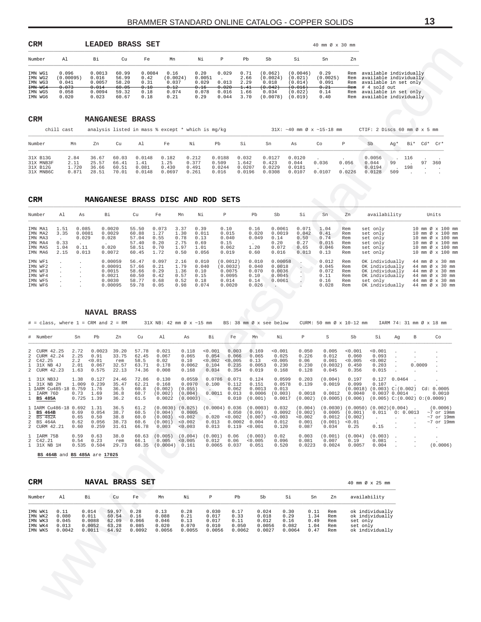<span id="page-12-0"></span>

| <b>CRM</b>                                                     |                                                        | LEADED BRASS SET                                      |                                                    |                                                |                                                    |                                                  |                                           |                                              |                                                              |                                                                 | 40 mm Ø x 30 mm                                   |                                        |                                                                                                                                              |          |
|----------------------------------------------------------------|--------------------------------------------------------|-------------------------------------------------------|----------------------------------------------------|------------------------------------------------|----------------------------------------------------|--------------------------------------------------|-------------------------------------------|----------------------------------------------|--------------------------------------------------------------|-----------------------------------------------------------------|---------------------------------------------------|----------------------------------------|----------------------------------------------------------------------------------------------------------------------------------------------|----------|
| Number                                                         | A1                                                     | Βi                                                    | Cu                                                 | Fe                                             | Mn                                                 | Νi                                               | P                                         | Pb                                           | Sb                                                           | Si                                                              | Sn                                                | Zn                                     |                                                                                                                                              |          |
| IMN WG1<br>IMN WG2<br>IMN WG3<br>IMN WG4<br>IMN WG5<br>IMN WG6 | 0.096<br>(0.00095)<br>0.041<br>0.073<br>0.058<br>0.020 | 0.0013<br>0.016<br>0.0057<br>0.014<br>0.0094<br>0.023 | 60.99<br>56.99<br>58.20<br>60.05<br>59.32<br>60.67 | 0.0084<br>0.42<br>0.31<br>0.10<br>0.18<br>0.18 | 0.16<br>(0.0024)<br>0.037<br>0.12<br>0.074<br>0.21 | 0.20<br>0.0051<br>0.029<br>0.16<br>0.078<br>0.29 | 0.029<br>0.013<br>0.020<br>0.016<br>0.044 | 0.71<br>2.66<br>2.29<br>1.41<br>1.66<br>3.70 | (0.062)<br>(0.0024)<br>0.018<br>(0.042)<br>0.034<br>(0.0078) | (0.0046)<br>(0.021)<br>(0.014)<br>(0.016)<br>(0.022)<br>(0.019) | 0.29<br>(0.0025)<br>0.091<br>0.21<br>0.14<br>0.40 | Rem<br>Rem<br>Rem<br>Rem<br>Rem<br>Rem | available individually<br>available individually<br>available in set only<br># 4 sold out<br>available in set only<br>available individually |          |
| <b>CRM</b>                                                     |                                                        | MANGANESE BRASS                                       |                                                    |                                                |                                                    |                                                  |                                           |                                              |                                                              |                                                                 |                                                   |                                        |                                                                                                                                              |          |
|                                                                | chill cast                                             |                                                       |                                                    |                                                | analysis listed in mass % except * which is mq/kq  |                                                  |                                           |                                              |                                                              |                                                                 | $31X: ~ -40$ mm $\varnothing$ x $~ -15 - 18$ mm   |                                        | CTIF: 2 Discs 60 mm $\varnothing$ x 5 mm                                                                                                     |          |
| Number                                                         | Mn                                                     | Zn                                                    | Cu                                                 | A1                                             | Fe                                                 | Νi                                               | Pb                                        | Si                                           | Sn                                                           | As                                                              | Co                                                | P                                      | Sb<br>Cd*<br>Bi*<br>Aq*                                                                                                                      | $C_{r*}$ |

| 31X B13G  | 2.84  | 36.67 | 60.03 | 0.0148 | 0.182  | 0.212 | 0.0188 | 0.032  | 0.0127 | 0.0120 |        |        | 0.0056 |     |     |     |
|-----------|-------|-------|-------|--------|--------|-------|--------|--------|--------|--------|--------|--------|--------|-----|-----|-----|
| 31X MNB3F | 2.11  | 25.57 | 66.41 | 1.41   | 1.25   | 0.377 | 0.509  | 1.642  | 0.423  | 0.044  | 0.036  | 0.056  | 0.044  | 99  |     | 360 |
| 31X B12G  | .720  | 36.66 | 60.51 | 0.081  | 0.430  | 0.491 | 0.0244 | 0.0207 | 0.0229 | 0.0181 |        |        | 0.0194 |     | 198 |     |
| 31X MNB6C | 0.871 | 28.51 | 70.01 | 0.0148 | 0.0697 | 0.261 | 0.016  | 0.0196 | 0.0308 | 0.0107 | 0.0107 | 0.0226 | 0.0128 | 509 |     |     |

| Number                                                         | A1                                   | As                                        | Bi                                                          | Cu                                                 | Fe                                            | Mn                                           | Νi                                              | P                                                           | Pb                                               | Sb                                                 | Si                                              | Sn                                               | Zn                                     | availability                                                                                            | Units                                                                                                                                                                                               |
|----------------------------------------------------------------|--------------------------------------|-------------------------------------------|-------------------------------------------------------------|----------------------------------------------------|-----------------------------------------------|----------------------------------------------|-------------------------------------------------|-------------------------------------------------------------|--------------------------------------------------|----------------------------------------------------|-------------------------------------------------|--------------------------------------------------|----------------------------------------|---------------------------------------------------------------------------------------------------------|-----------------------------------------------------------------------------------------------------------------------------------------------------------------------------------------------------|
| IMN MA1<br>IMN MA2<br>IMN MA3<br>IMN MA4<br>IMN MA5<br>IMN MA6 | 1.51<br>3.35<br>0.33<br>1.04<br>2.15 | 0.085<br>0.0081<br>0.029<br>0.11<br>0.013 | 0.0020<br>0.0029<br>0.028<br>0.020<br>0.0072                | 55.50<br>60.88<br>57.04<br>57.40<br>58.51<br>60.45 | 0.073<br>1.27<br>0.55<br>0.20<br>0.70<br>1.72 | 3.37<br>1.30<br>0.78<br>2.75<br>1.97<br>0.50 | 0.39<br>0.011<br>0.13<br>0.69<br>1.01<br>0.056  | 0.10<br>0.015<br>0.040<br>0.15<br>0.062<br>0.019            | 0.16<br>0.020<br>0.049<br>1.20<br>0.60           | 0.0061<br>0.0019<br>0.14<br>0.20<br>0.072<br>0.016 | 0.071<br>0.042<br>0.50<br>0.27<br>0.65<br>0.013 | 1.04<br>0.41<br>0.74<br>0.015<br>0.046<br>0.13   | Rem<br>Rem<br>Rem<br>Rem<br>Rem<br>Rem | set only<br>set only<br>set only<br>set only<br>set only<br>set only                                    | 10 mm $\varnothing$ x 100 mm<br>10 mm $\varnothing$ x 100 mm<br>10 mm $\varnothing$ x 100 mm<br>10 mm $\varnothing$ x 100 mm<br>10 mm $\varnothing \times 100$ mm<br>10 mm $\varnothing$ x 100 mm   |
| IMN WF1<br>IMN WF2<br>IMN WF3<br>IMN WF4<br>IMN WF5<br>IMN WF6 |                                      |                                           | 0.00059<br>0.00091<br>0.0015<br>0.0021<br>0.0030<br>0.00095 | 56.47<br>57.66<br>58.66<br>60.50<br>58.77<br>59.78 | 0.097<br>0.21<br>0.29<br>0.42<br>0.68<br>0.05 | 2.16<br>1.79<br>1.36<br>0.57<br>0.52<br>0.98 | 0.010<br>0.040<br>0.10<br>0.15<br>0.18<br>0.074 | (0.0012)<br>(0.0032)<br>0.0075<br>0.0095<br>0.014<br>0.0020 | 0.010<br>0.040<br>0.070<br>0.10<br>0.14<br>0.026 | 0.00058<br>0.0018<br>0.0036<br>0.0045<br>0.0061    |                                                 | 0.012<br>0.045<br>0.072<br>0.11<br>0.16<br>0.028 | Rem<br>Rem<br>Rem<br>Rem<br>Rem<br>Rem | OK individually<br>OK individually<br>OK individually<br>OK individually<br>set only<br>OK individually | 44 mm $\varnothing \times 30$ mm<br>44 mm $\varnothing \times 30$ mm<br>44 mm $\varnothing \times 30$ mm<br>44 mm $\varnothing \times 30$ mm<br>44 mm Ø x 30 mm<br>44 mm $\varnothing \times 30$ mm |

| $#$ = class, where 1 = CRM and 2 = RM |    |    |    |    |      |           |    |    |    |       |  | $31X$ NB: $42$ mm $\emptyset$ x $\sim$ 15 mm BS: 38 mm $\emptyset$ x see below CURM: 50 mm $\emptyset$ x 10-12 mm IARM 74: 31 mm $\emptyset$ x 18 mm |  |  |
|---------------------------------------|----|----|----|----|------|-----------|----|----|----|-------|--|------------------------------------------------------------------------------------------------------------------------------------------------------|--|--|
| # Number                              | Sn | Pb | Zn | Cu | Al a | <b>As</b> | Bi | Fe | Mn | Ni PS |  | Sb Si Aq B                                                                                                                                           |  |  |

| Number                                                                                                 | Al                                                     |                                              | Bi                                                          | ${\rm Cu}$                                         | Fe                                                                          | Mn                                                 |                                                                        | Νi<br>Ρ                                                     |                                                             | Pb<br>Sb                                          |                                                              | Si                                                              | Sn                                                | Zn                                              |                                                                                                                                              |                    |                               |                           |                                                                                                                      |
|--------------------------------------------------------------------------------------------------------|--------------------------------------------------------|----------------------------------------------|-------------------------------------------------------------|----------------------------------------------------|-----------------------------------------------------------------------------|----------------------------------------------------|------------------------------------------------------------------------|-------------------------------------------------------------|-------------------------------------------------------------|---------------------------------------------------|--------------------------------------------------------------|-----------------------------------------------------------------|---------------------------------------------------|-------------------------------------------------|----------------------------------------------------------------------------------------------------------------------------------------------|--------------------|-------------------------------|---------------------------|----------------------------------------------------------------------------------------------------------------------|
| IMN WG1<br>IMN WG2<br>IMN WG3<br>IMN WG4<br>IMN WG5<br>IMN WG6                                         | 0.096<br>(0.00095)<br>0.041<br>0.073<br>0.058<br>0.020 |                                              | 0.0013<br>0.016<br>0.0057<br>0.014<br>0.0094<br>0.023       | 60.99<br>56.99<br>58.20<br>60.05<br>59.32<br>60.67 | 0.0084<br>0.42<br>0.31<br>0.10<br>0.18<br>0.18                              | 0.16<br>(0.0024)<br>0.037<br>0.12<br>0.074<br>0.21 |                                                                        | 0.20<br>0.0051<br>0.029<br><del>0.16</del><br>0.078<br>0.29 | 0.029<br>0.013<br>0.020<br>0.016<br>0.044                   | 0.71<br>2.66<br>2.29<br>1.41<br>1.66<br>3.70      | (0.062)<br>(0.0024)<br>0.018<br>(0.042)<br>0.034<br>(0.0078) | (0.0046)<br>(0.021)<br>(0.014)<br>(0.016)<br>(0.022)<br>(0.019) | 0.29<br>(0.0025)<br>0.091<br>0.21<br>0.14<br>0.40 | Rem<br>Rem<br>Rem<br>Rem<br>Rem<br>Rem          | available individually<br>available individually<br>available in set only<br># 4 sold out<br>available in set only<br>available individually |                    |                               |                           |                                                                                                                      |
| CRM                                                                                                    | chill cast                                             |                                              |                                                             |                                                    | <b>MANGANESE BRASS</b><br>analysis listed in mass % except * which is mg/kg |                                                    |                                                                        |                                                             |                                                             |                                                   |                                                              | $31X: ~ -40$ mm $\varnothing$ x $~ -15 - 18$ mm                 |                                                   |                                                 | CTIF: 2 Discs 60 mm Ø x 5 mm                                                                                                                 |                    |                               |                           |                                                                                                                      |
| Number                                                                                                 |                                                        | Mn                                           | Zn                                                          | Cu                                                 | Al                                                                          | Fe                                                 | Νi                                                                     | Pb                                                          | Si                                                          | Sn                                                |                                                              | As                                                              | Co                                                | $\mathbb P$                                     | Sb                                                                                                                                           | Ag*                | Bi*                           | $Cd^*$ $Cr^*$             |                                                                                                                      |
| 31X B13G<br>31X MNB3F<br>31X B12G<br>31X MNB6C                                                         |                                                        | 2.84<br>2.11<br>1.720<br>0.871               | 36.67<br>25.57<br>36.66<br>28.51                            | 60.03<br>66.41<br>60.51<br>70.01                   | 0.0148<br>1.41<br>0.081<br>0.0148                                           | 0.182<br>1.25<br>0.430<br>0.0697                   | 0.212<br>0.377<br>0.491<br>0.261                                       | 0.0188<br>0.509<br>0.0244<br>0.016                          | 0.032<br>1.642                                              | 0.0207<br>0.0196                                  | 0.0127<br>0.423<br>0.0229<br>0.0308                          | 0.0120<br>0.044<br>0.0181<br>0.0107                             | 0.036<br>0.0107                                   | 0.056<br>0.0226                                 | 0.0056<br>0.044<br>0.0194<br>0.0128                                                                                                          | 99<br>509          | 116<br>198                    | 97                        | 360                                                                                                                  |
| <b>CRM</b>                                                                                             |                                                        |                                              |                                                             |                                                    | MANGANESE BRASS DISC AND ROD SETS                                           |                                                    |                                                                        |                                                             |                                                             |                                                   |                                                              |                                                                 |                                                   |                                                 |                                                                                                                                              |                    |                               |                           |                                                                                                                      |
| Number                                                                                                 | Al                                                     | As                                           | Bi.                                                         |                                                    | Cu                                                                          | Fe                                                 | Mn                                                                     | Νi                                                          | Р                                                           | Pb                                                | Sb                                                           | Si                                                              | Sn                                                | Zn                                              | availability                                                                                                                                 |                    |                               | Units                     |                                                                                                                      |
| IMN MA1<br>IMN MA2<br>IMN MA3<br>IMN MA4<br>IMN MA5<br>IMN MA6                                         | 1.51<br>3.35<br>0.33<br>1.04<br>2.15                   | 0.085<br>0.0081<br>0.029<br>0.11<br>0.013    | 0.0020<br>0.0029<br>0.028<br>0.020<br>0.0072                |                                                    | 55.50<br>60.88<br>57.04<br>57.40<br>58.51<br>60.45                          | 0.073<br>1.27<br>0.55<br>0.20<br>0.70<br>1.72      | 3.37<br>1.30<br>0.78<br>2.75<br>1.97<br>0.50                           | 0.39<br>0.011<br>0.13<br>0.69<br>1.01<br>0.056              | 0.10<br>0.015<br>0.040<br>0.15<br>0.062<br>0.019            | 0.16<br>0.020<br>0.049<br>1.20<br>0.60            | 0.0061<br>0.0019<br>0.14<br>0.20<br>0.072<br>0.016           | 0.071<br>0.042<br>0.50<br>0.27<br>0.65<br>0.013                 | 1.04<br>0.41<br>0.74<br>0.015<br>0.046<br>0.13    | Rem<br>Rem<br>Rem<br>Rem<br>Rem<br>Rem          | set only<br>set only<br>set only<br>set only<br>set only<br>set only                                                                         |                    |                               |                           | 10 mm Ø x 100 mm<br>10 mm Ø x 100 mm<br>10 mm Ø x 100 mm<br>10 mm Ø x 100 mm<br>10 mm Ø x 100 mm<br>10 mm Ø x 100 mm |
| IMN WF1<br>IMN WF2<br>IMN WF3<br>IMN WF4<br>IMN WF5<br>IMN WF6                                         |                                                        | $\cdot$                                      | 0.00059<br>0.00091<br>0.0015<br>0.0021<br>0.0030<br>0.00095 |                                                    | 56.47<br>57.66<br>58.66<br>60.50<br>58.77<br>59.78                          | 0.097<br>0.21<br>0.29<br>0.42<br>0.68<br>0.05      | 2.16<br>1.79<br>1.36<br>0.57<br>0.52<br>0.98                           | 0.010<br>0.040<br>0.10<br>0.15<br>0.18<br>0.074             | (0.0012)<br>(0.0032)<br>0.0075<br>0.0095<br>0.014<br>0.0020 | 0.010<br>0.040<br>0.070<br>0.10<br>0.14<br>0.026  | 0.00058<br>0.0018<br>0.0036<br>0.0045<br>0.0061              | $\cdot$<br>$\cdot$<br>$\cdot$                                   | 0.012<br>0.045<br>0.072<br>0.11<br>0.16<br>0.028  | Rem<br>Rem<br>Rem<br>Rem<br>Rem<br>Rem          | OK individually<br>OK individually<br>OK individually<br>OK individually<br>set only<br>OK individually                                      |                    |                               |                           | 44 mm Ø x 30 mm<br>44 mm Ø x 30 mm<br>44 mm Ø x 30 mm<br>44 mm Ø x 30 mm<br>44 mm Ø x 30 mm<br>44 mm Ø x 30 mm       |
|                                                                                                        |                                                        |                                              | <b>NAVAL BRASS</b>                                          |                                                    |                                                                             |                                                    |                                                                        |                                                             |                                                             |                                                   |                                                              |                                                                 |                                                   |                                                 |                                                                                                                                              |                    |                               |                           |                                                                                                                      |
| $\#$ = class, where 1 = CRM and 2 = RM<br>$\#$<br>Number                                               |                                                        | Sn                                           | Pb                                                          | Zn                                                 | Cu                                                                          | Al                                                 | $31X$ NB: 42 mm $\emptyset$ x ~15 mm<br>As                             | Bi                                                          | Fe                                                          | BS: 38 mm Ø x see below<br>Mn                     | Νi                                                           | Ρ                                                               | CURM: 50 mm Ø x 10-12 mm<br>S                     | Sb                                              | Si                                                                                                                                           | Ag                 | IARM 74: 31 mm Ø x 18 mm<br>B |                           | Co                                                                                                                   |
| CURM 42.25<br>2<br>2<br>CURM 42.24<br>2<br>C42.25<br>1<br>31X NB 4J<br>2<br>CURM 42.23                 |                                                        | 2.72<br>2.25<br>2.2<br>2.01<br>1.63          | 0.0023<br>0.91<br>0.01<br>0.067<br>0.575                    | 39.20<br>33.75<br>rem<br>32.57<br>22.13            | 57.78<br>62.45<br>58.5<br>63.71<br>74.36                                    | 0.021<br>0.067<br>0.02<br>0.178<br>0.008           | 0.118<br>0.065<br>0.10<br>0.0062                                       | 0.001<br>0.054<br>0.002<br>0.104<br>0.034                   | 0.003<br>0.066<br>< 0.005<br>0.235<br>0.354                 | 0.169<br>0.065<br>0.13<br>0.0053<br>0.019         | 0.001<br>0.025<br>0.005<br>0.230                             | 0.050<br>0.226<br>0.06<br>0.230<br>0.128                        | 0.005<br>0.012<br>0.001<br>(0.0032)<br>0.045      | < 0.001<br>0.060<br>0.005<br>0.450<br>0.356     | 0.001<br>0.093<br>0.002<br>0.203<br>0.015                                                                                                    | $\cdot$<br>$\cdot$ | 0.0009                        |                           |                                                                                                                      |
| 1<br>31X NB3J<br>31X NB 2H<br>-1<br>IARM Cu485-18 0.759<br>1<br>IARM 76D<br>1<br><b>BS 485A</b>        |                                                        | 1.38<br>1.009<br>0.73<br>0.725               | 0.127<br>0.239<br>1.76<br>1.69<br>1.39                      | 24.46<br>35.47<br>36.5<br>36.8<br>36.2             | 72.86<br>62.21<br>60.8<br>60.7<br>61.5                                      | 0.130<br>0.168<br>(0.002)<br>(0.002)<br>0.0022     | 0.168<br>0.0559<br>0.0970<br>(0.055)<br>(0.004)<br>(0.0003)            | 0.0786<br>0.100                                             | 0.071<br>0.112<br>0.062<br>$0.0011$ $0.013$<br>0.010        | 0.124<br>0.151<br>0.0013<br>0.0006<br>(0.001)     | 0.168<br>0.0599<br>0.0578<br>0.013<br>(0.003)<br>0.0017      | 0.203<br>0.139<br>0.0018<br>(0.002)                             | (0.004)<br>0.0019<br>0.0012<br>(0.0005)           | 0.197<br>0.099<br>(0.0018)<br>0.0040<br>(0.006) | 0.107<br>$(0.003)$ C: $(0.002)$<br>$0.00370.0014$ .<br>$(0.005)$ C: $(0.002)$                                                                | $0.127$ 0.0464     |                               | Cd: 0.0005<br>O: (0.0009) | 0.0010                                                                                                               |
| 1 IARM Cu486-18 0.692<br>1<br><b>BS 464B</b><br>2<br><b>BS 482A</b><br>2<br>BS 464A<br>2<br>CURM 42.21 |                                                        | 0.69<br>0.65<br>0.62<br>0.60                 | 1.31<br>0.054<br>0.50<br>0.056<br>0.259                     | 36.5<br>38.7<br>38.8<br>38.73<br>31.61             | 61.2<br>60.5<br>60.0<br>60.6<br>66.78                                       | (0.004)<br>(0.001)<br>0.003                        | $(0.0030)$ $(0.025)$<br>0.0005<br>$(0.003)$ <0.002<br>0.002<br>< 0.003 | 0.020<br>0.013<br>0.013                                     | $(0.0004)$ 0.036<br>0.050<br>< 0.002<br>0.0002<br>0.119     | (0.0003)<br>(0.09)<br>(0.007)<br>0.004<br>< 0.001 | 0.032<br>0.0092<br>0.003<br>0.012<br>0.120                   | (0.004)<br>(0.002)<br>< 0.002<br>0.001<br>0.087                 | 0.0005<br>0.0012<br>(0.001)<br>0.034              | (0.001)<br>(0.002)<br>< 0.01<br>0.25            | $(0.0030)$ $(0.0050)$ $(0.002)(0.004)$<br>$0.011$ $0: 0.0013$<br>$\cdot$<br>0.15                                                             |                    |                               |                           | (0.0006)<br>~19mm<br>~19mm<br>~19mm                                                                                  |
| IARM 75B<br>1<br>2<br>C42.21<br>1<br>31X NB 1H                                                         |                                                        | 0.59<br>0.54<br>0.535                        | 0.63<br>0.23<br>0.504<br>BS 464B and BS 485A are 17025      | 38.0<br>rem<br>29.73                               | 60.63<br>66.1<br>68.35                                                      | (0.005)<br>0.005<br>(0.0004)                       | (0.004)<br>< 0.005<br>0.161                                            | (0.001)<br>0.012                                            | 0.06<br>0.06<br>$0.0065$ 0.037                              | (0.003)<br>< 0.005<br>0.051                       | 0.02<br>0.096<br>0.520                                       | 0.003<br>0.081<br>0.0223                                        | (0.001)<br>0.007<br>0.0024                        | (0.004)<br>0.19<br>0.0057                       | (0.003)<br>0.081<br>0.004                                                                                                                    |                    | $\ddot{\phantom{a}}$          |                           | (0.0006)                                                                                                             |
| CRM                                                                                                    |                                                        |                                              |                                                             |                                                    | NAVAL BRASS SET                                                             |                                                    |                                                                        |                                                             |                                                             |                                                   |                                                              |                                                                 |                                                   |                                                 | 40 mm Ø x 25 mm                                                                                                                              |                    |                               |                           |                                                                                                                      |
| Number                                                                                                 | A1                                                     | Вi                                           |                                                             | Cu                                                 | Fe                                                                          | Mn                                                 | Νi                                                                     | $\, {\mathbb P}$                                            | Pb                                                          | Sb                                                | Si                                                           | Sn                                                              | Zn                                                |                                                 | availability                                                                                                                                 |                    |                               |                           |                                                                                                                      |
| IMN WK1<br>IMN WK2<br>IMN WK3<br>IMN WK4<br>IMN WK5                                                    | 0.11<br>0.080<br>0.045<br>0.013<br>0.0042              | 0.014<br>0.011<br>0.0088<br>0.0052<br>0.0011 | 59.97<br>60.54<br>62.09<br>63.28<br>64.92                   |                                                    | 0.28<br>0.16<br>0.066<br>0.085<br>0.0092                                    | 0.13<br>0.088<br>0.046<br>0.020<br>0.0056          | 0.28<br>0.21<br>0.13<br>0.070<br>0.0055                                | 0.030<br>0.017<br>0.017<br>0.010<br>0.0056                  | 0.17<br>0.33<br>0.11<br>0.050<br>0.0062                     | 0.024<br>0.018<br>0.012<br>0.0056<br>0.0027       | 0.30<br>0.29<br>0.16<br>0.082                                | 0.11<br>1.34<br>0.49<br>1.04<br>0.0064<br>0.47                  | Rem<br>Rem<br>Rem<br>Rem<br>Rem                   |                                                 | ok individually<br>ok individually<br>set only<br>set only<br>ok individually                                                                |                    |                               |                           |                                                                                                                      |
|                                                                                                        |                                                        |                                              |                                                             |                                                    |                                                                             |                                                    |                                                                        |                                                             |                                                             |                                                   |                                                              |                                                                 |                                                   |                                                 |                                                                                                                                              |                    |                               |                           |                                                                                                                      |

| CRM                                      |                                 | <b>NAVAL</b>                       |                                  | <b>BRASS SET</b>               |                                 |                               |                                  |                               |                                   |                               |                              |                          | 40 mm Ø x 25 mm                                            |
|------------------------------------------|---------------------------------|------------------------------------|----------------------------------|--------------------------------|---------------------------------|-------------------------------|----------------------------------|-------------------------------|-----------------------------------|-------------------------------|------------------------------|--------------------------|------------------------------------------------------------|
| Number                                   | Al                              | Вi                                 | Cu                               | Fe                             | Mn                              | Νi                            | Р                                | Pb                            | Sb                                | Si                            | Sn                           | Zn                       | availability                                               |
| IMN WK1<br>IMN WK2<br>IMN WK3<br>IMN WK4 | 0.11<br>0.080<br>0.045<br>0.013 | 0.014<br>0.011<br>0.0088<br>0.0052 | 59.97<br>60.54<br>62.09<br>63.28 | 0.28<br>0.16<br>0.066<br>0.085 | 0.13<br>0.088<br>0.046<br>0.020 | 0.28<br>0.21<br>0.13<br>0.070 | 0.030<br>0.017<br>0.017<br>0.010 | 0.17<br>0.33<br>0.11<br>0.050 | 0.024<br>0.018<br>0.012<br>0.0056 | 0.30<br>0.29<br>0.16<br>0.082 | 0.11<br>1.34<br>0.49<br>1.04 | Rem<br>Rem<br>Rem<br>Rem | ok individually<br>ok individually<br>set only<br>set only |
| IMN WK5                                  | 0.0042                          | 0.0011                             | 64.92                            | 0.0092                         | 0.0056                          | 0.0055                        | 0.0056                           | 0.0062                        | 0.0027                            | 0.0064                        | 0.47                         | Rem                      | ok individually                                            |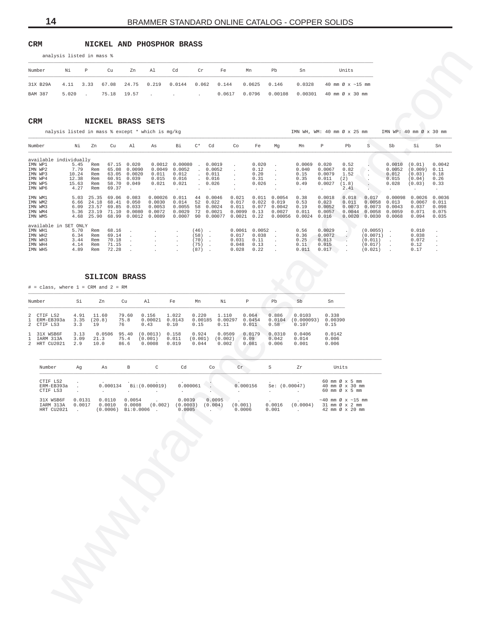# <span id="page-13-0"></span>**CRM NICKEL AND PHOSPHOR BRASS**

| Number         | Ni     | $\mathbb{P}$ | Cu | Zn | Al | Cd | Cr | Fe | Mn            | Ph                                                                              | Sn     | Units                                    |
|----------------|--------|--------------|----|----|----|----|----|----|---------------|---------------------------------------------------------------------------------|--------|------------------------------------------|
| 31X B29A       |        |              |    |    |    |    |    |    |               | $4.11$ $3.33$ $67.08$ $24.75$ $0.219$ $0.0144$ $0.062$ $0.144$ $0.0625$ $0.146$ | 0.0328 | 40 mm $\varnothing$ x ~15 mm             |
| <b>BAM 387</b> | 5.020. |              |    |    |    |    |    |    | 0.0617 0.0796 | 0.00108                                                                         |        | $0.00301$ 40 mm $\emptyset \times 30$ mm |

#### **CRM NICKEL BRASS SETS**

|                                                                                          | analysis listed in mass %       |                                                  |                                        |                                                          |                                             |                                                                       |                                                                                   |                                      |                                                                                               |                                                           |                                                   |                                                |                                                    |                                                         |                                                                    |                                                               |                                             |                                                 |                                            |
|------------------------------------------------------------------------------------------|---------------------------------|--------------------------------------------------|----------------------------------------|----------------------------------------------------------|---------------------------------------------|-----------------------------------------------------------------------|-----------------------------------------------------------------------------------|--------------------------------------|-----------------------------------------------------------------------------------------------|-----------------------------------------------------------|---------------------------------------------------|------------------------------------------------|----------------------------------------------------|---------------------------------------------------------|--------------------------------------------------------------------|---------------------------------------------------------------|---------------------------------------------|-------------------------------------------------|--------------------------------------------|
| Number                                                                                   | Νi                              | $\, {\mathbb P}$                                 | Cu                                     |                                                          | Zn                                          | Al                                                                    | Cd                                                                                | Cr                                   | Fe                                                                                            |                                                           | Mn                                                | Pb                                             | Sn                                                 |                                                         | Units                                                              |                                                               |                                             |                                                 |                                            |
| 31X B29A<br><b>BAM 387</b>                                                               | 4.11<br>5.020                   | 3.33                                             | 67.08<br>75.18                         |                                                          | 24.75<br>19.57                              | 0.219                                                                 | 0.0144                                                                            | 0.062                                | 0.144                                                                                         | 0.0617                                                    | 0.0625<br>0.0796                                  | 0.146<br>0.00108                               | 0.0328<br>0.00301                                  |                                                         | 40 mm Ø x ~15 mm<br>40 mm Ø x 30 mm                                |                                                               |                                             |                                                 |                                            |
| CRM                                                                                      |                                 |                                                  |                                        |                                                          |                                             | NICKEL BRASS SETS<br>nalysis listed in mass % except * which is mg/kg |                                                                                   |                                      |                                                                                               |                                                           |                                                   |                                                | IMN WH, WM: 40 mm Ø x 25 mm                        |                                                         |                                                                    |                                                               |                                             | IMN WP: 40 mm Ø x 30 mm                         |                                            |
| Number                                                                                   |                                 | Νi<br>Zn                                         |                                        | Cu                                                       | Al                                          | As                                                                    | Вi                                                                                | $C^*$                                | Cd                                                                                            | Co                                                        | Fe                                                | Mg                                             | Mn                                                 | $\, {\mathbb P}$                                        | Pb                                                                 | $\rm S$                                                       | Sb                                          | Si                                              | Sn                                         |
| available individually<br>IMN WP1<br>IMN WP2<br>IMN WP3<br>IMN WP4<br>IMN WP5<br>IMN WP6 | 7.79<br>10.24<br>12.38<br>15.63 | 5.45<br>4.27                                     | Rem<br>Rem<br>Rem<br>Rem<br>Rem<br>Rem | 67.15 0.020<br>65.08<br>63.05<br>60.91<br>58.70<br>69.37 | 0.0090<br>0.0020<br>0.039<br>0.049          | 0.0049<br>0.011<br>0.015<br>0.021<br>$\cdot$                          | $0.0012$ $0.00080$<br>0.0052<br>0.012<br>0.016<br>0.021                           |                                      | . 0.0019<br>. 0.0052<br>. 0.011<br>. 0.016<br>. 0.026                                         | $\cdot$<br>$\cdot$<br>$\cdot$                             | 0.020<br>0.12<br>0.20<br>0.31<br>0.026<br>$\cdot$ |                                                | 0.0069<br>0.040<br>0.15<br>0.35<br>0.49<br>$\cdot$ | 0.020<br>0.0067<br>0.0079<br>0.011<br>0.0027<br>$\cdot$ | 0.52<br>0.82<br>1.52<br>(2)<br>(1.8)<br>2.41                       |                                                               | 0.0010<br>0.0052<br>0.012<br>0.015<br>0.028 | (0.01)<br>(0.009)<br>(0.03)<br>(0.04)<br>(0.03) | 0.0042<br>0.11<br>0.18<br>0.26<br>0.33     |
| IMN WM1<br>IMN WM2<br>IMN WM3<br>IMN WM4<br>IMN WM5                                      |                                 | 5.03<br>6.66<br>6.09<br>5.36 23.19<br>4.68 25.90 | 25.35<br>24.18<br>23.57                | 69.06<br>68.41<br>69.85<br>71.10<br>68.99                | 0.083<br>0.050<br>0.033<br>0.0080<br>0.0012 | 0.00026<br>0.0030<br>0.0053<br>0.0072<br>0.0089                       | 0.011<br>0.014<br>0.0055<br>0.0029<br>0.0007                                      | 52<br>58<br>72                       | 44 0.0046<br>0.022<br>0.0024<br>0.0021<br>90 0.00077                                          | 0.021<br>0.017<br>0.011<br>0.0099 0.13<br>$0.0021$ $0.22$ | 0.011<br>0.022<br>0.077                           | 0.0054<br>0.019<br>0.0042<br>0.0027<br>0.00056 | 0.38<br>0.53<br>0.19<br>0.011<br>0.0024            | 0.0018<br>0.023<br>0.0052<br>0.0057<br>0.016            | 0.018<br>0.011<br>0.0073<br>0.0044                                 | 0.017<br>0.0058<br>0.0073<br>0.0058<br>$0.0020$ 0.0030 0.0068 | 0.00098<br>0.013<br>0.0043<br>0.0059        | 0.0026<br>0.0067<br>0.037<br>0.071<br>0.094     | 0.0036<br>0.011<br>0.098<br>0.075<br>0.035 |
| available in SET ONLY<br>IMN WH1<br>IMN WH2<br>IMN WH3<br>IMN WH4<br>IMN WH5             |                                 | 5.70<br>6.34<br>3.44<br>4.14<br>4.89             | Rem<br>Rem<br>Rem<br>Rem<br>Rem        | 68.16<br>69.14<br>70.18<br>71.15<br>72.28                |                                             |                                                                       | $\cdot$                                                                           | (46)<br>(58)<br>(70)<br>(75)<br>(87) | $\overline{\phantom{a}}$<br>$\sim$<br>$\blacksquare$ .<br>$\cdot$<br>$\overline{\phantom{a}}$ | 0.017<br>0.031<br>0.048<br>0.028                          | $0.0061$ 0.0052<br>0.038<br>0.11<br>0.13<br>0.22  | $\sim$<br>$\cdot$<br>$\cdot$<br>$\cdot$        | 0.56<br>0.36<br>0.25<br>0.11<br>0.011              | 0.0029<br>0.0072<br>0.013<br>0.015<br>0.017             | $\ddot{\phantom{0}}$<br>$\cdot$<br>$\cdot$<br>$\cdot$              | (0.0055)<br>(0.0071)<br>(0.011)<br>(0.017)<br>(0.021)         | $\cdot$                                     | 0.010<br>0.038<br>0.072<br>0.12<br>0.17         |                                            |
| $#$ = class, where $1$ = CRM and $2$ = RM                                                |                                 |                                                  | <b>SILICON BRASS</b>                   |                                                          |                                             |                                                                       |                                                                                   |                                      |                                                                                               |                                                           |                                                   |                                                |                                                    |                                                         |                                                                    |                                                               |                                             |                                                 |                                            |
| Number                                                                                   |                                 | Si                                               | Zn                                     | Cu                                                       |                                             | Al                                                                    | Fe                                                                                | Mn                                   | Νi                                                                                            |                                                           | $\mathbb P$                                       | $_{\rm Pb}$                                    | Sb                                                 | Sn                                                      |                                                                    |                                                               |                                             |                                                 |                                            |
| CTIF LS2<br>2<br>ERM-EB393a<br>$\mathbf{1}$<br>2<br>CTIF LS3                             |                                 | 4.91<br>3.35<br>3.3                              | 11.60<br>(20.8)<br>19                  | 79.60<br>75.8<br>76                                      |                                             | 0.156<br>0.00021<br>0.43                                              | 1.022<br>0.0143<br>0.10                                                           | 0.220<br>0.00185<br>0.15             | 1.110<br>0.11                                                                                 | 0.00297                                                   | 0.064<br>0.0454<br>0.011                          | 0.886<br>0.0104<br>0.58                        | 0.0103<br>(0.000093)<br>0.107                      | 0.338<br>0.00390<br>0.15                                |                                                                    |                                                               |                                             |                                                 |                                            |
| 31X WSB6F<br>-1.<br>IARM 313A<br>$\mathbf{1}$<br>$\overline{a}$<br>HRT CU2021            |                                 | 3.13<br>3.09<br>2.9                              | 0.0506<br>21.3<br>10.0                 | 95.40<br>75.4<br>86.6                                    |                                             | (0.0013)<br>(0.001)<br>0.0008                                         | 0.158<br>0.011<br>0.019                                                           | 0.924<br>(0.001)<br>0.044            | (0.002)<br>0.002                                                                              | 0.0509                                                    | 0.0179<br>0.09<br>0.081                           | 0.0310<br>0.042<br>0.006                       | 0.0406<br>0.014<br>0.001                           | 0.0142<br>0.006<br>0.006                                |                                                                    |                                                               |                                             |                                                 |                                            |
| Number                                                                                   |                                 | Ag                                               | As                                     |                                                          | В                                           | $\mathtt{C}$                                                          | Cd                                                                                |                                      | Co                                                                                            | $\operatorname{Cr}$                                       |                                                   | $\rm S$                                        | Zr                                                 |                                                         | Units                                                              |                                                               |                                             |                                                 |                                            |
| CTIF LS2<br>ERM-EB393a<br>CTIF LS3                                                       |                                 | $\blacksquare$                                   | 0.000134                               |                                                          |                                             | Bi: (0.000019)                                                        | 0.000061                                                                          |                                      |                                                                                               | 0.000156                                                  |                                                   | Se: (0.00047)                                  |                                                    |                                                         | 60 mm Ø x 5 mm<br>40 mm Ø x 30 mm<br>60 mm Ø x 5 mm                |                                                               |                                             |                                                 |                                            |
| 31X WSB6F<br>HRT CU2021 .                                                                |                                 | 0.0131                                           | 0.0110                                 |                                                          | 0.0054                                      | $(0.0006)$ Bi:0.0006.                                                 | 0.0039<br>IARM 313A  0.0017  0.0010  0.0008  (0.002)  (0.0003)  (0.004)<br>0.0005 |                                      | 0.0095                                                                                        | (0.001)<br>0.0006                                         |                                                   | 0.0016<br>0.001                                | (0.0004)<br><b>Contractor</b>                      |                                                         | $\sim$ 40 mm Ø x $\sim$ 15 mm<br>31 mm Ø x 2 mm<br>42 mm Ø x 20 mm |                                                               |                                             |                                                 |                                            |
|                                                                                          |                                 |                                                  |                                        |                                                          |                                             |                                                                       |                                                                                   |                                      |                                                                                               |                                                           |                                                   |                                                |                                                    |                                                         |                                                                    |                                                               |                                             |                                                 |                                            |
|                                                                                          |                                 |                                                  |                                        |                                                          |                                             |                                                                       |                                                                                   |                                      |                                                                                               |                                                           |                                                   |                                                |                                                    |                                                         |                                                                    |                                                               |                                             |                                                 |                                            |
|                                                                                          |                                 |                                                  |                                        |                                                          |                                             |                                                                       |                                                                                   |                                      |                                                                                               |                                                           |                                                   |                                                |                                                    |                                                         |                                                                    |                                                               |                                             |                                                 |                                            |
|                                                                                          |                                 |                                                  |                                        |                                                          |                                             |                                                                       |                                                                                   |                                      |                                                                                               |                                                           |                                                   |                                                |                                                    |                                                         |                                                                    |                                                               |                                             |                                                 |                                            |
|                                                                                          |                                 |                                                  |                                        |                                                          |                                             |                                                                       |                                                                                   |                                      |                                                                                               |                                                           |                                                   |                                                |                                                    |                                                         |                                                                    |                                                               |                                             |                                                 |                                            |
|                                                                                          |                                 |                                                  |                                        |                                                          |                                             |                                                                       |                                                                                   |                                      |                                                                                               |                                                           |                                                   |                                                |                                                    |                                                         |                                                                    |                                                               |                                             |                                                 |                                            |

### **SILICON BRASS**

| Number       | Si   | Zn     | Cu    | Al       | Fe     | Mn      | Νi      | Р      | Pb     | Sb         | Sn      |
|--------------|------|--------|-------|----------|--------|---------|---------|--------|--------|------------|---------|
| 2 CTIF LS2   | 4.91 | 11.60  | 79.60 | 0.156    | 1.022  | 0.220   | 1.110   | 0.064  | 0.886  | 0.0103     | 0.338   |
| 1 ERM-EB393a | 3.35 | (20.8) | 75.8  | 0.00021  | 0.0143 | 0.00185 | 0.00297 | 0.0454 | 0.0104 | (0.000093) | 0.00390 |
| 2 CTIF LS3   | 3.3  | 19     | 76    | 0.43     | 0.10   | 0.15    | 0.11    | 0.011  | 0.58   | 0.107      | 0.15    |
| 1 31X WSB6F  | 3.13 | 0.0506 | 95.40 | (0.0013) | 0.158  | 0.924   | 0.0509  | 0.0179 | 0.0310 | 0.0406     | 0.0142  |
| 1 IARM 313A  | 3.09 | 21.3   | 75.4  | (0.001)  | 0.011  | (0.001) | (0.002) | 0.09   | 0.042  | 0.014      | 0.006   |
| 2 HRT CU2021 | 2.9  | 10.0   | 86.6  | 0.0008   | 0.019  | 0.044   | 0.002   | 0.081  | 0.006  | 0.001      | 0.006   |

| Number                               | Αq               | As                           | в                             | $\mathcal{C}$                            | Cd                           | Co                | Cr                |                 | 7r       | Units                                                                                                                |
|--------------------------------------|------------------|------------------------------|-------------------------------|------------------------------------------|------------------------------|-------------------|-------------------|-----------------|----------|----------------------------------------------------------------------------------------------------------------------|
| CTIF LS2<br>ERM-EB393a<br>CTIF LS3   |                  | 0.000134                     | $\cdot$                       | $\sim$<br>Bi: (0.000019)<br>$\mathbf{r}$ | $\sim$<br>0.000061           |                   | 0.000156          | Se: (0.00047)   |          | $60$ mm $\varnothing$ x 5 mm<br>40 mm $\varnothing$ x 30 mm<br>$60$ mm $\varnothing$ x 5 mm                          |
| 31X WSB6F<br>IARM 313A<br>HRT CU2021 | 0.0131<br>0.0017 | 0.0110<br>0.0010<br>(0.0006) | 0.0054<br>0.0008<br>Bi:0.0006 | (0.002)                                  | 0.0039<br>(0.0003)<br>0.0005 | 0.0095<br>(0.004) | (0.001)<br>0.0006 | 0.0016<br>0.001 | (0.0004) | $\sim$ 40 mm Ø x $\sim$ 15 mm<br>$31 \text{ mm} \varnothing \times 2 \text{ mm}$<br>42 mm $\varnothing \times 20$ mm |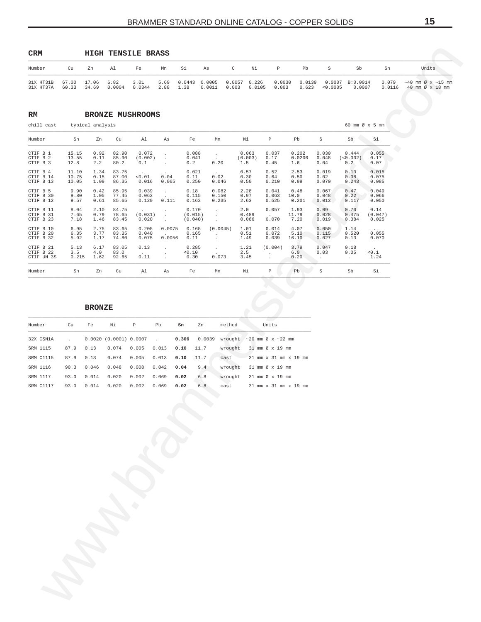<span id="page-14-0"></span>

| <b>CRM</b>                                                    |    |    | HIGH TENSILE BRASS |                                         |      |                 |           |                                                                                                                                                                                                                                                                                                  |    |                                                                 |       |          |                                    |    |                                                                      |
|---------------------------------------------------------------|----|----|--------------------|-----------------------------------------|------|-----------------|-----------|--------------------------------------------------------------------------------------------------------------------------------------------------------------------------------------------------------------------------------------------------------------------------------------------------|----|-----------------------------------------------------------------|-------|----------|------------------------------------|----|----------------------------------------------------------------------|
| Number                                                        | Cu | Zn | Al                 | Fe                                      |      | Mn Si           | <b>As</b> | $\mathbb{C}$ and $\mathbb{C}$ and $\mathbb{C}$ and $\mathbb{C}$ and $\mathbb{C}$ and $\mathbb{C}$ and $\mathbb{C}$ and $\mathbb{C}$ and $\mathbb{C}$ and $\mathbb{C}$ and $\mathbb{C}$ and $\mathbb{C}$ and $\mathbb{C}$ and $\mathbb{C}$ and $\mathbb{C}$ and $\mathbb{C}$ and $\mathbb{C}$ and | Ni | $\mathbb{P}$ and $\mathbb{P}$ and $\mathbb{P}$ and $\mathbb{P}$ | Pb    | - S      | Sb                                 | Sn | Units                                                                |
| 31X HT31B  67.00  17.06  6.82<br>31X HT37A 60.33 34.69 0.0004 |    |    |                    | 3.01<br>$0.0344$ $2.88$ $1.38$ $0.0011$ | 5.69 | $0.0443$ 0.0005 |           | $0.0057$ 0.226<br>$0.003$ 0.0105                                                                                                                                                                                                                                                                 |    | 0.0030<br>0.003                                                 | 0.623 | < 0.0005 | $0.0139$ 0.0007 B:0.0014<br>0.0007 |    | $0.079$ ~40 mm Ø x ~15 mm<br>$0.0116$ 40 mm $\emptyset \times 18$ mm |

#### $\mathbf{RM}$ BRONZE MUSHROOMS

| Number                               | Sn                      | Zn                   | Cu                      | Al                      | As                                                | Fe                          | Mn                                 | Νi                      | Ρ                        | Pb                     | S                                     | Sb                       | Si                       |
|--------------------------------------|-------------------------|----------------------|-------------------------|-------------------------|---------------------------------------------------|-----------------------------|------------------------------------|-------------------------|--------------------------|------------------------|---------------------------------------|--------------------------|--------------------------|
| CTIF B 1<br>CTIF B 2<br>CTIF B 3     | 15.15<br>13.55<br>12.8  | 0.92<br>0.11<br>2.2  | 82.90<br>85.90<br>80.2  | 0.072<br>(0.002)<br>0.1 | $\ddot{\phantom{a}}$<br>$\mathbf{r}$<br>$\lambda$ | 0.088<br>0.041<br>0.2       | $\mathbf{r}$<br>$\sim$<br>0.20     | 0.063<br>(0.003)<br>1.5 | 0.037<br>0.17<br>0.45    | 0.202<br>0.0206<br>1.6 | 0.030<br>0.048<br>0.04                | 0.444<br>(50.002)<br>0.2 | 0.055<br>0.17<br>0.07    |
| CTIF B 4<br>CTIF B 14<br>CTIF B 13   | 11.10<br>10.75<br>10.05 | 1.34<br>0.15<br>1.09 | 83.75<br>87.00<br>86.35 | < 0.01<br>0.016         | 0.04<br>0.065                                     | 0.021<br>0.11<br>0.250      | $\cdot$<br>0.02<br>0.046           | 0.57<br>0.30<br>0.50    | 0.52<br>0.64<br>0.210    | 2.53<br>0.50<br>0.99   | 0.019<br>0.02<br>0.070                | 0.10<br>0.08<br>0.243    | 0.015<br>0.075<br>0.085  |
| CTIF B 5<br>CTIF B 30<br>CTIF B 12   | 9.90<br>9.80<br>9.57    | 0.42<br>1.05<br>0.61 | 85.95<br>77.45<br>85.65 | 0.039<br>0.063<br>0.120 | $\mathbf{r}$<br>0.111                             | 0.18<br>0.115<br>0.162      | 0.082<br>0.150<br>0.235            | 2.28<br>0.97<br>2.63    | 0.041<br>0.063<br>0.525  | 0.48<br>10.0<br>0.201  | 0.067<br>0.048<br>0.013               | 0.47<br>0.22<br>0.117    | 0.049<br>0.066<br>0.050  |
| CTIF B 11<br>CTIF B 31<br>CTIF B 23  | 8.04<br>7.65<br>7.18    | 2.10<br>0.79<br>1.46 | 84.75<br>78.65<br>83.45 | (0.031)<br>0.020        | $\cdot$<br>÷.<br>$\mathbf{r}$                     | 0.170<br>(0.015)<br>(0.040) | $\mathbf{r}$<br>$\sim$             | 2.0<br>0.489<br>0.086   | 0.057<br>$\sim$<br>0.070 | 1.93<br>11.79<br>7.20  | 0.09<br>0.028<br>0.019                | 0.70<br>0.475<br>0.384   | 0.14<br>(0.047)<br>0.025 |
| CTIF B 10<br>CTIF B 20<br>CTIF B 32  | 6.95<br>6.35<br>5.92    | 2.75<br>3.77<br>1.17 | 83.65<br>83.35<br>74.80 | 0.205<br>0.040<br>0.075 | 0.0075<br><b>Service</b><br>0.0056                | 0.165<br>0.165<br>0.11      | (0.0045)<br>$\sim$<br>$\mathbf{r}$ | 1.01<br>0.51<br>1.49    | 0.014<br>0.072<br>0.039  | 4.07<br>5.10<br>16.10  | 0.050<br>0.115<br>0.027               | 1.14<br>0.520<br>0.13    | $\sim$<br>0.055<br>0.070 |
| CTIF B 21<br>CTIF B 22<br>CTIF UN 3S | 5.13<br>3.5<br>0.215    | 6.17<br>4.0<br>1.62  | 83.05<br>83.0<br>92.65  | 0.13<br>$\sim$<br>0.11  | $\mathbf{r}$<br>$\mathbf{r}$                      | 0.285<br>< 0.10<br>0.30     | $\mathbf{r}$<br>0.073              | 1.21<br>2.5<br>3.45     | (0.004)                  | 3.79<br>6.0<br>0.20    | 0.047<br>0.03<br>$\ddot{\phantom{0}}$ | 0.18<br>0.05<br>$\sim$   | $\sim$<br>< 0.1<br>1.24  |
| Number                               | Sn                      | Zn                   | Cu                      | Al                      | As                                                | Fe                          | Mn                                 | Νi                      | P                        | Pb                     | S                                     | Sb                       | Si                       |

### **BRONZE**

| Number    | Cu   | Fe    | Νi                                      | P     | Pb    | Sn   | Zn   | method  | Units                                                    |
|-----------|------|-------|-----------------------------------------|-------|-------|------|------|---------|----------------------------------------------------------|
| 32X CSN1A |      |       | $0.0020$ (0.0001) 0.0007 . 0.306 0.0039 |       |       |      |      |         | wrought $\approx 20$ mm $\varnothing$ x $\sim 22$ mm     |
| SRM 1115  | 87.9 | 0.13  | 0.074                                   | 0.005 | 0.013 | 0.10 | 11.7 |         | wrought $31 \text{ mm} \varnothing \times 19 \text{ mm}$ |
| SRM C1115 | 87.9 | 0.13  | 0.074                                   | 0.005 | 0.013 | 0.10 | 11.7 | cast    | 31 mm x 31 mm x 19 mm                                    |
| SRM 1116  | 90.3 | 0.046 | 0.048                                   | 0.008 | 0.042 | 0.04 | 9.4  | wrought | 31 mm Ø x 19 mm                                          |
| SRM 1117  | 93.0 | 0.014 | 0.020                                   | 0.002 | 0.069 | 0.02 | 6.8  | wrought | 31 mm Ø x 19 mm                                          |
| SRM C1117 | 93.0 | 0.014 | 0.020                                   | 0.002 | 0.069 | 0.02 | 6.8  | cast    | 31 mm x 31 mm x 19 mm                                    |

60 mm  $\varnothing$  x 5 mm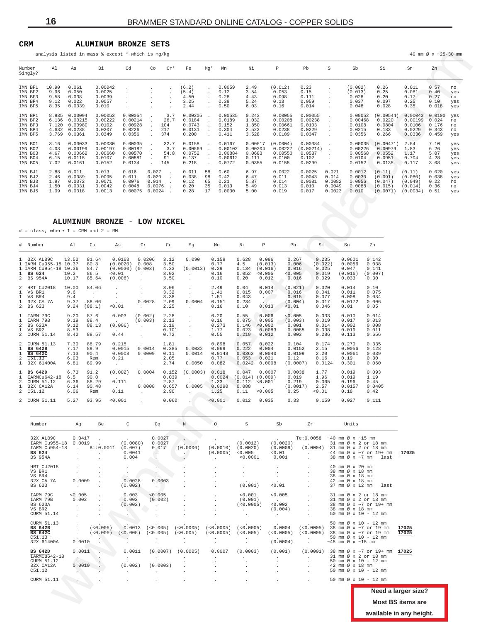#### <span id="page-15-0"></span> $\ensuremath{\mathsf{CRM}}$ ALUMINUM BRONZE SETS

analysis listed in mass % except \* which is mg/kg

40 mm  $\varnothing$  x ~25-30 mm

| Number<br>Singly?                                   | A1                                        | As                                                | Bi                                                | Cd                                                 | $Cr*$<br>Co                                        | Fe                                             | Mg*                        | Mn                                                | Νi                                              | P                                                  | Pb                                                | S                                            | Sb                                                | Si                                                  | Sn                                                  | Zn                                         |                                 |
|-----------------------------------------------------|-------------------------------------------|---------------------------------------------------|---------------------------------------------------|----------------------------------------------------|----------------------------------------------------|------------------------------------------------|----------------------------|---------------------------------------------------|-------------------------------------------------|----------------------------------------------------|---------------------------------------------------|----------------------------------------------|---------------------------------------------------|-----------------------------------------------------|-----------------------------------------------------|--------------------------------------------|---------------------------------|
| IMN BF1<br>IMN BF2<br>IMN BF3<br>IMN BF4<br>IMN BF5 | 10.90<br>9.96<br>9.58<br>9.12<br>8.35     | 0.061<br>0.050<br>0.038<br>0.022<br>0.0039        | 0.00042<br>0.0025<br>0.0039<br>0.0057<br>0.010    |                                                    | $\sim$<br>$\mathbf{r}$<br>$\overline{\phantom{a}}$ | (6.2)<br>(5.4)<br>4.50<br>3.25<br>2.44         | $\mathbf{r}$               | 0.0059<br>0.12<br>0.28<br>0.39<br>0.50            | 2.49<br>3.54<br>4.43<br>5.24<br>6.03            | (0.012)<br>0.053<br>0.098<br>0.13<br>0.16          | 0.23<br>0.15<br>0.111<br>0.059<br>0.014           |                                              | (0.002)<br>(0.013)<br>0.028<br>0.037<br>0.048     | 0.26<br>0.25<br>0.20<br>0.097<br>0.028              | 0.011<br>0.081<br>0.17<br>0.25<br>0.35              | 0.57<br>0.40<br>0.27<br>0.10<br>0.018      | no<br>yes<br>no<br>yes<br>yes   |
| IMN BP1<br>IMN BP2<br>IMN BP3<br>IMN BP4<br>IMN BP5 | 8.935<br>6.136<br>7.120<br>4.632<br>3.769 | 0.00094<br>0.00215<br>0.00980<br>0.0238<br>0.0361 | 0.00053<br>0.00222<br>0.0102<br>0.0207<br>0.0349  | 0.00054<br>0.00214<br>0.00928<br>0.0226<br>0.0356  | 3.7<br>26.7<br>104<br>217<br>374                   | 0.00305<br>0.0184<br>0.0743<br>0.0131<br>0.200 |                            | 0.00535<br>0.0189<br>0.152<br>0.304<br>0.411      | 0.243<br>1.032<br>1.850<br>2.522<br>3.528       | 0.00055<br>0.00208<br>0.00661<br>0.0238<br>0.0189  | 0.00055<br>0.00238<br>0.0103<br>0.0229<br>0.0347  |                                              | 0.00052<br>0.00468<br>0.0108<br>0.0215<br>0.0356  | (0.00544)<br>0.0220<br>0.0804<br>0.183<br>0.266     | 0.00043<br>0.00199<br>0.0106<br>0.0229<br>0.0336    | 0.0100<br>0.024<br>0.176<br>0.343<br>0.459 | yes<br>no<br>no<br>no<br>yes    |
| IMN BO1<br>IMN BO2<br>IMN BO3<br>IMN BO4<br>IMN BO5 | 3.16<br>4.03<br>4.67<br>6.15<br>7.02      | 0.00033<br>0.00199<br>0.00662<br>0.0115<br>0.0161 | 0.00030<br>0.00197<br>0.00660<br>0.0107<br>0.0152 | 0.00035<br>0.00182<br>0.00570<br>0.00881<br>0.0134 | 32.7<br>3.7<br>54.8<br>91<br>145                   | 0.0158<br>0.00569<br>0.0752<br>0.137<br>0.218  |                            | 0.0167<br>0.00102<br>0.00884<br>0.00612<br>0.0772 | 0.00517<br>0.00204<br>0.0683<br>0.111<br>0.0355 | (0.0004)<br>0.00227<br>0.00550<br>0.0100<br>0.0155 | 0.00384<br>(0.00214)<br>0.0537<br>0.102<br>0.0299 |                                              | 0.00035<br>0.00226<br>0.00568<br>0.0104<br>0.0152 | (0.00471)<br>0.00979<br>0.0552<br>0.0951<br>0.0135  | 2.54<br>1.83<br>1.17<br>0.704<br>0.117              | 7.10<br>6.26<br>5.07<br>4.28<br>3.08       | yes<br>yes<br>yes<br>yes<br>yes |
| IMN BJ1<br>IMN BJ2<br>IMN BJ3<br>IMN BJ4<br>IMN BJ5 | 2.88<br>2.46<br>1.97<br>1.50<br>1.09      | 0.011<br>0.0089<br>0.0072<br>0.0031<br>0.0018     | 0.013<br>0.0095<br>0.0071<br>0.0042<br>0.0013     | 0.016<br>0.011<br>0.0076<br>0.0048<br>0.00075      | 0.027<br>0.020<br>0.014<br>0.0076<br>0.0024        | 0.011<br>0.038<br>0.12<br>0.20<br>0.28         | 58<br>98<br>65<br>35<br>17 | 0.60<br>0.42<br>0.21<br>0.013<br>0.0030           | 6.97<br>6.47<br>5.87<br>5.49<br>5.00            | 0.0022<br>0.011<br>0.014<br>0.013<br>0.019         | 0.0025<br>0.0043<br>0.0081<br>0.010<br>0.017      | 0.021<br>0.014<br>0.0082<br>0.0049<br>0.0023 | 0.0012<br>0.0030<br>0.0056<br>0.0088<br>0.010     | (0.11)<br>(0.091)<br>(0.047)<br>(0.015)<br>(0.0071) | (0.11)<br>(0.080)<br>(0.049)<br>(0.014)<br>(0.0034) | 0.020<br>0.038<br>0.22<br>0.36<br>0.51     | yes<br>yes<br>no<br>no<br>yes   |

#### ALUMINUM BRONZE - LOW NICKEL

 $#$  = class, where 1 = CRM and 2 = RM

|                                               | # Number                                                                             | Al                                   | Cu                                        | As                                                  | Cr                                         | Fe                                      | Ma                                      | Mn                                        | Νi                                          | P                                               | Pb                                             | Si                                          | Sn                                            | Zn                                         |
|-----------------------------------------------|--------------------------------------------------------------------------------------|--------------------------------------|-------------------------------------------|-----------------------------------------------------|--------------------------------------------|-----------------------------------------|-----------------------------------------|-------------------------------------------|---------------------------------------------|-------------------------------------------------|------------------------------------------------|---------------------------------------------|-----------------------------------------------|--------------------------------------------|
| $\mathbf{1}$                                  | 1 32X ALB9C<br>1 IARM Cu955-18 10.37<br>1 IARM Cu954-18 10.36<br>BS 624<br>2 BS 954A | 13.52<br>10.2<br>10.17               | 81.64<br>80.8<br>84.7<br>86.5<br>85.64    | 0.0163<br>(0.0020)<br>(0.0030)<br>< 0.01<br>(0.006) | 0.0206<br>0.008<br>(0.003)<br>$\sim$       | 3.12<br>3.50<br>4.23<br>3.02<br>3.50    | 0.090<br>(0.0013)<br>$\mathbf{r}$<br>÷. | 0.159<br>0.77<br>0.29<br>0.16<br>0.10     | 0.628<br>4.5<br>0.134<br>0.052<br>0.20      | 0.096<br>(0.013)<br>(0.016)<br>< 0.005<br>0.012 | 0.267<br>0.006<br>0.016<br>< 0.005<br>0.016    | 0.235<br>(0.022)<br>0.025<br>0.019<br>0.029 | 0.0601<br>0.0056<br>0.047<br>(0.016)<br>0.033 | 0.142<br>0.038<br>0.141<br>(0.007)<br>0.30 |
| $\mathbf{1}$<br>$\mathbf{1}$<br>$\mathbf{1}$  | 2 HRT CU2018<br>VS BR1<br>VS BR4<br>32X CA 7A<br>2 BS 623                            | 10.00<br>9.6<br>9.4<br>9.37<br>9.24  | 84.06<br>$\mathbf{r}$<br>88.06<br>(88.1)  | < 0.01                                              | 0.0028<br>$\sim$                           | 3.06<br>3.32<br>3.38<br>2.09<br>2.25    | 0.0004<br>$\sim$                        | 2.49<br>1.41<br>1.51<br>0.151<br>0.16     | 0.04<br>0.015<br>0.043<br>0.234<br>0.10     | 0.014<br>0.007<br>0.013                         | (0.021)<br>0.016<br>0.015<br>(0.004)<br>< 0.01 | 0.020<br>0.041<br>0.077<br>0.017<br>0.046   | 0.014<br>0.011<br>0.008<br>0.0172<br>0.01     | 0.10<br>0.075<br>0.034<br>0.006<br>0.05    |
| 1<br>1<br>2<br>$\mathbf{1}$<br>$\overline{a}$ | IARM 79C<br>IARM 79B<br><b>BS 623A</b><br>VS BR2<br>CURM 51.14                       | 9.20<br>9.19<br>9.12<br>8.53<br>8.42 | 87.6<br>88.4<br>88.13<br>$\cdot$<br>88.57 | 0.003<br>$\sim$ $\sim$<br>(0.006)<br>$\sim$<br>0.44 | (0.002)<br>(0.003)<br>$\sim$               | 2.28<br>2.13<br>2.19<br>0.101<br>0.72   |                                         | 0.20<br>0.16<br>0.273<br>1.77<br>0.55     | 0.55<br>0.075<br>0.146<br>0.023<br>0.219    | 0.006<br>0.005<br>< 0.002<br>0.0083<br>0.012    | < 0.005<br>(0.003)<br>0.001<br>0.0085<br>0.003 | 0.033<br>0.019<br>0.014<br>0.038<br>0.286   | 0.010<br>0.017<br>0.002<br>0.019<br>0.113     | 0.014<br>0.013<br>0.008<br>0.011<br>0.656  |
| 2<br>$\mathbf{1}$<br>1<br>2<br>$\mathbf{1}$   | CURM 51.13<br><b>BS 642B</b><br><b>BS 642C</b><br>C51.13<br>32X 61400A               | 7.30<br>7.17<br>7.13<br>6.93<br>6.81 | 88.79<br>89.9<br>90.4<br>Rem<br>89.99     | 0.215<br>0.0015<br>0.0008<br>0.21<br>$\sim$         | 0.0014<br>0.0009<br>$\mathbf{r}$<br>$\sim$ | 1.81<br>0.285<br>0.11<br>2.05<br>2.74   | 0.0032<br>0.0014<br>$\sim$<br>0.0050    | 0.898<br>0.069<br>0.0148<br>0.77<br>0.082 | 0.057<br>0.222<br>0.0363<br>0.053<br>0.0242 | 0.022<br>0.004<br>0.0040<br>0.021<br>0.0008     | 0.104<br>0.0152<br>0.0109<br>0.12<br>(0.0007)  | 0.174<br>2.15<br>2.20<br>0.16<br>0.0124     | 0.270<br>0.0056<br>0.0061<br>0.19<br>0.301    | 0.335<br>0.128<br>0.039<br>0.30<br>0.060   |
| $\mathbf{1}$<br>$\mathbf{1}$<br>2<br>1        | BS 642D<br>IARMCu642-18<br>CURM 51.12<br>32X CA12A<br>2 C51.12                       | 6.73<br>6.5<br>6.36<br>6.14<br>6.06  | 91.2<br>90.0<br>88.29<br>90.48<br>Rem     | (0.002)<br>$\sim$<br>0.111<br>$\sim$<br>0.11        | 0.0004<br>$\mathbf{r}$<br>0.0008<br>$\sim$ | 0.152<br>0.039<br>2.87<br>0.657<br>2.90 | (0.0003)<br>0.0005<br>$\mathbf{r}$      | 0.018<br>0.0024<br>1.33<br>0.0290<br>1.25 | 0.047<br>(0.014)<br>0.112<br>0.088<br>0.11  | 0.0007<br>(0.009)<br>< 0.001<br>< 0.005         | 0.0038<br>0.019<br>0.219<br>(0.0017)<br>0.25   | 1.77<br>1.96<br>0.005<br>2.57<br>< 0.01     | 0.019<br>0.019<br>0.196<br>0.0157<br>0.18     | 0.093<br>1.19<br>0.45<br>0.0405<br>0.42    |
|                                               | 2 CURM 51.11                                                                         | 5.27                                 | 93.95                                     | < 0.001                                             |                                            | 0.060                                   |                                         | < 0.001                                   | 0.012                                       | 0.035                                           | 0.33                                           | 0.159                                       | 0.027                                         | 0.111                                      |

| Number                                                                  | Aq                               | Be                    | C                                                | Co                                         | N                       | $\circ$                                | S                                                     | Sb                                                                                    | Zr                                                | Units                                                                                                                                                        |                |
|-------------------------------------------------------------------------|----------------------------------|-----------------------|--------------------------------------------------|--------------------------------------------|-------------------------|----------------------------------------|-------------------------------------------------------|---------------------------------------------------------------------------------------|---------------------------------------------------|--------------------------------------------------------------------------------------------------------------------------------------------------------------|----------------|
| 32X ALB9C<br>IARM Cu955-18<br>IARM Cu954-18<br>BS 624<br><b>BS 954A</b> | 0.0417<br>0.0019<br>$\mathbf{r}$ | Bi:0.0011             | $\sim$<br>(0.0080)<br>(0.007)<br>0.0041<br>0.004 | 0.0027<br>0.0027<br>0.017<br>$\sim$        | (0.0006)                | (0.0010)<br>(0.0005)                   | $\sim$<br>(0.0012)<br>(0.0020)<br>< 0.005<br>< 0.0001 | <b>Contract Contract</b><br>(0.0020)<br>(0.0009)<br>< 0.01<br>0.001                   | Te:0.0058<br><b>Service</b><br>(0.0004)<br>$\sim$ | $\sim$ 40 mm Ø x $\sim$ 15 mm<br>31 mm Ø x 2 or 18 mm<br>31 mm Ø x 2 or 18 mm<br>44 mm Ø x ~7 or 19+ mm<br>38 mm $\varnothing$ x $\sim$ 7 mm last            | 17025          |
| HRT CU2018<br>VS BR1<br>VS BR4<br>32X CA 7A<br>BS 623                   | 0.0009                           |                       | 0.0028<br>(0.002)                                | 0.0003<br>$\ddot{\phantom{0}}$             |                         |                                        | (0.001)                                               | $\cdot$<br>$\cdot$<br>< 0.01                                                          |                                                   | 40 mm Ø x 20 mm<br>38 mm Ø x 18 mm<br>38 mm Ø x 18 mm<br>42 mm Ø x 18 mm<br>37 mm Ø x 12 mm<br>last                                                          |                |
| IARM 79C<br>IARM 79B<br>BS 623A<br>VS BR2<br>CURM 51.14                 | < 0.005<br>0.002<br>$\mathbf{r}$ |                       | 0.003<br>0.002<br>(0.002)                        | < 0.005<br>(0.002)<br>$\ddot{\phantom{0}}$ |                         |                                        | < 0.001<br>(0.001)<br>(< 0.0005)<br>$\sim$            | < 0.005<br><b>Contract Contract</b><br>< 0.002<br>(0.004)<br>$\sim$                   |                                                   | 31 mm Ø x 2 or 18 mm<br>31 mm Ø x 2 or 18 mm<br>38 mm Ø x ~7 or 19+ mm<br>38 mm Ø x 18 mm<br>50 mm $\varnothing \times 10 - 12$ mm                           |                |
| CURM 51.13<br><b>BS 642B</b><br><b>BS 642C</b><br>C51.13<br>32X 61400A  | 0.0010                           | (< 0.005)<br>(<0.005) | 0.0013<br>$< 0.005$ )                            | ( < 0.005)<br>(< 0.005)                    | (< 0.0005)<br>(< 0.005) | (<0.0005)<br>(<0.0005)<br>$\mathbf{r}$ | (< 0.0005)<br>(<0.005)<br>$\sim$<br>$\cdot$           | $\sim$ $\sim$<br>0.0004<br>(<0.0005)<br><b>Contract Contract Contract</b><br>(0.0004) | (< 0.0005)<br>(<0.0005)<br>$\mathbf{r}$<br>$\sim$ | 50 mm $\varnothing \times 10 - 12$ mm<br>38 mm Ø x ~7 or 19 mm<br>38 mm Ø x ~7 or 19 mm<br>50 mm $\varnothing$ x 10 - 12 mm<br>$\sim$ 45 mm Ø x $\sim$ 15 mm | 17025<br>17025 |
| <b>BS 642D</b><br>IARMCu642-18<br>CURM 51.12<br>32X CA12A<br>C51.12     | 0.0011<br>0.0010                 |                       | 0.0011<br>$\mathbf{r}$<br>(0.002)                | (0.0007)<br>(0.0003)                       | (0.0005)                | 0.0007                                 | (0.0003)                                              | (0.001)                                                                               | (0.0001)                                          | 38 mm Ø x ~7 or 19+ mm<br>31 mm Ø x 2 or 18 mm<br>50 mm $\varnothing$ x 10 - 12 mm<br>42 mm Ø x 18 mm<br>50 mm $\varnothing \times 10 - 12$ mm               | 17025          |
| CURM 51.11                                                              |                                  |                       |                                                  |                                            |                         |                                        |                                                       |                                                                                       |                                                   | 50 mm $\varnothing$ x 10 - 12 mm                                                                                                                             |                |

Need a larger size? Most BS items are available in any height.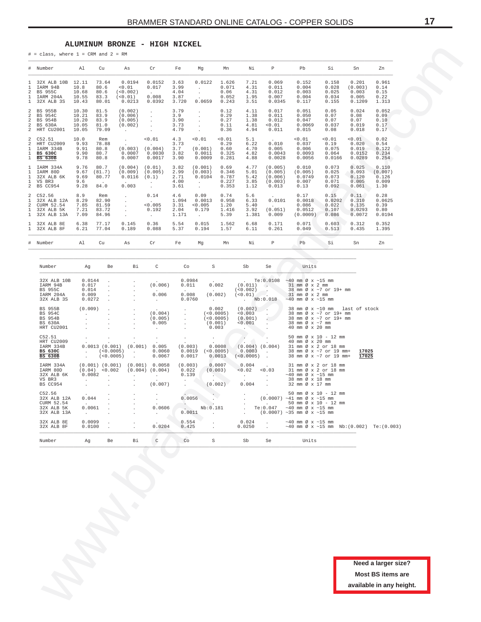#### **ALUMINUM BRONZE - HIGH NICKEL**

<span id="page-16-0"></span>

|                                     | $#$ = class, where $1$ = CRM and $2$ = RM                                       |                                                           |                                                        |                                                                                                   |                                                                          |                                                                 |                                                             |                                                            |                                                           |                                                   |                                                                                                                                                                                                                                                                                                                                     |                                           |                                              |                                                                             |  |
|-------------------------------------|---------------------------------------------------------------------------------|-----------------------------------------------------------|--------------------------------------------------------|---------------------------------------------------------------------------------------------------|--------------------------------------------------------------------------|-----------------------------------------------------------------|-------------------------------------------------------------|------------------------------------------------------------|-----------------------------------------------------------|---------------------------------------------------|-------------------------------------------------------------------------------------------------------------------------------------------------------------------------------------------------------------------------------------------------------------------------------------------------------------------------------------|-------------------------------------------|----------------------------------------------|-----------------------------------------------------------------------------|--|
|                                     | # Number                                                                        | Al                                                        | Cu                                                     | As                                                                                                | Cr                                                                       | Fe                                                              | Mg                                                          | Mn                                                         | Νi                                                        | $\mathbb P$                                       | Pb                                                                                                                                                                                                                                                                                                                                  | Si                                        | Sn                                           | Zn                                                                          |  |
|                                     | 1 32X ALB 10B 12.11<br>1 IARM 94B<br>2 BS 955C<br>1 IARM 204A<br>1 32X ALB 3S   | 10.8<br>10.68<br>10.55<br>10.43                           | 73.64<br>80.6<br>80.6<br>83.3<br>80.01                 | 0.0194<br>< 0.01<br>(< 0.002)<br>(< 0.01)<br>0.0213                                               | $0.0152$ 3.63<br>0.017<br><b>Contractor</b><br>0.008<br>$0.0392$ 3.720   | 3.99<br>4.04<br>3.87                                            | 0.0122<br><b>Contractor</b><br>$\sim$<br>0.0659             | 1.626<br>0.071<br>0.06<br>0.052<br>0.243                   | 7.21<br>4.31<br>4.31<br>1.95<br>3.51                      | 0.069<br>0.011<br>0.012<br>0.007<br>0.0345        | 0.152<br>0.004<br>0.003<br>0.004<br>0.117                                                                                                                                                                                                                                                                                           | 0.158<br>0.028<br>0.025<br>0.034<br>0.155 | 0.201<br>(0.003)<br>0.003<br>0.005<br>0.1209 | 0.961<br>0.14<br>0.15<br>0.22<br>1.313                                      |  |
|                                     | 2 BS 955B<br>2 BS 954C<br>2 BS 954B<br>2 BS 630A<br>2 HRT CU2001                | 10.30<br>10.21<br>10.20<br>10.05<br>10.05                 | 81.5<br>83.9<br>83.9<br>81.0<br>79.09                  | (0.002)<br>(0.006)<br>(0.005)<br>(0.002)<br>$\sim 10^{-11}$                                       | $\sim$<br>$\sim 10^{-11}$<br>$\sim 10^{-11}$<br>$\sim 10^{-1}$<br>$\sim$ | 3.79<br>3.9<br>3.90<br>3.73<br>4.79                             | $\sim$<br>$\sim$ $\sim$<br>$\sim$<br>$\sim$<br>$\sim$ $-$   | 0.12<br>0.29<br>0.27<br>0.11<br>0.36                       | 4.11<br>1.38<br>1.38<br>4.81<br>4.94                      | 0.017<br>0.011<br>0.012<br>< 0.01<br>0.011        | 0.051<br>0.050<br>0.047<br>0.0069<br>0.015                                                                                                                                                                                                                                                                                          | 0.05<br>0.07<br>0.07<br>0.037<br>0.08     | 0.024<br>0.08<br>0.07<br>0.019<br>0.018      | 0.052<br>0.09<br>0.10<br>0.17<br>0.17                                       |  |
|                                     | 2 C52.51<br>2 HRT CU2009<br>1 IARM 334B<br>1 BS 630C<br>1 BS 630B               | 10.0<br>9.93 78.88<br>9.91 80.8<br>9.90 80.7<br>9.78 80.8 | Rem                                                    | $\sim 10^{-10}$ km $^{-1}$<br>$(0.003)$ $(0.004)$<br>0.0007<br>0.0007                             | < 0.01<br><b>Contract</b><br>0.0030<br>0.0017                            | 4.3<br>3.73<br>3.7<br>3.82<br>3.90                              | < 0.01<br>$\sim 10^{11}$ m<br>(0.001)<br>0.0011<br>0.0009   | < 0.01<br>0.29<br>0.60<br>0.325<br>0.281                   | 5.1<br>6.22<br>4.70<br>4.82<br>4.88                       | 0.010<br>0.005<br>0.0043<br>0.0028                | < 0.01<br>0.037<br>0.006<br>0.0093<br>0.0056                                                                                                                                                                                                                                                                                        | 0.01<br>0.19<br>0.075<br>0.064<br>0.0166  | < 0.01<br>0.020<br>0.019<br>0.0152<br>0.0289 | 0.02<br>0.54<br>0.122<br>0.234<br>0.254                                     |  |
|                                     | 1 IARM 334A<br>1 IARM 80D<br>1 32X ALB 6K<br>1 VS BR3<br>2 BS CC954             | 9.76 80.7<br>9.67 (81.7)<br>9.69<br>9.6<br>9.28           | 80.77<br><b>Contractor</b><br>84.0                     | $(0.004)$ $(0.01)$<br>$(0.009)$ $(0.005)$ 2.99<br>$0.0116$ $(0.1)$<br>0.003                       | <b>Contract</b><br><b>Contractor</b>                                     | 3.82<br>2.71<br>4.00<br>3.61                                    | (0.001)<br>(0.003)<br>0.0104<br>$\sim 100$<br>$\sim$ $\sim$ | 0.69<br>0.346<br>0.787<br>0.227<br>0.353                   | 4.77<br>5.01<br>5.42<br>3.85<br>1.12                      | (0.005)<br>(0.005)<br>(0.006)<br>(0.003)<br>0.013 | 0.010<br>(0.005)<br>0.0749<br>0.007<br>0.13                                                                                                                                                                                                                                                                                         | 0.073<br>0.025<br>0.073<br>0.071<br>0.092 | 0.025<br>0.093<br>0.120<br>0.005<br>0.061    | 0.110<br>(0.007)<br>0.126<br>0.009<br>1.30                                  |  |
| 2<br>$\overline{2}$<br>$\mathbf{1}$ | C52.56<br>1 32X ALB 12A 8.29 82.90<br>CURM 52.54<br>32X ALB 5K<br>1 32X ALB 13A | 8.9<br>7.85<br>7.21<br>7.09                               | Rem<br>81.59<br>83.72<br>84.96                         | $\sim 10^{-11}$<br>$\sim$ $-$<br>$\sim$<br>$\sim$<br>$\sim$                                       | 0.14<br><b>Contractor</b><br>< 0.005<br>0.192<br>$\sim 10^{-11}$         | 4.6<br>1.094<br>3.31<br>2.04<br>1.171                           | 0.09<br>0.0013<br>0.005<br>0.179<br>$\sim 10^{-11}$         | 0.74<br>0.958<br>1.20<br>1.416<br>5.39                     | 5.6<br>6.33<br>5.40<br>3.92<br>1.381                      | 0.0101<br><b>Contractor</b><br>(0.051)<br>0.009   | 0.17<br>0.0018<br>0.086<br>0.0512<br>(0.0009)                                                                                                                                                                                                                                                                                       | 0.15<br>0.0202<br>0.022<br>0.107<br>0.086 | 0.11<br>0.310<br>0.135<br>0.0293<br>0.0072   | 0.28<br>0.0625<br>0.39<br>0.80<br>0.0194                                    |  |
|                                     | 1 32X ALB 8E<br>1 32X ALB 8F                                                    | 6.38<br>6.21                                              | 77.17<br>77.04                                         | 0.145<br>0.189                                                                                    | 0.36<br>0.088                                                            | 5.54<br>5.37                                                    | 0.015<br>0.194                                              | 1.562<br>1.57                                              | 6.68<br>6.11                                              | 0.171<br>0.261                                    | 0.071<br>0.049                                                                                                                                                                                                                                                                                                                      | 0.603<br>0.513                            | 0.312<br>0.435                               | 0.352<br>1.395                                                              |  |
| #                                   | Number                                                                          | Al Cu                                                     |                                                        | As                                                                                                | Cr                                                                       | Fe                                                              | Mg                                                          | Mn                                                         | Νi                                                        | $\mathbb{P}$                                      | Pb                                                                                                                                                                                                                                                                                                                                  | Si                                        | Sn                                           | Zn                                                                          |  |
|                                     | Number                                                                          | Ag                                                        | Be                                                     | Bi                                                                                                | $\mathbb C$                                                              | Co                                                              | S                                                           |                                                            | Sb                                                        | Se                                                | Units                                                                                                                                                                                                                                                                                                                               |                                           |                                              |                                                                             |  |
|                                     | 32X ALB 10B<br>IARM 94B<br>BS 955C<br>IARM 204A<br>32X ALB 3S                   | 0.0144<br>0.017<br>0.014<br>0.009<br>0.0272               | $\sim$ $-$<br>$\sim$<br>$\sim$ $-$<br>$\sim$<br>$\sim$ | $\cdot$<br>$\cdot$<br>$\sim$<br>$\cdot$                                                           | (0.006)<br><b>Contract Contract</b><br>0.006<br><b>Carl Corp.</b>        | 0.008                                                           | 0.0984<br>0.011<br><b>Carl Corporation</b><br>0.0760        | 0.002<br><b>Contractor</b><br>(0.002)<br><b>Contractor</b> | (0.011)<br>(< 0.002)<br>$(\le 0.002)$ .<br>$(\le 0.01)$ . |                                                   | Te: $0.0108 - 40$ mm $\emptyset$ x ~15 mm<br>$31 \text{ mm} \varnothing \times 2 \text{ mm}$<br>38 mm $\omega$ x<br>31 mm $\varnothing$ x 2 mm<br>$\sim$ $\sim$ $\alpha$ x $\sim$ 15 m<br>38 mm Ø x ~7 or 19+ mm<br>. Nb:0.018 ~40 mm $\emptyset$ x ~15 mm                                                                          |                                           |                                              |                                                                             |  |
|                                     | BS 955B<br>BS 954C<br>BS 954B<br>BS 630A<br>HRT CU2001                          | (0.009)<br><b>Contract Contract</b>                       | $\sim 10^{-1}$<br>$\sim$<br>$\sim$<br>$\sim$           | $\cdot$<br>$\cdot$<br>$\cdot$<br>$\cdot$                                                          | (0.004)<br>(0.005)<br>0.005<br>$\sim$                                    | $\sim$ $\sim$<br>$\sim 10^{-11}$<br>$\sim 100$<br>$\sim$ $-$    | (0.001)                                                     | 0.002<br>(<0.0005)<br>(< 0.0005)<br>0.003                  |                                                           |                                                   | $(0.002) \t . \t 38 \t mm\ \varnothing \times \sim 10 \t mm \t last \t of \, stock \t 0.003 \t . \t 38 \t mm\ \varnothing \times \sim 7 \t or \t 19 + \t mm \t (0.001) \t . \t 38 \t mm\ \varnothing \times \sim 7 \t mm \t 0.001 \t . \t 38 \t mm\ \varnothing \times \sim 7 \t mm \t 40 \t mm\ \varnothing \times \t 20 \t mm \t$ |                                           |                                              |                                                                             |  |
|                                     | C52.51<br>HRT CU2009<br>IARM 334B<br><b>BS 630C</b><br><b>BS 630B</b>           | $\sim$ $\sim$                                             | $\sim$<br>$(50.0005)$<br>$(50.0005)$                   | $\cdot$<br>$0.0013$ $(0.001)$ $(0.001)$<br>$\sim 100$<br>$\cdot$                                  | $\sim$<br>0.005<br>0.0060<br>0.0067                                      | $\sim$<br>(0.003)                                               | $\sim$<br>0.0019<br>0.0017                                  | 0.0008<br>(< 0.0005)<br>0.0013                             | $\sim$<br>$(<0.0005)$ .                                   | .                                                 | 50 mm $\varnothing$ x 10 - 12 mm<br>$40$ mm $\varnothing$ x 20 mm<br>$(0.004)$ $(0.004)$ 31 mm Ø x 2 or 18 mm<br>$(0.0003)$ . 38 mm $\varnothing$ x ~7 or 19 mm+<br>(<0.0005) . 38 mm $\varnothing$ x ~7 or 19 mm+                                                                                                                  |                                           | 17025<br>17025                               |                                                                             |  |
|                                     | IARM 334A<br>IARM 80D<br>32X ALB 6K<br>VS BR3<br>BS CC954                       | <b>Contractor</b>                                         | $\sim 10^{-11}$<br>$\sim$                              | $(0.001)$ $(0.001)$ $(0.001)$ $0.0058$<br>$(0.04)$ <0.002 $(0.004)$ $(0.004)$<br>$\sim$<br>$\sim$ | (0.007)                                                                  | (0.003)<br>0.022<br>0.139<br><b>Contract</b><br>$\sim 10^{-11}$ |                                                             | 0.0007<br>(0.003)<br>(0.002)                               | 0.004<br>$< 0.02$ $< 0.03$<br>$0.004$ .                   | $\sim 10^{-11}$                                   | 31 mm Ø x 2 or 18 mm<br>31 mm Ø x 2 or 18 mm<br>$\sim$ 40 mm $\varnothing$ x $\sim$ 15 mm<br>38 mm Ø x 18 mm<br>$32$ mm $\varnothing$ x 17 mm                                                                                                                                                                                       |                                           |                                              |                                                                             |  |
|                                     | C52.56<br>32X ALB 12A 0.044<br>CURM 52.54<br>32X ALB 5K<br>32X ALB 13A          | 0.0061<br>$\cdot$                                         | $\sim$                                                 | $\cdot$                                                                                           | 0.0606                                                                   |                                                                 | 0.0056<br>Nb:0.181<br>0.0011                                | $\cdot$ ).                                                 | <b>Contract Contract</b>                                  | Te:0.047                                          | 50 mm $\varnothing$ x 10 - 12 mm<br>$(0.0007)$ ~41 mm Ø x ~15 mm<br>50 mm Ø x 10 - 12 mm<br>$\sim$ 40 mm Ø x $\sim$ 15 mm<br>$(0.0007)$ ~35 mm Ø x ~15 mm                                                                                                                                                                           |                                           |                                              |                                                                             |  |
|                                     | 32X ALB 8E<br>32X ALB 8F                                                        | 0.0099<br>0.0100                                          |                                                        |                                                                                                   | 0.0204                                                                   | 0.554<br>0.425                                                  |                                                             |                                                            | 0.024<br>0.0250                                           | $\cdot$                                           | $\sim$ 40 mm Ø x $\sim$ 15 mm<br>$\sim$ 40 mm Ø x $\sim$ 15 mm Nb: (0.002) Te: (0.003)                                                                                                                                                                                                                                              |                                           |                                              |                                                                             |  |
|                                     | Number                                                                          | Ag                                                        | Be                                                     | Вi                                                                                                | $\rm{C}$                                                                 | Co                                                              | $\rm S$                                                     |                                                            | Sb                                                        | Se                                                | Units                                                                                                                                                                                                                                                                                                                               |                                           |                                              |                                                                             |  |
|                                     |                                                                                 |                                                           |                                                        |                                                                                                   |                                                                          |                                                                 |                                                             |                                                            |                                                           |                                                   |                                                                                                                                                                                                                                                                                                                                     |                                           |                                              |                                                                             |  |
|                                     |                                                                                 |                                                           |                                                        |                                                                                                   |                                                                          |                                                                 |                                                             |                                                            |                                                           |                                                   |                                                                                                                                                                                                                                                                                                                                     |                                           |                                              | Need a larger size?<br><b>Most BS items are</b><br>available in any height. |  |

| Number                                                                      | Aq                                          | Be                                                                  | Bi                                                               | C                                                                                                    | Co                                                      | S                                                                                      | Sb                                                                        | Se                                                                             | Units                                                                                                                                                                                                                                                        |                |
|-----------------------------------------------------------------------------|---------------------------------------------|---------------------------------------------------------------------|------------------------------------------------------------------|------------------------------------------------------------------------------------------------------|---------------------------------------------------------|----------------------------------------------------------------------------------------|---------------------------------------------------------------------------|--------------------------------------------------------------------------------|--------------------------------------------------------------------------------------------------------------------------------------------------------------------------------------------------------------------------------------------------------------|----------------|
| 32X ALB 10B<br>IARM 94B<br>BS 955C<br>IARM 204A<br>32X ALB 3S               | 0.0144<br>0.017<br>0.014<br>0.009<br>0.0272 | $\overline{\phantom{a}}$<br>$\mathbf{r}$                            |                                                                  | <b>Contract Contract</b><br>(0.006)<br><b>Contract Contract</b><br>0.006<br><b>Contract Contract</b> | 0.0984<br>0.011<br>0.008<br>0.0760                      | <b>Contractor</b><br>0.002<br><b>Contractor</b><br>(0.002)<br><b>Contract Contract</b> |                                                                           | Te:0.0108<br>(0.011)<br>$(<0.002)$ .<br>(50.01)<br>Nb:0.018                    | $\sim$ 40 mm Ø x $\sim$ 15 mm<br>$31 \text{ mm} \varnothing \times 2 \text{ mm}$<br>38 mm Ø x ~7 or 19+ mm<br>$31$ mm $\emptyset$ x 2 mm<br>$\sim$ 40 mm Ø x $\sim$ 15 mm                                                                                    |                |
| <b>BS 955B</b><br>BS 954C<br><b>BS 954B</b><br><b>BS 630A</b><br>HRT CU2001 | (0.009)<br>and the control<br>$\mathbf{r}$  | $\sim$<br>$\mathcal{L}^{\mathcal{L}}$                               | $\sim$<br>$\ddot{\phantom{0}}$<br>$\sim$<br>$\ddot{\phantom{0}}$ | <b>Service</b> State<br>$(0.004)$ .<br>$(0.005)$ .<br>$0.005$ .<br>the company's company's company's | and the state of                                        | 0.002<br>(< 0.0005)<br>(< 0.0005)<br>(0.001)<br>0.003                                  | $< 0.001$ .                                                               | $(0.002)$ .<br>$(0.003$ .                                                      | 38 mm Ø x ~10 mm last of stock<br>38 mm Ø x ~7 or 19+ mm<br>38 mm Ø x ~7 or 19+ mm<br>38 mm $\varnothing$ x $\sim$ 7 mm<br>40 mm Ø x 20 mm                                                                                                                   |                |
| C52.51<br>HRT CU2009<br>IARM 334B<br><b>BS 630C</b><br><b>BS 630B</b>       | $\cdot$                                     | 0.0013(0.001)(0.001)<br>$($ $($ $($ $0.0005)$ $)$ .<br>$(5.0005)$ . | $\sim$                                                           | $\cdot$<br>0.005<br>0.0060<br>0.0067                                                                 | $\sim$<br><b>Contract Contract</b><br>(0.003)<br>0.0017 | <b>Contractor</b><br><b>Contractor</b><br>0.0008<br>$0.0019$ $(0.0005)$<br>0.0013      | $\sqrt{2}$                                                                | $(0.004)$ $(0.004)$<br>$0.0003$ .<br>$($ < 0.0005) .                           | 50 mm $\varnothing$ x 10 - 12 mm<br>40 mm Ø x 20 mm<br>31 mm Ø x 2 or 18 mm<br>38 mm Ø x ~7 or 19 mm+<br>38 mm Ø x ~7 or 19 mm+                                                                                                                              | 17025<br>17025 |
| IARM 334A<br>IARM 80D<br>32X ALB 6K<br>VS BR3<br>BS CC954                   | $(0.04)$ < 0.002<br>$0.0082$ .<br>$\sim$    | $(0.001)$ $(0.001)$ $(0.001)$ 0.0058                                | $(0.004)$ $(0.004)$<br>$\sim$<br>$\cdot$<br>$\mathbf{r}$         | <b>Service</b><br><b>Service</b> State<br>(0.007)                                                    | (0.003)<br>0.022<br>0.139<br>$\sim 10^{-10}$<br>$\sim$  | 0.0007<br>(0.003)<br><b>Contract Contract</b><br>11. ST<br>(0.002)                     | 0.004<br>< 0.02<br><b>Contractor</b><br><b>Contract Contract</b><br>0.004 | and the company<br>< 0.03<br><b>Contractor</b><br>$\sim 100$<br><b>College</b> | 31 mm Ø x 2 or 18 mm<br>31 mm Ø x 2 or 18 mm<br>$\sim$ 40 mm Ø x $\sim$ 15 mm<br>38 mm Ø x 18 mm<br>32 mm Ø x 17 mm                                                                                                                                          |                |
| C52.56<br>32X ALB 12A<br>CURM 52.54<br>32X ALB 5K<br>32X ALB 13A            | 0.044<br>0.0061<br><b>Contract Contract</b> | $\overline{a}$                                                      | $\ddot{\phantom{a}}$                                             | $\sim$<br>0.0606<br><b>Contract Contract</b>                                                         | 0.0056<br><b>Contract Contract</b><br>0.0011            | Nb:0.181                                                                               | <b>Contractor</b>                                                         |                                                                                | 50 mm $\varnothing$ x 10 - 12 mm<br>. (0.0007) ~41 mm $\varnothing$ x 10 - 12<br>(0.0007) ~41 mm $\varnothing$ x ~15 mm<br>$50 \text{ mm } \emptyset \times 10 - 12 \text{ mm}$<br>. Te: $0.047 -40$ mm Ø x ~15 mm<br>$(0.0007)$ ~35 mm $\emptyset$ x ~15 mm |                |
| 32X ALB 8E<br>32X ALB 8F                                                    | 0.0099<br>0.0100                            | $\ddot{\phantom{a}}$<br>$\sim$                                      | $\cdot$<br>$\sim$                                                | <b>Contract Contract Contract</b><br>0.0204                                                          | 0.554<br>0.425                                          | and the state of the state                                                             | 0.0250                                                                    |                                                                                | $0.024$ . $\sim$ 40 mm Ø x ~15 mm<br>. $\sim$ 40 mm Ø x $\sim$ 15 mm Nb: (0.002) Te: (0.003)                                                                                                                                                                 |                |
| Number                                                                      | Aq                                          | Be                                                                  | Bi                                                               | $\mathbb{C}$                                                                                         | Co                                                      | S                                                                                      | Sb                                                                        | Se                                                                             | Units                                                                                                                                                                                                                                                        |                |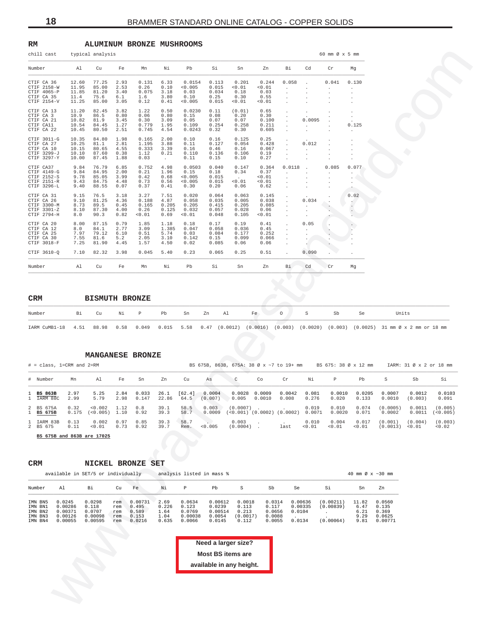#### <span id="page-17-0"></span>**RM ALUMINUM BRONZE MUSHROOMS**

| chill cast                                                            |                                                    | typical analysis                                |                                      |                                              |                                         |                                                |                                                                             |                                               |                                               |                                  |                              | 60 mm Ø x 5 mm                      |                                       |                                                                                                   |                         |                      |
|-----------------------------------------------------------------------|----------------------------------------------------|-------------------------------------------------|--------------------------------------|----------------------------------------------|-----------------------------------------|------------------------------------------------|-----------------------------------------------------------------------------|-----------------------------------------------|-----------------------------------------------|----------------------------------|------------------------------|-------------------------------------|---------------------------------------|---------------------------------------------------------------------------------------------------|-------------------------|----------------------|
| Number                                                                | Al                                                 | Cu                                              | Fe                                   | Mn                                           | Νi                                      | Pb                                             | Si                                                                          | Sn                                            | Zn                                            | Вi                               | Cd                           | Cr                                  | Mg                                    |                                                                                                   |                         |                      |
| CTIF CA 36<br>CTIF 2158-W<br>CTIF 4065-P<br>CTIF CA 35<br>CTIF 2154-V | 12.60<br>11.95<br>11.85<br>11.4<br>11.25           | 77.25<br>85.00<br>81.20<br>75.6<br>85.00        | 2.93<br>2.53<br>3.40<br>6.1<br>3.05  | 0.131<br>0.26<br>0.075<br>1.6<br>0.12        | 6.33<br>0.10<br>3.18<br>3.80<br>0.41    | 0.0154<br>0.005<br>0.03<br>0.10<br>0.005       | 0.113<br>0.015<br>0.034<br>0.25<br>0.015                                    | 0.201<br>0.01<br>0.18<br>0.30<br>0.01         | 0.244<br>0.01<br>0.03<br>0.55<br>0.01         | 0.058<br>$\cdot$<br>$\cdot$      |                              | 0.041                               | 0.130                                 |                                                                                                   |                         |                      |
| CTIF CA 13<br>CTIF CA 3<br>CTIF CA 21<br>CTIF CA11<br>CTIF CA 22      | 11.20<br>10.9<br>10.82<br>10.54<br>10.45           | 82.45<br>86.5<br>81.9<br>84.45<br>80.50         | 3.82<br>0.80<br>3.45<br>1.27<br>2.51 | 1.22<br>0.06<br>0.30<br>0.779<br>0.745       | 0.50<br>0.80<br>3.09<br>1.95<br>4.54    | 0.0230<br>0.15<br>0.05<br>0.109<br>0.0243      | 0.11<br>0.08<br>0.07<br>0.254<br>0.32                                       | (0.01)<br>0.20<br>0.07<br>0.258<br>0.30       | 0.65<br>0.30<br>0.100<br>0.211<br>0.605       | $\cdot$                          | 0.0095<br>$\cdot$<br>$\cdot$ |                                     | 0.125                                 |                                                                                                   |                         |                      |
| CTIF 3011-G<br>CTIF CA 27<br>CTIF CA 10<br>CTIF 3299-J<br>CTIF 3297-Y | 10.35<br>10.25<br>10.15<br>10.10<br>10.00          | 84.80<br>81.1<br>80.65<br>87.60<br>87.45        | 1.98<br>2.81<br>4.55<br>0.38<br>1.88 | 0.165<br>1.195<br>0.333<br>1.12<br>0.03      | 2.00<br>3.88<br>3.39<br>0.21<br>$\cdot$ | 0.10<br>0.11<br>0.16<br>0.110<br>0.11          | 0.16<br>0.127<br>0.46<br>0.136<br>0.15                                      | 0.125<br>0.054<br>0.16<br>0.106<br>0.10       | 0.25<br>0.428<br>0.067<br>0.19<br>0.27        |                                  | 0.012                        |                                     | $\cdot$                               |                                                                                                   |                         |                      |
| CTIF CA37<br>CTIF 4149-G<br>CTIF 2152-S<br>CTIF 2151-R<br>CTIF 3296-L | 9.84<br>9.84<br>9.78<br>9.43<br>9.40               | 76.79<br>84.95<br>85.05<br>84.75<br>88.55       | 6.85<br>2.00<br>3.99<br>4.48<br>0.07 | 0.752<br>0.21<br>0.42<br>0.73<br>0.37        | 4.98<br>1.96<br>0.68<br>0.56<br>0.41    | 0.0503<br>0.15<br>0.005<br>0.005<br>0.30       | 0.040<br>0.18<br>0.015<br>0.015<br>0.20                                     | 0.147<br>0.34<br>0.01<br>0.06                 | 0.364<br>0.37<br>0.01<br>0.01<br>0.62         | 0.0118<br>$\cdot$<br>$\cdot$     |                              | 0.085                               | 0.077<br>$\cdot$                      |                                                                                                   |                         |                      |
| CTIF CA 31<br>CTIF CA 26<br>CTIF 3300-M<br>CTIF 3301-Z<br>CTIF 2794-H | 9.15<br>9.10<br>8.73<br>8.10<br>8.0                | 76.5<br>81.25<br>89.5<br>87.30<br>90.3          | 3.18<br>4.36<br>0.45<br>4.00<br>0.82 | 3.27<br>0.188<br>0.165<br>0.26<br>0.01       | 7.51<br>4.87<br>0.205<br>0.125<br>0.69  | 0.020<br>0.058<br>0.205<br>0.032<br>< 0.01     | 0.064<br>0.035<br>0.415<br>0.057<br>0.048                                   | 0.063<br>0.005<br>0.205<br>0.028<br>0.105     | 0.145<br>0.038<br>0.085<br>0.06<br>0.01       |                                  | 0.034<br>$\cdot$             |                                     | 0.02<br>٠.<br>$\cdot$<br>$\sim$       |                                                                                                   |                         |                      |
| CTIF CA 20<br>CTIF CA 12<br>CTIF CA 25<br>CTIF CA 30<br>CTIF 3018-F   | 8.00<br>8.0<br>7.97<br>7.55<br>7.25                | 87.15<br>84.1<br>79.12<br>81.6<br>81.90         | 0.79<br>2.77<br>6.10<br>5.2<br>4.45  | 1.85<br>3.09<br>0.51<br>2.05<br>1.57         | 1.18<br>1.385<br>5.74<br>3.10<br>4.50   | 0.18<br>0.047<br>0.03<br>0.142<br>0.02         | 0.17<br>0.058<br>0.084<br>0.15<br>0.085                                     | 0.19<br>0.036<br>0.177<br>0.099<br>0.06       | 0.41<br>0.45<br>0.252<br>0.066<br>0.06        | $\cdot$                          | 0.05<br>$\cdot$              |                                     |                                       |                                                                                                   |                         |                      |
| CTIF 3610-0                                                           | 7.10                                               | 82.32                                           | 3.98                                 | 0.045                                        | 5.40                                    | 0.23                                           | 0.065                                                                       | 0.25                                          | 0.51                                          |                                  | 0.090                        |                                     |                                       |                                                                                                   |                         |                      |
| Number                                                                | Al                                                 | Cu                                              | Fe                                   | Mn                                           | Νi                                      | Pb                                             | Si                                                                          | Sn                                            | Zn                                            | Вi                               | Cd                           | Cr                                  | Mg                                    |                                                                                                   |                         |                      |
| CRM<br>Number                                                         | Вi                                                 | <b>BISMUTH BRONZE</b><br>Cu                     | Νi                                   | Р                                            | Pb                                      | Sn                                             | Zn<br>Al                                                                    |                                               | Fe                                            | $\circ$                          | S                            | Sb                                  | Se                                    |                                                                                                   | Units                   |                      |
|                                                                       |                                                    | 88.98                                           | 0.58                                 | 0.049                                        | 0.015                                   | 5.58                                           |                                                                             |                                               |                                               |                                  |                              |                                     |                                       | $0.47$ (0.0012) (0.0016) (0.003) (0.0020) (0.003) (0.0025) 31 mm $\emptyset \times 2$ mm or 18 mm |                         |                      |
| IARM CuMB1-18                                                         | 4.51                                               |                                                 |                                      |                                              |                                         |                                                |                                                                             |                                               |                                               |                                  |                              |                                     |                                       |                                                                                                   |                         |                      |
|                                                                       |                                                    |                                                 |                                      | MANGANESE BRONZE                             |                                         |                                                |                                                                             |                                               |                                               |                                  |                              |                                     |                                       |                                                                                                   |                         |                      |
| $# = class, 1=CRM and 2=RM$                                           |                                                    |                                                 |                                      |                                              |                                         |                                                | BS 675B, 863B, 675A: 38 Ø x ~7 to 19+ mm                                    |                                               |                                               |                                  |                              |                                     | BS 675: 38 Ø x 12 mm                  |                                                                                                   | IARM: 31 Ø x 2 or 18 mm |                      |
| # Number                                                              | Mn                                                 | Al                                              | Fe                                   | Sn                                           | Zn                                      | Cu                                             | As                                                                          | C                                             | Co                                            | Cr                               | Νi                           | P                                   | Pb                                    | S                                                                                                 | Sb                      | Si                   |
| 1 BS 863B<br>1 IARM 88C                                               | 2.97<br>2.99                                       | 5.25<br>5.79                                    | 2.84<br>2.98                         | 0.033<br>0.147                               | 26.1<br>22.86                           | [62.4]<br>64.5                                 | 0.0004<br>(0.007)                                                           | $0.0028$ 0.0009<br>0.005                      | 0.0010                                        | 0.0042<br>0.008                  | 0.081<br>0.276               | 0.0010<br>0.020                     | 0.0205<br>0.133                       | 0.0007<br>0.0010                                                                                  | 0.0012<br>(0.003)       | 0.0103<br>0.091      |
| 2<br>BS 675A<br>1<br>BS 675B                                          | 0.32<br>0.175                                      | 0.002<br>(< 0.005)                              | 1.12<br>1.10                         | 0.8<br>0.92                                  | 39.1<br>39.3                            | 58.5<br>58.7                                   | 0.003<br>0.0009                                                             | $(0.0007)$ .                                  |                                               | $(<0.001)$ $(0.0002)$ $(0.0002)$ | 0.019<br>0.0071              | 0.010<br>0.0020                     | 0.074<br>0.071                        | (0.0005)<br>0.0002                                                                                | 0.0011<br>0.0011        | (0.005)<br>(< 0.005) |
| IARM 83B<br>1<br>$\overline{a}$<br>BS 675                             | 0.13<br>0.11                                       | 0.002<br>0.01                                   | 0.97<br>0.73                         | 0.85<br>0.92                                 | 39.3<br>39.7                            | 58.7<br>Rem.                                   | < 0.005                                                                     | 0.003<br>$(0.0004)$ .                         |                                               | last                             | 0.010<br>0.01                | 0.004<br>< 0.01                     | 0.017<br>< 0.01                       | (0.001)<br>(0.0013)                                                                               | (0.004)<br>< 0.01       | (0.003)<br>0.02      |
|                                                                       | BS 675B and 863B are 17025                         |                                                 |                                      |                                              |                                         |                                                |                                                                             |                                               |                                               |                                  |                              |                                     |                                       |                                                                                                   |                         |                      |
|                                                                       |                                                    |                                                 |                                      |                                              |                                         |                                                |                                                                             |                                               |                                               |                                  |                              |                                     |                                       |                                                                                                   |                         |                      |
| <b>CRM</b>                                                            | available in SET/5 or individually                 | NICKEL BRONZE                                   |                                      |                                              | SET                                     |                                                | analysis listed in mass %                                                   |                                               |                                               |                                  |                              |                                     | 40 mm Ø x ~30 mm                      |                                                                                                   |                         |                      |
| Number                                                                | Al                                                 | Вi                                              | Cu                                   | Fe                                           | Νi                                      | $\, {\mathbb P}$                               | Pb                                                                          | S                                             | Sb                                            | Se                               |                              | Si                                  | Sn                                    | Zn                                                                                                |                         |                      |
| IMN BN5<br>IMN BN1<br>IMN BN2<br>IMN BN3<br>IMN BN4                   | 0.0245<br>0.00286<br>0.00371<br>0.00126<br>0.00055 | 0.0298<br>0.118<br>0.0707<br>0.00098<br>0.00595 | rem<br>rem<br>rem<br>rem<br>rem      | 0.00731<br>0.495<br>0.589<br>0.153<br>0.0216 | 2.69<br>0.226<br>1.64<br>1.04<br>0.635  | 0.0634<br>0.123<br>0.0769<br>0.00038<br>0.0066 | 0.00612<br>0.0239<br>0.00514<br>0.0054<br>0.0145                            | 0.0018<br>0.113<br>0.213<br>(0.0017)<br>0.112 | 0.0314<br>0.117<br>0.0656<br>0.0088<br>0.0055 | 0.0104<br>0.0134                 | 0.00636<br>0.00335           | (0.00211)<br>(0.00839)<br>(0.00064) | 11.82<br>6.47<br>6.21<br>9.29<br>9.81 | 0.0560<br>0.135<br>0.369<br>0.0625<br>0.00771                                                     |                         |                      |
|                                                                       |                                                    |                                                 |                                      |                                              |                                         |                                                | Need a larger size?<br><b>Most BS items are</b><br>available in any height. |                                               |                                               |                                  |                              |                                     |                                       |                                                                                                   |                         |                      |
|                                                                       |                                                    |                                                 |                                      |                                              |                                         |                                                |                                                                             |                                               |                                               |                                  |                              |                                     |                                       |                                                                                                   |                         |                      |

| Number |  |  |  |  | Bi Cu Ni P Pb Sn Zn Al Fe O S Sb Se |  |  | Units |
|--------|--|--|--|--|-------------------------------------|--|--|-------|
|        |  |  |  |  |                                     |  |  |       |

#### **MANGANESE BRONZE**

| $#$ = class, 1=CRM and 2=RM                    |              |                                       |              |                |               |              |                          | BS 675B, 863B, 675A: 38 Ø x ~7 to 19+ mm |                               |                                                |                 | BS 675: 38 Ø x 12 mm |                 |                     | IARM: 31 Ø x 2 or 18 mm |                       |
|------------------------------------------------|--------------|---------------------------------------|--------------|----------------|---------------|--------------|--------------------------|------------------------------------------|-------------------------------|------------------------------------------------|-----------------|----------------------|-----------------|---------------------|-------------------------|-----------------------|
| # Number                                       | Mn           | A1                                    | Fe           | Sn             | Zn            | Cu           | As                       |                                          | Co                            | Cr                                             | Νi              | Ρ                    | Pb              | S                   | Sb                      | Si                    |
| 1 BS 863B<br>1 IARM 88C                        | 2.97<br>2.99 | 5.25<br>5.79                          | 2.84<br>2.98 | 0.033<br>0.147 | 26.1<br>22.86 | 64.5         | [62.4] 0.0004<br>(0.007) |                                          | 0.0028 0.0009<br>0.005 0.0010 | 0.0042<br>0.008                                | 0.081<br>0.276  | 0.0010<br>0.020      | 0.0205<br>0.133 | 0.0007<br>0.0010    | 0.0012<br>(0.003)       | 0.0103<br>0.091       |
| 2 BS 675A<br>1 BS 675B                         | 0.32         | < 0.002<br>$0.175$ (<0.005) 1.10 0.92 | 1.12         | 0.8            | 39.1<br>39.3  | 58.5<br>58.7 | 0.003<br>0.0009          |                                          | $(0.0007)$                    | $( < 0.001 )$ $( 0.0002 )$ $( 0.0002 )$ 0.0071 | 0.019           | 0.010<br>0.0020      | 0.074<br>0.071  | (0.0005)<br>0.0002  | 0.0011<br>0.0011        | (0.005)<br>( < 0.005) |
| 1 IARM 83B<br>2 BS 675<br>__ ____ _ ____ _ ___ | 0.13<br>0.11 | 0.002<br>< 0.01                       | 0.97<br>0.73 | 0.85<br>0.92   | 39.3<br>39.7  | 58.7<br>Rem. | < 0.005                  | 0.003<br>$(0.0004)$ .                    |                               | last                                           | 0.010<br>< 0.01 | 0.004<br>< 0.01      | 0.017<br>< 0.01 | (0.001)<br>(0.0013) | (0.004)<br>< 0.01       | (0.003)<br>< 0.02     |

| <b>NICKEL</b> |
|---------------|
|               |

|         | available in SET/5 or individually |         |     |         |       | analysis listed in mass % |         |          |        |         |           | 40 mm $\varnothing$ x ~30 mm |         |
|---------|------------------------------------|---------|-----|---------|-------|---------------------------|---------|----------|--------|---------|-----------|------------------------------|---------|
| Number  | Al                                 | Вi      | Cu  | Fe      | Ni    | P                         | Pb      |          | Sb     | Se      | Si        | Sn                           | Zn      |
| IMN BN5 | 0.0245                             | 0.0298  | rem | 0.00731 | 2.69  | 0.0634                    | 0.00612 | 0.0018   | 0.0314 | 0.00636 | (0.00211) | 11.82                        | 0.0560  |
| IMN BN1 | 0.00286                            | 0.118   | rem | 0.495   | 0.226 | 0.123                     | 0.0239  | 0.113    | 0.117  | 0.00335 | (0.00839) | 6.47                         | 0.135   |
| IMN BN2 | 0.00371                            | 0.0707  | rem | 0.589   | 1.64  | 0.0769                    | 0.00514 | 0.213    | 0.0656 | 0.0104  |           | 6.21                         | 0.369   |
| IMN BN3 | 0.00126                            | 0.00098 | rem | 0.153   | 1.04  | 0.00038                   | 0.0054  | (0.0017) | 0.0088 |         |           | 9.29                         | 0.0625  |
| IMN BN4 | 0.00055                            | 0.00595 | rem | 0.0216  | 0.635 | 0.0066                    | 0.0145  | 0.112    | 0.0055 | 0.0134  | (0.00064) | 9.81                         | 0.00771 |

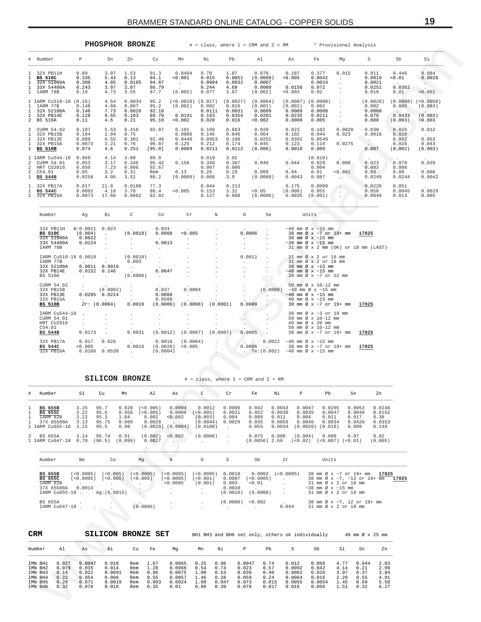<span id="page-18-0"></span>

|              |                                                                          |                                            | PHOSPHOR BRONZE                      |                                            |                                         |                                              |                                              |                                                | $#$ = class, where $1$ = CRM and $2$ = RM          |                                                   |                                                | * Provisional Analysis                            |                                               |                                                  |                                               |
|--------------|--------------------------------------------------------------------------|--------------------------------------------|--------------------------------------|--------------------------------------------|-----------------------------------------|----------------------------------------------|----------------------------------------------|------------------------------------------------|----------------------------------------------------|---------------------------------------------------|------------------------------------------------|---------------------------------------------------|-----------------------------------------------|--------------------------------------------------|-----------------------------------------------|
|              | # Number                                                                 | Ρ                                          | Sn                                   | Zn                                         | Cu                                      | Mn                                           | Νi                                           | Pb                                             | Al                                                 | As                                                | Fe                                             | Mg                                                | S                                             | Sb                                               | Si                                            |
|              | 32X PB11H<br><b>BS 510C</b><br>32X 51000A<br>33X 54400A<br>IARM 78B      | 0.89<br>0.335<br>0.300<br>0.243<br>0.19    | 3.07<br>5.43<br>4.85<br>3.97<br>4.73 | 1.53<br>0.13<br>0.0105<br>3.87<br>3.55     | 91.3<br>94.1<br>94.87<br>86.79<br>87.7  | 0.0404<br>0.001<br>(0.002)                   | 0.70<br>0.015<br>0.0084<br>0.244<br>0.077    | 1.07<br>0.0051<br>0.0032<br>4.69<br>3.87       | 0.070<br>(0.0009)<br>0.0007<br>0.0009<br>(0.002)   | 0.187<br>< 0.005<br>0.0156<br>< 0.003             | 0.377<br>0.0042<br>0.0024<br>0.072<br>0.02     | 0.015                                             | 0.011<br>0.0019<br>0.0021<br>0.0251<br>0.010  | 0.446<br>0.01<br>0.0362<br>0.01                  | 0.084<br>0.0028<br>< 0.002                    |
| 2            | 1 IARM Cu510-18<br>IARM 77B<br>32X 52100A<br>32X PB14E<br><b>BS 510A</b> | (0.16)<br>0.148<br>0.146<br>0.128<br>0.11  | 4.54<br>4.66<br>7.73<br>9.65<br>4.6  | 0.0034<br>0.007<br>0.0026<br>0.103<br>0.21 | 95.2<br>95.2<br>92.10<br>89.70<br>95.10 | (<0.0010)<br>(0.002)<br>0.0141<br>0.002      | (0.017)<br>0.002<br>0.0111<br>0.103<br>0.020 | (0.0027)<br>0.016<br>0.0031<br>0.0354<br>0.016 | (0.0004)<br>(0.001)<br>0.0009<br>0.0201<br>< 0.002 | (0.0007)<br>(0.001)<br>0.0009<br>0.0235<br>0.0008 | (0.0008)<br>0.002<br>0.0008<br>0.0211<br>0.005 |                                                   | (0.0020)<br>0.002<br>0.0008<br>0.070<br>0.008 | (0.0008)<br>0.005<br>$\sim$<br>0.0433<br>(0.003) | $< 0.0050$ )<br>(0.003)<br>(0.003)<br>< 0.003 |
| 1            | 2 CURM 54.02<br>32X PB15B<br>32X PB13E<br>32X PB15A<br><b>BS 510B</b>    | 0.107<br>0.104<br>0.089<br>0.0873<br>0.074 | 5.53<br>2.04<br>6.55<br>2.21<br>4.6  | 0.410<br>0.75<br>0.301<br>0.76<br>0.251    | 92.87<br>92.48<br>96.07<br>[95.0]       | 0.101<br>0.0006<br>0.0440<br>0.125<br>0.0004 | 0.109<br>0.145<br>0.0953<br>0.212<br>0.0211  | 0.663<br>0.046<br>0.109<br>0.174<br>0.0112     | 0.020<br>0.064<br>0.0251<br>0.045<br>(0.006)       | 0.023<br>0.102<br>0.0391<br>0.123<br>0.0010       | 0.102<br>0.044<br>0.0549<br>0.116<br>0.009     | 0.0020<br>0.023<br>0.0275<br>$\ddot{\phantom{a}}$ | 0.030<br>0.0016<br>0.007                      | 0.026<br>0.020<br>0.092<br>0.026<br>(0.002)      | 0.012<br>0.053<br>0.043<br>(0.003)            |
| 2<br>2<br>1  | 1 IARM Cu544-18<br>CURM 54.01<br>HRT CU2016<br>C54.01<br><b>BS 544B</b>  | 0.069<br>0.053<br>0.050<br>0.05<br>0.0258  | 4.14<br>3.17<br>7.23<br>3.2<br>4.06  | 3.80<br>0.346<br>0.006<br>0.31<br>3.51     | 88.0<br>95.42<br>92.67<br>Rem<br>88.2   | 0.158<br>0.13<br>(0.0009)                    | 0.019<br>0.348<br>0.007<br>0.26<br>0.068     | 3.92<br>0.307<br>0.006<br>0.29<br>3.9          | 0.040<br>0.009<br>(0.0009)                         | $\cdot$<br>0.044<br>0.04<br>0.0043                | (0.010)<br>0.028<br>0.004<br>0.01<br>0.087     | 0.008<br>< 0.001<br>$\ddot{\phantom{1}}$          | 0.023<br>0.003<br>0.03<br>0.0249              | 0.070<br>0.006<br>0.08<br>0.0244                 | 0.039<br>0.006<br>0.0042                      |
| $\mathbf{1}$ | 32X PB17A<br><b>BS 544C</b><br>$1\overline{32X}$ PB16A                   | 0.017<br>0.0092<br>0.0073                  | 21.8<br>4.10<br>17.60                | 0.0188<br>3.78<br>0.0082                   | 77.3<br>88.4<br>82.02                   | < 0.005                                      | 0.044<br>0.153<br>0.127                      | 0.213<br>3.31<br>0.088                         | < 0.05<br>(0.0006)                                 | 0.175<br>(0.008)<br>0.0035                        | 0.0009<br>0.055<br>(0.001)                     |                                                   | 0.0220<br>0.058<br>0.0049                     | 0.051<br>0.0045<br>0.013                         | 0.0029<br>0.005                               |

| Number                                                                        | Aq                                                                                     | Bi.                                                                                                 | C                                                                             | Co                                                                                | Cr                                              | N                      | $\Omega$                                              | Se                    | Units                                                                                                                                                                       |       |
|-------------------------------------------------------------------------------|----------------------------------------------------------------------------------------|-----------------------------------------------------------------------------------------------------|-------------------------------------------------------------------------------|-----------------------------------------------------------------------------------|-------------------------------------------------|------------------------|-------------------------------------------------------|-----------------------|-----------------------------------------------------------------------------------------------------------------------------------------------------------------------------|-------|
| 32X PB11H<br><b>BS 510C</b><br>32X 51000A<br>33X 54400A<br>IARM 78B           | B:0.0021<br>(0.004)<br>0.0022<br>0.0124<br>$\sim$                                      | 0.023<br>$\sim$ $\sim$<br>$\sim$ 400 $\sim$                                                         | <b>Contract Contract Contract</b><br>(0.0010)<br>$\sim$ 100 $\pm$             | 0.034<br>0.0008<br><b>Contract Contract</b><br>0.0013<br>$\cdot$                  | $\sim$<br>< 0.005<br>$\sim$                     |                        | <b>Contract Contract Contract</b><br>0.0006<br>$\sim$ | $\mathbf{r}$          | $\sim$ 40 mm Ø x $\sim$ 15 mm<br>38 mm Ø x ~7 or 19+ mm 17025<br>38 mm $\varnothing$ x $\sim$ 15 mm<br>$\sim$ 38 mm Ø x $\sim$ 15 mm<br>31 mm Ø x 2 mm (OK) or 18 mm (LAST) |       |
| IARM Cu510-18 0.0019<br>IARM 77B<br>32X 52100A<br>32X PB14E<br><b>BS 510A</b> | <b>Contract Contract Contract</b><br>0.0011<br>0.0152<br>the company of the company of | $\sim$<br>0.0019<br>0.146                                                                           | (0.0018)<br>0.003<br>$\sim$ 100 $\mu$<br><b>Contract Contract</b><br>(0.0006) | $\sim$<br>$\sim$<br><b>Service</b><br>0.0047<br><b>Contract Contract Contract</b> |                                                 | $\mathbf{r}$<br>$\sim$ | 0.0011<br>$\mathbf{r}$                                | $\mathbf{r}$          | 31 mm Ø x 2 or 18 mm<br>31 mm Ø x 2 or 18 mm<br>38 mm $\varnothing$ x $\sim$ 15 mm<br>$\sim$ 40 mm Ø x $\sim$ 15 mm<br>38 mm Ø x ~7 or 12 mm                                |       |
| CURM 54.02<br>32X PB15B<br>32X PB13E<br>32X PB15A<br><b>BS 510B</b>           | $\sim$                                                                                 | $\sim$<br>(0.0002)<br>$0.0205$ 0.0224<br><b>Contract Contract Contract Contract</b><br>Zr: (0.0004) | $\mathbf{r}$<br>0.0010                                                        | <b>Service</b><br>0.037<br>0.0088<br>0.0509<br>(0.0006)                           | 0.0004<br>$\sim$<br>$\mathbf{r}$<br>(0.0008)    | (0.0001)               | $\sim$<br>0.0009                                      |                       | 50 mm $\varnothing$ x 10-12 mm<br>$(0.0008)$ ~40 mm $\varnothing$ x ~15 mm<br>$\sim$ 40 mm Ø x $\sim$ 15 mm<br>40 mm $\varnothing$ x $\sim$ 15 mm<br>38 mm Ø x ~7 or 19+ mm | 17025 |
| IARM Cu544-18<br>CURM 54.01<br>HRT CU2016<br>C54.01<br><b>BS 544B</b>         | 0.0173                                                                                 |                                                                                                     | $\ddot{\phantom{0}}$<br>0.0031                                                | $\cdot$<br>(0.0012)                                                               | (0.0007)                                        | (0.0007)               | 0.0005                                                |                       | 38 mm Ø x ~3 or 19 mm<br>50 mm $\varnothing$ x 10-12 mm<br>40 mm Ø x 20 mm<br>50 mm Ø x 10-12 mm<br>38 mm $\varnothing$ x $\sim$ 7 or 19+ mm                                | 17025 |
| 32X PB17A<br><b>BS 544C</b><br>32X PB16A                                      | 0.017<br>< 0.005<br>0.0166                                                             | 0.026<br><b>Contract Contract</b><br>0.0530                                                         | <b>Contract Contract</b><br>0.0018<br><b>Service</b>                          | 0.0018<br>(0.0020)<br>(0.0004)                                                    | (0.0004)<br>< 0.005<br><b>Contract Contract</b> | $\sim$<br>$\sim$       | $\sim$ $\sim$ $\sim$<br>0.0006                        | $T_{\rm e}$ : (0.002) | $0.0022 - 40$ mm $\emptyset$ x ~15 mm<br>$\sim$ 38 mm Øx ~ 7 or 19+ mm<br>$\sim$ 40 mm Ø x $\sim$ 15 mm                                                                     | 17025 |

SILICON BRONZE

 $#$  = class, where 1 = CRM and 2 = RM

| $\#$                   | Number                                                                   | Si                           | Cu                                         | Mn                                      | A1                                          | As                                                   | C                                                       | Cr                                                              | Fe                                        | Νi                                            | P                                                           | Pb                                  | Sn                                           | Zn                                          |
|------------------------|--------------------------------------------------------------------------|------------------------------|--------------------------------------------|-----------------------------------------|---------------------------------------------|------------------------------------------------------|---------------------------------------------------------|-----------------------------------------------------------------|-------------------------------------------|-----------------------------------------------|-------------------------------------------------------------|-------------------------------------|----------------------------------------------|---------------------------------------------|
| $\mathbf{1}$<br>1<br>1 | <b>BS 655B</b><br>BS 655C<br>IARM 82B<br>1 37X 65500A<br>1 IARM Cu655-18 | 3.25<br>3.22<br>3.22<br>3.13 | 95.7<br>95.6<br>95.3<br>95.75<br>3.15 95.5 | 0.928<br>0.958<br>1.04<br>0.960<br>0.98 | ( < 0.005)<br>( < 0.005)<br>0.002<br>0.0028 | 0.0004<br>0.0006<br>< 0.002<br>$(0.0020)$ $(0.0004)$ | 0.0012<br>( < 0.005)<br>(0.003)<br>(0.0044)<br>(0.0100) | 0.0006<br>0.0021<br>0.004<br>0.0029<br><b>Contract Contract</b> | 0.042<br>0.052<br>0.080<br>0.035<br>0.055 | 0.0043<br>0.0030<br>0.011<br>0.0059<br>0.0034 | 0.0047<br>0.0035<br>0.004<br>0.0046<br>$(0.0020)$ $(0.018)$ | 0.0205<br>0.0047<br>0.011<br>0.0034 | 0.0053<br>0.0049<br>0.017<br>0.0426<br>0.009 | 0.0248<br>0.0152<br>0.38<br>0.0353<br>0.149 |
|                        | 2 BS 655A<br>1 IARM Cu647-18                                             | 3.14<br>0.70                 | 95.74<br>(96.5)                            | 0.91<br>(0.099)                         | (0.002)<br>0.0027                           | < 0.002                                              | (0.0006)                                                |                                                                 | 0.075<br>$(0.0056)$ 2.69                  | 0.008                                         | (0.004)<br>(<0.02)                                          | 0.008<br>(< 0.007)                  | 0.07<br>(0.01)                               | 0.02<br>(0.005)                             |

| Number                                                                | Be                                     | Co                                     | Mq                       | N                                       |                                    | S                                               | Sb                                          | Zr           | Units                                                                                                                                                                |                |
|-----------------------------------------------------------------------|----------------------------------------|----------------------------------------|--------------------------|-----------------------------------------|------------------------------------|-------------------------------------------------|---------------------------------------------|--------------|----------------------------------------------------------------------------------------------------------------------------------------------------------------------|----------------|
| <b>BS 655B</b><br>BS 655C<br>IARM 82B<br>37X 65500A<br>IARM Cu655-18. | ( < 0.0005 )<br>( < 0.0005 )<br>0.0014 | (< 0.005)<br>(< 0.005)<br>Ag: (0.0015) | (< 0.0005)<br>( < 0.005) | ( < 0.0005 )<br>( < 0.0005)<br>< 0.0005 | ( < 0.0005)<br>(<0.001)<br>(0.001) | 0.0010<br>0.0007<br>0.003<br>0.0010<br>(0.0010) | 0.0002<br>( < 0.0005)<br>< 0.01<br>(0.0008) | ( < 0.0005 ) | 38 mm $\varnothing$ x $\sim$ 7 or 19+ mm<br>38 mm Ø x ~7, ~12 or 19+ mm<br>31 mm Ø x 2 or 18 mm<br>$\sim$ 38 mm $\varnothing$ x $\sim$ 15 mm<br>31 mm Ø x 2 or 18 mm | 17025<br>17025 |
| BS 655A<br>IARM Cu647-18.                                             |                                        |                                        | . .<br>(0.0086)          |                                         |                                    | (0.0006)                                        | < 0.002                                     | 0.044        | 38 mm Ø x ~7, 12 or 19+ mm<br>31 mm Ø x 2 or 18 mm                                                                                                                   |                |

| <b>CRM</b>                                                     |                                                |                                                     | <b>SILICON</b>                                       | <b>BRONZE</b>                          | SET                                           |                                                        |                                              |                                               | BH1 BH3 and BH6 set only, others ok individually    |                                                |                                                        |                                                     |                                              | 40 mm Ø x 25 mm                               |                                              |
|----------------------------------------------------------------|------------------------------------------------|-----------------------------------------------------|------------------------------------------------------|----------------------------------------|-----------------------------------------------|--------------------------------------------------------|----------------------------------------------|-----------------------------------------------|-----------------------------------------------------|------------------------------------------------|--------------------------------------------------------|-----------------------------------------------------|----------------------------------------------|-----------------------------------------------|----------------------------------------------|
| Number                                                         | A1                                             | As                                                  | Bi                                                   | Cu                                     | Fe                                            | Mq                                                     | Mn                                           | Νi                                            | Ρ                                                   | Pb                                             | S                                                      | Sb                                                  | Si                                           | Sn                                            | Zn                                           |
| IMN BH1<br>IMN BH2<br>IMN BH3<br>IMN BH4<br>IMN BH5<br>IMN BH6 | 0.027<br>0.079<br>0.14<br>0.22<br>0.29<br>0.32 | 0.0047<br>0.015<br>0.022<br>0.054<br>0.071<br>0.078 | 0.018<br>0.014<br>0.0091<br>0.006<br>0.0019<br>0.018 | Rem<br>Rem<br>Rem<br>Rem<br>Rem<br>Rem | 1.67<br>1.28<br>0.96<br>0.55<br>0.093<br>0.35 | 0.0065<br>0.0066<br>0.0075<br>0.0057<br>0.0024<br>0.01 | 0.25<br>0.54<br>1.00<br>1.46<br>1.80<br>0.80 | 0.96<br>0.74<br>0.53<br>0.28<br>0.047<br>0.39 | 0.0047<br>0.023<br>0.039<br>0.059<br>0.073<br>0.078 | 0.74<br>0.57<br>0.40<br>0.24<br>0.015<br>0.017 | 0.012<br>0.0092<br>0.0062<br>0.0064<br>0.0055<br>0.016 | 0.066<br>0.042<br>0.026<br>0.016<br>0.0054<br>0.056 | 4.77<br>4.14<br>3.07<br>2.29<br>1.45<br>1.51 | 0.044<br>0.21<br>0.37<br>0.55<br>0.69<br>0.32 | 2.03<br>2.99<br>3.84<br>4.91<br>5.58<br>6.27 |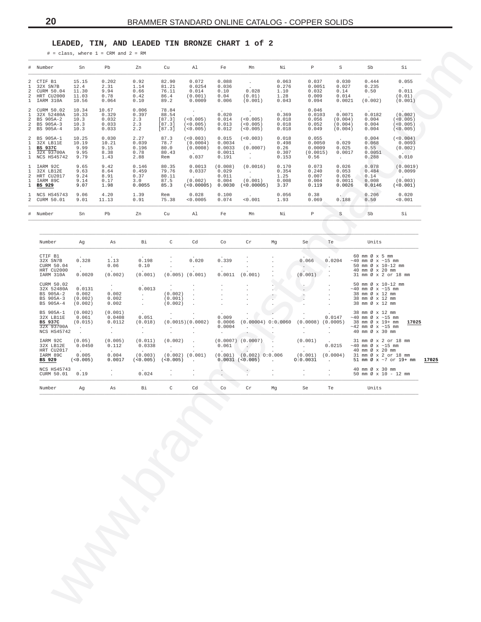## **LEADED, TIN, AND LEADED TIN BRONZE CHART 1 of 2**

# = class, where 1 = CRM and 2 = RM

<span id="page-19-0"></span>

| # Number<br>CTIF B1<br>32X SN7B<br>CURM 50.04                       | Sn                                                                    |                                                            |                                                          |                                                             |                                                                         |                                                                |                                                                                                                                                                                                               |                                             |                                                                                                                              |                                                                                                     |                                                                                        |                                                                                                               |
|---------------------------------------------------------------------|-----------------------------------------------------------------------|------------------------------------------------------------|----------------------------------------------------------|-------------------------------------------------------------|-------------------------------------------------------------------------|----------------------------------------------------------------|---------------------------------------------------------------------------------------------------------------------------------------------------------------------------------------------------------------|---------------------------------------------|------------------------------------------------------------------------------------------------------------------------------|-----------------------------------------------------------------------------------------------------|----------------------------------------------------------------------------------------|---------------------------------------------------------------------------------------------------------------|
|                                                                     |                                                                       | Pb                                                         | Zn                                                       | Cu                                                          | Al                                                                      | Fe                                                             | Mn                                                                                                                                                                                                            | Ni                                          | $\mathbb{P}$                                                                                                                 | S                                                                                                   | Sb                                                                                     | Si                                                                                                            |
| HRT CU2000<br>1 IARM 310A                                           | 15.15<br>12.4<br>11.30<br>11.03<br>10.56                              | 0.202<br>2.31<br>9.94<br>0.78<br>0.064                     | 0.92<br>1.14<br>0.66<br>0.42<br>0.10                     | 82.90<br>81.21<br>76.11<br>86.4<br>89.2                     | 0.072<br>0.0254<br>0.014<br>(0.001)<br>0.0009                           | 0.088<br>0.036<br>0.10<br>0.04<br>0.006                        | <b>Contract</b><br>$\sim$<br>0.028<br>(0.01)<br>(0.001)                                                                                                                                                       | 0.063<br>0.276<br>1.10<br>1.28<br>0.043     | 0.037<br>0.0051<br>0.032<br>0.009<br>0.094                                                                                   | 0.030<br>0.027<br>0.14<br>0.014<br>0.0021                                                           | 0.444<br>0.235<br>0.50<br>$\sim 10^{-11}$<br>(0.002)                                   | 0.055<br>$\sim$<br>0.011<br>(0.01)<br>(0.001)                                                                 |
| 2 CURM 50.02<br>32X 52480A<br>BS 905A-2<br>BS 905A-3<br>2 BS 905A-4 | 10.34<br>10.33<br>10.3<br>10.3<br>10.3                                | 10.67<br>0.329<br>0.032<br>0.033<br>0.033                  | 0.006<br>0.397<br>2.3<br>2.3<br>2.2                      | 78.84<br>88.54<br>[87.3]<br>[87.3]<br>[87.3]                | $\sim 10^6$<br>(< 0.005)<br>(<0.005)<br>(< 0.005)                       | 0.020<br>0.014<br>0.013<br>0.012                               | $\frac{1}{2}$ .<br>(<0.005)<br>(<0.005)<br>(< 0.005)                                                                                                                                                          | 0.369<br>0.018<br>0.018<br>0.018            | 0.046<br>0.0103<br>0.056<br>0.052<br>0.049                                                                                   | 0.0071<br>(0.004)<br>(0.004)<br>(0.004)                                                             | 0.0182<br>0.004<br>0.004<br>0.004                                                      | (0.002)<br>(<0.005)<br>(<0.005)<br>(<0.005)                                                                   |
| 2 BS 905A-1<br>32X LB11E<br>BS 937C<br>32X 93700A<br>1 NCS HS45742  | 10.25<br>10.19<br>9.99<br>9.95<br>9.79                                | 0.030<br>10.21<br>9.15<br>8.38<br>1.43                     | 2.27<br>0.039<br>0.196<br>0.78<br>2.88                   | 87.3<br>78.7<br>80.0<br>80.43<br>Rem                        | (< 0.003)<br>(0.0004)<br>(0.0008)<br><b>Contractor</b><br>0.037         | 0.015<br>0.0034<br>0.0033<br>0.0011<br>0.191                   | (< 0.003)<br><b>Contract Contract</b><br>(0.0007)<br>$\mathcal{L}^{\mathcal{L}}(\mathcal{L}^{\mathcal{L}}(\mathcal{L}^{\mathcal{L}}(\mathcal{L}^{\mathcal{L}}(\mathcal{L}^{\mathcal{L}})))$<br>$\sim 10^{-1}$ | 0.018<br>0.498<br>0.26<br>0.307<br>0.153    | 0.055<br>0.0050<br>0.0009<br>(0.0015)<br>0.56                                                                                | 0.029<br>0.025<br>0.0017<br><b>Contractor</b>                                                       | 0.004<br>0.068<br>0.55<br>0.0051<br>0.288                                              | (< 0.004)<br>0.0093<br>(0.002)<br>- 300 - 21<br>0.010                                                         |
| 1 IARM 92C<br>32X LB12E<br>HRT CU2017<br>IARM 89C<br>BS 929         | 9.65<br>9.63<br>9.24<br>9.14<br>9.07                                  | 9.42<br>8.64<br>8.91<br>0.17<br>1.98                       | 0.146<br>0.459<br>0.37<br>3.0<br>0.0055                  | 80.35<br>79.76<br>80.11<br>87.5<br>85.3                     | 0.0013<br>0.0337<br><b>Contractor</b><br>(0.002)<br>$(<0.00005)$ 0.0030 | (0.008)<br>0.029<br>0.011<br>0.004                             | (0.0016)<br><b>Contractor</b><br>$\sim$<br>(0.001)<br>(<0.00005)                                                                                                                                              | 0.170<br>0.354<br>1.25<br>0.008<br>3.37     | 0.073<br>0.240<br>0.007<br>0.004<br>0.119                                                                                    | 0.026<br>0.053<br>0.026<br>0.0011<br>0.0026                                                         | 0.078<br>0.484<br>0.14<br>0.008<br>0.0146                                              | (0.0019)<br>0.0099<br>(0.003)<br>(<0.001)                                                                     |
| 1 NCS HS45743<br>2 CURM 50.01                                       | 9.06<br>9.01                                                          | 4.20<br>11.13                                              | 1.39<br>0.91                                             | Rem<br>75.38                                                | 0.028<br>< 0.0005                                                       | 0.100<br>0.074                                                 | < 0.001                                                                                                                                                                                                       | 0.056<br>1.93                               | 0.38<br>0.069                                                                                                                | 0.188                                                                                               | 0.206<br>0.50                                                                          | 0.020<br>< 0.001                                                                                              |
| Number                                                              | Sn                                                                    | Pb                                                         | Zn                                                       | Cu                                                          | Al                                                                      | Fe                                                             | Mn                                                                                                                                                                                                            | Ni                                          | $\mathbb{P}$                                                                                                                 | S                                                                                                   | Sb                                                                                     | Si                                                                                                            |
| Number                                                              | Ag                                                                    | As                                                         | Bi                                                       | $\mathbb{C}$                                                | Cd                                                                      | Co                                                             | Cr                                                                                                                                                                                                            | Mg                                          | Se .                                                                                                                         | Te                                                                                                  | Units                                                                                  |                                                                                                               |
| CTIF B1<br>32X SN7B<br>CURM 50.04<br>HRT CU2000<br>IARM 310A        | 0.328<br>$\sim 10^{-10}$ km $^{-1}$<br>0.0020                         | 1.13<br>0.06<br>$\sim$<br>(0.002)                          | 0.198<br>0.10<br>(0.001)                                 | $\sim$<br>$\cdot$                                           | 0.020<br><b>Allen</b><br>$(0.005)$ $(0.001)$                            | 0.339<br>$\sim$<br>0.0011                                      | (0.001)                                                                                                                                                                                                       |                                             | 0.066<br>$\sim$ $\sim$<br>(0.001)                                                                                            | 0.0204<br><b>Contract Contract</b><br>$\cdot$<br>$\sim$                                             | $60$ mm $\varnothing$ x 5 mm<br>40 mm Ø x 20 mm                                        | $\sim$ 40 mm Ø x $\sim$ 15 mm<br>50 mm Ø x 10-12 mm<br>31 mm Ø x 2 or 18 mm                                   |
| CURM 50.02<br>32X 52480A<br>BS 905A-2<br>BS 905A-3<br>BS 905A-4     | 0.0131<br>0.002<br>(0.002)<br>(0.002)                                 | $\frac{1}{2}$ .<br>0.002<br>0.002<br>0.002                 | 0.0013<br><b>Contractor</b><br><b>Contract</b><br>$\sim$ | $\frac{1}{\lambda_{\rho}}$<br>(0.002)<br>(0.001)<br>(0.002) | $\cdot$<br>$\sim$<br>$\sim$                                             |                                                                |                                                                                                                                                                                                               | $\sim$                                      | $\sim$                                                                                                                       | $\cdot$<br>$\cdot$                                                                                  | $\sim$ 40 mm Ø x $\sim$ 15 mm<br>38 mm Ø x 12 mm<br>38 mm Ø x 12 mm<br>38 mm Ø x 12 mm | 50 mm Ø x 10-12 mm                                                                                            |
| BS 905A-1<br>32X LB11E<br>BS 937C<br>32X 93700A<br>NCS HS45742      | (0.002)<br>0.061<br>(0.015)<br><b>Contractor</b><br><b>Contractor</b> | (0.001)<br>0.0408<br>0.0112<br><b>Contractor</b><br>$\sim$ | 0.051<br>(0.018)<br><b>Contract</b><br>$\sim$            | $\mathbb{R}^n \times \mathbb{R}^n$<br>$\cdot$               | (0.0015)(0.0002)<br>the company of the com-                             | 0.009<br>0.0006<br>0.0004<br><b>Contract Contract Contract</b> | $(0.00004)$ $0:0.0060$<br>$\sim 100$                                                                                                                                                                          | $\sim$<br><b>Contract Contract Contract</b> | $\sim$<br>$\sim$<br>$(0.0008)$ $(0.0005)$ 38 mm Ø x 19+ mm<br><b>Contractor</b><br>$\cdot$                                   | 0.0147<br><b>Contractor</b><br>$\sim$                                                               | 38 mm Ø x 12 mm<br>40 mm Ø x 30 mm                                                     | $\sim$ 40 mm Ø x $\sim$ 15 mm<br>17025<br>$\sim$ 42 mm Ø x $\sim$ 15 mm                                       |
| IARM 92C<br>32X LB12E<br>HRT CU2017<br>IARM 89C<br>BS 929           | (0.05)<br>0.0450<br><b>Contract Contract</b><br>0.005<br>(< 0.005)    | (0.005)<br>0.112<br>$\sim$<br>0.004<br>0.0017              | (0.011)<br>0.0338<br>$\sim$<br>(0.003)<br>(< 0.005)      | (0.002)<br><b>Contractor</b>                                | $\sim 100$<br>$\sim$<br>$(0.002)$ $(0.001)$<br>$(<0.005)$ .             | 0.061<br>$\sim$                                                | $(0.0007)$ $(0.0007)$ . $(0.001)$<br>$\cup$ defined by<br>$(0.001)$ $(0.002)$ $0:0.006$<br>$0.0031$ (<0.005) .                                                                                                |                                             | $\mathcal{L}^{\mathcal{L}}$ and $\mathcal{L}^{\mathcal{L}}$ and $\mathcal{L}^{\mathcal{L}}$<br>$\sim$<br>(0.001)<br>0:0.0031 | $\Delta \sim 10^{-11}$<br>0.0215<br><b>Carl Corporation</b><br>(0.0004)<br><b>Contract Contract</b> | 40 mm Ø x 20 mm                                                                        | 31 mm Ø x 2 or 18 mm<br>$\sim$ 40 mm Ø x $\sim$ 15 mm<br>31 mm Ø x 2 or 18 mm<br>51 mm Ø x ~7 or 19+ mm 17025 |
| NCS HS45743<br>CURM 50.01 0.19                                      |                                                                       | $\sim$                                                     | 0.024                                                    | $\cdot$                                                     | $\cdot$                                                                 | $\mathbf{r}$                                                   | $\cdot$<br>У                                                                                                                                                                                                  | $\cdot$                                     | $\cdot$<br>$\overline{a}$                                                                                                    | $\cdot$<br>$\cdot$                                                                                  | 40 mm Ø x 30 mm                                                                        | 50 mm $\varnothing$ x 10 - 12 mm                                                                              |
| Number                                                              | Ag                                                                    | As                                                         | Bi                                                       | $\mathsf{C}$                                                | Cd                                                                      | Co                                                             | Cr                                                                                                                                                                                                            | Mg                                          | Se                                                                                                                           | Te                                                                                                  | Units                                                                                  |                                                                                                               |

| Number             | Aq                   | As               | Bi            | C                 | Cd                   | Co             | Cr                            | Mq       | Se                       | Te                       | Units                                             |
|--------------------|----------------------|------------------|---------------|-------------------|----------------------|----------------|-------------------------------|----------|--------------------------|--------------------------|---------------------------------------------------|
| CTIF B1            | <b>ALCOHOL:</b>      | $\sim$           | $\sim$        |                   |                      |                |                               |          |                          |                          | 60 mm Ø x 5 mm                                    |
| 32X SN7B           | 0.328                | 1.13             | 0.198         |                   | 0.020                | 0.339          |                               |          | 0.066                    | 0.0204                   | $\sim$ 40 mm Ø x $\sim$ 15 mm                     |
| CURM 50.04         | $\sim$               | 0.06             | 0.10          |                   | $\ddot{\phantom{0}}$ | $\sim$         |                               |          | $\sim$                   |                          | 50 mm Ø x 10-12 mm                                |
| HRT CU2000         |                      | $\sim$           | $\cdot$       |                   |                      |                |                               |          |                          |                          | 40 mm Ø x 20 mm                                   |
| IARM 310A          | 0.0020               | (0.002)          | (0.001)       |                   | $(0.005)$ $(0.001)$  | 0.0011         | (0.001)                       |          | (0.001)                  |                          | 31 mm Ø x 2 or 18 mm                              |
| CURM 50.02         |                      |                  |               |                   |                      |                |                               |          | $\cdot$                  |                          | 50 mm Ø x 10-12 mm                                |
| 32X 52480A         | 0.0131               | $\sim$ 100 $\pm$ | 0.0013        |                   |                      |                |                               |          | $\cdot$                  |                          | $\sim$ 40 mm Ø x $\sim$ 15 mm                     |
| BS 905A-2          | 0.002                | 0.002            | $\sim$        | (0.002)           |                      |                |                               |          |                          |                          | 38 mm Ø x 12 mm                                   |
| BS 905A-3          | (0.002)              | 0.002            | $\sim$        | (0.001)           |                      |                |                               |          |                          |                          | 38 mm Ø x 12 mm                                   |
| BS 905A-4          | (0.002)              | 0.002            | $\sim$        | (0.002)           |                      |                |                               |          |                          |                          | 38 mm Ø x 12 mm                                   |
| BS 905A-1          | (0.002)              | (0.001)          | $\sim$        |                   |                      | $\sim$         |                               |          | $\cdot$                  |                          | 38 mm Ø x 12 mm                                   |
| 32X LB11E          | 0.061                | 0.0408           | 0.051         |                   |                      | 0.009          |                               |          |                          | 0.0147                   | $\sim$ 40 mm Ø x $\sim$ 15 mm                     |
| BS 937C            | (0.015)              | 0.0112           | (0.018)       |                   | (0.0015)(0.0002)     | 0.0006         | (0.00004)                     | 0:0.0060 | (0.0008)                 | (0.0005)                 | 38 mm Ø x 19+ mm<br>17025                         |
| 32X 93700A         | $\cdot$              |                  |               |                   |                      | 0.0004         | $\cdot$                       |          |                          |                          | $\sim$ 42 mm Ø x $\sim$ 15 mm                     |
| NCS HS45742        | $\ddot{\phantom{0}}$ |                  |               |                   |                      | $\sim$         |                               |          |                          | $\cdot$                  | 40 mm Ø x 30 mm                                   |
| IARM 92C           | (0.05)               | (0.005)          | (0.011)       | (0.002)           | $\sim$               |                | $(0.0007)$ $(0.0007)$         |          | (0.001)                  | $\sim$                   | 31 mm Ø x 2 or 18 mm                              |
| 32X LB12E          | 0.0450               | 0.112            | 0.0338        | $\mathbf{r}$      |                      | 0.061          | $\mathcal{L}$                 |          | <b>Contract Contract</b> | 0.0215                   | $\sim$ 40 mm Ø x $\sim$ 15 mm                     |
| HRT CU2017         | $\sim$               | $\sim$           | $\sim$ $\sim$ |                   |                      | <b>Service</b> |                               |          | <b>Contract Contract</b> | $\sim$                   | 40 mm Ø x 20 mm                                   |
| IARM 89C           | 0.005                | 0.004            | (0.003)       |                   | $(0.002)$ $(0.001)$  |                | $(0.001)$ $(0.002)$ $0:0.006$ |          | (0.001)                  | (0.0004)                 | 31 mm Ø x 2 or 18 mm                              |
| BS 929             | (<0.005)             | 0.0017           | (50.005)      | $($ < 0 . 005 ) . |                      |                | $0.0031$ (<0.005).            |          | 0:0.0031                 | <b>Contract Contract</b> | 17025<br>51 mm $\varnothing$ x $\sim$ 7 or 19+ mm |
| <b>NCS HS45743</b> | $\ddot{\phantom{0}}$ |                  |               |                   |                      |                |                               |          |                          | $\ddot{\phantom{0}}$     | 40 mm Ø x 30 mm                                   |
| CURM 50.01         | 0.19                 |                  | 0.024         |                   |                      |                |                               |          |                          | $\mathbf{r}$             | 50 mm $\varnothing$ x 10 - 12 mm                  |
| Number             | Aq                   | As               | Вi            | C                 | Cd                   | Co             | Cr                            | Mq       | Se                       | Te                       | Units                                             |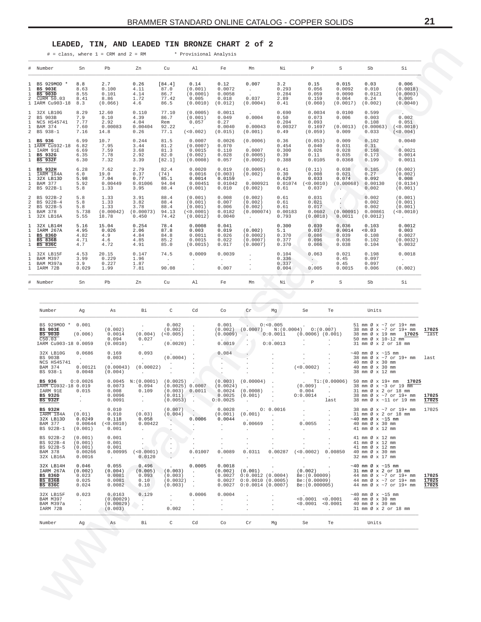## **LEADED, TIN, AND LEADED TIN BRONZE CHART 2 of 2**

<span id="page-20-0"></span>

|                                                                                      |                                                                           | $\#$ = class, where $1$ = CRM and $2$ = RM                |                                                                          |                                                                       |                                                                             | * Provisional Analysis                             |                                                                                                             |                                           |                                                             |                                                |                                                                                                                                                               |                                                                                                                                                                                                                                                                              |                         |
|--------------------------------------------------------------------------------------|---------------------------------------------------------------------------|-----------------------------------------------------------|--------------------------------------------------------------------------|-----------------------------------------------------------------------|-----------------------------------------------------------------------------|----------------------------------------------------|-------------------------------------------------------------------------------------------------------------|-------------------------------------------|-------------------------------------------------------------|------------------------------------------------|---------------------------------------------------------------------------------------------------------------------------------------------------------------|------------------------------------------------------------------------------------------------------------------------------------------------------------------------------------------------------------------------------------------------------------------------------|-------------------------|
| # Number                                                                             | Sn                                                                        | Pb                                                        | Zn                                                                       | Cu                                                                    | Al                                                                          | Fe                                                 | Mn                                                                                                          | Ni                                        | P                                                           | S                                              | Sb                                                                                                                                                            | Si                                                                                                                                                                                                                                                                           |                         |
| BS 929MOD *<br><b>BS 903E</b><br><b>BS 903D</b><br>CURM 50.03<br>1 IARM Cu903-18 8.3 | 8.8<br>8.63<br>8.55<br>8.41                                               | 2.7<br>0.100<br>0.101<br>8.86<br>(0.066)                  | 0.26<br>4.11<br>4.14<br>1.72<br>4.6                                      | [84.4]<br>87.0<br>86.7<br>77.42<br>86.5                               | 0.14<br>(0.001)<br>(0.0001)<br>0.005<br>(0.0010)                            | 0.12<br>0.0072<br>0.0058<br>0.018<br>(0.012)       | 0.007<br>$\Delta \sim 10^4$<br>0.037<br>(0.0004)                                                            | 3.2<br>0.293<br>0.284<br>2.89<br>0.41     | 0.15<br>0.056<br>0.059<br>0.159<br>(0.060)                  | 0.015<br>0.0092<br>0.0090<br>0.064<br>(0.0017) | 0.03<br>0.010<br>0.0121<br>0.24<br>(0.002)                                                                                                                    | 0.006<br>(0.0018)<br>(0.0003)<br>0.005<br>(0.0040)                                                                                                                                                                                                                           |                         |
| 32X LB10G<br>BS 903B<br>NCS HS45741<br>BAM 374<br>2 BS 938-1                         | 8.29<br>7.9<br>7.77<br>7.60<br>7.16                                       | 12.60<br>0.10<br>2.92<br>0.00083<br>14.8                  | 0.110<br>4.39<br>4.04<br>0.00404<br>0.26                                 | 77.10<br>86.7<br>Rem<br>92.22<br>77.1                                 | (0.0005)<br>(0.001)<br>0.057<br>$\sim 10^{-10}$<br>(<0.002)                 | 0.0011<br>0.049<br>0.27<br>0.0040<br>(0.015)       | 0.0004<br><b>Carl Corporation</b><br>0.00043<br>(0.001)                                                     | 0.690<br>0.50<br>0.204<br>0.00327<br>0.49 | 0.0034<br>0.073<br>0.093<br>0.1697<br>(0.059)               | 0.0100<br>0.006<br>(0.0013)<br>0.009           | 0.599<br>0.003<br>0.108<br>0.033                                                                                                                              | 0.002<br>0.051<br>$(0.00063)$ $(<0.0010)$<br>(<0.004)                                                                                                                                                                                                                        |                         |
| 1 BS 936<br>1 IARM Cu932-18 6.82<br>IARM 91E<br>BS 932G<br><b>BS 932F</b>            | 6.99<br>6.69<br>6.35<br>6.30                                              | 10.7<br>7.95<br>7.59<br>7.78<br>7.32                      | 0.244<br>3.44<br>3.68<br>2.92<br>3.39                                    | 81.5<br>81.2<br>81.3<br>82.0<br>[82.1]                                | 0.0007<br>(0.0007)<br>0.0015<br>(0.002)<br>(0.0008)                         | 0.0026<br>0.070<br>0.110<br>0.028<br>0.057         | (0.0006)<br>$\sim$ $\sim$<br>0.0007<br>(0.0005)<br>(0.0002)                                                 | 0.36<br>0.454<br>0.300<br>0.39<br>0.388   | (0.053)<br>0.040<br>0.026<br>0.11<br>0.0105                 | 0.009<br>0.031<br>0.028<br>0.035<br>0.0368     | 0.102<br>0.31<br>0.168<br>0.173<br>0.199                                                                                                                      | 0.0040<br><b>Contract of the Contract of the Contract of the Contract of the Contract of the Contract of the Contract of the Contract of the Contract of the Contract of the Contract of the Contract of The Contract of The Contract of T</b><br>0.0021<br>0.0014<br>0.0011 |                         |
| <b>BS 932H</b><br>IARM 184A<br>32X LB13D<br>BAM 377<br>2 BS 922B-1                   | 6.28<br>6.0<br>5.98<br>5.92<br>5.8                                        | 7.62<br>19.0<br>7.04<br>0.00449<br>1.33                   | 2.79<br>0.37<br>0.77<br>0.01006<br>3.95                                  | 82.4<br>(74)<br>85.1<br>94.04<br>88.4                                 | 0.0020<br>0.0016<br>0.0014<br>0.00451<br>(0.001)                            | 0.019<br>(0.003)<br>0.0159<br>0.01042<br>0.010     | (0.0005)<br>(0.002)<br>0.000921<br>(0.002)                                                                  | 0.41<br>0.30<br>0.629<br>0.61             | (0.11)<br>0.008<br>0.033<br>$0.01074$ $(<0.0010)$<br>0.037  | 0.038<br>0.021<br>0.074<br>$\sim$              | 0.185<br>0.27<br>0.092<br>(0.00068) 0.00130<br>0.002                                                                                                          | (0.002)<br>(0.002)<br>0.008<br>(0.0134)<br>(0.001)                                                                                                                                                                                                                           |                         |
| BS 922B-2<br>BS 922B-4<br>BS 922B-5<br>BAM 378<br>1 32X LB16A                        | 5.8<br>5.8<br>5.8<br>5.738<br>5.55                                        | 1.33<br>1.33<br>1.33<br>(0.00042)<br>18.78                | 3.91<br>3.82<br>3.78<br>$(0.00073)$ 94.13<br>0.450                       | 88.4<br>88.4<br>88.4<br>74.42                                         | (0.001)<br>(0.001)<br>(0.001)<br>(<0.0001)<br>(0.0012)                      | 0.008<br>0.007<br>0.006<br>0.0182<br>0.0040        | (0.002)<br>(0.002)<br>(0.002)<br>(0.000074) 0.00183<br>$\sim 10^{-11}$                                      | 0.61<br>0.61<br>0.61<br>0.793             | 0.031<br>0.021<br>0.017<br>0.0602<br>(0.0018)               | (0.00091)<br>0.0011                            | 0.002<br>0.002<br>0.002<br>0.00861<br>(0.0012)                                                                                                                | (0.001)<br>(0.001)<br>(0.001)<br>(<0.0010)<br><b>Contractor</b>                                                                                                                                                                                                              |                         |
| 32X LB14H<br>IARM 267A<br><b>BS 836D</b><br><b>BS 836B</b><br><b>BS 836C</b>         | 5.16<br>4.95<br>4.82<br>4.71<br>4.7                                       | 15.04<br>0.026<br>4.9<br>4.6<br>4.72                      | 0.254<br>2.06<br>4.84<br>4.85<br>4.91                                    | 78.4<br>87.8<br>84.8<br>85.2<br>85.0                                  | 0.0008<br>0.003<br>0.0011<br>0.0015<br>(0.0015)                             | 0.041<br>0.019<br>0.026<br>0.022<br>0.017          | (0.002)<br>(0.0002)<br>(0.0007)<br>(0.0007)                                                                 | 0.300<br>5.1<br>0.370<br>0.377<br>0.370   | 0.039<br>0.037<br>0.086<br>0.096<br>0.066                   | 0.036<br>0.0014<br>0.039<br>0.036<br>0.038     | 0.103<br>< 0.03<br>0.108<br>0.102<br>0.104                                                                                                                    | 0.0012<br>0.003<br>0.0027<br>(0.0032)<br>0.0032                                                                                                                                                                                                                              |                         |
| 32X LB15F<br>BAM M397<br>BAM M397a<br>IARM 72B                                       | 4.53<br>3.99<br>3.9<br>0.029                                              | 20.15<br>0.229<br>0.227<br>1.99                           | 0.147<br>1.96<br>1.87<br>7.81                                            | 74.5<br>$\sim 100$<br>90.08                                           | 0.0009<br>$\sim$ $\sim$                                                     | 0.0039<br>$\sim 10^{-11}$<br>0.007                 | $\cdot$                                                                                                     | 0.104<br>0.336<br>0.337<br>0.004          | 0.063<br>$\mathcal{D}$<br>0.005                             | 0.021<br>0.45<br>0.45<br>0.0015                | 0.198<br>0.097<br>0.097<br>0.006                                                                                                                              | 0.0018<br>$\sim 10^{-11}$<br>(0.002)                                                                                                                                                                                                                                         |                         |
| # Number                                                                             | Sn                                                                        | Pb                                                        | Zn                                                                       | Cu                                                                    | Al                                                                          | Fe                                                 | Mn                                                                                                          | Νi                                        | Р                                                           | S                                              | Sb                                                                                                                                                            | Si                                                                                                                                                                                                                                                                           |                         |
| Number                                                                               | Ag                                                                        | Αs                                                        | Bi                                                                       | C                                                                     | Cd                                                                          | Co                                                 | Cr                                                                                                          | Mg                                        | Se                                                          | Тe                                             | Units                                                                                                                                                         |                                                                                                                                                                                                                                                                              |                         |
| BS 929MOD *<br><b>BS 903E</b><br><b>BS 903D</b><br>C50.03<br>IARM Cu903-18 0.0059    | 0.001<br><b>Contract Contract</b><br>(0.006)<br>$\sim 10^{-10}$ m $^{-1}$ | (0.002)<br>0.0014<br>0.094<br>(0.0010)                    | $\sim$<br>(0.004)<br>0.027<br>$\sim$ $\sim$                              | 0.002<br>(0.002)<br>(< 0.005)<br><b>Contract Contract</b><br>(0.0020) | $\bullet$<br>$\bullet$<br>$\sim$<br>$\sim$                                  | 0.001<br>(0.002)<br>(0.0009)<br>0.0019             | $(0.0007)$ N: $(0.0004)$ O: $(0.007)$<br>$\sim 100$<br>$\cdot$ .                                            | 0: < 0.005<br>0:0.0011<br>0:0.0013        | $(0.0006)$ $(0.001)$<br>$\sim$                              | $\cdot$                                        | 51 mm Ø x ~7 or 19+ mm<br>38 mm Ø x ~7 or 19+ mm<br>38 mm Ø x 19 mm <b>17025</b><br>50 mm Ø x 10-12 mm<br>31 mm Ø x 2 or 18 mm                                |                                                                                                                                                                                                                                                                              | 17025<br>last           |
| 32X LB10G<br>BS 903B<br>NCS HS45741<br>BAM 374<br>BS 938-1                           | 0.0686<br>$\sim 10^{-10}$<br>0.00121<br>0.0048                            | 0.169<br>0.003<br>(0.00043)<br>(0.004)                    | 0.093<br>$\sim 10^{-11}$<br>(0.00022)<br>$\sim$                          | (0.0004)<br>$\sim$<br>$\cdot$                                         | $\ddot{\phantom{a}}$<br>$\cdot$                                             | 0.084<br>$\mathcal{L}^{\mathcal{A}}$ .<br>$\cdot$  |                                                                                                             |                                           | $\sim$<br>(<0.0002)<br><b>Contractor</b>                    |                                                | $\sim$ 40 mm Ø x $\sim$ 15 mm<br>38 mm Ø x ~7 or 19+ mm<br>40 mm Ø x 30 mm<br>40 mm Ø x 30 mm<br>38 mm Ø x 12 mm                                              |                                                                                                                                                                                                                                                                              | last                    |
| BS 936<br>IARM Cu932-18 0.019<br>IARM 91E<br>BS 932G<br>BS 932F                      | 0:0.0026<br>0.015<br><b>Contractor</b>                                    | 0.0073<br>0.008<br>0.0096<br>0.0091                       | $0.0045$ N: $(0.0001)$ $(0.0025)$ .<br>0.094<br>0.109<br>and the control | (0.0025) 0.0007<br>(0.003) 0.0011<br>(0.011)<br>(0.0053)              | na Col<br>$\sim$                                                            | $0.0024$ (0.0008)<br>0:0.0025                      | $(0.003)$ $(0.00004)$ .<br>$(0.0024)$ .<br>$0.0025$ $(0.001)$                                               | $\sim$<br>$\sim$<br>$\sim 10^{-11}$       | $(0.009)$ .<br>0.004<br>0:0.0014                            | $\sim$<br>last                                 | . Ti: $(0.00006)$ 50 mm $\emptyset$ x 19+ mm 17025<br>38 mm Ø x ~3 or 19 mm<br>31 mm Ø x 2 or 18 mm<br>38 mm Ø x ~7 or 19+ mm 17025<br>38 mm Ø x ~11 or 19 mm |                                                                                                                                                                                                                                                                              | 17025                   |
| BS 932H<br>IARM 184A<br>32X LB13D<br>BAM 377<br>BS 922B-1                            | (0.01)<br>0.0249<br>(0.001)                                               | 0.010<br>0.010<br>0.118<br>$0.00644$ $(<0.0010)$<br>0.001 | (0.03)<br>0.058<br>0.00422<br>$\cdot$                                    | (0.007)<br>(0.004)<br>$\ddot{\phantom{a}}$                            | <b>Carl Corporation</b><br>0.0006<br>$\sim$                                 | 0.0028<br>(0.001)<br>0.0044<br>$\Delta$<br>$\cdot$ | (0.001)<br>$\sim$<br>0.00669<br>$\ddot{\phantom{a}}$                                                        | 0: 0.0016<br>$\sim$                       | $\cdot$<br>0.0055<br>$\sim$                                 |                                                | 38 mm Ø x ~7 or 19+ mm<br>31 mm Ø x 2 or 18 mm<br>$\sim$ 40 mm Ø x $\sim$ 15 mm<br>40 mm Ø x 30 mm<br>41 mm Ø x 12 mm                                         |                                                                                                                                                                                                                                                                              | 17025                   |
| BS 922B-2<br>BS 922B-4<br>BS 922B-5<br>BAM 378<br>32X LB16A                          | (0.001)<br>(0.001)<br>(0.001)<br>0.00266<br>0.0016                        | 0.001<br>0.001<br>0.001<br>0.00995<br>$\sim$              | (<0.0001)<br>0.0120                                                      | ٠.                                                                    | 0.01007<br>$\sim$                                                           | $\cdot$<br>0.0089<br>$\cdot$                       | $\cdot$<br>0.0311<br>$\ddot{\phantom{0}}$                                                                   | $\blacksquare$<br>0.00287<br>$\sim$       | $\cdot$<br>(< 0.0002)<br>$\sim$                             | 0.00850<br>$\ddot{\phantom{a}}$                | 41 mm Ø x 12 mm<br>41 mm Ø x 12 mm<br>41 mm Ø x 12 mm<br>40 mm Ø x 30 mm<br>32 mm Ø x 17 mm                                                                   |                                                                                                                                                                                                                                                                              |                         |
| 32X LB14H<br>IARM 267A<br><b>BS 836D</b><br><b>BS 836B</b><br><b>BS 836C</b>         | 0.046<br>(0.002)<br>0.023<br>0.025<br>0.024                               | 0.055<br>(0.004)<br>0.0081<br>0.0081<br>0.0082            | 0.496<br>(0.005)<br>0.093<br>0.10<br>0.10                                | (0.003)<br>(0.003)<br>(0.0032)<br>(0.003)                             | 0.0005<br>$\sim 10^{-1}$<br>$\sim$<br>$\sim$ $\sim$<br>$\ddot{\phantom{a}}$ | 0.0018<br>(0.002)                                  | (0.001)<br>$0.0027$ $0:0.0012$ $(0.0004)$<br>$0.0027$ $0:0.0010$ $(0.0005)$<br>$0.0027$ $0:0.0014$ (0.0007) |                                           | (0.002)<br>Be: (0.00009)<br>Be: (0.00009)<br>Be: (0.000005) |                                                | $\sim$ 40 mm Ø x $\sim$ 15 mm<br>31 mm Ø x 2 or 18 mm<br>44 mm Ø x ~7 or 19+ mm<br>44 mm Ø x ~7 or 19+ mm<br>44 mm Ø x ~7 or 19+ mm                           |                                                                                                                                                                                                                                                                              | 17025<br>17025<br>17025 |
| 32X LB15F<br><b>BAM M397</b><br>BAM M397a<br>IARM 72B                                | 0.023<br>$\sim$<br>$\ddot{\phantom{a}}$<br>$\ddot{\phantom{a}}$           | 0.0163<br>(0.00029)<br>(0.00029)<br>(0.003)               | 0.129<br>$\sim$<br>$\cdot$                                               | $\sim$<br>0.002                                                       | 0.0006<br>$\ddot{\phantom{a}}$<br>$\cdot$<br>$\cdot$                        | 0.0004<br>$\cdot$<br>$\cdot$<br>$\cdot$            |                                                                                                             | $\blacksquare$                            | < 0.0001 < 0.0001<br>$< 0.0001$ $< 0.0001$<br>$\sim$        | $\cdot$                                        | $\sim$ 40 mm Ø x $\sim$ 15 mm<br>40 mm Ø x 30 mm<br>40 mm Ø x 30 mm<br>31 mm Ø x 2 or 18 mm                                                                   |                                                                                                                                                                                                                                                                              |                         |
| Number                                                                               | Ag                                                                        | As                                                        | Вi                                                                       | $\rm{C}$                                                              | Cd                                                                          | Co                                                 | Cr                                                                                                          | Mg                                        | Se                                                          | Te                                             | Units                                                                                                                                                         |                                                                                                                                                                                                                                                                              |                         |

| Number                                                                            | Aq                                                                        | As                                                        | Bi                                                                      | C                                                                                    | Cd                                                         | Co                                                                   | Cr                                                                                         | Mq                                                          | Se                                                                                                      | Te                                                                                       | Units                                                                                                                                                           |                         |
|-----------------------------------------------------------------------------------|---------------------------------------------------------------------------|-----------------------------------------------------------|-------------------------------------------------------------------------|--------------------------------------------------------------------------------------|------------------------------------------------------------|----------------------------------------------------------------------|--------------------------------------------------------------------------------------------|-------------------------------------------------------------|---------------------------------------------------------------------------------------------------------|------------------------------------------------------------------------------------------|-----------------------------------------------------------------------------------------------------------------------------------------------------------------|-------------------------|
| BS 929MOD *<br><b>BS 903E</b><br><b>BS 903D</b><br>C50.03<br>IARM Cu903-18 0.0059 | 0.001<br><b>Contract</b><br>(0.006)<br><b>Contractor</b>                  | $\sim$<br>(0.002)<br>0.0014<br>0.094<br>(0.0010)          | (0.004)<br>0.027<br>$\sim$                                              | 0.002<br>$(0.002)$ .<br>$(<0.005)$ .<br>$(0.0020)$ .                                 |                                                            | 0.001<br>(0.0009)<br><b>Contract Contract Contract</b><br>0.0019     |                                                                                            | 0: < 0.005<br>0:0.0011<br>0:0.0013                          | $(0.002)$ $(0.0007)$ N: $(0.0004)$ O: $(0.007)$<br>$(0.0006)$ $(0.001)$<br>i.                           | $\mathbf{r}$<br>$\mathbf{r}$                                                             | 51 mm Ø x ~7 or 19+ mm<br>38 mm Ø x ~7 or 19+ mm<br>38 mm Ø x 19 mm 17025<br>50 mm $\varnothing$ x 10-12 mm<br>31 mm Ø x 2 or 18 mm                             | 17025<br>last           |
| 32X LB10G<br><b>BS 903B</b><br>NCS HS45741<br>BAM 374<br>BS 938-1                 | 0.0686<br><b>Carl Corporation</b><br><b>Contract</b><br>0.00121<br>0.0048 | 0.169<br>0.003<br>$\sim 10^{-10}$<br>(0.00043)<br>(0.004) | 0.093<br><b>Carl Corporation</b><br>(0.00022)<br>$\sim$                 | <b>Contract Contract</b><br>$(0.0004)$ .<br>$\overline{\phantom{a}}$<br>$\mathbf{r}$ |                                                            | 0.084<br>$\ddot{\phantom{1}}$                                        |                                                                                            |                                                             | $\cdot$<br>$\ddot{\phantom{0}}$<br>(<0.0002)<br>$\sim$                                                  | $\ddot{\phantom{0}}$<br>$\ddot{\phantom{0}}$                                             | $\sim$ 40 mm Ø x $\sim$ 15 mm<br>38 mm Ø x ~7 or 19+ mm last<br>40 mm Ø x 30 mm<br>40 mm Ø x 30 mm<br>38 mm Ø x 12 mm                                           |                         |
| BS 936<br>IARM Cu932-18 0.019<br>IARM 91E<br><b>BS 932G</b><br><b>BS 932F</b>     | 0:0.0026<br>0.015<br><b>Contract</b><br><b>Service</b>                    | 0.0045<br>0.0073<br>0.008<br>0.0096<br>0.0091             | N: (0.0001)<br>0.094<br>0.109<br><b>Contract</b><br><b>Contractor</b>   | $(0.0025)$ .<br>(0.0025) 0.0007<br>(0.003) 0.0011<br>$(0.011)$ .<br>$(0.0053)$ .     |                                                            | (0.003)<br>(0.0024)<br>0.0024<br>0.0025<br>0:0.0025                  | (0.00004)<br>and the state of the state<br>(0.0008)<br>(0.001)<br><b>Contract Contract</b> | $\sim$<br>$\sim$<br>$\ddot{\phantom{a}}$                    | (0.009)<br>0.004<br>0:0.0014<br><b>Contract Contract Contract</b>                                       | <b>Contract Contract Contract</b><br>$\sim 10^{-11}$<br><b>Contract Contract</b><br>last | . Ti: $(0.00006)$ 50 mm Ø x 19+ mm 17025<br>38 mm $\varnothing$ x $\sim$ 3 or 19 mm<br>31 mm Ø x 2 or 18 mm<br>38 mm Ø x ~7 or 19+ mm<br>38 mm Ø x ~11 or 19 mm | 17025<br>17025          |
| <b>BS 932H</b><br>IARM 184A<br>32X LB13D<br>BAM 377<br>BS 922B-1                  | <b>Contract Contract</b><br>(0.01)<br>0.0249<br>0.00644<br>(0.001)        | 0.010<br>0.010<br>0.118<br>(<0.0010)<br>0.001             | <b>Contract Contract</b><br>(0.03)<br>0.058<br>0.00422<br>$\sim$ $\sim$ | $(0.007)$ .<br>$(0.004)$ .<br><b>Contract Contract Contract</b>                      | 0.0006<br>$\sim$                                           | 0.0028<br>(0.001)<br>0.0044<br>$\mathcal{L}^{\text{max}}$<br>$\cdot$ | $(0.001)$ .<br><b>Contract Contract</b><br>0.00669<br>$\ddot{\phantom{a}}$                 | 0: 0.0016<br>$\cdot$                                        | <b>Service</b><br>$\mathcal{A}^{\mathcal{A}}$ and $\mathcal{A}^{\mathcal{A}}$<br>0.0055<br>$\mathbf{r}$ | $\mathbf{r}$<br>$\sim$<br>$\blacksquare$<br>$\ddot{\phantom{0}}$<br>$\mathbf{r}$         | 38 mm Ø x ~7 or 19+ mm<br>31 mm Ø x 2 or 18 mm<br>$\sim$ 40 mm Ø x $\sim$ 15 mm<br>40 mm Ø x 30 mm<br>41 mm Ø x 12 mm                                           | 17025                   |
| BS 922B-2<br>BS 922B-4<br>BS 922B-5<br><b>BAM 378</b><br>32X LB16A                | (0.001)<br>(0.001)<br>(0.001)<br>0.00266<br>0.0016                        | 0.001<br>0.001<br>0.001<br>0.00995<br>$\sim 10^{-10}$ .   | $\mathcal{L}^{\text{max}}$<br>(<0.0001)<br>0.0120                       |                                                                                      | 0.01007<br><b>Carl Corporation</b>                         | 0.0089<br><b>Service</b>                                             | 0.0311<br><b>Carl Corporation</b>                                                          | 0.00287<br><b>Contract Contract</b>                         |                                                                                                         | the contract of the contract of the                                                      | 41 mm Ø x 12 mm<br>41 mm Ø x 12 mm<br>41 mm Ø x 12 mm<br>$(<0.0002)$ 0.00850 40 mm Ø x 30 mm<br>32 mm Ø x 17 mm                                                 |                         |
| 32X LB14H<br>IARM 267A<br><b>BS 836D</b><br><b>BS 836B</b><br><b>BS 836C</b>      | 0.046<br>(0.002)<br>0.023<br>0.025<br>0.024                               | 0.055<br>(0.004)<br>0.0081<br>0.0081<br>0.0082            | 0.496<br>(0.005)<br>0.093<br>0.10<br>0.10                               | (0.003)<br>(0.003)<br>$(0.0032)$ .<br>(0.003)                                        | 0.0005<br><b>Contract Contract</b><br>$\sim 100$<br>$\sim$ | 0.0018<br>(0.002)<br>0.0027<br>0.0027<br>0.0027                      | (0.001)                                                                                    | $0:0.0012$ (0.0004)<br>0:0.0010(0.0005)<br>0:0.0014(0.0007) | $(0.002)$ .<br>Be: (0.00009)<br>Be: (0.00009)<br>Be: (0.000005)                                         |                                                                                          | $\sim$ 40 mm Ø x $\sim$ 15 mm<br>31 mm Ø x 2 or 18 mm<br>44 mm Ø x ~7 or 19+ mm<br>44 mm Ø x ~7 or 19+ mm<br>44 mm Ø x ~7 or 19+ mm                             | 17025<br>17025<br>17025 |
| 32X LB15F<br>BAM M397<br>BAM M397a<br>IARM 72B                                    | 0.023<br><b>Contract</b><br>$\ddot{\phantom{0}}$<br>$\mathbf{r}$          | 0.0163<br>(0.00029)<br>(0.00029)<br>(0.003)               | 0.129<br><b>Allen</b><br>$\sim$                                         | $\sim$<br>$\ddot{\phantom{a}}$<br>0.002                                              | 0.0006<br>$\mathbf{r}$                                     | 0.0004<br>$\ddot{\phantom{0}}$<br>÷                                  | ÷.<br>÷.                                                                                   | $\mathbf{r}$                                                | < 0.0001 < 0.0001<br>< 0.0001 < 0.0001<br>and the control of the con-                                   |                                                                                          | $\sim$ 40 mm Ø x $\sim$ 15 mm<br>40 mm Ø x 30 mm<br>40 mm Ø x 30 mm<br>31 mm Ø x 2 or 18 mm                                                                     |                         |
| Number                                                                            | Aq                                                                        | As                                                        | Bi                                                                      | $\mathbb{C}$                                                                         | Cd                                                         | Co                                                                   | $\operatorname{Cr}$                                                                        | Mq                                                          | Se                                                                                                      | Te                                                                                       | Units                                                                                                                                                           |                         |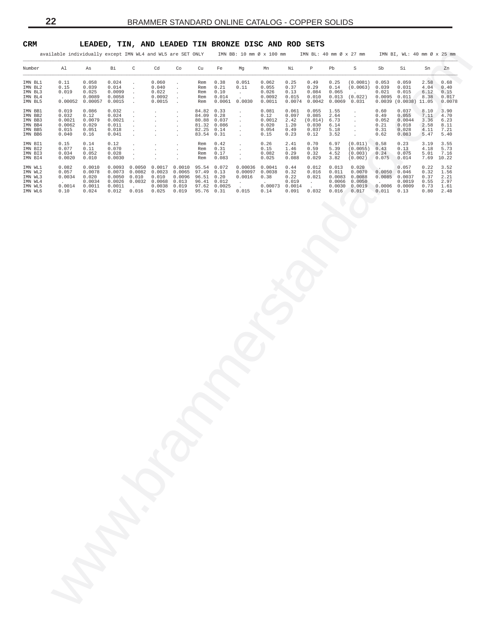## <span id="page-21-0"></span>**CRM LEADED, TIN, AND LEADED TIN BRONZE DISC AND ROD SETS**

|                                                                | available individually except IMN WL4 and WL5 are SET ONLY  |                                                        |                                                     |                                                                     |                                                                                                                                                                                                     |                                                             |                                                      |                                                              | IMN BB: 10 mm Ø x 100 mm                                                        |                                                   |                                                | IMN BL: 40 mm Ø x 27 mm                                                               |                              |                                                                                                        |                                                      | IMN BI, WL: 40 mm Ø x 25 mm                                 |                                                                                              |                                         |
|----------------------------------------------------------------|-------------------------------------------------------------|--------------------------------------------------------|-----------------------------------------------------|---------------------------------------------------------------------|-----------------------------------------------------------------------------------------------------------------------------------------------------------------------------------------------------|-------------------------------------------------------------|------------------------------------------------------|--------------------------------------------------------------|---------------------------------------------------------------------------------|---------------------------------------------------|------------------------------------------------|---------------------------------------------------------------------------------------|------------------------------|--------------------------------------------------------------------------------------------------------|------------------------------------------------------|-------------------------------------------------------------|----------------------------------------------------------------------------------------------|-----------------------------------------|
| Number                                                         | Al                                                          | As                                                     | Bi                                                  | $\mathbb{C}$                                                        | Cd                                                                                                                                                                                                  | Co                                                          | Cu                                                   | Fe                                                           | Mg                                                                              | Mn                                                | Νi                                             | $\mathbb{P}$                                                                          | Pb                           | S                                                                                                      | Sb                                                   | Si                                                          | Sn                                                                                           | Zn                                      |
| IMN BL1<br>IMN BL2<br>IMN BL3<br>IMN BL4<br>IMN BL5            | 0.11<br>0.15<br>0.019<br>$\sim 10^{-11}$<br>0.00052         | 0.058<br>0.039<br>0.025<br>0.0089<br>0.00057 0.0015    | 0.024<br>0.014<br>0.0099<br>0.0058                  | $\cdot$<br>$\cdot$<br>$\sim$<br>$\sim$<br>$\sim$                    | 0.060<br>0.040<br>0.022<br>0.0092<br>0.0015                                                                                                                                                         | $\cdot$<br>$\cdot$<br>$\cdot$<br>$\sim$<br>$\sim$           | Rem<br>Rem                                           | 0.38<br>0.21<br>Rem 0.10<br>Rem 0.014<br>Rem  0.0061  0.0030 | 0.051<br>0.11<br>$\sim$ $-$<br>$\cdot$                                          | 0.062<br>0.055<br>0.026<br>0.0092<br>0.0011       | 0.25<br>0.37<br>0.13<br>0.015                  | 0.49<br>0.29<br>0.084<br>0.010<br>$0.0074$ 0.0042 0.0069 0.031                        | 0.25<br>0.14<br>0.065        | $(0.0081)$ 0.053<br>(0.0063) 0.039<br>$\sim$<br>$0.013$ $(0.022)$                                      | 0.021<br>$0.0095$ $0.011$                            | 0.059<br>0.031<br>0.015<br>$0.0039$ $(0.0038)$ 11.05        | 2.58<br>4.04<br>6.12<br>8.38                                                                 | 0.68<br>0.40<br>0.15<br>0.017<br>0.0078 |
| IMN BB1<br>IMN BB2<br>IMN BB3<br>IMN BB4<br>IMN BB5<br>IMN BB6 | 0.019<br>0.032<br>0.0021<br>0.0062<br>0.015<br>0.040        | 0.086<br>0.12<br>0.0079<br>0.029<br>0.051<br>0.16      | 0.032<br>0.024<br>0.0021<br>0.011<br>0.018<br>0.041 | $\sim$<br>$\sim$<br>$\sim 100$<br>$\sim$ $\sim$<br>$\sim$<br>$\sim$ | $\sim$<br>$\sim$<br>$\sim$<br>$\sim$<br>$\sim$<br>$\sim$                                                                                                                                            | $\sim$<br>$\sim$<br>$\cdot$<br>$\cdot$<br>$\cdot$<br>$\sim$ | 84.82 0.33<br>84.09 0.28<br>82.25 0.14<br>83.54 0.31 | 80.88 0.037<br>81.32 0.086                                   | $\sim$<br>$\sim$ $-$<br>$\sim$<br>$\sim$<br>$\sim$<br>$\sim$                    | 0.081<br>0.12<br>0.0012<br>0.020<br>0.054<br>0.15 | 0.061<br>0.097<br>2.42<br>1.20<br>0.49<br>0.23 | 0.055<br>0.085<br>(0.014) 6.73<br>$0.030$ $6.14$<br>0.037<br>0.12                     | 1.55<br>2.64<br>5.18<br>3.52 | $\sim 100$<br>$\sim 10^{-1}$<br>$\sim$ $-$<br>$\sim 100$ km s $^{-1}$<br>$\sim 10^{-11}$<br>$\sim 100$ | 0.60<br>0.49<br>0.21<br>0.31<br>0.62                 | 0.037<br>0.055<br>$0.052$ 0.0044<br>0.018<br>0.028<br>0.083 | 8.10<br>7.11 4.70<br>$3.36$ 6.23<br>$2.58$ $8.11$<br>4.11 7.21<br>5.47 5.40                  | 3.90                                    |
| IMN BI1<br>IMN BI2<br>IMN BI3<br>IMN BI4                       | 0.15<br>0.077<br>0.034<br>0.0020                            | 0.14<br>0.11<br>0.052<br>0.010                         | 0.12<br>0.070<br>0.028<br>0.0030                    | $\sim$<br>$\sim 10^{-1}$<br>$\sim$<br>$\overline{a}$                | $\sim$<br>$\sim$<br>$\sim$<br>$\cdot$                                                                                                                                                               | $\sim$<br>$\cdot$<br>$\cdot$<br>$\cdot$                     |                                                      | Rem 0.42<br>Rem 0.31<br>Rem 0.17<br>Rem 0.083                | $\sim 10^{-1}$<br>$\sim 10^{-1}$<br>$\sim$<br>$\sim$ $\sim$                     | 0.26<br>0.15<br>0.082<br>0.025                    | 2.41<br>1.46<br>0.29<br>0.088                  | 0.70<br>0.59<br>0.32<br>0.029                                                         | 6.97<br>5.39<br>4.52<br>3.82 | (0.011) 0.58<br>$(0.0055)$ 0.43<br>(0.003)<br>$(0.002)$ 0.075 0.014                                    | $0.24$ 0.075                                         | 0.23<br>0.13                                                | 3.19 3.55<br>4.18 5.73<br>5.01 7.16<br>7.69 10.22                                            |                                         |
| IMN WL1<br>IMN WL2<br>IMN WL3<br>IMN WL4<br>IMN WL5<br>IMN WL6 | 0.082<br>0.057<br>0.0034<br><b>Carlos</b><br>0.0014<br>0.10 | 0.0010<br>0.0078<br>0.020<br>0.0034<br>0.0011<br>0.024 | $0.0050$ $0.010$<br>$0.0011$ .                      |                                                                     | 0.0093 0.0050 0.0017 0.0010 95.54 0.072<br>$0.0073$ $0.0082$ $0.0023$ $0.0065$ $97.49$ $0.13$<br>0.010<br>$0.0026$ $0.0032$ $0.0068$ $0.013$<br>$0.0038$ $0.019$<br>$0.012$ $0.016$ $0.025$ $0.019$ | $0.0096$ $96.51$ $0.20$                                     | 96.41 0.012<br>95.76 0.31                            | 97.62 0.0025                                                 | 0.00036 0.0041<br>0.00097 0.0038<br>$0.0016$ $0.38$<br>$\frac{1}{2}$ .<br>0.015 | <b>Contract</b><br>$0.00073$ $0.0014$ .<br>0.14   | 0.44<br>0.32<br>0.22<br>0.019                  | 0.012<br>0.016<br>0.021<br>$\sim 100$ km s $^{-1}$<br>$0.091$ $0.032$ $0.016$ $0.017$ | 0.013<br>0.011               | 0.020<br>0.0070<br>0.0083 0.0088<br>0.0066 0.0050<br>$0.0030$ $0.0019$ $0.0006$ $0.0009$               | 0.0050 0.046<br>$\Delta \sim 10^4$<br>$0.011$ $0.13$ | 0.057<br>0.0085 0.0037<br>0.0019                            | $0.22$ 3.52<br>$0.32 \quad 1.56$<br>$0.37$ $2.21$<br>$0.55$ 2.97<br>$0.73$ 1.61<br>0.80 2.48 |                                         |
|                                                                |                                                             |                                                        |                                                     |                                                                     |                                                                                                                                                                                                     |                                                             |                                                      |                                                              |                                                                                 |                                                   |                                                |                                                                                       |                              |                                                                                                        |                                                      |                                                             |                                                                                              |                                         |
|                                                                |                                                             |                                                        |                                                     |                                                                     |                                                                                                                                                                                                     |                                                             |                                                      |                                                              |                                                                                 |                                                   |                                                |                                                                                       |                              |                                                                                                        |                                                      |                                                             |                                                                                              |                                         |
|                                                                |                                                             |                                                        |                                                     |                                                                     |                                                                                                                                                                                                     |                                                             |                                                      |                                                              |                                                                                 |                                                   |                                                |                                                                                       |                              |                                                                                                        |                                                      |                                                             |                                                                                              |                                         |
|                                                                |                                                             |                                                        |                                                     |                                                                     |                                                                                                                                                                                                     |                                                             |                                                      |                                                              |                                                                                 |                                                   |                                                |                                                                                       |                              |                                                                                                        |                                                      |                                                             |                                                                                              |                                         |
|                                                                |                                                             |                                                        |                                                     |                                                                     |                                                                                                                                                                                                     |                                                             |                                                      |                                                              |                                                                                 |                                                   |                                                |                                                                                       |                              |                                                                                                        |                                                      |                                                             |                                                                                              |                                         |
|                                                                |                                                             |                                                        |                                                     |                                                                     |                                                                                                                                                                                                     |                                                             |                                                      |                                                              |                                                                                 |                                                   |                                                |                                                                                       |                              |                                                                                                        |                                                      |                                                             |                                                                                              |                                         |
|                                                                |                                                             |                                                        |                                                     |                                                                     |                                                                                                                                                                                                     |                                                             |                                                      |                                                              |                                                                                 |                                                   |                                                |                                                                                       |                              |                                                                                                        |                                                      |                                                             |                                                                                              |                                         |
|                                                                |                                                             |                                                        |                                                     |                                                                     |                                                                                                                                                                                                     |                                                             |                                                      |                                                              |                                                                                 |                                                   |                                                |                                                                                       |                              |                                                                                                        |                                                      |                                                             |                                                                                              |                                         |
|                                                                |                                                             |                                                        |                                                     |                                                                     |                                                                                                                                                                                                     |                                                             |                                                      |                                                              |                                                                                 |                                                   |                                                |                                                                                       |                              |                                                                                                        |                                                      |                                                             |                                                                                              |                                         |
|                                                                |                                                             |                                                        |                                                     |                                                                     |                                                                                                                                                                                                     |                                                             |                                                      |                                                              |                                                                                 |                                                   |                                                |                                                                                       |                              |                                                                                                        |                                                      |                                                             |                                                                                              |                                         |
|                                                                |                                                             |                                                        |                                                     |                                                                     |                                                                                                                                                                                                     |                                                             |                                                      |                                                              |                                                                                 |                                                   |                                                |                                                                                       |                              |                                                                                                        |                                                      |                                                             |                                                                                              |                                         |
|                                                                |                                                             |                                                        |                                                     |                                                                     |                                                                                                                                                                                                     |                                                             |                                                      |                                                              |                                                                                 |                                                   |                                                |                                                                                       |                              |                                                                                                        |                                                      |                                                             |                                                                                              |                                         |
|                                                                |                                                             |                                                        |                                                     |                                                                     |                                                                                                                                                                                                     |                                                             |                                                      |                                                              |                                                                                 |                                                   |                                                |                                                                                       |                              |                                                                                                        |                                                      |                                                             |                                                                                              |                                         |
|                                                                |                                                             |                                                        |                                                     |                                                                     |                                                                                                                                                                                                     |                                                             |                                                      |                                                              |                                                                                 |                                                   |                                                |                                                                                       |                              |                                                                                                        |                                                      |                                                             |                                                                                              |                                         |
|                                                                |                                                             |                                                        |                                                     |                                                                     |                                                                                                                                                                                                     |                                                             |                                                      |                                                              |                                                                                 |                                                   |                                                |                                                                                       |                              |                                                                                                        |                                                      |                                                             |                                                                                              |                                         |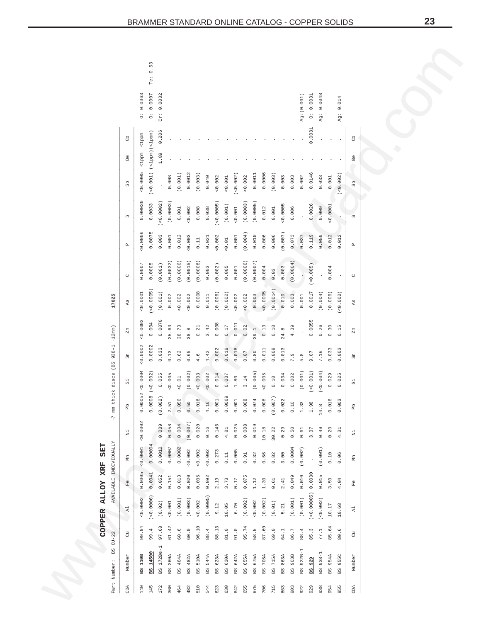<span id="page-22-0"></span>

|               |                                                |                           |                          | Te: 0.53                 |             |                |            |            |            |            |            |                |            |                  |             |            |                |                |          |             |                          |               |            |              |                        |  |
|---------------|------------------------------------------------|---------------------------|--------------------------|--------------------------|-------------|----------------|------------|------------|------------|------------|------------|----------------|------------|------------------|-------------|------------|----------------|----------------|----------|-------------|--------------------------|---------------|------------|--------------|------------------------|--|
|               |                                                |                           | 0.0363<br>$\ddot{\circ}$ | 0.0007<br>$\ddot{\circ}$ | 0.0032<br>ä |                |            |            |            |            |            |                |            |                  |             |            |                |                |          | Ag: (0.001) | 0.0031<br>$\ddot{\circ}$ | 0.0048<br>Ag: |            | 0.014<br>Ag: |                        |  |
|               |                                                | 8                         | $<1$ ppm                 |                          | 0.206       |                |            |            |            |            |            |                |            |                  |             |            |                |                |          |             | 0.0031                   |               |            |              | $_{\rm C}^{\rm O}$     |  |
|               |                                                | Å                         | $\leq 1$ ppm             | $($ <1ppm) $($ <1ppm)    | 1.89        |                |            |            |            |            |            |                |            |                  |             |            |                |                |          |             |                          |               |            |              | Å<br>ſ                 |  |
|               |                                                | GS                        | 0.0005                   | (0.001)                  |             | 0.008          | (0.001)    | 0.0012     | (0.003)    | 0.040      | 0.002      | 0.001          | (0.002)    | 0.002            | 0.0011      | 0.0006     | (0.003)        | 0.003          | 0.003    | 0.002       | 0.0146                   | 0.033         | 0.001      | (0.002)      | $_{\rm{Sb}}$           |  |
|               |                                                | S                         | 0.00030                  | 0.0033                   | (500.0002)  | (0.0003)       | 0.001      | 0.002      | 0.008      | 0.038      | 1000005    | (0.001)        | 0.001      | (0.0003)         | (0.0005)    | 0.012      | 0.001          | 0.0005         | 0.006    |             | 0.0026                   | 0.009         | 0.0001     |              | $\omega$               |  |
|               |                                                | $\mathbf{\Omega}$         | 0.0006                   | 0.0075                   | 0.003       | 0.001          | 0.012      | 0.003      | 0.11       | 0.021      | 0.002      | 0.01           | 0.001      | (0.004)          | 0.010       | 0.006      | 0.006          | (0.007)        | 0.073    | 0.037       | 0.119                    | 0.059         | 0.012      | 0.012        | $\mathbf{a}$           |  |
|               |                                                | $\circ$                   | 0.0007                   | 0.0005                   | (0.001)     | (0.0032)       | 0.0006     | (0.0015)   | (0.0006)   | 0.003      | (0.002)    | 0.005          | 0.001      | (0.0006)         | (0.0007)    | 0.004      | 0.03           | 0.003          | (0.0004) |             | (0.005)                  |               | 0.004      |              | $\circ$                |  |
|               | 17025                                          | $\mathbb{A}^{\mathbb{S}}$ | 0.0001                   | < 0.0005                 | (0.001)     | 0.002          | 0.002      | 0.002      | 0.0008     | 0.011      | (0.006)    | 0.002          | 0.002      | 0.002            | 0.003       | 0.0005     | (0.0014)       | 0.010          | 0.003    | 0.001       | 0.0017                   | (0.004)       | (0.006)    | $< 0.002$ )  | $\mathbb{A}\mathbb{S}$ |  |
|               |                                                | $_{\rm Zn}$               | 0.0003                   | 0.004                    | 0.0070      | 35.63          | 38.73      | 38.8       | 0.21       | 3.42       | 0.008      | $0\,.$ 17      | 0.011      | 0.02             | 39.1        | 0.13       | 0.10           | 24.8           | 4.39     |             | 0.0055                   | 0.26          | 0.30       | 0.15         | Σn                     |  |
|               |                                                | සි                        | 0.0002                   | 0.0002                   | 0.033       | 0.13           | 0.62       | 0.65       | 4.6        | 4.42       | 0.0002     | 0.019          | 0.018      | 0.07             | 0.80        | 0.011      | 0.008          | 0.013          | 7.9      | 5.8         | 9.07                     | 7.16          | 0.033      | 0.003        | සි                     |  |
|               | $\sim$ 7 mm thick discs (BS 938-1 $\sim$ 12mm) | 5                         |                          | (0.002)                  | 0.055       | 0.005          | 0.01       | (0.002)    | 0.003      | 0.002      | 0.014      | 0.037          | 1.80       | 3.14             | (0.005)     | 0.005      | 0.10           | 0.034          | 0.002    | (0.001)     | 0.001                    | 0.004         | 0.029      | 0.025        | $_{\rm S1}^{\rm I}$    |  |
|               |                                                | Ъp                        | 0.00052 < 0.0004         | 0.0008                   | (0.002)     | 2.51           | 0.056      | 0.50       | 0.016      | 4.16       | 0.001      | 0.0069         | 0.001      | 0.008            | 0.074       | 0.008      | (0.007)        | 0.022          | $0.10$   | 1.33        | 1.98                     | 14.8          | 0.016      | 0.003        | £                      |  |
|               |                                                | E,                        | 0.0002                   |                          | 0.039       | 0.058          | 0.004      | (0.007)    | 0.020      | 0.16       | 0.146      | 4.81           | 0.025      | 0.008            | 0.019       | 10.18      | 30.22          | 0.29           | 0.50     | 0.61        | 3.37                     | 0.49          | 0.20       | 4.31         | Ë                      |  |
| <b>SET</b>    | AVAILABLE INDIVIDUALLY                         | ΕŊ                        | 0.0001                   | 0.00004                  | 0.0010      | 0.0007         | 0.0002     | 0.002      | 0.002      | 0.002      | 0.273      | $0.11$         | 0.005      | 0.91             | 0.32        | 0.66       | 0.82           | 3.00           | 0.0004   | (0.002)     |                          | (0.001)       | 0.10       | $0.06$       | ξ                      |  |
| XRF           |                                                | Fe                        | 0.0005                   | 0.0041                   | 0.052       | 0.151          | 0.013      | 0.020      | 0.005      | 0.092      | 2.19       | 3.73           | $0\,.17$   | 0.075            | $1\ldots12$ | 1.30       | 0.61           | 2.41           | 0.049    | 0.010       | 0.0030                   | 0.015         | 3.50       | 4.04         | $\mathbb{E}^0$         |  |
| <b>ALLOY</b>  |                                                | A1                        | 0.0002                   | (0.0006)                 | (0.02)      | 0.001          | (0.001)    | (0.003)    | $< 0.002$  | (0.0005)   | 9.12       | 10.05          | 6.70       | (0.002)          | 0.002       | (0.002)    | (0.01)         | 5.21           | (0.001)  | (0.001)     | (0.00005)                | (0.002)       | 10.17      | 10.68        | $\rm \Xi$              |  |
| <b>COPPER</b> |                                                | $\vec{c}$                 | 99.94                    | 99.4                     | 97.68       | 61.42          | 60.6       | $60.0$     | 96.10      | 88.4       | 88.13      | 81.0           | 91.0       | 95.74            | 58.5        | 87.60      | 69.0           | 64.1           | 86.7     | 88.4        | 85.3                     | 77.1          | 85.64      | 80.6         | ರೆ                     |  |
|               | $BS$ $CU-22$<br>Part Number:                   | Number                    | <b>BS 110B</b>           | <b>BS 14500</b>          | BS 172Be-1  | <b>BS 360A</b> | 464A<br>BS | 482A<br>ΒS | 510A<br>BS | 544A<br>ΒS | 623A<br>BS | <b>BS 630A</b> | 642A<br>BS | 655A<br>SQ<br>BQ | 675A<br>BS  | 706A<br>ΒS | <b>BS 715A</b> | <b>BS 863A</b> | BS 903B  | BS 922B-    | BS 929                   | BS 938-1      | 954A<br>ΒS | 955C<br>BS   | Number                 |  |
|               |                                                | CDA                       | 110                      | 145                      | 172         | 360            | 464        | 482        | 510        | 544        | 623        | 630            | 642        | 655              | 675         | 706        | $715$          | 863            | 903      | 922         | 929                      | 938           | 954        | 955          | CDA                    |  |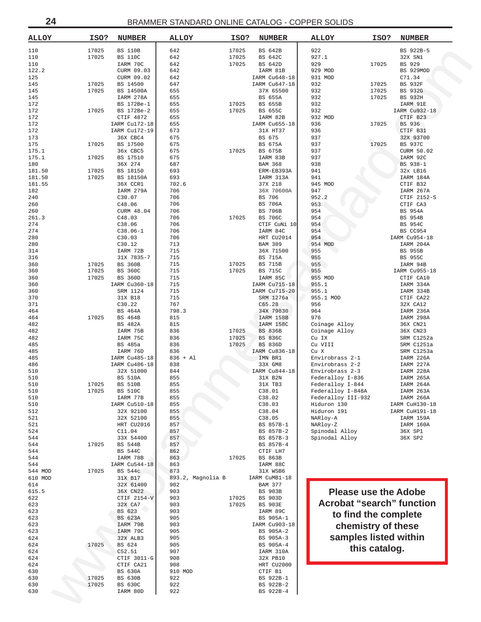<span id="page-23-0"></span>

| <b>ALLOY</b>     | ISO?           | <b>NUMBER</b>                    | <b>ALLOY</b>      | ISO?  | <b>NUMBER</b>                | <b>ALLOY</b>                      | ISO?          | <b>NUMBER</b>               |
|------------------|----------------|----------------------------------|-------------------|-------|------------------------------|-----------------------------------|---------------|-----------------------------|
| 110              | 17025          | <b>BS 110B</b>                   | 642               | 17025 | BS 642B                      | 922                               |               | BS 922B-5                   |
| 110              | 17025          | BS 110C                          | 642               | 17025 | BS 642C                      | 927.1                             |               | 32X SN1                     |
| 110              |                | IARM 70C                         | 642               | 17025 | BS 642D                      | 929                               | 17025         | BS 929                      |
| 122.2            |                | CURM 09.03                       | 642               |       | IARM 81B                     | 929 MOD                           |               | BS 929MOD                   |
| 125              |                | CURM 09.02                       | 642               |       | IARM Cu648-18                | 931 MOD                           |               | C71.34                      |
| 145              | 17025          | BS 14500                         | 647               |       | IARM Cu647-18                | 932                               | 17025         | BS 932F                     |
| 145              | 17025          | BS 14500A                        | 655               |       | 37X 65500                    | 932                               | 17025         | BS 932G                     |
| 145<br>172       |                | IARM 278A<br>BS 172Be-1          | 655<br>655        | 17025 | BS 655A<br>BS 655B           | 932<br>932                        | 17025         | BS 932H<br>IARM 91E         |
| 172              | 17025          | BS 172Be-2                       | 655               | 17025 | BS 655C                      | 932                               |               | IARM Cu932-18               |
| 172              |                | CTIF 4872                        | 655               |       | IARM 82B                     | 932 MOD                           |               | CTIF B23                    |
| 172              |                | IARM Cu172-18                    | 655               |       | IARM Cu655-18                | 936                               | 17025         | BS 936                      |
| 172              |                | IARM Cu172-19                    | 673               |       | 31X HT37                     | 936                               |               | CTIF B31                    |
| 173              |                | 36X CBC4                         | 675               |       | BS 675                       | 937                               |               | 32X 93700                   |
| 175              | 17025          | BS 17500                         | 675               |       | <b>BS 675A</b>               | 937                               | 17025         | <b>BS 937C</b>              |
| 175.1            |                | 36x CBC5                         | 675               | 17025 | BS 675B                      | 937                               |               | CURM 50.02                  |
| 175.1            | 17025          | BS 17510                         | 675               |       | IARM 83B                     | 937                               |               | IARM 92C                    |
| 180              |                | 36X 274                          | 687<br>693        |       | <b>BAM 368</b><br>ERM-EB393A | 938                               |               | BS 938-1                    |
| 181.50<br>181.50 | 17025<br>17025 | BS 18150<br>BS 18150A            | 693               |       | IARM 313A                    | 941<br>941                        |               | 32x LB16<br>IARM 184A       |
| 181.55           |                | 36X CCR1                         | 702.6             |       | 37X 218                      | 945 MOD                           |               | CTIF B32                    |
| 182              |                | IARM 279A                        | 706               |       | 36X 70600A                   | 947                               |               | IARM 267A                   |
| 240              |                | C30.07                           | 706               |       | BS 706                       | 952.2                             |               | CTIF 2152-S                 |
| 260              |                | C48.06                           | 706               |       | <b>BS 706A</b>               | 953                               |               | CTIF CA3                    |
| 260              |                | CURM 48.04                       | 706               |       | BS 706B                      | 954                               |               | <b>BS 954A</b>              |
| 261.3            |                | C48.03                           | 706               | 17025 | <b>BS 706C</b>               | 954                               |               | BS 954B                     |
| 274              |                | C38.06                           | 706               |       | CTIF CuNi 10                 | 954                               |               | <b>BS 954C</b>              |
| 274              |                | $C38.06 - 1$                     | 706               |       | IARM 84C<br>HRT CU2014       | 954                               |               | BS CC954                    |
| 280<br>280       |                | C30.03<br>C30.12                 | 706<br>713        |       | <b>BAM 389</b>               | 954<br>954 MOD                    |               | IARM Cu954-18<br>IARM 204A  |
| 314              |                | IARM 72B                         | 715               |       | 36X 71500                    | 955                               |               | <b>BS 955B</b>              |
| 316              |                | 31X 7835-7                       | 715               |       | BS 715A                      | 955                               |               | <b>BS 955C</b>              |
| 360              | 17025          | BS 360B                          | 715               | 17025 | BS 715B                      | 955                               |               | IARM 94B                    |
| 360              | 17025          | BS 360C                          | 715               | 17025 | BS 715C                      | 955                               |               | IARM Cu955-18               |
| 360              | 17025          | <b>BS 360D</b>                   | 715               |       | IARM 85C                     | 955 MOD                           |               | CTIF CA10                   |
| 360              |                | IARM Cu360-18                    | 715               |       | IARM Cu715-18                | 955.1                             |               | IARM 334A                   |
| 360<br>370       |                | SRM 1124<br>31X B18              | 715<br>715        |       | IARM Cu715-20<br>SRM 1276a   | 955.1<br>955.1 MOD                |               | IARM 334B<br>CTIF CA22      |
| 371              |                | C30.22                           | 767               |       | C65.28                       | 956                               |               | 32X CA12                    |
| 464              |                | BS 464A                          | 798.3             |       | 34X 79830                    | 964                               |               | IARM 236A                   |
| 464              | 17025          | <b>BS 464B</b>                   | 815               |       | IARM 158B                    | 976                               |               | IARM 298A                   |
| 482              |                | BS 482A                          | 815               |       | IARM 158C                    | Coinage Alloy                     |               | 36X CN21                    |
| 482              |                | IARM 75B                         | 836               | 17025 | BS 836B                      | Coinage Alloy                     |               | 36X CN23                    |
| 482              |                | IARM 75C                         | 836               | 17025 | BS 836C                      | Cu IX                             |               | SRM C1252a                  |
| 485              |                | BS 485a                          | 836               | 17025 | <b>BS 836D</b>               | Cu VIII                           |               | SRM C1251a                  |
| 485<br>485       |                | IARM 76D<br>IARM Cu485-18        | 836<br>$836 + A1$ |       | IARM Cu836-18<br>IMN BR1     | Cu X<br>Envirobrass 2-1           |               | SRM C1253a<br>IARM 226A     |
| 486              |                | IARM Cu486-18                    | 838               |       | 33X GM8                      | Envirobrass 2-2                   |               | IARM 227A                   |
| 510              |                | 32X 51000                        | 844               |       | IARM Cu844-18                | Envirobrass 2-3                   |               | IARM 228A                   |
| 510              |                | <b>BS 510A</b>                   | 855               |       | 31X B2N                      | Federalloy I-836                  |               | IARM 265A                   |
| 510              | 17025          | BS 510B                          | 855               |       | 31X TB3                      | Federalloy I-844                  |               | IARM 264A                   |
| 510              | 17025          | <b>BS 510C</b>                   | 855               |       | C38.01                       | Federalloy I-848A                 |               | IARM 263A                   |
| 510              |                | IARM 77B                         | 855               |       | C38.02                       | Federalloy III-932<br>Hiduron 130 |               | IARM 266A<br>IARM CuH130-18 |
| 510<br>512       |                | IARM Cu510-18<br>32X 92100       | 855<br>855        |       | C38.03<br>C38.04             | Hiduron 191                       |               | IARM CuH191-18              |
| 521              |                | 32X 52100                        | 855               |       | C38.05                       | NARloy-A                          |               | IARM 159A                   |
| 521              |                | HRT CU2016                       | 857               |       | BS 857B-1                    | NARloy-Z                          |               | IARM 160A                   |
| 524              |                | C11.04                           | 857               |       | BS 857B-2                    | Spinodal Alloy                    |               | 36X SP1                     |
| 544              |                | 33X 54400                        | 857               |       | BS 857B-3                    | Spinodal Alloy                    |               | 36X SP2                     |
| 544              | 17025          | <b>BS 544B</b>                   | 857               |       | BS 857B-4                    |                                   |               |                             |
| 544              |                | <b>BS 544C</b>                   | 862               |       | CTIF LH7                     |                                   |               |                             |
| 544              |                | IARM 78B                         | 863               | 17025 | BS 863B                      |                                   |               |                             |
| 544<br>544 MOD   | 17025          | IARM Cu544-18<br>BS 544c         | 863<br>873        |       | IARM 88C<br>31X WSB6         |                                   |               |                             |
| 610 MOD          |                | 31X B17                          | 893.2, Magnolia B |       | IARM CuMB1-18                |                                   |               |                             |
| 614              |                | 32X 61400                        | 902               |       | <b>BAM 377</b>               |                                   |               |                             |
| 615.5            |                | 36X CN22                         | 903               |       | BS 903B                      | <b>Please use the Adobe</b>       |               |                             |
| 622              |                | CTIF 2154-V                      | 903               | 17025 | BS 903D                      |                                   |               |                             |
| 623              |                | 32X CA7                          | 903               | 17025 | <b>BS 903E</b>               | <b>Acrobat "search" function</b>  |               |                             |
| 623              |                | BS 623                           | 903               |       | IARM 89C                     | to find the complete              |               |                             |
| 623              |                | <b>BS 623A</b>                   | 905               |       | BS 905A-1                    |                                   |               |                             |
| 623<br>623       |                | IARM 79B<br>IARM 79C             | 903<br>905        |       | IARM Cu903-18<br>BS 905A-2   | chemistry of these                |               |                             |
| 624              |                | 32X ALB3                         | 905               |       | BS 905A-3                    | samples listed within             |               |                             |
| 624              | 17025          | BS 624                           | 905               |       | BS 905A-4                    |                                   |               |                             |
| 624              |                | C52.51                           | 907               |       | IARM 310A                    |                                   | this catalog. |                             |
| 624              |                | CTIF 3011-G                      | 908               |       | 32X PB10                     |                                   |               |                             |
| 624              |                | CTIF CA21                        | 908               |       | HRT CU2000                   |                                   |               |                             |
| 630              |                | <b>BS 630A</b>                   | 910 MOD           |       | CTIF B1                      |                                   |               |                             |
| 630<br>630       | 17025<br>17025 | <b>BS 630B</b><br><b>BS 630C</b> | 922<br>922        |       | BS 922B-1<br>BS 922B-2       |                                   |               |                             |
| 630              |                | IARM 80D                         | 922               |       | BS 922B-4                    |                                   |               |                             |
|                  |                |                                  |                   |       |                              |                                   |               |                             |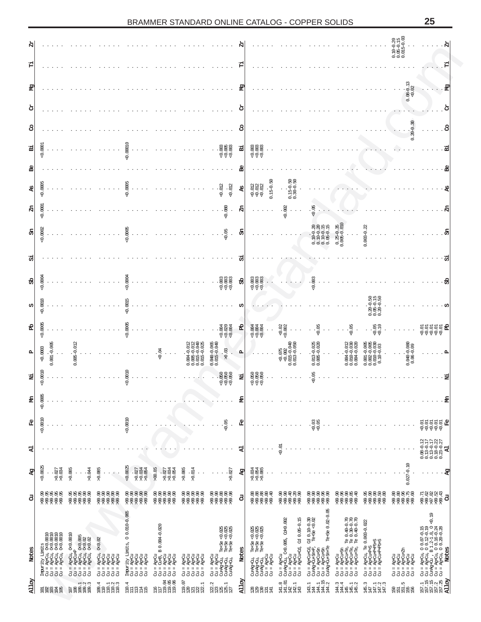<span id="page-24-0"></span>

|              |                                                                                                                                                                                                                                                                                                                                                              |                                                                                                                                                                                                                                                                                                                                                                                                                                                                                                 |                                                                                                                                                                                                                                                                                                                                                                                                 |                                                                                                                                                                                                                                                                                                                                                                                                                                                                                                                                                                                                    |                                                                                                                                                                                                                                                                                                                |                                                                                                                      |                                                                                                                                                                                                                                                                                                                                                                                          |       |                                                                                                                                                                                                                                                                                                                                                                                                                                                         |                                                                                                                        |                                                                                                                                                                                                                                                                                                                                                                                         |                                       |                                                                                                                                                                                                                                                                                                                                                                                                                                    | $\begin{array}{c} 0.10\text{--}0.20 \\ 0.05\text{--}0.15 \\ 0.015\text{--}0.03 \end{array}$ |                                                                                                                                                                                                                                                                                                                                                                                                                                                                                 |
|--------------|--------------------------------------------------------------------------------------------------------------------------------------------------------------------------------------------------------------------------------------------------------------------------------------------------------------------------------------------------------------|-------------------------------------------------------------------------------------------------------------------------------------------------------------------------------------------------------------------------------------------------------------------------------------------------------------------------------------------------------------------------------------------------------------------------------------------------------------------------------------------------|-------------------------------------------------------------------------------------------------------------------------------------------------------------------------------------------------------------------------------------------------------------------------------------------------------------------------------------------------------------------------------------------------|----------------------------------------------------------------------------------------------------------------------------------------------------------------------------------------------------------------------------------------------------------------------------------------------------------------------------------------------------------------------------------------------------------------------------------------------------------------------------------------------------------------------------------------------------------------------------------------------------|----------------------------------------------------------------------------------------------------------------------------------------------------------------------------------------------------------------------------------------------------------------------------------------------------------------|----------------------------------------------------------------------------------------------------------------------|------------------------------------------------------------------------------------------------------------------------------------------------------------------------------------------------------------------------------------------------------------------------------------------------------------------------------------------------------------------------------------------|-------|---------------------------------------------------------------------------------------------------------------------------------------------------------------------------------------------------------------------------------------------------------------------------------------------------------------------------------------------------------------------------------------------------------------------------------------------------------|------------------------------------------------------------------------------------------------------------------------|-----------------------------------------------------------------------------------------------------------------------------------------------------------------------------------------------------------------------------------------------------------------------------------------------------------------------------------------------------------------------------------------|---------------------------------------|------------------------------------------------------------------------------------------------------------------------------------------------------------------------------------------------------------------------------------------------------------------------------------------------------------------------------------------------------------------------------------------------------------------------------------|---------------------------------------------------------------------------------------------|---------------------------------------------------------------------------------------------------------------------------------------------------------------------------------------------------------------------------------------------------------------------------------------------------------------------------------------------------------------------------------------------------------------------------------------------------------------------------------|
| 검            |                                                                                                                                                                                                                                                                                                                                                              |                                                                                                                                                                                                                                                                                                                                                                                                                                                                                                 |                                                                                                                                                                                                                                                                                                                                                                                                 |                                                                                                                                                                                                                                                                                                                                                                                                                                                                                                                                                                                                    |                                                                                                                                                                                                                                                                                                                |                                                                                                                      |                                                                                                                                                                                                                                                                                                                                                                                          |       |                                                                                                                                                                                                                                                                                                                                                                                                                                                         |                                                                                                                        |                                                                                                                                                                                                                                                                                                                                                                                         |                                       |                                                                                                                                                                                                                                                                                                                                                                                                                                    |                                                                                             | Е                                                                                                                                                                                                                                                                                                                                                                                                                                                                               |
| 丹            |                                                                                                                                                                                                                                                                                                                                                              |                                                                                                                                                                                                                                                                                                                                                                                                                                                                                                 |                                                                                                                                                                                                                                                                                                                                                                                                 |                                                                                                                                                                                                                                                                                                                                                                                                                                                                                                                                                                                                    |                                                                                                                                                                                                                                                                                                                |                                                                                                                      |                                                                                                                                                                                                                                                                                                                                                                                          |       |                                                                                                                                                                                                                                                                                                                                                                                                                                                         |                                                                                                                        |                                                                                                                                                                                                                                                                                                                                                                                         |                                       |                                                                                                                                                                                                                                                                                                                                                                                                                                    | $0.08 - 0.13$<br>< $0.02$                                                                   | 울                                                                                                                                                                                                                                                                                                                                                                                                                                                                               |
| එ            |                                                                                                                                                                                                                                                                                                                                                              |                                                                                                                                                                                                                                                                                                                                                                                                                                                                                                 |                                                                                                                                                                                                                                                                                                                                                                                                 |                                                                                                                                                                                                                                                                                                                                                                                                                                                                                                                                                                                                    |                                                                                                                                                                                                                                                                                                                |                                                                                                                      |                                                                                                                                                                                                                                                                                                                                                                                          |       |                                                                                                                                                                                                                                                                                                                                                                                                                                                         |                                                                                                                        |                                                                                                                                                                                                                                                                                                                                                                                         |                                       |                                                                                                                                                                                                                                                                                                                                                                                                                                    |                                                                                             |                                                                                                                                                                                                                                                                                                                                                                                                                                                                                 |
| 8            |                                                                                                                                                                                                                                                                                                                                                              |                                                                                                                                                                                                                                                                                                                                                                                                                                                                                                 |                                                                                                                                                                                                                                                                                                                                                                                                 |                                                                                                                                                                                                                                                                                                                                                                                                                                                                                                                                                                                                    |                                                                                                                                                                                                                                                                                                                |                                                                                                                      |                                                                                                                                                                                                                                                                                                                                                                                          |       |                                                                                                                                                                                                                                                                                                                                                                                                                                                         |                                                                                                                        |                                                                                                                                                                                                                                                                                                                                                                                         |                                       |                                                                                                                                                                                                                                                                                                                                                                                                                                    | 0.30<br>$0.20 -$                                                                            |                                                                                                                                                                                                                                                                                                                                                                                                                                                                                 |
| 岡            | 0.0001                                                                                                                                                                                                                                                                                                                                                       |                                                                                                                                                                                                                                                                                                                                                                                                                                                                                                 |                                                                                                                                                                                                                                                                                                                                                                                                 | $-0.00010$                                                                                                                                                                                                                                                                                                                                                                                                                                                                                                                                                                                         |                                                                                                                                                                                                                                                                                                                |                                                                                                                      | $\frac{388}{9000}$                                                                                                                                                                                                                                                                                                                                                                       | 定     | $\begin{array}{l} 0.003 \\ 0.003 \\ 0.003 \end{array}$                                                                                                                                                                                                                                                                                                                                                                                                  |                                                                                                                        |                                                                                                                                                                                                                                                                                                                                                                                         |                                       |                                                                                                                                                                                                                                                                                                                                                                                                                                    |                                                                                             |                                                                                                                                                                                                                                                                                                                                                                                                                                                                                 |
| ቆ            |                                                                                                                                                                                                                                                                                                                                                              |                                                                                                                                                                                                                                                                                                                                                                                                                                                                                                 |                                                                                                                                                                                                                                                                                                                                                                                                 |                                                                                                                                                                                                                                                                                                                                                                                                                                                                                                                                                                                                    |                                                                                                                                                                                                                                                                                                                |                                                                                                                      |                                                                                                                                                                                                                                                                                                                                                                                          |       |                                                                                                                                                                                                                                                                                                                                                                                                                                                         |                                                                                                                        |                                                                                                                                                                                                                                                                                                                                                                                         |                                       |                                                                                                                                                                                                                                                                                                                                                                                                                                    |                                                                                             |                                                                                                                                                                                                                                                                                                                                                                                                                                                                                 |
| æ            | .0005<br>ଚ                                                                                                                                                                                                                                                                                                                                                   |                                                                                                                                                                                                                                                                                                                                                                                                                                                                                                 |                                                                                                                                                                                                                                                                                                                                                                                                 | 0.0005                                                                                                                                                                                                                                                                                                                                                                                                                                                                                                                                                                                             |                                                                                                                                                                                                                                                                                                                |                                                                                                                      | 0.012<br>$-0.012$                                                                                                                                                                                                                                                                                                                                                                        | æ     | $0.15 - 0.50$<br>$\begin{array}{c} 0.012 \\ 0.012 \\ 0.012 \end{array}$                                                                                                                                                                                                                                                                                                                                                                                 | $0.15 - 0.50$<br>$0.30 - 0.50$                                                                                         |                                                                                                                                                                                                                                                                                                                                                                                         |                                       |                                                                                                                                                                                                                                                                                                                                                                                                                                    |                                                                                             |                                                                                                                                                                                                                                                                                                                                                                                                                                                                                 |
| Ŗ            | 0.0001                                                                                                                                                                                                                                                                                                                                                       |                                                                                                                                                                                                                                                                                                                                                                                                                                                                                                 |                                                                                                                                                                                                                                                                                                                                                                                                 |                                                                                                                                                                                                                                                                                                                                                                                                                                                                                                                                                                                                    |                                                                                                                                                                                                                                                                                                                |                                                                                                                      | $-0.080$                                                                                                                                                                                                                                                                                                                                                                                 | Ķ     |                                                                                                                                                                                                                                                                                                                                                                                                                                                         | $-0.002$                                                                                                               | 0.05                                                                                                                                                                                                                                                                                                                                                                                    |                                       |                                                                                                                                                                                                                                                                                                                                                                                                                                    |                                                                                             |                                                                                                                                                                                                                                                                                                                                                                                                                                                                                 |
| ä            | 0.0002                                                                                                                                                                                                                                                                                                                                                       |                                                                                                                                                                                                                                                                                                                                                                                                                                                                                                 |                                                                                                                                                                                                                                                                                                                                                                                                 | 0.0005                                                                                                                                                                                                                                                                                                                                                                                                                                                                                                                                                                                             |                                                                                                                                                                                                                                                                                                                |                                                                                                                      | $-0.05$                                                                                                                                                                                                                                                                                                                                                                                  | ď     |                                                                                                                                                                                                                                                                                                                                                                                                                                                         |                                                                                                                        | $\begin{array}{c} 0.10{\text{ - }}\t0.20 \\ 0.10{\text{ - }}\t0.20 \\ 0.10{\text{ - }}\t0.15 \\ 0.05{\text{ - }}\t0.15 \end{array}$                                                                                                                                                                                                                                                     | $0.25 - 0.35$<br>$0.005 - 0.010$      | $0.003 - 0.22$                                                                                                                                                                                                                                                                                                                                                                                                                     |                                                                                             |                                                                                                                                                                                                                                                                                                                                                                                                                                                                                 |
| Ъ            |                                                                                                                                                                                                                                                                                                                                                              |                                                                                                                                                                                                                                                                                                                                                                                                                                                                                                 |                                                                                                                                                                                                                                                                                                                                                                                                 |                                                                                                                                                                                                                                                                                                                                                                                                                                                                                                                                                                                                    |                                                                                                                                                                                                                                                                                                                |                                                                                                                      |                                                                                                                                                                                                                                                                                                                                                                                          |       |                                                                                                                                                                                                                                                                                                                                                                                                                                                         |                                                                                                                        |                                                                                                                                                                                                                                                                                                                                                                                         |                                       |                                                                                                                                                                                                                                                                                                                                                                                                                                    |                                                                                             |                                                                                                                                                                                                                                                                                                                                                                                                                                                                                 |
| ਯੋ           | 0.0004                                                                                                                                                                                                                                                                                                                                                       |                                                                                                                                                                                                                                                                                                                                                                                                                                                                                                 |                                                                                                                                                                                                                                                                                                                                                                                                 | 0.0004                                                                                                                                                                                                                                                                                                                                                                                                                                                                                                                                                                                             |                                                                                                                                                                                                                                                                                                                |                                                                                                                      | $\begin{array}{l} 0.003 \\ 0.003 \\ \hline 0.003 \\ \end{array}$                                                                                                                                                                                                                                                                                                                         | ਲੰ    | $\frac{0.003}{0.003}$                                                                                                                                                                                                                                                                                                                                                                                                                                   |                                                                                                                        | 500.003                                                                                                                                                                                                                                                                                                                                                                                 |                                       |                                                                                                                                                                                                                                                                                                                                                                                                                                    |                                                                                             |                                                                                                                                                                                                                                                                                                                                                                                                                                                                                 |
| ω            | œ<br>$\overline{5}$<br>ଟ୍                                                                                                                                                                                                                                                                                                                                    |                                                                                                                                                                                                                                                                                                                                                                                                                                                                                                 |                                                                                                                                                                                                                                                                                                                                                                                                 | 0015<br>Ĝ.                                                                                                                                                                                                                                                                                                                                                                                                                                                                                                                                                                                         |                                                                                                                                                                                                                                                                                                                |                                                                                                                      |                                                                                                                                                                                                                                                                                                                                                                                          |       |                                                                                                                                                                                                                                                                                                                                                                                                                                                         |                                                                                                                        |                                                                                                                                                                                                                                                                                                                                                                                         |                                       | ន្តអន្ត<br>ទុទុទុ<br>និន្ទន៍<br>ខ្ញុំខ្ញុំ                                                                                                                                                                                                                                                                                                                                                                                         |                                                                                             |                                                                                                                                                                                                                                                                                                                                                                                                                                                                                 |
| 칰            | 0.0005                                                                                                                                                                                                                                                                                                                                                       |                                                                                                                                                                                                                                                                                                                                                                                                                                                                                                 |                                                                                                                                                                                                                                                                                                                                                                                                 | 50005                                                                                                                                                                                                                                                                                                                                                                                                                                                                                                                                                                                              |                                                                                                                                                                                                                                                                                                                |                                                                                                                      | $\begin{array}{l} 0.004 \\ 0.004 \\ 0.004 \end{array}$                                                                                                                                                                                                                                                                                                                                   |       | 0.004<br>0.004<br>0.004                                                                                                                                                                                                                                                                                                                                                                                                                                 | $-0.02$                                                                                                                |                                                                                                                                                                                                                                                                                                                                                                                         |                                       |                                                                                                                                                                                                                                                                                                                                                                                                                                    |                                                                                             | 的<br>ਰੋੜਕੋੜ<br>ਬੰਬੇਬੋਬੋ                                                                                                                                                                                                                                                                                                                                                                                                                                                         |
|              | $0.001 - 0.005$<br>$-0.0003$                                                                                                                                                                                                                                                                                                                                 | $0.005 - 0.012$                                                                                                                                                                                                                                                                                                                                                                                                                                                                                 |                                                                                                                                                                                                                                                                                                                                                                                                 |                                                                                                                                                                                                                                                                                                                                                                                                                                                                                                                                                                                                    | ਣ                                                                                                                                                                                                                                                                                                              | $\begin{array}{c} 0.004\text{--}0.012\\ 0.005\text{--}0.012\\ 0.015\text{--}0.040\\ 0.015\text{--}0.025 \end{array}$ | $0.040 - 0.065$<br>$0.015 - 0.040$<br>50.03                                                                                                                                                                                                                                                                                                                                              |       |                                                                                                                                                                                                                                                                                                                                                                                                                                                         | $\begin{array}{c} <\!\!\! 0.075\\ \!<\!\! 0.002\\ \!\!\! 0.015\!\!-\!\!0.040\\ \!\!\! 0.013\!\!-\!\!0.050 \end{array}$ | $\begin{array}{c} 0.013\text{--}0.025 \\ 0.005\text{--}0.020 \end{array}$                                                                                                                                                                                                                                                                                                               | CD<br>030<br>8<br>$-80 - 6 - 6$       | $\begin{array}{c} 0.001\text{--}0.005 \\ 0.002\text{--}0.005 \\ 0.010\text{--}0.030 \\ 0.10\text{--}0.03 \end{array}$                                                                                                                                                                                                                                                                                                              | $0.040 - 0.080$<br>$0.06 - 0.09$                                                            |                                                                                                                                                                                                                                                                                                                                                                                                                                                                                 |
|              |                                                                                                                                                                                                                                                                                                                                                              |                                                                                                                                                                                                                                                                                                                                                                                                                                                                                                 |                                                                                                                                                                                                                                                                                                                                                                                                 |                                                                                                                                                                                                                                                                                                                                                                                                                                                                                                                                                                                                    |                                                                                                                                                                                                                                                                                                                |                                                                                                                      | 888<br>ଟି ଚି ଚି                                                                                                                                                                                                                                                                                                                                                                          | 罢     | 888<br>ଟ୍ ଟ୍                                                                                                                                                                                                                                                                                                                                                                                                                                            |                                                                                                                        |                                                                                                                                                                                                                                                                                                                                                                                         |                                       |                                                                                                                                                                                                                                                                                                                                                                                                                                    |                                                                                             |                                                                                                                                                                                                                                                                                                                                                                                                                                                                                 |
| £            | $-0.0005$                                                                                                                                                                                                                                                                                                                                                    |                                                                                                                                                                                                                                                                                                                                                                                                                                                                                                 |                                                                                                                                                                                                                                                                                                                                                                                                 |                                                                                                                                                                                                                                                                                                                                                                                                                                                                                                                                                                                                    |                                                                                                                                                                                                                                                                                                                |                                                                                                                      |                                                                                                                                                                                                                                                                                                                                                                                          | €     |                                                                                                                                                                                                                                                                                                                                                                                                                                                         |                                                                                                                        |                                                                                                                                                                                                                                                                                                                                                                                         |                                       |                                                                                                                                                                                                                                                                                                                                                                                                                                    |                                                                                             |                                                                                                                                                                                                                                                                                                                                                                                                                                                                                 |
| Рe           | 0.0010                                                                                                                                                                                                                                                                                                                                                       |                                                                                                                                                                                                                                                                                                                                                                                                                                                                                                 |                                                                                                                                                                                                                                                                                                                                                                                                 | $-0.0010$                                                                                                                                                                                                                                                                                                                                                                                                                                                                                                                                                                                          |                                                                                                                                                                                                                                                                                                                |                                                                                                                      | $-0.05$<br>$\cdot$                                                                                                                                                                                                                                                                                                                                                                       | ピ     |                                                                                                                                                                                                                                                                                                                                                                                                                                                         |                                                                                                                        | $\frac{8}{9}$ . 05<br>$\bullet$                                                                                                                                                                                                                                                                                                                                                         |                                       |                                                                                                                                                                                                                                                                                                                                                                                                                                    |                                                                                             | 88888<br>ਬੰਬੇਬੰਬ <b>ਜ਼</b>                                                                                                                                                                                                                                                                                                                                                                                                                                                      |
| է            |                                                                                                                                                                                                                                                                                                                                                              |                                                                                                                                                                                                                                                                                                                                                                                                                                                                                                 |                                                                                                                                                                                                                                                                                                                                                                                                 |                                                                                                                                                                                                                                                                                                                                                                                                                                                                                                                                                                                                    |                                                                                                                                                                                                                                                                                                                |                                                                                                                      |                                                                                                                                                                                                                                                                                                                                                                                          | 굯     | $\cdot$<br>$\cdot$<br>$\blacksquare$                                                                                                                                                                                                                                                                                                                                                                                                                    | $-0.01$<br>$\epsilon$                                                                                                  |                                                                                                                                                                                                                                                                                                                                                                                         |                                       |                                                                                                                                                                                                                                                                                                                                                                                                                                    |                                                                                             | $\begin{array}{l} 0.08-0.12\\0.13-0.17\\0.13-0.27\\0.18-0.22\\0.23-0.27 \end{array}$<br>է                                                                                                                                                                                                                                                                                                                                                                                       |
| 외            | $-0.0025$<br>$-20.027$<br>$-20.034$<br>$\cdot$                                                                                                                                                                                                                                                                                                               | 580,085<br>$-0.044$<br>$\sim$                                                                                                                                                                                                                                                                                                                                                                                                                                                                   | 50.085<br>$\ddot{\phantom{a}}$<br>$\cdot$                                                                                                                                                                                                                                                                                                                                                       | $-0.0025$<br>$-20.027$<br>$-20.034$<br>$-20.054$                                                                                                                                                                                                                                                                                                                                                                                                                                                                                                                                                   | $-85$<br>$-3.027$<br>$9.034$<br>$9.054$                                                                                                                                                                                                                                                                        | 580.085<br>50.014<br>$\sim$ $\sim$                                                                                   | 50.027<br>$\cdot$                                                                                                                                                                                                                                                                                                                                                                        | ይ     | $70.034$<br>$79.085$                                                                                                                                                                                                                                                                                                                                                                                                                                    |                                                                                                                        |                                                                                                                                                                                                                                                                                                                                                                                         |                                       |                                                                                                                                                                                                                                                                                                                                                                                                                                    | $0.027 - 0.10$                                                                              | Ŗ                                                                                                                                                                                                                                                                                                                                                                                                                                                                               |
| 5            | ត្ត<br>ទី ទី ទី ទី ទី<br>ទី ទី ទី ទី                                                                                                                                                                                                                                                                                                                         | 59538<br>598888<br>59888                                                                                                                                                                                                                                                                                                                                                                                                                                                                        | <u>ଚ୍</u> ଚ୍ଚ୍ଚ୍ଚ୍ଚ୍ଚ୍<br>ବ୍ନିବ୍ନ<br>ବ୍ନିବ୍ନ                                                                                                                                                                                                                                                                                                                                                    | <u>ଚ୍ଚ୍ଚ୍ଚ୍ଚ୍ଚ୍</u><br>ବ୍ନିବ୍ନି<br>ବ୍ନିବ୍ନିବ୍ନି                                                                                                                                                                                                                                                                                                                                                                                                                                                                                                                                                    | ត្តន្តន្តន្ត<br>ត្តន្តន្ត្ត                                                                                                                                                                                                                                                                                    |                                                                                                                      | ត្តន្តន្តន្ត<br>ទូទូទូទូទូ<br>ទូទូទូទូទូ                                                                                                                                                                                                                                                                                                                                                 | 5     | ន្ទ្រី នី<br>ខេត្ត នី ខេត្ត<br>ខេត្ត ខេត្ត                                                                                                                                                                                                                                                                                                                                                                                                              | <u>କ୍</u> ଟ୍ରେମ୍ବର<br>ବ୍ନିବ୍ନିବ୍ନି                                                                                     | ត្តន្តន្តន្ត<br>ត្តន្តន្ត្ត                                                                                                                                                                                                                                                                                                                                                             | ត្ត និង<br>ខ្លួន ខ្លួន<br>ខ្លួន ខ្លួន | 53858<br>53888                                                                                                                                                                                                                                                                                                                                                                                                                     | នននុក្ខ<br>ទូទូទូទូទូ                                                                       | 7<br>98888<br>98889<br>පි                                                                                                                                                                                                                                                                                                                                                                                                                                                       |
| <b>Notes</b> | $\begin{array}{l} \mbox{Imparity limits}\\ \mbox{Cu} = \mbox{Agrdu, Oc1,0010}\\ \mbox{Cu} = \mbox{Agrdu, Oc1,0010}\\ \mbox{Cu} = \mbox{Agrdu, Oc1,0010}\\ \mbox{Cu} = \mbox{Agrdu, Oc1,0010}\\ \mbox{Cu} = \mbox{Agrdu, Oc0,0010}\\ \mbox{Cu} = \mbox{Agrdu, Oc0,0010}\\ \mbox{Cu} = \mbox{Agrdu, Oc1,0010}\\ \mbox{Cu} = \mbox{Agrdu, Oc1,0010}\\ \mbox{Cu$ | 0<0.0010<br>$\begin{array}{l} \Delta u = \mathsf{A}\mathsf{g}\mathsf{r}\Delta u, \ \mathsf{O}\mathsf{d}.\mathsf{0}\mathsf{1}\mathsf{0} \\ \Delta u = \mathsf{A}\mathsf{g}\mathsf{r}\Delta u \mathsf{p} \\ \Delta u = \mathsf{A}\mathsf{g}\mathsf{r}\Delta u, \ \mathsf{O}\mathsf{c}\mathsf{0}.\mathsf{0}\mathsf{0}\mathsf{5} \\ \Delta u = \mathsf{A}\mathsf{g}\mathsf{r}\Delta u, \ \mathsf{O}\mathsf{c}\mathsf{0}.\mathsf{0}\mathsf{2} \\ \Delta u = \mathsf{A}\mathsf{g}\mathsf{r}\Delta u,$ | 0<0.02<br>$\begin{array}{l} \bar{A}_1^1 \\ \bar{B}_2^2 \\ \bar{C}_3^3 \\ \bar{C}_4^4 \\ \bar{C}_5^5 \\ \bar{C}_6^6 \\ \bar{C}_7^6 \\ \bar{C}_8^7 \\ \bar{C}_7^6 \\ \bar{C}_8^7 \\ \bar{C}_9^7 \\ \bar{C}_9^7 \\ \bar{C}_9^7 \\ \bar{C}_9^7 \\ \bar{C}_9^7 \\ \bar{C}_9^7 \\ \bar{C}_9^7 \\ \bar{C}_9^7 \\ \bar{C}_9^7 \\ \bar{C}_9^7 \\ \bar{C}_9^7 \\ \bar{C}_9^7 \\ \bar{C}_9^7 \\ \bar{C}_9$ | $0.010 - 0.065$<br>$\circ$<br>$\begin{array}{l} \displaystyle\lim_{\alpha\to 0} \displaystyle\lim_{\alpha\to 0} \displaystyle\lim_{\alpha\to 0} \displaystyle\lim_{\alpha\to 0} \displaystyle\lim_{\alpha\to 0} \displaystyle\lim_{\alpha\to 0} \displaystyle\lim_{\alpha\to 0} \displaystyle\lim_{\alpha\to 0} \displaystyle\lim_{\alpha\to 0} \displaystyle\lim_{\alpha\to 0} \displaystyle\lim_{\alpha\to 0} \displaystyle\lim_{\alpha\to 0} \displaystyle\lim_{\alpha\to 0} \displaystyle\lim_{\alpha\to 0} \displaystyle\lim_{\alpha\to 0} \displaystyle\lim_{\alpha\to 0} \displaystyle\lim$ | $0.004 - 0.020$<br>$\mathbf{m}$<br>$\begin{array}{c} {\rm d} u = \frac{3}{2} \sigma \sigma \Omega \\ {\rm d} u = \frac{3}{2} \sigma \sigma \Omega \\ {\rm d} u = \frac{3}{2} \sigma \sigma \Omega \\ {\rm d} u = \frac{3}{2} \sigma \sigma \Omega \\ {\rm d} u = \frac{3}{2} \sigma \sigma \Omega \end{array}$ | ಕ್ಷಿತ್ವ ಕ್ಷ<br>ಕ್ಷಿತ್ವ ಕ್ಷಿತ್ವ<br>ಕ್ಷಿತ್ವ ಕ್ಷಿತ್ವ<br>ಕ್ಷಿತ್ವ ಕ್ಷಿತ್ವ                                                 | $\begin{array}{l} 0.025 \\ 0.025 \\ 0.025 \end{array}$<br>8 8 8<br># # #<br># # #<br>$\begin{array}{l} {\rm du} = \frac{{\rm A}\pi {\rm du}}{2} \\ {\rm du} = \frac{{\rm A}\pi {\rm du}}{2} \\ {\rm du} = \frac{{\rm A}\pi {\rm du}}{2} \\ {\rm du} = \frac{{\rm A}\pi {\rm du}}{2} \\ {\rm du} = \frac{{\rm A}\pi {\rm du}}{2} \\ {\rm du} = \frac{{\rm A}\pi {\rm du}}{2} \end{array}$ | Notes | $-0.025$<br>$-0.025$<br>$-0.025$<br>8 원 원<br>프 프 프<br>프 프<br>$\begin{array}{ll} \mbox{1--} & \mbox{1--} \\ \mbox{2--} & \mbox{2--} \\ \mbox{3--} & \mbox{4--} \\ \mbox{4--} & \mbox{4--} \\ \mbox{5--} & \mbox{5--} \\ \mbox{6--} & \mbox{6--} \\ \mbox{7--} & \mbox{8--} \\ \mbox{8--} & \mbox{8--} \\ \mbox{9--} & \mbox{1--} \\ \mbox{1--} & \mbox{1--} \\ \mbox{1--} & \mbox{1--} \\ \mbox{1--} & \mbox{1--} \\ \mbox{2--} & \mbox{1--} \\ \mbox{3$ | 0.1 Agr0.1<br>0.1=Agr0.1, C<0.005, 0360.002<br>0.1 = Agr0.1<br>0.1 = Agr0.1+3, 03 0.05-0.1.5                           | $0.02 - 0.05$<br>$0.10 - 0.30$<br>exercition<br>Te+Se<br>Te+Se<br>$\Xi$<br>$\begin{array}{ll} \mbox{Cu} = \mbox{Agr} \mbox{Cu} + \mbox{Ca} + \mbox{Ca} \,, \\ \mbox{Cu} = \mbox{Agr} \mbox{Cu} + \mbox{Sn} \,, \\ \mbox{Cu} = \mbox{Agr} \mbox{Cu} + \mbox{Sn} \,, \\ \mbox{Cu} = \mbox{Agr} \mbox{Cu} + \mbox{Sn} \,, \\ \mbox{Cu} = \mbox{Agr} \mbox{Cu} + \mbox{Sn} \,, \end{array}$ |                                       | $\begin{array}{lll} \Delta u = \mathsf{A}\mathsf{p}\mathsf{p}\Delta u, \;\mathbf{Te} = 0.003\text{--}0.022\\ \Delta u = \mathsf{A}\mathsf{p}\mathsf{p}\Delta u \mathsf{p}\mathsf{p}\mathsf{r}\mathsf{S}\\ \Delta u = \mathsf{A}\mathsf{p}\mathsf{p}\Delta u \mathsf{p}\mathsf{p}\mathsf{p}\mathsf{p}\mathsf{S}\\ \Delta u = \mathsf{A}\mathsf{p}\mathsf{p}\Delta u \mathsf{p}\mathsf{p}\mathsf{p}\mathsf{p}\mathsf{S} \end{array}$ |                                                                                             | $-0.19$<br>$\begin{array}{l} \Delta \mathrm{u} = R_{\overline{2}} \mathrm{Pd} \Delta \mathrm{u}, \ 0 \ 0 \ 0 \ 0 \ 1.2-0.15 \\ \Delta \mathrm{u} = R_{\overline{2}} \mathrm{Pd} \Delta \mathrm{u}, \ 0 \ 0 \ 1.2-0.19 \\ \Delta \mathrm{u} = R_{\overline{2}} \mathrm{Pd} \Delta \mathrm{u}, \ 0 \ 1.4-1.8, \ 0 < \Delta \mathrm{u} = R_{\overline{2}} \mathrm{Pd} \Delta \mathrm{u}, \ 0 \ 0 \ 1.5-0.24 \\ \Delta \mathrm{u} = R_{\overline{2}} \mathrm{Pd} \$<br><b>Notes</b> |
| Alloy        | 33339                                                                                                                                                                                                                                                                                                                                                        | $\begin{array}{c} 1000 \\ 1000 \\ 1000 \\ 100 \\ 100 \\ 100 \\ \end{array}$                                                                                                                                                                                                                                                                                                                                                                                                                     | $\overline{a}$<br>$\begin{array}{c} 11.3 \\ 11.3 \\ 11.3 \\ 11.3 \\ \end{array}$<br>109.                                                                                                                                                                                                                                                                                                        | 110.4<br><b>EEEE</b>                                                                                                                                                                                                                                                                                                                                                                                                                                                                                                                                                                               | 116<br>117,04<br>119.06<br>119.06                                                                                                                                                                                                                                                                              | ដង<br>មាង<br>មាង មូ                                                                                                  | 223851<br>23951                                                                                                                                                                                                                                                                                                                                                                          | Alloy | 33357                                                                                                                                                                                                                                                                                                                                                                                                                                                   | 보다 35<br>국내 35<br>국내 35                                                                                                | 144<br>144.15<br>144.2<br>144.2<br>143.1                                                                                                                                                                                                                                                                                                                                                | 244<br>2445.7<br>2445.7               | 145112<br>145112<br>145112                                                                                                                                                                                                                                                                                                                                                                                                         | ន្ទ<br>ន្ទីផ្ទាំងន                                                                          | 57.1<br>157.15<br>157.2<br>157.25<br>Alloy                                                                                                                                                                                                                                                                                                                                                                                                                                      |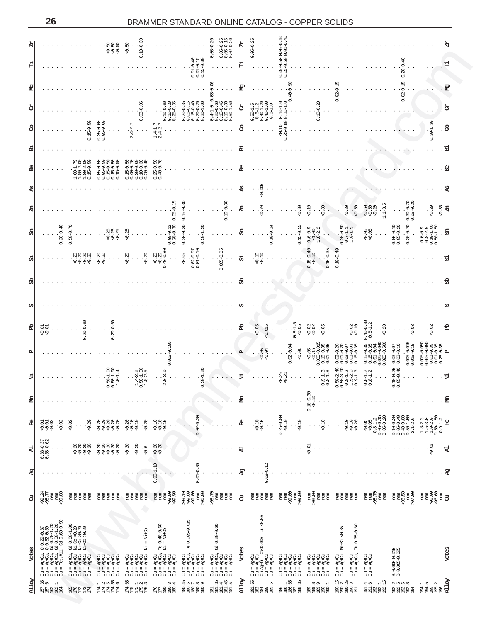| 4                                                                                                                                       |                                                        | 99.24<br>98.77<br>1 Effi 68<br>1 S9.80                    |
|-----------------------------------------------------------------------------------------------------------------------------------------|--------------------------------------------------------|-----------------------------------------------------------|
| व व<br>इंडे<br>इंडे<br>$-0.02$                                                                                                          | $0.33 - 0.37$<br>$0.58 - 0.62$                         |                                                           |
| $-0.20$<br>0.02                                                                                                                         | ବ୍ୟବ୍ୟ<br>ବଟ୍ଟ                                         |                                                           |
| ୡୡୡୡୡ<br>ଟଟେଟ                                                                                                                           | ୡୡୡୡୡ<br>ଟଟେଟ                                          |                                                           |
| e<br>1999<br>199<br>$0$ .20                                                                                                             | $\cdot \frac{30}{5}$<br>$-0.20$<br>$\cdot \frac{6}{9}$ |                                                           |
| $\begin{array}{c} 13.7 \\ 13.6 \\ 0.9 \\ 0.9 \\ \end{array}$                                                                            | $8.30$<br>$-0.30$<br>$\cdot$                           | $0.90 - 1.10$<br>$\mathcal{L}_{\mathcal{A}}$<br>$\bullet$ |
| $0.02 - 0.20$<br>$\cdot$<br>$\cdot$                                                                                                     |                                                        | $0.01 - 0.30$<br>$\cdot$                                  |
|                                                                                                                                         |                                                        | $\cdot$<br>$\cdot$                                        |
| ደ                                                                                                                                       | 굯                                                      | ጄ                                                         |
| $-200$<br>$-200$                                                                                                                        |                                                        | $0.08 - 0.12$                                             |
| $0.25 - 0.80$<br>$-0.10$<br>$\blacksquare$                                                                                              |                                                        |                                                           |
| $0.10 - 0.30$<br><0.50<br>$-0.10$<br>$\sim$ $\sim$<br>$\cdot$                                                                           | $-0.01$                                                |                                                           |
| $-338$<br>$-338$                                                                                                                        |                                                        |                                                           |
| $\begin{array}{c} 0.05 \\ 0.8-1.2 \\ 0.05-0.15 \\ 0.05-0.15 \\ 0.05-0.20 \end{array}$                                                   |                                                        |                                                           |
| $\begin{array}{c} 0.10{\mbox{-}}0.30 \\ 0.05{\mbox{-}}0.40 \\ 0.40{\mbox{-}}0.80 \\ 0.50{\mbox{-}}1.50 \\ 2.1{\mbox{-}}2.6 \end{array}$ |                                                        |                                                           |
| $\begin{array}{l} 1.8\text{--}2.3 \\ 1.5\text{--}3.0 \\ 1.0\text{--}2.0 \\ 0.50\text{--}1.5 \\ 0.9\text{--}1.2 \end{array}$             | $-0.02$                                                |                                                           |
| ピ                                                                                                                                       | 덗<br>$\sim$ $\sim$                                     | æ                                                         |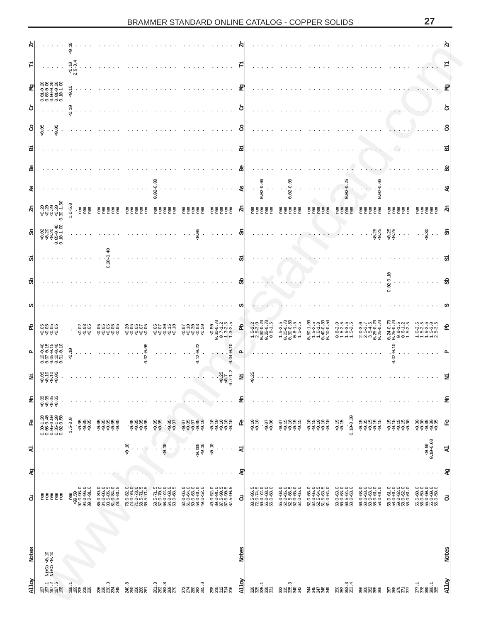| ౺            |                                                                                                                                                      |                                                                 |                                                                                                                       |                                                                                              |                                                                                              |                                                                                                      |                                                                                                                           |       |                                                                                                                            |                                                                                                                       |                                                                                                                                  |                                                                              |                                                                                                      |                                                                                                      |                                                                                                                       | N            |
|--------------|------------------------------------------------------------------------------------------------------------------------------------------------------|-----------------------------------------------------------------|-----------------------------------------------------------------------------------------------------------------------|----------------------------------------------------------------------------------------------|----------------------------------------------------------------------------------------------|------------------------------------------------------------------------------------------------------|---------------------------------------------------------------------------------------------------------------------------|-------|----------------------------------------------------------------------------------------------------------------------------|-----------------------------------------------------------------------------------------------------------------------|----------------------------------------------------------------------------------------------------------------------------------|------------------------------------------------------------------------------|------------------------------------------------------------------------------------------------------|------------------------------------------------------------------------------------------------------|-----------------------------------------------------------------------------------------------------------------------|--------------|
| 겁            |                                                                                                                                                      | $2.9 - 3.4$                                                     |                                                                                                                       |                                                                                              |                                                                                              |                                                                                                      |                                                                                                                           | Р     |                                                                                                                            |                                                                                                                       |                                                                                                                                  |                                                                              |                                                                                                      |                                                                                                      |                                                                                                                       | 검            |
| Eй           | $\begin{array}{l} 0.01\hbox{-}0.20 \\ 0.03\hbox{-}0.06 \\ 0.06\hbox{-}0.20 \\ 0.01\hbox{-}0.20 \\ 0.01\hbox{-}0.30 \\ 0.10\hbox{-}1.00 \end{array}$  | 0.10                                                            |                                                                                                                       |                                                                                              |                                                                                              |                                                                                                      |                                                                                                                           |       |                                                                                                                            |                                                                                                                       |                                                                                                                                  |                                                                              |                                                                                                      |                                                                                                      |                                                                                                                       | 점            |
| එ            |                                                                                                                                                      | 0.10<br>$\cdot$ .                                               |                                                                                                                       |                                                                                              |                                                                                              |                                                                                                      |                                                                                                                           | ð     |                                                                                                                            |                                                                                                                       |                                                                                                                                  |                                                                              |                                                                                                      |                                                                                                      |                                                                                                                       | ტ            |
| $\theta$     | $\cdot$ 85<br>$-0.05$<br>$\cdot$                                                                                                                     |                                                                 |                                                                                                                       |                                                                                              |                                                                                              |                                                                                                      |                                                                                                                           |       |                                                                                                                            |                                                                                                                       |                                                                                                                                  |                                                                              |                                                                                                      |                                                                                                      |                                                                                                                       | 8            |
| 定            |                                                                                                                                                      |                                                                 |                                                                                                                       |                                                                                              |                                                                                              |                                                                                                      |                                                                                                                           |       |                                                                                                                            |                                                                                                                       |                                                                                                                                  |                                                                              |                                                                                                      |                                                                                                      |                                                                                                                       | ュ            |
| ዳ            |                                                                                                                                                      |                                                                 |                                                                                                                       |                                                                                              |                                                                                              |                                                                                                      |                                                                                                                           |       |                                                                                                                            |                                                                                                                       |                                                                                                                                  |                                                                              |                                                                                                      |                                                                                                      |                                                                                                                       |              |
| æ            |                                                                                                                                                      |                                                                 |                                                                                                                       |                                                                                              | $0.02 - 0.08$                                                                                |                                                                                                      |                                                                                                                           |       | $-0.02 - 0.06$<br>$\circ$                                                                                                  | $0.02 - 0.06$                                                                                                         |                                                                                                                                  | $.02 - 0.25$<br>$\circ$                                                      | $.02 - 0.06$<br>$\circ$                                                                              |                                                                                                      |                                                                                                                       | æ            |
| Я            | 88885<br>88885<br>8888<br>$\dot{\circ}$                                                                                                              | $1.0 - 5.0$<br>夏夏                                               | mex<br>E<br>nen<br>E<br>Ē                                                                                             | ren<br>Ē<br>Ē<br>员                                                                           | 卮                                                                                            | 員<br>员<br>5                                                                                          | rem<br>ត្តត្ត<br>틊                                                                                                        | N     | Ē<br>ត្តី ត្តី<br>長                                                                                                        | 卮<br>卮<br>€<br>5                                                                                                      | E<br>Ē<br>卮<br>5<br>5                                                                                                            | 卮<br>卮<br>卮                                                                  | 5<br>Ē<br>卮<br>5                                                                                     | 5<br>员<br>5                                                                                          | E<br>E<br>E<br>rem<br>rem<br>Ē                                                                                        | Я            |
| සි           | $\circ$                                                                                                                                              |                                                                 |                                                                                                                       |                                                                                              |                                                                                              | 0.05                                                                                                 |                                                                                                                           | ä     |                                                                                                                            |                                                                                                                       |                                                                                                                                  |                                                                              | $-0.25$                                                                                              | - ଅ<br>୧<br>୧<br>୧                                                                                   | $\frac{30}{30}$<br>$\sim$                                                                                             | සි           |
| 모            |                                                                                                                                                      |                                                                 | a,<br>$0.20 - 0.$                                                                                                     |                                                                                              |                                                                                              |                                                                                                      |                                                                                                                           | U     |                                                                                                                            |                                                                                                                       |                                                                                                                                  |                                                                              |                                                                                                      |                                                                                                      |                                                                                                                       |              |
| 쉱            |                                                                                                                                                      |                                                                 |                                                                                                                       |                                                                                              |                                                                                              |                                                                                                      |                                                                                                                           | ਲੋ    | <b>Allen</b>                                                                                                               |                                                                                                                       |                                                                                                                                  |                                                                              |                                                                                                      | $0.02 - 0.10$                                                                                        |                                                                                                                       | ₩            |
|              |                                                                                                                                                      |                                                                 |                                                                                                                       |                                                                                              |                                                                                              |                                                                                                      |                                                                                                                           |       |                                                                                                                            |                                                                                                                       |                                                                                                                                  |                                                                              |                                                                                                      |                                                                                                      |                                                                                                                       |              |
| 용            | e<br>Sése<br>S                                                                                                                                       | aas<br>Vee                                                      | 88888<br>88888                                                                                                        | 88868<br>88868                                                                               | e<br>Sestis<br>Reser                                                                         | e<br>Savas<br>Para                                                                                   | $\begin{array}{c} 0.50 \\ 0.30 - 0.70 \\ 0.7 - 1.2 \\ 1.3 - 2.5 \\ 1.3 - 2.5 \end{array}$                                 | 윰     | $\begin{array}{c} 1.5\text{--}2.2\\ 2.5\text{--}3.0\\ 0.30\text{--}0.70\\ 0.25\text{--}0.70\\ 0.8\text{--}1.5 \end{array}$ | $\begin{array}{c} 1.5-2.5 \\ 0.25-0.70 \\ 0.30-0.80 \\ 0.30-1.5 \\ 1.5-2.5 \end{array}$                               | $\begin{array}{c} 0.50\text{--}1.00 \\ 1.5\text{--}2.5 \\ 1.0\text{--}1.8 \\ 0.40\text{--}0.80 \\ 0.10\text{--}0.50 \end{array}$ | $\begin{array}{c} 0.8-2.5 \\ 1.5-2.5 \\ 1.5-3.5 \\ 1.5-2.5 \end{array}$      | $\begin{array}{l} 2.0 - 3.0 \\ 2.5 - 3.7 \\ 2.5 - 4.5 \\ 0.25 - 0.70 \\ 0.25 - 0.70 \end{array}$     | $\begin{array}{c} 0.24 - 0.70 \\ 0.25 - 0.70 \\ 0.8 - 1.5 \\ 0.6 - 1.2 \\ 1.5 - 2.5 \end{array}$     | $\begin{array}{cccc} 1.0 & -2.5 & 5 \\ 1.5 & -2.3 & 5 \\ 1.1 & -3.3 & -3.5 \\ 2.5 & -3.5 & -3.5 \end{array}$          | 的            |
| д            | $\begin{array}{l} 0.10\text{--}0.49\\ 0.07\text{--}0.15\\ 0.05\text{--}0.49\\ 0.10\text{--}0.49\\ 0.10\text{--}0.10\\ 0.01\text{--}0.10 \end{array}$ | $-0.10$                                                         |                                                                                                                       | $0.02 - 0.05$                                                                                |                                                                                              | $0.12 - 0.22$                                                                                        | $0.04 - 0.10$                                                                                                             | д     |                                                                                                                            |                                                                                                                       |                                                                                                                                  |                                                                              |                                                                                                      | $\Xi$<br>0.02                                                                                        |                                                                                                                       |              |
| Ĕ,           | e<br>Sada<br>Re                                                                                                                                      |                                                                 |                                                                                                                       |                                                                                              |                                                                                              |                                                                                                      | $\frac{6.25}{6.7}$<br>0.7-1.2                                                                                             | 뀸     | $-35$                                                                                                                      |                                                                                                                       |                                                                                                                                  |                                                                              |                                                                                                      |                                                                                                      |                                                                                                                       |              |
| £            | e<br>Rese<br>Rese                                                                                                                                    |                                                                 |                                                                                                                       |                                                                                              |                                                                                              |                                                                                                      |                                                                                                                           |       |                                                                                                                            |                                                                                                                       |                                                                                                                                  |                                                                              |                                                                                                      |                                                                                                      |                                                                                                                       | £            |
| ደ            | $\begin{array}{l} 0.30\text{--}1.20\\ 0.05\text{--}0.50\\ 0.05\text{--}0.50\\ 0.35\text{--}1.20\\ 0.02\text{--}0.50 \end{array}$                     | $1.5 - 3.0$<br>$.888$<br>$.888$                                 | 88888<br>88888                                                                                                        | ុងសង់<br>ខែមុខខំ                                                                             | 88.88<br>88.88                                                                               |                                                                                                      | e<br>Sisisis<br>Sisisis                                                                                                   | 입     | $6.10$<br>$-0.10$<br>$-0.06$                                                                                               | e<br>edann<br>espec                                                                                                   | e<br>Sasas<br>Sasa                                                                                                               | $0.10 - 0.30$<br>$-0.15$                                                     | 688888                                                                                               | 68888                                                                                                | e e e e e<br>Yeriye                                                                                                   | ዴ            |
| 굯            |                                                                                                                                                      |                                                                 |                                                                                                                       | $-0.10$<br>$\cdot$ $\cdot$<br>$\sim$                                                         | $-0.10$<br>$\sim$ $\sim$                                                                     | $-0.105$<br>$\epsilon$ , $\epsilon$                                                                  | $-0.10$<br>$\cdot$<br>$\sim$ $\sim$<br>$\cdot$                                                                            | 굯     |                                                                                                                            |                                                                                                                       |                                                                                                                                  |                                                                              |                                                                                                      |                                                                                                      | $-0.50$<br>$0.10 - 0.60$<br>$\circ$                                                                                   | 굯            |
| æ            |                                                                                                                                                      |                                                                 |                                                                                                                       |                                                                                              |                                                                                              |                                                                                                      |                                                                                                                           |       |                                                                                                                            |                                                                                                                       |                                                                                                                                  |                                                                              |                                                                                                      |                                                                                                      |                                                                                                                       | ъĀ           |
| შ            | EEEEE                                                                                                                                                | $99.50$<br>$99.50$<br>$97.0-98.0$<br>$94.0-96.0$<br>$94.0-96.0$ | $\begin{array}{r} 86.0 - 89.0 \\ 84.0 - 86.0 \\ 83.5 - 85.5 \\ 81.0 - 84.0 \\ 81.0 - 84.0 \\ 78.5 - 81.5 \end{array}$ | $\begin{array}{c} 78.0-82.0 \\ 74.0-76.0 \\ 71.0-73.0 \\ 68.5-71.5 \\ 68.5-71.5 \end{array}$ | $\begin{array}{r} 68.5-71.5 \\ 67.0-70.0 \\ 68.0-72.0 \\ 64.0-68.5 \\ 64.0-68.5 \end{array}$ | $\begin{array}{r} 62.0-65.0\\ 61.0-64.0\\ 59.0-63.0\\ 58.0-61.0\\ 58.0-52.0\\ 49.0-52.0 \end{array}$ | $\begin{array}{c} 49.0 - 52.0 \\ 89.0 - 91.0 \\ 87.5 - 90.5 \\ 87 - 5 - 90.5 \\ 87 - 5 - 90.5 \\ 87.5 - 90.5 \end{array}$ | පි    | $\begin{array}{r} 83.5 - 86.5 \\ 72.0 - 74.5 \\ 69.0 - 72.0 \\ 65.0 - 68.0 \\ 65.0 - 68.0 \end{array}$                     | $\begin{array}{r} 65.0 - 68.0 \\ 62.0 - 66.5 \\ 62.5 - 66.5 \\ 62.0 - 65.0 \\ 62.0 - 65.0 \\ 62.0 - 65.0 \end{array}$ | $\begin{array}{r} 62.0 - 66.0 \\ 62.0 - 64.5 \\ 62.5 - 64.5 \\ 61.5 - 64.5 \\ 61.0 - 64.0 \end{array}$                           | $\begin{array}{c} 60.0-63.0\\ 60.0-63.0\\ 60.5-64.0\\ 60.5-64.0 \end{array}$ | $\begin{array}{l} 60.0-63.0\\ 60.0-63.0\\ 60.0-63.0\\ 60.0-61.0\\ 58.0-61.0\\ 58.0-61.0 \end{array}$ | $\begin{array}{l} 58.0-61.0\\ 58.0-61.0\\ 59.0-62.0\\ 59.0-62.0\\ 58.0-61.0\\ 58.0-61.0 \end{array}$ | $\begin{array}{l} 56.5 - 60.0 \\ 56.0 - 59.0 \\ 55.0 - 60.0 \\ 55.0 - 60.0 \\ 55.0 - 59.0 \\ 55.0 - 59.0 \end{array}$ | კ            |
|              |                                                                                                                                                      |                                                                 |                                                                                                                       |                                                                                              |                                                                                              |                                                                                                      |                                                                                                                           |       |                                                                                                                            |                                                                                                                       |                                                                                                                                  |                                                                              |                                                                                                      |                                                                                                      |                                                                                                                       |              |
| <b>Notes</b> | $-0.10$<br>$-0.5$                                                                                                                                    |                                                                 |                                                                                                                       |                                                                                              |                                                                                              |                                                                                                      |                                                                                                                           | Notes |                                                                                                                            |                                                                                                                       |                                                                                                                                  |                                                                              |                                                                                                      |                                                                                                      |                                                                                                                       | <b>Notes</b> |
|              | 전<br>연구<br>제10                                                                                                                                       |                                                                 |                                                                                                                       |                                                                                              |                                                                                              |                                                                                                      |                                                                                                                           |       |                                                                                                                            |                                                                                                                       |                                                                                                                                  |                                                                              |                                                                                                      |                                                                                                      |                                                                                                                       |              |
| Alloy        | 5513<br>5555.58<br>5555                                                                                                                              | ា<br>ខ្លួនដូន<br>ក្នុង                                          | និង<br>មានមិន                                                                                                         | ី<br>ឧិន្ទ្រីន្តដឹ                                                                           | <br>ផ្លូង និ<br>និង និង ខ្លួ                                                                 | ន<br>ភិក្ខុនន្ទន្ទ<br>ភិក្ខុន្ទន្ទ្រ                                                                 | <b>882348</b>                                                                                                             | Alloy | និងអង្គុង<br>ខ្លួងម៉ូនដ                                                                                                    | និងមន្ត្<br>និងមន្ត្រី                                                                                                | #####                                                                                                                            | ន្ត<br>និង<br>មាន មិន                                                        | <b>ដូ</b> ន្តិ ដូង្គូ<br>ដូន្តិ ដូង                                                                  | <b>222228</b>                                                                                        | 377.1<br>3888.1<br>3888.8                                                                                             | Alloy        |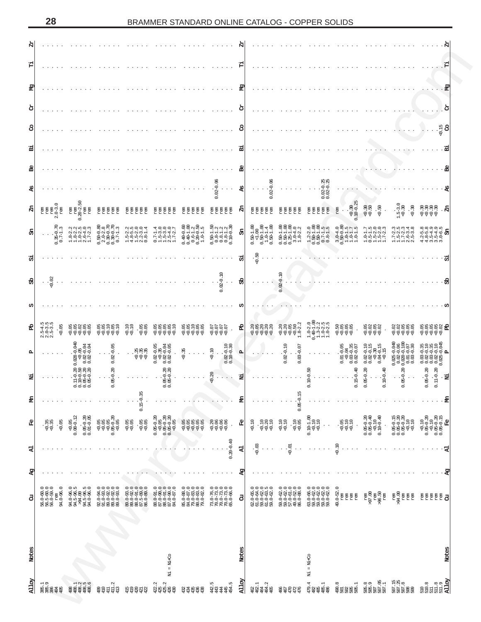| 白            |                                                                                                    |                                                                                                                                                                   |                                                                                                                                  |                                                                                                                                                                                                                                                                |                                                                                                                                               |                                                                                                                                  |                                                                                                                                                   |       |                                                                                                                                 |                                                                                                                                  |                                                                                                                                |                                                                                                                              |                                                                                                                        |                                                                                                                           | Ŕ                                                                                                                                                    |
|--------------|----------------------------------------------------------------------------------------------------|-------------------------------------------------------------------------------------------------------------------------------------------------------------------|----------------------------------------------------------------------------------------------------------------------------------|----------------------------------------------------------------------------------------------------------------------------------------------------------------------------------------------------------------------------------------------------------------|-----------------------------------------------------------------------------------------------------------------------------------------------|----------------------------------------------------------------------------------------------------------------------------------|---------------------------------------------------------------------------------------------------------------------------------------------------|-------|---------------------------------------------------------------------------------------------------------------------------------|----------------------------------------------------------------------------------------------------------------------------------|--------------------------------------------------------------------------------------------------------------------------------|------------------------------------------------------------------------------------------------------------------------------|------------------------------------------------------------------------------------------------------------------------|---------------------------------------------------------------------------------------------------------------------------|------------------------------------------------------------------------------------------------------------------------------------------------------|
| 검            |                                                                                                    |                                                                                                                                                                   |                                                                                                                                  |                                                                                                                                                                                                                                                                |                                                                                                                                               |                                                                                                                                  |                                                                                                                                                   | д     |                                                                                                                                 |                                                                                                                                  |                                                                                                                                |                                                                                                                              |                                                                                                                        |                                                                                                                           | 검                                                                                                                                                    |
| P            |                                                                                                    |                                                                                                                                                                   |                                                                                                                                  |                                                                                                                                                                                                                                                                |                                                                                                                                               |                                                                                                                                  |                                                                                                                                                   |       |                                                                                                                                 |                                                                                                                                  |                                                                                                                                |                                                                                                                              |                                                                                                                        |                                                                                                                           | ŊД                                                                                                                                                   |
| එ            |                                                                                                    |                                                                                                                                                                   |                                                                                                                                  |                                                                                                                                                                                                                                                                |                                                                                                                                               |                                                                                                                                  |                                                                                                                                                   | შ     |                                                                                                                                 |                                                                                                                                  |                                                                                                                                |                                                                                                                              |                                                                                                                        |                                                                                                                           | ტ                                                                                                                                                    |
| 8            |                                                                                                    |                                                                                                                                                                   |                                                                                                                                  |                                                                                                                                                                                                                                                                |                                                                                                                                               |                                                                                                                                  |                                                                                                                                                   | 8     |                                                                                                                                 |                                                                                                                                  |                                                                                                                                |                                                                                                                              |                                                                                                                        |                                                                                                                           | $\frac{15}{9}$ 8                                                                                                                                     |
| ュ            |                                                                                                    |                                                                                                                                                                   |                                                                                                                                  |                                                                                                                                                                                                                                                                |                                                                                                                                               |                                                                                                                                  |                                                                                                                                                   |       |                                                                                                                                 |                                                                                                                                  |                                                                                                                                |                                                                                                                              |                                                                                                                        |                                                                                                                           | 눱                                                                                                                                                    |
| ቆ            |                                                                                                    |                                                                                                                                                                   |                                                                                                                                  |                                                                                                                                                                                                                                                                |                                                                                                                                               |                                                                                                                                  | ತಿ                                                                                                                                                |       | 8                                                                                                                               |                                                                                                                                  |                                                                                                                                |                                                                                                                              |                                                                                                                        |                                                                                                                           |                                                                                                                                                      |
| æ            |                                                                                                    | ္တ                                                                                                                                                                |                                                                                                                                  |                                                                                                                                                                                                                                                                |                                                                                                                                               |                                                                                                                                  | $02 - 0$ .<br>$\sim$ $\sim$ $\sim$<br>$\circ$                                                                                                     | æ     | $0.02 - 0.$                                                                                                                     |                                                                                                                                  | $\begin{array}{c} 0.02 - 0.25 \\ 0.02 - 0.25 \end{array}$                                                                      |                                                                                                                              |                                                                                                                        |                                                                                                                           |                                                                                                                                                      |
| Ŕ            | $\begin{array}{c}\n\text{rem} \\ 0-3.0 \\ \text{rem}\n\end{array}$<br>mex<br>mex<br>$\overline{N}$ | $\begin{array}{c} \mathbb{R}^{\mathfrak{m}} \\ \mathbb{R}^{\mathfrak{m}} \\ 0.20 \text{ m} \\ \mathbb{R}^{\mathfrak{m}} \\ \mathbb{R}^{\mathfrak{m}} \end{array}$ | mex<br>nen<br>E<br>ē                                                                                                             | mex<br>Ę<br>tem<br>tem<br>巨                                                                                                                                                                                                                                    | ã<br>員<br>ă<br>ត្តី ត្តី                                                                                                                      | mex<br>튡<br>E<br>同<br>ē                                                                                                          | Fem<br>mex<br>mex<br>nen<br>1                                                                                                                     | K     | rem<br>rem<br>rem<br>ren<br>I                                                                                                   | mex<br>ē<br>同                                                                                                                    | neu<br>Tem<br>Ē<br>ren<br>ē                                                                                                    | $\frac{60.30}{0.10-0.25}$<br>ren                                                                                             | $-0.30$<br>$-6.50$                                                                                                     | $-5 - 3.0$<br>50.30<br>$\div$                                                                                             | ମ୍ବର<br>କ୍ରାମ୍ବ<br>ុ អ៊                                                                                                                              |
| Я            | $0.35 - 0.70$<br>0.7-1.3<br>்                                                                      | $\begin{array}{c} 1.8-2.2\\ 1.6-2.5\\ 1.0-2.5\\ 2.6-4.0\\ 1.7-2.3 \end{array}$                                                                                    | $\begin{array}{c} 0.50\hbox{--}0.80 \\ 2.0\hbox{--}2.8 \\ 0.30\hbox{--}0.70 \\ 0.30\hbox{--}0.70 \\ 0.7\hbox{--}1.3 \end{array}$ | $\begin{array}{c} 1.5 - 2.2 \\ 4.8 - 5.3 \\ 1.5 - 2.3 \\ 2.2 - 3.4 \\ 0.8 - 1.4 \end{array}$                                                                                                                                                                   | $0.7 - 1.4$<br>$1.5 - 3.0$<br>$1.5 - 4.0$<br>$2.5 - 4.0$<br>$1.7 - 2.7$                                                                       | $\begin{array}{c} 0.40\hbox{--}0.60 \\ 0.40\hbox{--}1.00 \\ 0.6\hbox{--}1.2 \\ 0.20\hbox{--}0.50 \\ 1.0\hbox{--}1.5 \end{array}$ | $\begin{array}{c} 0.50\text{--}1.50 \\ 0.8\text{--}1.2 \\ 0.8\text{--}1.2 \\ 0.8\text{--}1.2 \\ 0.8\text{--}1.2 \\ 0.10\text{--}0.30 \end{array}$ | ą     | $\begin{array}{c} 0.50\text{--}1.00 \\ \text{C}1.00 \\ 0.50\text{--}1.00 \\ 1.0\text{--}1.4 \\ 0.50\text{--}1.0 \\ \end{array}$ | $\begin{array}{c} 0.50\text{--}1.00 \\ 0.50\text{--}1.00 \\ 0.25\text{--}1.00 \\ 3.0\text{--}4.0 \\ 1.8\text{--}2.2 \end{array}$ | $\begin{array}{c} 1.2\text{--}2.0 \\ 0.50\text{--}1.00 \\ 0.50\text{--}1.00 \\ 0.7\text{--}1.5 \\ 0.8\text{--}1.5 \end{array}$ | $\begin{array}{c} 3.0\text{--}4.0 \\ 0.50\text{--}0.80 \\ 1.0\text{--}1.5 \\ 1.0\text{--}1.7 \\ 1.0\text{--}1.5 \end{array}$ | $\begin{array}{c} 1.0-1.7\\ 0.5-1.5\\ 1.5-2.0\\ 1.15-2.0\\ 1.7-2.3 \end{array}$                                        | 3.0.0.4.8                                                                                                                 | $4.3 - 4.3$<br>$4.3 - 4.3$<br>$4.4 - 4.3$<br>$3.5 - 4.5$<br>$3.0 - 6.5$<br><b>Sh</b>                                                                 |
| ď            |                                                                                                    |                                                                                                                                                                   |                                                                                                                                  |                                                                                                                                                                                                                                                                |                                                                                                                                               |                                                                                                                                  |                                                                                                                                                   | 55    | 50.50                                                                                                                           |                                                                                                                                  |                                                                                                                                |                                                                                                                              |                                                                                                                        |                                                                                                                           |                                                                                                                                                      |
| ਲੰ           | 0.02                                                                                               |                                                                                                                                                                   |                                                                                                                                  |                                                                                                                                                                                                                                                                |                                                                                                                                               |                                                                                                                                  | $0.02 - 0.10$<br>$\cdot$ $\cdot$                                                                                                                  | ਲੰ    |                                                                                                                                 | $0.02 - 0.10$                                                                                                                    |                                                                                                                                |                                                                                                                              |                                                                                                                        |                                                                                                                           |                                                                                                                                                      |
|              |                                                                                                    |                                                                                                                                                                   |                                                                                                                                  |                                                                                                                                                                                                                                                                |                                                                                                                                               |                                                                                                                                  |                                                                                                                                                   |       |                                                                                                                                 |                                                                                                                                  |                                                                                                                                |                                                                                                                              |                                                                                                                        |                                                                                                                           |                                                                                                                                                      |
| 윰            | n u u<br>$-0.05$<br>$2.5 - 4.5$                                                                    | ត់ត់ន់ត់ត់<br>ଟ ତ<br>ଚ<br>ଚ<br>ଟ                                                                                                                                  | e<br>Séda<br>Bar                                                                                                                 | $-0.10$<br>e e<br>ଚ<br>ଚ                                                                                                                                                                                                                                       | ត់ត់ត់ត់ដ<br>ଚ<br>ଚ<br>ଟ<br>ଟ<br>ଟ                                                                                                            | ត់ត់ដត់ត<br>ଚ<br>ଚ<br>ę<br>ଟ<br>ę                                                                                                | 9999<br>999<br>ଚ                                                                                                                                  | 윤     | ବ୍ୟବ୍ୟ<br>ବିଚିତ୍ରି                                                                                                              | 888822<br>888822<br>$\overline{ }$                                                                                               | $\begin{array}{c} 1.0\text{--}2.0 \\ 0.40\text{--}1.00 \\ 1.3\text{--}2.5 \\ 1.0\text{--}2.5 \\ 1.0\text{--}2.5 \end{array}$   | ន្ទ្រន់ន<br>9 A<br>ę<br>ę                                                                                                    | 8888<br>ę<br>ę<br>ę<br>ଚ                                                                                               | $888888$<br>$88888$                                                                                                       | ននន់នន <b>មូ</b><br>ę<br>999<br>ଟ                                                                                                                    |
| д            |                                                                                                    | $0.028 - 0.040$<br>$0.02 - 0.04$<br>$0.02 - 0.04$<br>$0.02 - 0.04$                                                                                                | 9<br>$0.02 - 0.$                                                                                                                 | $-\frac{8}{9}$ $-\frac{8}{9}$ $-\frac{8}{9}$ $-\frac{8}{9}$ $-\frac{8}{9}$ $-\frac{8}{9}$ $-\frac{8}{9}$ $-\frac{8}{9}$ $-\frac{8}{9}$ $-\frac{8}{9}$ $-\frac{8}{9}$ $-\frac{8}{9}$ $-\frac{8}{9}$ $-\frac{8}{9}$ $-\frac{8}{9}$ $-\frac{8}{9}$ $-\frac{8}{9}$ | $\begin{array}{c} 0.02 - 0.05 \\ -0.35 \\ 0.02 - 0.04 \\ 0.02 - 0.05 \end{array}$                                                             | 55<br>୍ଚ                                                                                                                         | $0.02 - 0.10$<br>$0.10 - 0.30$<br>$\sim 10$                                                                                                       | д     |                                                                                                                                 | $0.02 - 0.10$<br>$0.03 - 0.07$                                                                                                   |                                                                                                                                | $\begin{array}{c} 0.01\text{--}0.05 \\ \text{<}0.04 \\ 0.03\text{--}0.35 \\ 0.02\text{--}0.07 \end{array}$                   | $\begin{array}{l} 0.02\text{--}0.10 \\ 0.02\text{--}0.15 \\ 0.30 \\ 0.4\text{--}0.15 \\ 0.04\text{--}0.15 \end{array}$ | $\begin{array}{c} 0.025 - 0.040 \\ 0.02 - 0.06 \\ 0.02 - 0.106 \\ 0.02 - 0.100 \\ 0.01 - 0.07 \\ 0.03 - 0.30 \end{array}$ | <b>พอพอลู</b><br>$\frac{1}{2}$ $\frac{1}{2}$ $\frac{1}{2}$ $\frac{1}{2}$ $\frac{1}{2}$ $\frac{1}{2}$<br>388888                                       |
| Σ            |                                                                                                    | 8888<br><u>ဝှ ဝှ ဝှ ဝှ</u><br>부부유유<br>0000                                                                                                                        | $\approx$<br>$\dot{\mathsf{P}}$<br>కి<br>$\circ$                                                                                 |                                                                                                                                                                                                                                                                | 99<br>$\circ$                                                                                                                                 |                                                                                                                                  |                                                                                                                                                   | Ō,    |                                                                                                                                 |                                                                                                                                  | 50<br>¢<br>$\circ$                                                                                                             | $15 - 0.40$<br>$\circ$                                                                                                       | g<br>$\theta$<br>$05 - 0.$<br>$-0.10 - 0.$<br>$\circ$<br>$\circ$                                                       | $\approx$<br>ှ<br>ట<br>$\circ$                                                                                            | $.05 - 0.20$<br>8<br>$\frac{1}{1}$<br>一层<br>$\circ$<br>$\circ$                                                                                       |
| £            |                                                                                                    |                                                                                                                                                                   |                                                                                                                                  | $0.15 - 0.35$                                                                                                                                                                                                                                                  |                                                                                                                                               |                                                                                                                                  |                                                                                                                                                   | ₹     |                                                                                                                                 | $0.05 - 0.15$                                                                                                                    |                                                                                                                                |                                                                                                                              |                                                                                                                        |                                                                                                                           | €                                                                                                                                                    |
| ደ            | $-0.05$<br>$-0.35$                                                                                 | $-0.05$<br>$0.08 - 0.12$<br>$0.05 - 0.20$<br>$0.01 - 0.05$                                                                                                        | $\begin{array}{c} 0.05 \\ 0.05 \\ 0.05 \\ 0.05 \\ 0.05 \\ \end{array}$                                                           | $\cdot \frac{8}{9}$<br>$\frac{8}{9}$<br>$-0.05$                                                                                                                                                                                                                | $\begin{array}{l} 0.05\text{--}0.20 \\ \text{--}0.05 \\ 0.05\text{--}0.20 \\ 0.05\text{--}0.30 \\ \text{--}0.05 \\ \text{--}0.05 \end{array}$ | $6.6.6.6.6$<br>$6.6.6.6.6$                                                                                                       | ବ୍ୟା<br>ବ୍ୟାଚ୍ଚିତ୍ର<br>ବ୍ୟାଚ୍ଚିତ୍ର                                                                                                                | ደ     | $-0.10$<br>$-383$<br>$-383$<br>$-383$                                                                                           | $-300$<br>$-300$<br>6.10                                                                                                         | $\begin{array}{c} 0.10\text{--}1.00 \\ \text{<0.10} \\ \text{<0.10} \end{array}$<br>$\sim$                                     | $-899$<br>$-899$                                                                                                             | $\begin{array}{c} 0.05\text{--}0.20 \\ 0.05\text{--}0.40 \\ \text{0.10\text{--}0.40 \\ 0.10\text{--}0.40 \end{array}$  | $\begin{array}{l} 0.05-0.15\\ 0.05-0.20\\ 0.05-0.20\\ 0.05-0.20\\ 0.05-0.10\\ \end{array}$                                | $\begin{array}{r} \texttt{<}0.10 \\ \texttt{0.05-0.20} \\ \texttt{0.05-0.20} \\ \texttt{0.05-0.15} \\ \texttt{0.05-0.15} \\ \textbf{Fe} \end{array}$ |
| է            |                                                                                                    |                                                                                                                                                                   |                                                                                                                                  |                                                                                                                                                                                                                                                                |                                                                                                                                               |                                                                                                                                  | $0.20 - 0.40$                                                                                                                                     | է     | $-0.03$<br>$\sim$                                                                                                               | $-0.01$                                                                                                                          |                                                                                                                                | $-0.10$                                                                                                                      |                                                                                                                        |                                                                                                                           | 더                                                                                                                                                    |
| Ŗ            |                                                                                                    |                                                                                                                                                                   |                                                                                                                                  |                                                                                                                                                                                                                                                                |                                                                                                                                               |                                                                                                                                  |                                                                                                                                                   | ዌ     |                                                                                                                                 |                                                                                                                                  |                                                                                                                                |                                                                                                                              |                                                                                                                        |                                                                                                                           |                                                                                                                                                      |
| 5            | 56.0-60.0<br>56.5-60.0<br>56.0-59.0<br>24.0-96.0<br>94.0-96.0                                      | 94.0–96.0<br>94.5–96.5<br>94.5–96.5<br>94.0–96.0<br>94.0–96.0                                                                                                     | $92.0 - 94.0$<br>$91.0 - 93.0$<br>$89.0 - 92.0$<br>$89.0 - 92.0$<br>$89.0 - 93.0$                                                | $\begin{array}{r} 89.0 - 93.0 \\ 89.0 - 92.0 \\ 88.0 - 91.0 \\ 87.5 - 89.0 \\ 87.5 - 89.0 \\ 86.0 - 89.0 \end{array}$                                                                                                                                          | $\begin{array}{r} 88.0 - 91.0 \\ 87.0 - 90.0 \\ 88.0 - 91.0 \\ 88.0 - 90.0 \\ 87.0 - 90.0 \\ 87.0 - 87.0 \\ 84.0 - 87.0 \end{array}$          | $\begin{array}{l} 85.0-88.0\\ 84.0-87.0\\ 79.0-83.0\\ 80.0-83.0\\ 79.0-82.0 \end{array}$                                         | $\begin{array}{l} 73.0-76.0 \\ 70.0-73.0 \\ 70.0-73.0 \\ 70.0-73.0 \\ 65.0-66.0 \end{array}$                                                      | 5     | $\begin{array}{l} 62.0-65.0\\ 61.0-64.0\\ 59.0-62.0\\ 61.0-63.5\\ 61.0-62.0\\ 59.0-62.0 \end{array}$                            | $\begin{array}{r} 59.0-62.0\\ 59.0-62.0\\ 57.0-61.0\\ 49.0-52.0\\ 86.0-88.0 \end{array}$                                         | $\begin{array}{r} 63.0 - 66.0 \\ 63.0 - 62.0 \\ 59.0 - 62.0 \\ 59.0 - 62.0 \\ 59.0 - 62.0 \\ \end{array}$                      | $49.0 - 52.0$<br>$x$ em<br>$x$ em<br>$x$ em<br>$x$ em                                                                        | $\begin{array}{c} 1400 \\ 297.00 \\ 1400 \\ 296.50 \\ 1400 \\ \end{array}$                                             | <b>E</b><br>94.00<br>25 EE EE EE                                                                                          | ren<br><b>Eggg 3</b>                                                                                                                                 |
|              |                                                                                                    |                                                                                                                                                                   |                                                                                                                                  |                                                                                                                                                                                                                                                                |                                                                                                                                               |                                                                                                                                  |                                                                                                                                                   |       |                                                                                                                                 |                                                                                                                                  |                                                                                                                                |                                                                                                                              |                                                                                                                        |                                                                                                                           |                                                                                                                                                      |
| Notes        |                                                                                                    |                                                                                                                                                                   |                                                                                                                                  |                                                                                                                                                                                                                                                                | $-8 + 20$                                                                                                                                     |                                                                                                                                  |                                                                                                                                                   | Notes |                                                                                                                                 |                                                                                                                                  | $= \text{Ni} + \text{Co}$                                                                                                      |                                                                                                                              |                                                                                                                        |                                                                                                                           | Notes                                                                                                                                                |
| <b>Alloy</b> | . - . - .<br>요요 .<br>요요 요즘 음                                                                       | 981398.6<br>989898<br>98989                                                                                                                                       | 용함<br>1<br>영화 : 3                                                                                                                | <b>침침</b> 참 참                                                                                                                                                                                                                                                  | Ĕ<br>្ម<br>ជួន ដូច<br>ឯងងន្ទ                                                                                                                  | 34999                                                                                                                            | न से से से से से<br>से से से से से<br>मे से से से से                                                                                              | Alloy | មិន ។<br>កំពុង ។<br>កំពុង កំពុ                                                                                                  | \$\$\$\$\$                                                                                                                       | Ë<br>4<br>52<br>5355<br>5358                                                                                                   | ន<br>ទី៩៩នី<br>ទី១៩នី                                                                                                        | នុង<br>ទី១០ - ១១<br>ទី១០ - ១០                                                                                          | អ្នក<br>ទី១: ១:<br>មិនិនិនិនិ                                                                                             | asana<br>Baadaa                                                                                                                                      |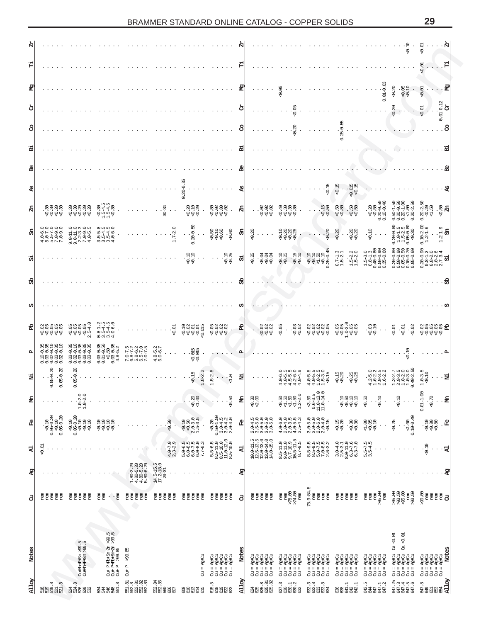|                       |                                                                                              |                                                                                              |                                                                                                                                                   |                                                                                                                                                     |                                                                                        |                                                                                                               |                                                                                                                                                                                                                                                                                                                                                                                                                                                                  |                |                                                                                                                                      |                                                                                                                                                                                     |                                                                                                         |                                                                                 |                                                                                                                                  | $-30.10$<br>$\sim$                                                                                                                   | ౺<br>-ଡ. ୦୦.<br>୧                                                                                                           |
|-----------------------|----------------------------------------------------------------------------------------------|----------------------------------------------------------------------------------------------|---------------------------------------------------------------------------------------------------------------------------------------------------|-----------------------------------------------------------------------------------------------------------------------------------------------------|----------------------------------------------------------------------------------------|---------------------------------------------------------------------------------------------------------------|------------------------------------------------------------------------------------------------------------------------------------------------------------------------------------------------------------------------------------------------------------------------------------------------------------------------------------------------------------------------------------------------------------------------------------------------------------------|----------------|--------------------------------------------------------------------------------------------------------------------------------------|-------------------------------------------------------------------------------------------------------------------------------------------------------------------------------------|---------------------------------------------------------------------------------------------------------|---------------------------------------------------------------------------------|----------------------------------------------------------------------------------------------------------------------------------|--------------------------------------------------------------------------------------------------------------------------------------|-----------------------------------------------------------------------------------------------------------------------------|
| 검                     |                                                                                              |                                                                                              |                                                                                                                                                   |                                                                                                                                                     |                                                                                        |                                                                                                               |                                                                                                                                                                                                                                                                                                                                                                                                                                                                  | Р              |                                                                                                                                      |                                                                                                                                                                                     |                                                                                                         |                                                                                 |                                                                                                                                  |                                                                                                                                      | $\sim$ $\sim$ $\sigma$<br>0.01                                                                                              |
| ቋ                     |                                                                                              |                                                                                              |                                                                                                                                                   |                                                                                                                                                     |                                                                                        |                                                                                                               |                                                                                                                                                                                                                                                                                                                                                                                                                                                                  | 뫙              |                                                                                                                                      | ă,<br>ë                                                                                                                                                                             |                                                                                                         |                                                                                 | $0.01 - 0.03$                                                                                                                    | $\begin{array}{c} 20 \\ 30 \\ 0.05 \end{array}$                                                                                      | 윰<br>0.01<br>$\sim$                                                                                                         |
| එ                     |                                                                                              |                                                                                              |                                                                                                                                                   |                                                                                                                                                     |                                                                                        |                                                                                                               |                                                                                                                                                                                                                                                                                                                                                                                                                                                                  | ð              |                                                                                                                                      | 0.05                                                                                                                                                                                |                                                                                                         |                                                                                 |                                                                                                                                  | នុ<br>$\sim$<br>$\cdots$                                                                                                             | $.01 - 0.12$<br>ტ<br>0.01<br>$\circ$                                                                                        |
| 8                     |                                                                                              |                                                                                              |                                                                                                                                                   |                                                                                                                                                     |                                                                                        |                                                                                                               |                                                                                                                                                                                                                                                                                                                                                                                                                                                                  | 8              |                                                                                                                                      | $-0.20$                                                                                                                                                                             |                                                                                                         | ှ<br>$0.25 -$                                                                   |                                                                                                                                  |                                                                                                                                      | 8                                                                                                                           |
| 运                     |                                                                                              |                                                                                              |                                                                                                                                                   |                                                                                                                                                     |                                                                                        |                                                                                                               |                                                                                                                                                                                                                                                                                                                                                                                                                                                                  |                |                                                                                                                                      |                                                                                                                                                                                     |                                                                                                         |                                                                                 |                                                                                                                                  |                                                                                                                                      | 寓                                                                                                                           |
| В                     |                                                                                              |                                                                                              |                                                                                                                                                   |                                                                                                                                                     |                                                                                        |                                                                                                               |                                                                                                                                                                                                                                                                                                                                                                                                                                                                  |                |                                                                                                                                      |                                                                                                                                                                                     |                                                                                                         |                                                                                 |                                                                                                                                  |                                                                                                                                      |                                                                                                                             |
|                       |                                                                                              |                                                                                              |                                                                                                                                                   |                                                                                                                                                     |                                                                                        | $-20 - 0$<br>$\circ$                                                                                          |                                                                                                                                                                                                                                                                                                                                                                                                                                                                  | æ              |                                                                                                                                      |                                                                                                                                                                                     | $-0.15$                                                                                                 | $rac{10}{100}$ .<br>$5 - 15$                                                    |                                                                                                                                  |                                                                                                                                      |                                                                                                                             |
| R                     | କ୍ଷ୍ଣ୍ଣ<br>ଚଟ୍ଟି                                                                             | ୡଌୡୡୡ<br>ଚଟିଚିଚିଚି                                                                           | $7.5 - 4.5$<br>1.5-4.5<br>40.30                                                                                                                   |                                                                                                                                                     | $30 - 34$                                                                              | ଷ୍ଥ୍ୟ<br>ଟ଼ଟ଼                                                                                                 | ୫.<br>୫.୫୫.୫<br>ଜନ୍ମ                                                                                                                                                                                                                                                                                                                                                                                                                                             | Я              | aaa<br>999                                                                                                                           | କ୍ଷ୍ଣ୍ଣ<br>ବିଚିତ୍ତ                                                                                                                                                                  | $-0.15$<br>$-0.50$                                                                                      | $-0.50$<br>នន<br>ଟି କି                                                          | $\begin{array}{c} 20 \\ 0 \\ 0 \\ 0 \\ -10 \\ 0 \\ -10 \\ 0 \\ -10 \\ 0 \\ \end{array}$<br>$\circ$                               | $\begin{array}{c} 0.50\text{--}1.50 \\ 0.20\text{--}0.50 \\ 0.20\text{--}1.00 \\ 0.40\text{--}2.50 \\ 0.20\text{--}2.50 \end{array}$ | P.<br>$30 - 2.5$<br>$-2.85$<br>ុ <sup>ូ</sup> នី <b>អ៊</b><br>$\dot{\circ}$                                                 |
| සි                    | $\begin{array}{l} 4.0 - 6.0 \\ 5.0 - 7.0 \\ 5.5 - 7.0 \\ 7.0 - 9.0 \\ 7.0 - 9.0 \end{array}$ | $\begin{array}{l} 9.0-11.0 \\ 9.0-11.0 \\ 2.2-3.3 \\ 7.0-9.5 \\ 4.0-5.5 \end{array}$         | $\ddot{p}$ $\ddot{q}$ $\ddot{q}$ $\ddot{q}$ $\ddot{q}$ $\ddot{q}$<br>$\ddot{q}$ $\ddot{q}$ $\ddot{q}$ $\ddot{q}$ $\ddot{q}$<br>$m \, m \, m \, d$ |                                                                                                                                                     | $1.7 - 2.0$                                                                            | $20-0.50$<br>$\ddotsc$<br>்                                                                                   | $838$<br>$999$<br>$\cdot \frac{6}{9}$                                                                                                                                                                                                                                                                                                                                                                                                                            | a              | $-0.20$                                                                                                                              | ទី១៩៩<br>ដូនទង់                                                                                                                                                                     | $-30.20$                                                                                                | 0.20<br>$888$<br>$88$<br>$\sim$ $\sim$                                          | 0.10                                                                                                                             | $\begin{array}{c} 0.20\text{--}0.80 \\ 1.0\text{--}1.5 \\ 1.5\text{--}2.5 \\ 0.05\text{--}0.80 \\ \text{<0.30} \end{array}$          | $10 - 2.00$<br>$1.2 - 1.6$<br>o.<br>සි<br>$-2-1$<br>$\circ$                                                                 |
| ₩                     |                                                                                              |                                                                                              |                                                                                                                                                   |                                                                                                                                                     |                                                                                        | $\frac{10}{30}$                                                                                               | $-\frac{5}{9}$                                                                                                                                                                                                                                                                                                                                                                                                                                                   | 모              | ष्ठुष्ठु<br>इङ्<br>k)<br>ę.                                                                                                          | $-0.10$<br>$-0.15$                                                                                                                                                                  | $\dot{\circ}$                                                                                           | $0.7 - 1.3$<br>1.5-2.1<br>$1.5 - 2.2$<br>$1.5 - 2.0$                            | $\begin{array}{c} 1.5\text{--}3.0 \\ 0.8\text{--}1.3 \\ 0.40\text{--}0.80 \\ 0.50\text{--}0.90 \\ 0.55\text{--}0.60 \end{array}$ | $\begin{array}{l} 0.20\hbox{--}0.80 \\ 0.50\hbox{--}0.50 \\ 0.05\hbox{--}0.50 \\ 0.10\hbox{--}0.70 \\ 0.10\hbox{--}0.60 \end{array}$ | 0.20-0.30<br>0.8-2.0<br>0.8-2.54<br>2.7-3.4<br>2.7-3.4                                                                      |
| ₩                     |                                                                                              |                                                                                              |                                                                                                                                                   |                                                                                                                                                     |                                                                                        |                                                                                                               |                                                                                                                                                                                                                                                                                                                                                                                                                                                                  |                |                                                                                                                                      |                                                                                                                                                                                     |                                                                                                         |                                                                                 |                                                                                                                                  |                                                                                                                                      |                                                                                                                             |
|                       |                                                                                              |                                                                                              |                                                                                                                                                   |                                                                                                                                                     |                                                                                        |                                                                                                               |                                                                                                                                                                                                                                                                                                                                                                                                                                                                  |                |                                                                                                                                      |                                                                                                                                                                                     |                                                                                                         |                                                                                 |                                                                                                                                  |                                                                                                                                      |                                                                                                                             |
| £                     | 88888<br>88888                                                                               | $\alpha$                                                                                     | $0 \nmid m \nmid q$                                                                                                                               |                                                                                                                                                     | $-0.01$                                                                                | ੩੪੩੩<br>੨ਃ੩੩<br>੨                                                                                             | និន្ន<br>តិន្ទន់<br>តិន្ទន់                                                                                                                                                                                                                                                                                                                                                                                                                                      | 渴              |                                                                                                                                      | $-0.05$<br>$0.03$<br>$0.02$                                                                                                                                                         |                                                                                                         |                                                                                 | $-0.10$                                                                                                                          | $\frac{3}{5}$<br>$-0.01$<br>$-6.01$                                                                                                  | នុងឧង្ស<br>និងទំនង <b>ម្</b>                                                                                                |
| д                     | おおさおさ                                                                                        | $\begin{array}{l} 0.03-0.35 \\ 0.02-0.10 \\ 0.03-0.35 \\ 0.03-0.35 \\ 0.03-0.35 \end{array}$ | $\begin{array}{c} 0.03 - 0.35 \\ 0.01 - 0.50 \\ -0.50 \\ 0.03 - 0.35 \\ 4.8 - 5.2 \end{array}$                                                    | $\begin{array}{l} 7.0-7.5 \\ 6.8-7.2 \\ 5.8-6.2 \\ 6.5-7.0 \\ 7.0-7.5 \end{array}$                                                                  | $\frac{1}{8}$ $\frac{1}{9}$<br>4.0                                                     | $-8.015$<br>$-8.015$                                                                                          |                                                                                                                                                                                                                                                                                                                                                                                                                                                                  |                |                                                                                                                                      |                                                                                                                                                                                     |                                                                                                         |                                                                                 |                                                                                                                                  |                                                                                                                                      |                                                                                                                             |
| Σ                     | ୡ<br>୍ସ<br>$-9.7$<br>. q<br>ė,<br>○                                                          | ୡ<br>. ငှ                                                                                    |                                                                                                                                                   |                                                                                                                                                     |                                                                                        | $1.8 - 2.2$<br>$-0.15$                                                                                        | $1.5 - 2.5$<br>$\cdots$ <sup>o</sup><br>$\triangledown$                                                                                                                                                                                                                                                                                                                                                                                                          |                |                                                                                                                                      | 0.0000<br>$\begin{array}{cccccccccc} \phi & \phi & \phi & \phi & \phi & \phi \\ \phi & \phi & \phi & \phi & \phi \\ \phi & \phi & \phi & \phi & \phi \end{array}$<br>यं यं यं यं यं | $1.0 - 5.5$<br>$1.0 - 2.3$<br>$-1.5 - 3.15$<br>$\Rightarrow$ $\Rightarrow$ $\Rightarrow$ $\Rightarrow$  | $-0.30$<br>$-8.38$                                                              | $\circ$ $\circ$<br>$-0.77$<br>$4 - 9 - 4$                                                                                        | $\begin{array}{l} 1.3-2.7 \\ 2.9-3.5 \\ 1.0-2.0 \\ 1.0-3.0 \\ 0.40-2.50 \end{array}$                                                 | LO<br>$1.0 - 3.5$<br><0.10<br>뀸                                                                                             |
| £                     |                                                                                              | $1.0 - 2.0$<br>$1.0 - 2.0$<br>$\cdot$                                                        |                                                                                                                                                   |                                                                                                                                                     |                                                                                        | $-\frac{8}{9}$                                                                                                | $\frac{50}{9}$                                                                                                                                                                                                                                                                                                                                                                                                                                                   | 됨              | $-2.30$                                                                                                                              |                                                                                                                                                                                     | $\begin{array}{r} <\!3.50\\ 0.6\text{--}3.5\\ 11.0\text{--}13.0\\ 11.0\text{--}14.0 \end{array}$        | êêêê<br>G                                                                       | . $\frac{a}{\sqrt{2}}$<br>$-50$                                                                                                  | $\frac{10}{2}$<br>$\cdot$<br>$\cdot$                                                                                                 | $0.01 - 1.00$<br>$-6.70$<br>. . ≨                                                                                           |
| £                     | $\begin{array}{r} 20.10 \\ 0.05 - 0.20 \\ -0.10 \\ 0.05 - 0.20 \end{array}$                  | $\begin{array}{c} 0.10 \\ 0.05\text{--}0.20 \\ 0.10 \\ 0.10 \\ 0.10 \\ 0.10 \end{array}$     | e<br>Saaa<br>Saad                                                                                                                                 |                                                                                                                                                     | $-0.50$                                                                                | $\begin{array}{c} 40.10 \\ 40.50 \\ 2.0 - 3.0 \\ 1.5 - 3.5 \end{array}$                                       | $\begin{array}{r} 0.30 \\ 0.50 - 1.50 \\ 3.0 - 4.3 \\ 3.0 - 4.3 \\ 2.0 - 4.0 \end{array}$                                                                                                                                                                                                                                                                                                                                                                        | ደ              |                                                                                                                                      | $\begin{array}{cccc} 4.0 & -6.0 \\ 2.0 & -4.5 \\ 2.0 & -5.5 \\ 4.0 & -4.3 \\ \end{array}$                                                                                           | $\begin{array}{l} 3.0 - 5.0 \\ 3.0 - 6.0 \\ 2.0 - 4.0 \\ 2.0 - 4.1 \\ \hline 0.0 \\ 0.1 \\ \end{array}$ | $-6.58$<br>$-30.30$                                                             | esa<br>Sasi                                                                                                                      | $rac{30}{10-0.40}$<br>$-0.25$                                                                                                        | $\begin{array}{c} 188 \\ 189 \\ 699 \\ \hline \end{array}$<br>ピ                                                             |
| է                     | $-0.01$                                                                                      |                                                                                              |                                                                                                                                                   |                                                                                                                                                     | $4.0 - 7.0$<br>$2.3 - 2.9$                                                             | $\begin{array}{l} 5.0 - 6.5 \\ - 6.5 \\ - 6.0 - 7.5 \\ - 6.0 - 8.3 \\ - 0.0 - 8.3 \\ - 7.7 - 8.3 \end{array}$ | $\begin{array}{l} 5.5\text{--}6.5\\ 8.5\text{--}11.0\\ 8.5\text{--}10.0\\ 11.0\text{--}12.0\\ 8.5\text{--}10.0 \end{array}$                                                                                                                                                                                                                                                                                                                                      | 더              | $\begin{array}{l} 10.0\text{--}11.5 \\ 12.5\text{--}13.5 \\ 12.0\text{--}13.0 \\ 13.0\text{--}14.0 \\ 14.0\text{--}15.0 \end{array}$ | $\begin{array}{l} 8.5\text{-}11.0 \\ 9.0\text{-}11.0 \\ 9.7\text{-}10.9 \\ 10.5\text{-}11.5 \\ 10.5\text{-}11.5 \\ 8.7\text{-}9.5 \end{array}$                                      | $\begin{array}{l} 6.5 - 9.5 \\ 8.5 - 9.7 \\ 8.5 - 0.5 \\ 7.0 - 8.3 \\ 7.0 - 3.2 \\ \end{array}$         | $\begin{array}{c} 3.0-4.0\\ 2.5-3.1\\ 8.0-11.0\\ 6.3-7.6\\ 6.3-7.0 \end{array}$ | $5.5 - 7.5$<br>3.5-4.5                                                                                                           |                                                                                                                                      | $-0.10$<br>. न्नू                                                                                                           |
| Ŗ                     |                                                                                              |                                                                                              |                                                                                                                                                   | $\begin{array}{l} 1.80\text{--}\,2.20 \\ 4.80\text{--}\,5.20 \\ 4.80\text{--}\,5.20 \\ 5.80\text{--}\,6.20 \end{array}$                             | $\begin{array}{c} 14.5\text{--}15.5 \\ 17.2\text{--}18.0 \\ 29\text{--}31 \end{array}$ |                                                                                                               |                                                                                                                                                                                                                                                                                                                                                                                                                                                                  |                |                                                                                                                                      |                                                                                                                                                                                     |                                                                                                         |                                                                                 |                                                                                                                                  |                                                                                                                                      | ዌ                                                                                                                           |
| 5                     | Ë<br>Ë<br>Ē<br>Ĕ                                                                             | ₫<br>Ĕ<br>Ë<br>π<br>n<br>B                                                                   | Ę<br>Ĕ<br>ŗ                                                                                                                                       | 同<br>Ę<br>ξ                                                                                                                                         | ren<br>ថ្ម<br>អូ<br>អូ<br>ren<br>n<br>B                                                | ត្ត<br>ក្នុ<br>E<br>Ē<br>Ē                                                                                    | Fen<br>Ę<br>ren<br>ren<br>ren                                                                                                                                                                                                                                                                                                                                                                                                                                    | ð              | <b>ត្ត គួ</b><br>ren<br>后                                                                                                            | $\frac{178}{578.50}$<br>50.87<br>$\frac{17}{124}$<br>ren                                                                                                                            | $75.9 - 84.5$<br>គ្គ<br>ខ្ពុ គ្គ<br>ŗ                                                                   | ថ្មី <b>ថ្មី</b><br><b>គ្គី គ្គី</b>                                            | rem<br>rem<br>rem<br>95.00<br>rem                                                                                                | 95.50<br>93.50<br>95.50<br>93.59                                                                                                     | $-90.00$<br><b>គ្គី គ្គី</b><br>පි                                                                                          |
| <b>Notes</b><br>Alloy | ឌីឌីឌីឌី<br>ដឹងដី                                                                            | Cu+Mn+P+Sn >99.5<br>្ត<br>ជីង ម៉ូន<br>ជីង ជីង ជី                                             | n w<br>Cu+ P+Bb+Sn+Zn >99.5<br>Cu+ P+Bb+Sn+Zn >99.5<br>Cu+ P >99.85<br>e<br>En Bartis<br>En Bartis                                                | 56<br>59.<br>$\mathbf{\Delta}$<br>$\stackrel{\scriptscriptstyle +}{\scriptscriptstyle \infty}$<br>ន.<br>ជ.ន. ន.ន. ន.ន<br>ឆ្លង ន.ន.ន.<br>ឆ្លង ន.ន.ន. | ងនូ<br>ជំងឺនៃ<br>ដឹងនីទីទី                                                             | <b>Rg+CL</b><br>$\mathbf{H}$<br>ð<br>82335                                                                    | $\begin{array}{l} \mathbf{1}_{\mathbf{1}}\oplus\mathbf{2}_{\mathbf{2}}\oplus\mathbf{3}_{\mathbf{3}}\oplus\mathbf{4}_{\mathbf{4}}\oplus\mathbf{5}_{\mathbf{5}}\oplus\mathbf{6}_{\mathbf{6}}\oplus\mathbf{5}_{\mathbf{7}}\oplus\mathbf{6}_{\mathbf{8}}\oplus\mathbf{6}_{\mathbf{8}}\oplus\mathbf{6}_{\mathbf{9}}\oplus\mathbf{7}_{\mathbf{1}}\oplus\mathbf{8}_{\mathbf{1}}\oplus\mathbf{8}_{\mathbf{1}}\oplus\mathbf{8}_{\mathbf{1}}\oplus\mathbf$<br>s.<br>Täädää | Notes<br>Alloy | ម្លាំង<br>ម្លាំង ម្លាំង<br>ម្លាំង ម្លាំង<br>ម្លាំង ម្លាំង<br>ម្លាំង ម្លាំង<br>និង<br>ខេត្តខ្លួន<br>ខេត្តខ្លួន                        | មិនមិនមិន<br>គឺមិនមិន<br>គឺមិនមិន<br>គឺមិនមិន<br>ះ<br>ទី១១ - ។<br>ទី១ - ១ - ១                                                                                                       | មិមីមីមី<br>ឆ្នាំងូង<br>= = = = =<br>= = = = =<br>= = = = =<br>3<br>233333<br>88888                     | មិមីមីមី<br>ភ្នំងឺឆ្នាំ<br>= = = = =<br>= = = = =<br><b>88733</b><br>88733      | មិមីមីមី<br>គូធំ គូធំ<br>គូធំ គូធំ<br>= = = = =<br>83455.12<br>83555                                                             | 0.01<br>0.01<br>්<br>්<br>88888<br>647.35<br>647.3<br>647.45,6<br>647.45                                                             | <b>Notes</b><br>មិមិមិមិមិ<br>ទីមិមិមិមិ<br>ទីមិមិនិ<br>$0\leq 0\leq 0\leq 0\leq 0$<br>88888<br>Alloy<br>នុ<br>ទទួក<br>ទទួក |
|                       |                                                                                              |                                                                                              |                                                                                                                                                   |                                                                                                                                                     |                                                                                        |                                                                                                               |                                                                                                                                                                                                                                                                                                                                                                                                                                                                  |                |                                                                                                                                      |                                                                                                                                                                                     |                                                                                                         |                                                                                 |                                                                                                                                  |                                                                                                                                      |                                                                                                                             |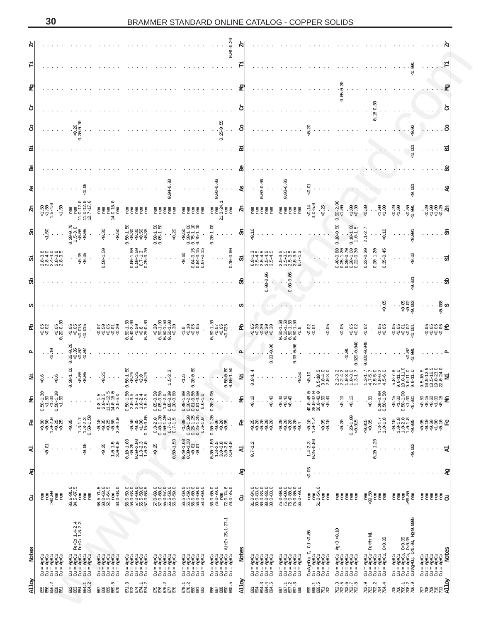| A     |                                                                                                                                                                                                                                        |                                                                                                                         |                                                                                                                                                                                                                                                                                                               |                                                                                                                               |                                                                                                                                                                                                                                                                                                                                                                                                                                                                                                             |                                                                                                                                    | $0.01 - 0.20$                                                                                                         |       |                                                                                                      |                                                                                                                                    |                                                                                                  |                                                                                                                                                                 |                                                                                                                              |                                                                                                                                                                                                                                                                                                                                       |                                                                                                                                        |
|-------|----------------------------------------------------------------------------------------------------------------------------------------------------------------------------------------------------------------------------------------|-------------------------------------------------------------------------------------------------------------------------|---------------------------------------------------------------------------------------------------------------------------------------------------------------------------------------------------------------------------------------------------------------------------------------------------------------|-------------------------------------------------------------------------------------------------------------------------------|-------------------------------------------------------------------------------------------------------------------------------------------------------------------------------------------------------------------------------------------------------------------------------------------------------------------------------------------------------------------------------------------------------------------------------------------------------------------------------------------------------------|------------------------------------------------------------------------------------------------------------------------------------|-----------------------------------------------------------------------------------------------------------------------|-------|------------------------------------------------------------------------------------------------------|------------------------------------------------------------------------------------------------------------------------------------|--------------------------------------------------------------------------------------------------|-----------------------------------------------------------------------------------------------------------------------------------------------------------------|------------------------------------------------------------------------------------------------------------------------------|---------------------------------------------------------------------------------------------------------------------------------------------------------------------------------------------------------------------------------------------------------------------------------------------------------------------------------------|----------------------------------------------------------------------------------------------------------------------------------------|
| 검     |                                                                                                                                                                                                                                        |                                                                                                                         |                                                                                                                                                                                                                                                                                                               |                                                                                                                               |                                                                                                                                                                                                                                                                                                                                                                                                                                                                                                             |                                                                                                                                    |                                                                                                                       |       |                                                                                                      |                                                                                                                                    |                                                                                                  |                                                                                                                                                                 |                                                                                                                              | $-0.001$                                                                                                                                                                                                                                                                                                                              |                                                                                                                                        |
| ቋ     |                                                                                                                                                                                                                                        |                                                                                                                         |                                                                                                                                                                                                                                                                                                               |                                                                                                                               |                                                                                                                                                                                                                                                                                                                                                                                                                                                                                                             |                                                                                                                                    |                                                                                                                       |       |                                                                                                      |                                                                                                                                    |                                                                                                  | 20<br>$\overline{\phantom{0}}$                                                                                                                                  |                                                                                                                              |                                                                                                                                                                                                                                                                                                                                       | ्ष्ट्र                                                                                                                                 |
| එ     |                                                                                                                                                                                                                                        |                                                                                                                         |                                                                                                                                                                                                                                                                                                               |                                                                                                                               |                                                                                                                                                                                                                                                                                                                                                                                                                                                                                                             |                                                                                                                                    |                                                                                                                       |       |                                                                                                      |                                                                                                                                    |                                                                                                  | 0.05                                                                                                                                                            | S.<br>$\dot{\varphi}$                                                                                                        |                                                                                                                                                                                                                                                                                                                                       | შ                                                                                                                                      |
| 8     |                                                                                                                                                                                                                                        | $-0.30 - 0.70$                                                                                                          |                                                                                                                                                                                                                                                                                                               |                                                                                                                               |                                                                                                                                                                                                                                                                                                                                                                                                                                                                                                             |                                                                                                                                    | 55<br>ှ<br>$\ddot{\phantom{1}}$<br>0.25                                                                               | 8     |                                                                                                      |                                                                                                                                    | $-20$                                                                                            |                                                                                                                                                                 |                                                                                                                              | 0.02                                                                                                                                                                                                                                                                                                                                  | 8                                                                                                                                      |
|       |                                                                                                                                                                                                                                        |                                                                                                                         |                                                                                                                                                                                                                                                                                                               |                                                                                                                               |                                                                                                                                                                                                                                                                                                                                                                                                                                                                                                             |                                                                                                                                    |                                                                                                                       |       |                                                                                                      |                                                                                                                                    |                                                                                                  |                                                                                                                                                                 |                                                                                                                              | 0.001                                                                                                                                                                                                                                                                                                                                 | 叾                                                                                                                                      |
|       |                                                                                                                                                                                                                                        |                                                                                                                         |                                                                                                                                                                                                                                                                                                               |                                                                                                                               |                                                                                                                                                                                                                                                                                                                                                                                                                                                                                                             |                                                                                                                                    |                                                                                                                       |       |                                                                                                      |                                                                                                                                    |                                                                                                  |                                                                                                                                                                 |                                                                                                                              |                                                                                                                                                                                                                                                                                                                                       |                                                                                                                                        |
| æ     |                                                                                                                                                                                                                                        | 0.05                                                                                                                    |                                                                                                                                                                                                                                                                                                               |                                                                                                                               | ∝<br>$.04 - 0.$<br>$\circ$                                                                                                                                                                                                                                                                                                                                                                                                                                                                                  |                                                                                                                                    | $.02 - 0.06$<br>$\cdot$ $\cdot$<br>$\circ$                                                                            | æ     | $.03 - 0.06$                                                                                         | $.03 - 0.06$<br>$\cdot$                                                                                                            | $-0.01$                                                                                          |                                                                                                                                                                 |                                                                                                                              | ē.<br>ę                                                                                                                                                                                                                                                                                                                               | æ                                                                                                                                      |
| Ŗ     | $380$<br>$740$<br>$740$<br>$-1.50$                                                                                                                                                                                                     | $\circ \circ \circ$<br>$\begin{array}{c} 11.0\text{--}12.1\\ 11.0\text{--}12.1\\ 12.7\text{--}17.\\ \end{array}$<br>mex | $\circ$<br>rem<br>0-15.<br>f<br>គ្រូ<br>ក្នុ<br>14.                                                                                                                                                                                                                                                           | €<br>Ę                                                                                                                        |                                                                                                                                                                                                                                                                                                                                                                                                                                                                                                             | ren<br>mex<br>ē<br>đ                                                                                                               | rem<br>3-24<br>ren<br>mex<br>E<br><b>Z</b>                                                                            |       |                                                                                                      | ren                                                                                                                                | $-0.14$<br>3.0-5.0<br>$-0.25$                                                                    | $50 - 2.00$<br>$-1.00$<br>$\frac{3}{30}$                                                                                                                        | $3.8$<br>$4.8$<br>$-0.30$                                                                                                    | $-0.50$                                                                                                                                                                                                                                                                                                                               | 8988<br>8888                                                                                                                           |
| සි    | $-1.50$                                                                                                                                                                                                                                | $\begin{array}{c} 0.20\text{--}0.70 \\ 1.5\text{--}3.0 \\ \text{<0.05} \\ \text{<0.05} \end{array}$                     | $-0.30$<br>$-50$                                                                                                                                                                                                                                                                                              | $\begin{array}{l} 0.50\hbox{-}1.50 \\ \hline 0.30 \\ \hline 0.30 \\ \hline 0.50 \\ \hline 0.30 \\ \hline \end{array}$         | $.50 - 1.50$<br>$05 - 1.50$<br>0.20                                                                                                                                                                                                                                                                                                                                                                                                                                                                         | $\begin{array}{c} <\!0.50\\ 0.30\text{--}1.00\\ 0.75\text{--}1.10\\ 0.75\text{--}1.10 \end{array}$                                 | $20 - 1.00$                                                                                                           | Я     | $-0.10$                                                                                              |                                                                                                                                    |                                                                                                  | $\dot{\circ}$<br>$0.10 - 1.00$<br>$1.0 - 1.5$<br>$0.10 - 0.50$                                                                                                  | $2.1 - 2.7$<br>$-0.10$<br>$\sim$ $\sim$                                                                                      | $-0.001$                                                                                                                                                                                                                                                                                                                              | සි                                                                                                                                     |
| 就     | $\begin{array}{cccc}\n & 2 & 3 & 3 & 3 & 5 \\  & 2 & 4 & 4 & 3 & 5 & 5 \\  & 2 & 3 & 4 & 3 & 3 & 5 \\  & 2 & 3 & 3 & 3 & 3 & 5\n\end{array}$                                                                                           | $\cdot \frac{98}{99}$                                                                                                   | $0.50 - 1.50$                                                                                                                                                                                                                                                                                                 | $\begin{array}{c} 0.50\text{--}1.50 \\ 0.50\text{--}1.50 \\ 0.7\text{--}1.3 \\ 0.25\text{--}0.70 \end{array}$                 | ் ்                                                                                                                                                                                                                                                                                                                                                                                                                                                                                                         | $0.04 - 0.15$ $0.04 - 0.15$ $0.07 - 0.15$<br>$-0.60$                                                                               | ்<br>$0.10 - 0.60$                                                                                                    | ₩     |                                                                                                      |                                                                                                                                    |                                                                                                  | $\dot{\circ}$<br>$\begin{array}{l} 0.40\hbox{-}0.80\\ 0.25\hbox{-}1.20\\ 0.20\hbox{-}1.00\\ 0.20\hbox{-}1.00\\ 0.20\hbox{-}1.00\\ 0.21\hbox{-}0.30 \end{array}$ | $0.22 - 0.30$<br>$0.20 - 1.20$<br>45<br>$35 - 0.$                                                                            | S<br>ę                                                                                                                                                                                                                                                                                                                                | ಜ                                                                                                                                      |
| ₩     |                                                                                                                                                                                                                                        |                                                                                                                         |                                                                                                                                                                                                                                                                                                               |                                                                                                                               |                                                                                                                                                                                                                                                                                                                                                                                                                                                                                                             |                                                                                                                                    |                                                                                                                       |       | 0.0.0.0.0<br>$\overline{\phantom{a}}$                                                                | <b>NNNNO</b>                                                                                                                       |                                                                                                  |                                                                                                                                                                 | ்                                                                                                                            |                                                                                                                                                                                                                                                                                                                                       | සි                                                                                                                                     |
|       |                                                                                                                                                                                                                                        |                                                                                                                         |                                                                                                                                                                                                                                                                                                               |                                                                                                                               |                                                                                                                                                                                                                                                                                                                                                                                                                                                                                                             |                                                                                                                                    |                                                                                                                       |       | $0.03 - 0.06$                                                                                        | $0.03 - 0.06$                                                                                                                      |                                                                                                  |                                                                                                                                                                 |                                                                                                                              | 50.001                                                                                                                                                                                                                                                                                                                                |                                                                                                                                        |
|       |                                                                                                                                                                                                                                        |                                                                                                                         |                                                                                                                                                                                                                                                                                                               |                                                                                                                               |                                                                                                                                                                                                                                                                                                                                                                                                                                                                                                             |                                                                                                                                    |                                                                                                                       |       |                                                                                                      |                                                                                                                                    |                                                                                                  |                                                                                                                                                                 | $-0.05$                                                                                                                      |                                                                                                                                                                                                                                                                                                                                       | . ອຶ ທ<br>ë                                                                                                                            |
| 용     | $-0.05$<br>$-0.30$<br>$\frac{6}{9}$ . $\frac{6}{9}$<br>்                                                                                                                                                                               | $\begin{array}{c} 8.8 \\ 8.9 \\ 8.9 \\ 9.9 \\ 9.9 \\ \end{array}$                                                       | ទំនុងទំនុ<br>ខ្លួនទំនុ                                                                                                                                                                                                                                                                                        | $\begin{array}{c} 0.50\text{--}1.50 \\ 0.40\text{--}3.00 \\ \leqslant 0.50 \\ \leqslant 0.8 \\ 0.25\text{--}0.80 \end{array}$ | $\begin{array}{c} <\!\!\! 0.20\\ \!\!\! 0.50\text{-}1.00\\ \!\!\! 0.50\text{-}1.50\\ \!\!\! 0.50\text{-}1.00\\ \!\!\! 0.50\text{-}1.00\\ \!\!\! 0.50\text{-}30 \end{array}$                                                                                                                                                                                                                                                                                                                                 | $-288$<br>$-388$                                                                                                                   | 8<br>0.50-1.5<br>0.60<br>0.05<br>0.025                                                                                |       | ន្ទ្រីន្ទ្រីន្ទ្រី<br>ខេត្តទីន្ទ្                                                                    | $\begin{array}{l} 0.50\text{--}1.50\\ 0.50\text{--}1.50\\ 0.50\text{--}1.50\\ 0.50\text{--}1.50\\ 0.50\text{--}1.50\\ \end{array}$ | . ප<br>$\frac{8}{9}$ or<br>ę                                                                     | $-0.05$<br>$\frac{88}{99}$                                                                                                                                      | 0.02<br>9<br>9<br>9<br>9                                                                                                     | esasa<br>89388<br>8988                                                                                                                                                                                                                                                                                                                | ୍ର ୧୦୦୦<br>ଜଣ୍ଡ                                                                                                                        |
| д     | $\frac{10}{9}$                                                                                                                                                                                                                         | 0.05-0.20<br><0.35<br><0.35<br><0.02                                                                                    |                                                                                                                                                                                                                                                                                                               |                                                                                                                               |                                                                                                                                                                                                                                                                                                                                                                                                                                                                                                             |                                                                                                                                    |                                                                                                                       |       | $.03 - 0.06$<br>$\circ$                                                                              | $0.03 - 0.06$<br>$\cdot$ .                                                                                                         |                                                                                                  | $0.020 - 0.040$<br>$-0.01$                                                                                                                                      | $0.020 - 0.040$                                                                                                              | $-0.02$<br>$-0.001$                                                                                                                                                                                                                                                                                                                   | $\mathbf{p}$                                                                                                                           |
| ž,    | $-0.6$<br>$-0.6$<br>$\cdot$ .<br>$\cdot$                                                                                                                                                                                               | $.30 - 1.00$<br>$\frac{8}{9}$                                                                                           | $-0.25$                                                                                                                                                                                                                                                                                                       | 56<br>-1.58<br>-5.69<br>-5.69                                                                                                 | $\dot{\gamma}$<br>بما                                                                                                                                                                                                                                                                                                                                                                                                                                                                                       | $20 - 0.80$<br>$4.5$                                                                                                               | $50 - 0.80$<br>$50 - 1.50$                                                                                            | 뷤     | 4<br>$0.8 - 1.$                                                                                      | $-0.50$                                                                                                                            | $\begin{array}{r} 8.5\text{--}10.5 \\ 3.0\text{--}4.0 \\ 2.0\text{--}3.0 \end{array}$<br>$-0.10$ | $\begin{array}{c} 2.2 - 3.2 \\ 2.2 - 4.2 \\ 1.0 - 3.0 \\ 1.10 - 3.1 \\ 1.3 - 1.7 \end{array}$                                                                   | $77000$<br>$770000$                                                                                                          | $\begin{array}{l} 5.8-7.8\\ 9.0-11.0\\ 10.0-11.0\\ 9.0-11.0\\ 9.0-11.0\\ \end{array}$                                                                                                                                                                                                                                                 | $\begin{array}{l} 9.5\text{--}10.5 \\ 10.5\text{--}12.5 \\ 13.5\text{--}16.3 \\ 19.0\text{--}23.0 \\ 22.0\text{--}24.0 \\ \end{array}$ |
| £     | $\begin{array}{c} 0.50\text{--}1.30 \\ \text{--}4.50 \\ \text{--}4.00 \\ 0.50\text{--}1.30 \\ \text{--}4.50 \\ \end{array}$                                                                                                            |                                                                                                                         | $\begin{array}{c} 0.8-1.5\\ 2.0-3.5\\ 11.5-12.5\\ 14.0-15.0\\ 2.5-5.0 \end{array}$                                                                                                                                                                                                                            | $0.50 - 1.50$<br>$2.0 - 3.5$<br>$2.0 - 3.5$<br>$1.0 - 2.5$<br>$1.5 - 2.5$                                                     | $\begin{array}{l} 0.05\text{--}0.50\\ 0.05\text{--}0.50\\ 1.0\text{--}2.0\\ 0.05\text{--}0.30\\ 0.20\text{--}0.60 \end{array}$                                                                                                                                                                                                                                                                                                                                                                              | $\begin{array}{l} 0.40\text{--}1.80 \\ 0.30\text{--}2.00 \\ 0.01\text{--}0.50 \\ 0.01\text{--}0.50 \\ 0.6\text{--}1.0 \end{array}$ | $\circ$<br>$0.30 - 2.00$<br>$\alpha$ , $\alpha$ , $\alpha$ , $\alpha$                                                 | £     | $-0.40$<br>$-0.10$<br>$\sim$                                                                         | 유유유<br>오<br><del>이</del>                                                                                                           | $\begin{array}{l} 40.0-48.0\\ 28.0-32.0\\ 36.0-40.0\\ -0.50\\ 0.0\\ -0.50\\ \end{array}$         | $-0.10$<br>$-5$<br>$\cdot$                                                                                                                                      | $-4$ $-4$ $-4$<br>$0.30 - 0.80$<br>$0.50 - 1.50$<br>$\sim$ 50                                                                | $\begin{array}{c} 0.15 \\ 0.50 \\ 0.50 \\ 0.30 \\ \hline 0.00 \\ \end{array}$                                                                                                                                                                                                                                                         | AAAAA<br>87687                                                                                                                         |
| ፎ     |                                                                                                                                                                                                                                        |                                                                                                                         |                                                                                                                                                                                                                                                                                                               |                                                                                                                               |                                                                                                                                                                                                                                                                                                                                                                                                                                                                                                             |                                                                                                                                    |                                                                                                                       | ዴ     |                                                                                                      |                                                                                                                                    |                                                                                                  |                                                                                                                                                                 |                                                                                                                              |                                                                                                                                                                                                                                                                                                                                       |                                                                                                                                        |
|       | $\begin{array}{l} 89 \\ 99 \\ 99 \\ 199 \\ 199 \\ 199 \\ 199 \\ \end{array}$                                                                                                                                                           | $\begin{array}{c} 1.3\text{--}1.7 \\ 1.8\text{--}2.3 \\ 0.50\text{--}1.50 \end{array}$<br>$-0.05$                       | $\begin{array}{l} 1980 \\ 1980 \\ 1990 \\ 1990 \\ 1990 \\ 1990 \\ 1990 \\ 1990 \\ 1990 \\ 1990 \\ 1990 \\ 1990 \\ 1990 \\ 1990 \\ 1990 \\ 1990 \\ 1990 \\ 1990 \\ 1990 \\ 1990 \\ 1990 \\ 1990 \\ 1990 \\ 1990 \\ 1990 \\ 1990 \\ 1990 \\ 1990 \\ 1990 \\ 1990 \\ 1990 \\ 1990 \\ 1990 \\ 1990 \\ 1990 \\ 19$ | $\begin{array}{c} 0.50 \\ 0.35 \\ 0.15 \\ 0.15 \end{array}$                                                                   | $\begin{array}{c} 0.8-2.0 \\ 0.40-1.30 \\ 0.50-1.20 \\ 0.7-1.5 \\ 0.7-1.5 \end{array}$                                                                                                                                                                                                                                                                                                                                                                                                                      | $\begin{array}{c} 4.00 \\ 0.50\text{--}1.25 \\ 0.25\text{--}1.25 \\ 0.25\text{--}1.25 \\ 0.6\text{--}1.0 \end{array}$              | $\begin{array}{l} 0.50\hbox{--}1.20 \\ \hline 0.06 \\ \hline 0.20 \\ \hline 0.20 \\ \end{array}$                      |       | ଣ୍ଣ୍ଣ୍ଣ୍ଣ୍ଣ<br>ଟ୍ଟଟ୍ଟ                                                                                | ୡୡୡୡ<br>୧୧୧୧୧                                                                                                                      | $\substack{<0.10\\-1.0-1.4}$<br>$\frac{8}{9}$                                                    | $-6.20$<br>0.28-1.00<br>$-6.015$                                                                                                                                | $1.3 - 1.7$<br>$1.0 - 1.8$<br>$rac{0.015}{0.05}$                                                                             | $\begin{array}{l} 0.10 \\ 1.0-1.8 \\ 1.0-2.0 \\ 1.0-1.8 \\ 0.005 \end{array}$                                                                                                                                                                                                                                                         | adasa¶<br>Rassa¶                                                                                                                       |
| է     | $-0.01$                                                                                                                                                                                                                                | $-0.05$<br>$\cdot$                                                                                                      | $1.0 - 1.5$<br>$3.0 - 6.0$<br>$-3.25$                                                                                                                                                                                                                                                                         | $\begin{array}{c} 0.10\text{--}1.00 \\ \times 0.25 \\ 0.50\text{--}2.00 \\ 1.3\text{--}2.3 \\ 1.0\text{--}2.0 \end{array}$    | $0.50 - 1.50$<br>$\cdot$<br>$<0.25$                                                                                                                                                                                                                                                                                                                                                                                                                                                                         | $0.40 - 1.60$<br>$0.30 - 1.30$<br>$0.01$<br>$0.01$                                                                                 | $0.30 - 1.50$<br>$1.8 - 2.5$<br>$3.0 - 3.8$<br>$3.0 - 3.8$<br>$3.0 - 4.0$                                             | 더     | $0.7 - 1.2$                                                                                          |                                                                                                                                    | $1.4 - 2.3$<br>$0.25 - 0.80$                                                                     |                                                                                                                                                                 | $0.20 - 1.20$                                                                                                                | 0.002                                                                                                                                                                                                                                                                                                                                 | 덧                                                                                                                                      |
| PЯ    |                                                                                                                                                                                                                                        |                                                                                                                         |                                                                                                                                                                                                                                                                                                               |                                                                                                                               | $\label{eq:reduced} \begin{array}{ll} \mathbf{r} & \mathbf{r} & \mathbf{r} \times \mathbf{r} \times \mathbf{r} \times \mathbf{r} \times \mathbf{r} \times \mathbf{r} \times \mathbf{r} \times \mathbf{r} \times \mathbf{r} \times \mathbf{r} \times \mathbf{r} \times \mathbf{r} \times \mathbf{r} \times \mathbf{r} \times \mathbf{r} \times \mathbf{r} \times \mathbf{r} \times \mathbf{r} \times \mathbf{r} \times \mathbf{r} \times \mathbf{r} \times \mathbf{r} \times \mathbf{r} \times \mathbf{r} \$ |                                                                                                                                    | $\sim$ $\sim$ $\sim$                                                                                                  | Ŗ     |                                                                                                      |                                                                                                                                    | $-0.05$                                                                                          |                                                                                                                                                                 |                                                                                                                              |                                                                                                                                                                                                                                                                                                                                       | ዴ                                                                                                                                      |
| 5     | $\begin{array}{l} 100 \\ 200 \\ 200 \\ 200 \\ 200 \\ 200 \\ 200 \\ \end{array}$                                                                                                                                                        | 86.6-91.0<br>84.5-87.5<br>xem<br>ren<br>ren                                                                             | $\begin{array}{c}\n 1.68 \\  -68\n \end{array}$<br>$\begin{array}{c} 68.5-71.5 \\ 60.0-63.0 \\ 62.5-64.5 \end{array}$                                                                                                                                                                                         | $\begin{array}{l} 56.0 - 59.0 \\ 58.0 - 63.0 \\ 57.0 - 60.0 \\ 55.5 - 59.0 \\ 55.5 - 59.5 \\ 57.0 - 58.5 \end{array}$         | $\begin{array}{l} 57.0-60.0\\ 57.0-60.0\\ 55.0-57.0\\ 55.5-58.0\\ 56.0-59.0 \end{array}$                                                                                                                                                                                                                                                                                                                                                                                                                    | $\begin{array}{l} 56.5 - 59.5 \\ 56.5 - 59.0 \\ 56.0 - 60.0 \\ 56.0 - 60.0 \\ 56.0 - 60.0 \\ 58.0 - 60.0 \end{array}$              | $\frac{56.0 - 60.0}{76.0 - 79.0}$<br>76.0-79.0<br>72.0-74.6<br>70.0-75.0                                              | ්     | $\begin{array}{l} 81.0-84.0\\ 80.0-83.0\\ 80.0-83.0\\ 80.0-83.0\\ 80.0-83.0\\ 80.0-83.0 \end{array}$ | $\begin{array}{l} 75.0-80.0\\ 75.0-80.0\\ 75.0-80.0\\ 75.0-80.0\\ 75.0-80.0\\ 66.0-70.0 \end{array}$                               | $\frac{r}{r}$ em<br>51.0-54.0<br>51.0-54.0<br>rem                                                | ត្តិត្តត្ត                                                                                                                                                      | $\begin{array}{l} \mathbb{F}_{90}^{(5)} \mathbb{F}_{100}^{(6)} \\ \mathbb{F}_{100}^{(6)} \mathbb{F}_{100}^{(6)} \end{array}$ |                                                                                                                                                                                                                                                                                                                                       | E E E E E 3                                                                                                                            |
| Notes |                                                                                                                                                                                                                                        | $1.4 - 2.4$<br>$1.8 - 2.3$<br>Feeds<br>Feeds                                                                            |                                                                                                                                                                                                                                                                                                               |                                                                                                                               |                                                                                                                                                                                                                                                                                                                                                                                                                                                                                                             |                                                                                                                                    | $25.1 - 27.1$<br>$Al+Zn$                                                                                              | Notes |                                                                                                      |                                                                                                                                    | $-0.05$<br>$\Xi$<br>U                                                                            | 0.10<br>Ag+B                                                                                                                                                    | <b>FetVintN1</b><br>C < 0.05                                                                                                 | $\begin{array}{l} \Delta a = \text{Agr}\Delta \text{ } \\ \Delta a = \text{Agr}\Delta \text{ } \\ \Delta a = \text{Agr}\Delta \text{ } \\ \Delta a = \text{Agr}\Delta \text{ } \\ \Delta a = \text{Agr}\Delta \text{ } \\ \Delta c0.05 \\ \Delta a = \text{Agr}\Delta \text{ } \\ \Delta c= \text{Agr}\Delta \text{ } \\ \end{array}$ | Notes                                                                                                                                  |
|       | 다 동산 - 이 동산 - 이 동산 - 이 동산 - 이 동산 - 이 동산 - 이 동산 - 이 동산 - 이 동산 - 이 동산 - 이 동산 - 이 동산 - 이 동산 - 이 동산 - 이 동산 - 이 동산 - 이 동산 - 이 동산 - 이 동산 - 이 동산 - 이 동산 - 이 동산 - 이 동산 - 이 동산 - 이 동산 - 이 동산 - 이 동산 - 이 동산 - 이 동산 - 이 동산 - 이 동산 - 이 동산<br>88888 | 10 45 = 1<br>የአትዳዊ = 1<br>የአትዳር = 1<br>የአትዳር<br>33333                                                                   | 88888                                                                                                                                                                                                                                                                                                         | 다 다 아이들<br>이 아이들은 아이들<br>다 아이들은 아이들<br>아이들은 아이들은 아이들<br>88888                                                                 | 다 다 아이들<br>이 아이들은 아이들<br>다 아이들은 아이들<br>아이들은 아이들은 아이들<br>33333                                                                                                                                                                                                                                                                                                                                                                                                                                               | 1204년<br>1204년 -<br>1204년 -<br>1204년<br>33333                                                                                      | មិមិមិមិ<br>ទី១១មិមិ<br>ទី១១ខ្មែ<br>$\mathbf{0}$ , $\mathbf{0}$ , $\mathbf{0}$ , $\mathbf{0}$ , $\mathbf{0}$<br>33333 |       | 55년<br>5월 동화동<br>5월 동화동<br>88888                                                                     | មិនី<br>ភូមិ ឆ្នាំ<br>ភូមិ ឆ្នាំ<br>ភូមិ មិនី<br>ភូមិ មិនី                                                                         | 01=49+04;<br>01 = 49+04<br>01 = 49+04<br>01 = 49+04<br>01 = 49+04                                | 모모모<br>모모모모<br>모모모모<br>모모모모<br>모모모모<br>모모모모<br>33333                                                                                                            | 33333                                                                                                                        |                                                                                                                                                                                                                                                                                                                                       | មិមិមិមិមិ<br>ទីមិមិមិន<br>ទី២១<br>$\mathbf{H}=\mathbf{H}=\mathbf{H}=\mathbf{H}=\mathbf{H}$<br>33333                                   |
| Alloy | Ņ<br><b>56666</b>                                                                                                                                                                                                                      | 88883.<br>88888                                                                                                         | a.<br>1988<br>1999                                                                                                                                                                                                                                                                                            | $57.3$<br>$574.1$<br>$574.2$                                                                                                  |                                                                                                                                                                                                                                                                                                                                                                                                                                                                                                             | ះ<br>ទី<br>កូនី នី នី នី                                                                                                           | ្ទ<br>ខេត្តខ្លួន<br>ខេត្តខ្លួន                                                                                        | Alloy | a a a a a<br>53 a a a a<br>53 3 3 3                                                                  | $657.1$<br>$657.3$<br>$68688$<br>$688$                                                                                             | 88352<br>88852                                                                                   | pangka<br>Sangka<br>Sangka                                                                                                                                      | 2012<br>2012<br>2013<br>2014                                                                                                 | e<br>Egge<br>Egge                                                                                                                                                                                                                                                                                                                     | <b><i>Rounda</i></b><br>Seena<br>Seena                                                                                                 |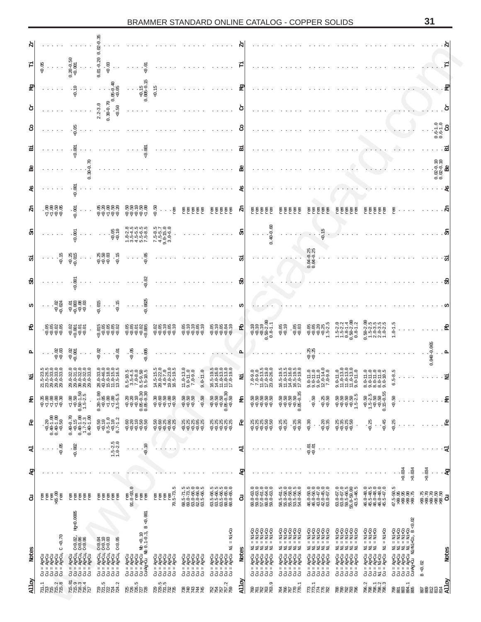| Ë     | $-0.05$                                                                                                                              | $0.20 - 0.50$<br><0.001                                                                                                                                                                                                             | $0.01 - 0.20$<br>$-0.03$                                                                                                                                                                                                                                                                                                                                                                                                                                             | 50.01                                                                                                                                                                                                                                                                                                        |                                                                                                                                                                                                                                                                                                                                                                                                                                                  |                                                                                                         |                                                                                                                                  |              |                                                                                                                                                                                                                                                                                                                                                                                                                                                                                                                                                                                                                                                                                                                                                   |                                                                                                                                                                                |                                                                                                                                                                                                                                                                                                                                                                                                                                                                                                          |                                                                                                                                                        |                                                                                                                                                                                                                                                                                                                                                                                                                                                                                                                                                                                                                                            |                                                                                                                                                                                                                                                                                                                                                                                                                                                                                                                                                                                            |                                                 |  |
|-------|--------------------------------------------------------------------------------------------------------------------------------------|-------------------------------------------------------------------------------------------------------------------------------------------------------------------------------------------------------------------------------------|----------------------------------------------------------------------------------------------------------------------------------------------------------------------------------------------------------------------------------------------------------------------------------------------------------------------------------------------------------------------------------------------------------------------------------------------------------------------|--------------------------------------------------------------------------------------------------------------------------------------------------------------------------------------------------------------------------------------------------------------------------------------------------------------|--------------------------------------------------------------------------------------------------------------------------------------------------------------------------------------------------------------------------------------------------------------------------------------------------------------------------------------------------------------------------------------------------------------------------------------------------|---------------------------------------------------------------------------------------------------------|----------------------------------------------------------------------------------------------------------------------------------|--------------|---------------------------------------------------------------------------------------------------------------------------------------------------------------------------------------------------------------------------------------------------------------------------------------------------------------------------------------------------------------------------------------------------------------------------------------------------------------------------------------------------------------------------------------------------------------------------------------------------------------------------------------------------------------------------------------------------------------------------------------------------|--------------------------------------------------------------------------------------------------------------------------------------------------------------------------------|----------------------------------------------------------------------------------------------------------------------------------------------------------------------------------------------------------------------------------------------------------------------------------------------------------------------------------------------------------------------------------------------------------------------------------------------------------------------------------------------------------|--------------------------------------------------------------------------------------------------------------------------------------------------------|--------------------------------------------------------------------------------------------------------------------------------------------------------------------------------------------------------------------------------------------------------------------------------------------------------------------------------------------------------------------------------------------------------------------------------------------------------------------------------------------------------------------------------------------------------------------------------------------------------------------------------------------|--------------------------------------------------------------------------------------------------------------------------------------------------------------------------------------------------------------------------------------------------------------------------------------------------------------------------------------------------------------------------------------------------------------------------------------------------------------------------------------------------------------------------------------------------------------------------------------------|-------------------------------------------------|--|
| 웈     |                                                                                                                                      | $-0.10$                                                                                                                                                                                                                             | $0.05 - 0.40$<br><0.05                                                                                                                                                                                                                                                                                                                                                                                                                                               | $\frac{15}{0.005-0.15}$                                                                                                                                                                                                                                                                                      | $5 - 15$                                                                                                                                                                                                                                                                                                                                                                                                                                         |                                                                                                         |                                                                                                                                  |              |                                                                                                                                                                                                                                                                                                                                                                                                                                                                                                                                                                                                                                                                                                                                                   |                                                                                                                                                                                |                                                                                                                                                                                                                                                                                                                                                                                                                                                                                                          |                                                                                                                                                        |                                                                                                                                                                                                                                                                                                                                                                                                                                                                                                                                                                                                                                            |                                                                                                                                                                                                                                                                                                                                                                                                                                                                                                                                                                                            |                                                 |  |
| đ     |                                                                                                                                      |                                                                                                                                                                                                                                     | $0.30 - 0.70$<br>$2.2 - 3.0$<br>$-0.50$                                                                                                                                                                                                                                                                                                                                                                                                                              |                                                                                                                                                                                                                                                                                                              |                                                                                                                                                                                                                                                                                                                                                                                                                                                  |                                                                                                         |                                                                                                                                  | ď            |                                                                                                                                                                                                                                                                                                                                                                                                                                                                                                                                                                                                                                                                                                                                                   |                                                                                                                                                                                |                                                                                                                                                                                                                                                                                                                                                                                                                                                                                                          |                                                                                                                                                        |                                                                                                                                                                                                                                                                                                                                                                                                                                                                                                                                                                                                                                            |                                                                                                                                                                                                                                                                                                                                                                                                                                                                                                                                                                                            | ď                                               |  |
| 8     |                                                                                                                                      | $-0.05$                                                                                                                                                                                                                             |                                                                                                                                                                                                                                                                                                                                                                                                                                                                      |                                                                                                                                                                                                                                                                                                              |                                                                                                                                                                                                                                                                                                                                                                                                                                                  |                                                                                                         |                                                                                                                                  |              |                                                                                                                                                                                                                                                                                                                                                                                                                                                                                                                                                                                                                                                                                                                                                   |                                                                                                                                                                                |                                                                                                                                                                                                                                                                                                                                                                                                                                                                                                          |                                                                                                                                                        |                                                                                                                                                                                                                                                                                                                                                                                                                                                                                                                                                                                                                                            |                                                                                                                                                                                                                                                                                                                                                                                                                                                                                                                                                                                            | $0.6 - 1.0$<br>0.6–1.0<br>0.6–1.0               |  |
| ュ     |                                                                                                                                      | 0.001                                                                                                                                                                                                                               |                                                                                                                                                                                                                                                                                                                                                                                                                                                                      | 0.001                                                                                                                                                                                                                                                                                                        |                                                                                                                                                                                                                                                                                                                                                                                                                                                  |                                                                                                         |                                                                                                                                  |              |                                                                                                                                                                                                                                                                                                                                                                                                                                                                                                                                                                                                                                                                                                                                                   |                                                                                                                                                                                |                                                                                                                                                                                                                                                                                                                                                                                                                                                                                                          |                                                                                                                                                        |                                                                                                                                                                                                                                                                                                                                                                                                                                                                                                                                                                                                                                            |                                                                                                                                                                                                                                                                                                                                                                                                                                                                                                                                                                                            |                                                 |  |
|       |                                                                                                                                      | $0.30 - 0.70$                                                                                                                                                                                                                       |                                                                                                                                                                                                                                                                                                                                                                                                                                                                      |                                                                                                                                                                                                                                                                                                              |                                                                                                                                                                                                                                                                                                                                                                                                                                                  |                                                                                                         |                                                                                                                                  |              |                                                                                                                                                                                                                                                                                                                                                                                                                                                                                                                                                                                                                                                                                                                                                   |                                                                                                                                                                                |                                                                                                                                                                                                                                                                                                                                                                                                                                                                                                          |                                                                                                                                                        |                                                                                                                                                                                                                                                                                                                                                                                                                                                                                                                                                                                                                                            |                                                                                                                                                                                                                                                                                                                                                                                                                                                                                                                                                                                            | $0.02 - 0.10$<br>0.02-0.10<br><b>Be</b>         |  |
| æ     |                                                                                                                                      | $-0.001$                                                                                                                                                                                                                            |                                                                                                                                                                                                                                                                                                                                                                                                                                                                      |                                                                                                                                                                                                                                                                                                              |                                                                                                                                                                                                                                                                                                                                                                                                                                                  |                                                                                                         |                                                                                                                                  |              |                                                                                                                                                                                                                                                                                                                                                                                                                                                                                                                                                                                                                                                                                                                                                   |                                                                                                                                                                                |                                                                                                                                                                                                                                                                                                                                                                                                                                                                                                          |                                                                                                                                                        |                                                                                                                                                                                                                                                                                                                                                                                                                                                                                                                                                                                                                                            |                                                                                                                                                                                                                                                                                                                                                                                                                                                                                                                                                                                            |                                                 |  |
| Я     | sses<br>Rige                                                                                                                         | 0.001                                                                                                                                                                                                                               | s<br>Rassa<br>Rassa                                                                                                                                                                                                                                                                                                                                                                                                                                                  | ssass<br>Seest                                                                                                                                                                                                                                                                                               | $-0.50$<br>Fem                                                                                                                                                                                                                                                                                                                                                                                                                                   | ren<br>គ្គី គ្គី<br>mex                                                                                 | <b>ត្តត្តត្ត</b>                                                                                                                 | Ņ            | E E<br>mex<br>ē                                                                                                                                                                                                                                                                                                                                                                                                                                                                                                                                                                                                                                                                                                                                   | fen<br>卮                                                                                                                                                                       | ត្ត ត្ត<br>ren<br>Ę                                                                                                                                                                                                                                                                                                                                                                                                                                                                                      | 同<br>Ē<br>卮<br>卮                                                                                                                                       | គ្នី គ្ន<br>卮<br>昴                                                                                                                                                                                                                                                                                                                                                                                                                                                                                                                                                                                                                         |                                                                                                                                                                                                                                                                                                                                                                                                                                                                                                                                                                                            |                                                 |  |
| සි    |                                                                                                                                      | 0.001                                                                                                                                                                                                                               | $-0.10$                                                                                                                                                                                                                                                                                                                                                                                                                                                              | $\begin{array}{cccccc} 1.8-2.5 \\ -1.5-4.5 \\ -1.5-5.5 \\ -1.5-8.5 \\ -1.5-8.5 \\ -1.5-8.5 \\ \end{array}$                                                                                                                                                                                                   | $7.5-8.5$<br>$4.5-5.7$<br>$9.0-15.0$<br>$3.0-6.0$                                                                                                                                                                                                                                                                                                                                                                                                |                                                                                                         |                                                                                                                                  |              | $0.40 - 0.60$                                                                                                                                                                                                                                                                                                                                                                                                                                                                                                                                                                                                                                                                                                                                     |                                                                                                                                                                                | $-0.15$                                                                                                                                                                                                                                                                                                                                                                                                                                                                                                  |                                                                                                                                                        |                                                                                                                                                                                                                                                                                                                                                                                                                                                                                                                                                                                                                                            |                                                                                                                                                                                                                                                                                                                                                                                                                                                                                                                                                                                            |                                                 |  |
| £,    | $-0.15$                                                                                                                              | $-0.25$                                                                                                                                                                                                                             | ଞ୍ଜ<br>ଟ଼ଟ଼<br>ଅ<br>$-0.15$                                                                                                                                                                                                                                                                                                                                                                                                                                          | $-0.05$                                                                                                                                                                                                                                                                                                      |                                                                                                                                                                                                                                                                                                                                                                                                                                                  |                                                                                                         |                                                                                                                                  |              |                                                                                                                                                                                                                                                                                                                                                                                                                                                                                                                                                                                                                                                                                                                                                   |                                                                                                                                                                                | $0.04 - 0.25$<br>$0.04 - 0.25$                                                                                                                                                                                                                                                                                                                                                                                                                                                                           |                                                                                                                                                        |                                                                                                                                                                                                                                                                                                                                                                                                                                                                                                                                                                                                                                            |                                                                                                                                                                                                                                                                                                                                                                                                                                                                                                                                                                                            |                                                 |  |
| ਲੰ    |                                                                                                                                      | $-0.001$                                                                                                                                                                                                                            |                                                                                                                                                                                                                                                                                                                                                                                                                                                                      | 50.02                                                                                                                                                                                                                                                                                                        |                                                                                                                                                                                                                                                                                                                                                                                                                                                  |                                                                                                         |                                                                                                                                  |              |                                                                                                                                                                                                                                                                                                                                                                                                                                                                                                                                                                                                                                                                                                                                                   |                                                                                                                                                                                |                                                                                                                                                                                                                                                                                                                                                                                                                                                                                                          |                                                                                                                                                        |                                                                                                                                                                                                                                                                                                                                                                                                                                                                                                                                                                                                                                            |                                                                                                                                                                                                                                                                                                                                                                                                                                                                                                                                                                                            |                                                 |  |
| ω     | $-0.024$                                                                                                                             | $\frac{1}{2}$<br>$\frac{1}{2}$<br>$\frac{1}{2}$<br>$\frac{1}{2}$<br>$\frac{1}{2}$<br>$\frac{1}{2}$<br>$\frac{1}{2}$<br>$\frac{1}{2}$<br>$\frac{1}{2}$<br>$\frac{1}{2}$<br>$\frac{1}{2}$<br>$\frac{1}{2}$<br>$\cdot$                 | 0.015<br>$\cdot \frac{15}{9}$                                                                                                                                                                                                                                                                                                                                                                                                                                        | $-0.0025$                                                                                                                                                                                                                                                                                                    |                                                                                                                                                                                                                                                                                                                                                                                                                                                  |                                                                                                         |                                                                                                                                  |              |                                                                                                                                                                                                                                                                                                                                                                                                                                                                                                                                                                                                                                                                                                                                                   |                                                                                                                                                                                |                                                                                                                                                                                                                                                                                                                                                                                                                                                                                                          |                                                                                                                                                        |                                                                                                                                                                                                                                                                                                                                                                                                                                                                                                                                                                                                                                            |                                                                                                                                                                                                                                                                                                                                                                                                                                                                                                                                                                                            |                                                 |  |
| ዺ     | ន់<br>និងនិន្ត<br>ដូកនិង                                                                                                             | २<br>१८८२<br>१८<br>$\cdot$                                                                                                                                                                                                          | e<br>Sessa<br>Bassa                                                                                                                                                                                                                                                                                                                                                                                                                                                  | e<br>a<br>aaaaa<br>a                                                                                                                                                                                                                                                                                         | a<br>Sasa<br>Sasa                                                                                                                                                                                                                                                                                                                                                                                                                                | e<br>Rija<br>Rija                                                                                       | edesa<br>Referè                                                                                                                  | ଣ୍ଟ          | $\begin{array}{c} 0.10 \\ 0.10 \\ 0.50\text{--}2.00 \\ 0.50\text{--}2.00 \\ 0.8\text{--}1.1 \end{array}$                                                                                                                                                                                                                                                                                                                                                                                                                                                                                                                                                                                                                                          | $-0.10$<br>$rac{6}{9}$                                                                                                                                                         |                                                                                                                                                                                                                                                                                                                                                                                                                                                                                                          | $\begin{array}{l} 1.5-2.0 \\ 1.5-2.2 \\ 0.8-1.4 \\ 0.50-2.00 \\ 0.8-1.2 \end{array}$                                                                   | $0.50-2.00$<br>$1.5-2.5$<br>$2.0-3.5$<br>$2.0-2.5$<br>$1.0-2.5$                                                                                                                                                                                                                                                                                                                                                                                                                                                                                                                                                                            | $1.0 - 1.$                                                                                                                                                                                                                                                                                                                                                                                                                                                                                                                                                                                 |                                                 |  |
| д     |                                                                                                                                      | $\frac{188}{99}$ $\frac{88}{99}$ $\ldots$                                                                                                                                                                                           | $\begin{array}{ccc}\n\ddot{\circ} & \ddots & \ddots & \ddots & \ddots \\ \vdots & \ddots & \ddots & \ddots & \ddots \\ \vdots & \ddots & \ddots & \ddots & \ddots \\ \vdots & \ddots & \ddots & \ddots & \ddots\n\end{array}$                                                                                                                                                                                                                                        |                                                                                                                                                                                                                                                                                                              |                                                                                                                                                                                                                                                                                                                                                                                                                                                  |                                                                                                         |                                                                                                                                  |              |                                                                                                                                                                                                                                                                                                                                                                                                                                                                                                                                                                                                                                                                                                                                                   |                                                                                                                                                                                | $-0.25$                                                                                                                                                                                                                                                                                                                                                                                                                                                                                                  |                                                                                                                                                        |                                                                                                                                                                                                                                                                                                                                                                                                                                                                                                                                                                                                                                            |                                                                                                                                                                                                                                                                                                                                                                                                                                                                                                                                                                                            | $0.040 - 0.065$<br>$\ldots$ A                   |  |
|       | $\begin{array}{l} 21.5\text{--}23.5 \\ 23.5\text{--}26.0 \\ 29.0\text{--}33.0 \\ 29.0\text{--}33.0 \\ 29.0\text{--}33.0 \end{array}$ | $\begin{array}{l} 29.0\text{--}32.0 \\ 29.0\text{--}31.0 \\ 29.0\text{--}32.0 \\ 30.0\text{--}32.0 \\ 29.0\text{--}33.0 \end{array}$                                                                                                | $\begin{array}{l} 28.0\text{--}33.0 \\ 43.0\text{--}46.0 \\ 15.0\text{--}18.0 \\ 11.0\text{--}15.0 \\ 13.5\text{--}16.5 \end{array}$                                                                                                                                                                                                                                                                                                                                 | $\begin{array}{c} 8.5-10.5 \\ 3.5-4.5 \\ 7.0-8.0 \\ 8.5-9.50 \\ 9.5-10.5 \end{array}$                                                                                                                                                                                                                        | $\begin{array}{l} 14.5\text{--}15.5\\ 20.0\text{--}22.0\\ 4.0\text{--}7.0\\ 19.0\text{--}23.0\\ 19.5\text{--}19.5 \end{array}$                                                                                                                                                                                                                                                                                                                   | $\begin{array}{c} 11.0\text{--}13.0 \\ 9.0\text{--}11.0 \\ 7.0\text{--}9.0 \end{array}$<br>$9.0 - 11.0$ | $\begin{array}{l} 16.5\text{--}19.5\\ 14.0\text{--}15.0\\ 11.0\text{--}13.0\\ 11.0\text{--}13.0\\ 17.0\text{--}19.0 \end{array}$ | Σ            | $\begin{array}{l} 7.0-9.0 \\ 7.0-9.0 \\ 11.0-13.5 \\ 17.0-19.0 \\ 17.0-26.0 \\ 23.0-26.0 \end{array}$                                                                                                                                                                                                                                                                                                                                                                                                                                                                                                                                                                                                                                             | $\begin{array}{l} 16.5\text{--}19.5\\ 11.0\text{--}13.5\\ 14.0\text{--}16.0\\ 16.5\text{--}19.5\\ 17.0\text{--}19.0 \end{array}$                                               | $\begin{array}{l} 9.0-11.0 \\ 9.0-11.0 \\ 9.0-11.0 \\ 12.0-14.0 \\ 7.0-9.0 \end{array}$                                                                                                                                                                                                                                                                                                                                                                                                                  | $\begin{array}{l} 9.0\text{-}11.0\\ 11.0\text{-}13.0\\ 11.0\text{-}13.0\\ 11.0\text{-}13.0\\ 11.0\text{-}13.0\\ 9.0\text{-}11.0 \end{array}$           | $\begin{array}{l} 8.0-11.0\\ 0.011.0\\ 0.011.0\\ 0.011.0\\ 0.011.0\\ 0.010.5\\ \end{array}$                                                                                                                                                                                                                                                                                                                                                                                                                                                                                                                                                |                                                                                                                                                                                                                                                                                                                                                                                                                                                                                                                                                                                            |                                                 |  |
| £     | s 4446<br>Webse                                                                                                                      | <u>ი</u> სე<br>$\begin{array}{c} 0.00 \\ 0.50 \\ 0.50 - 1.5 \\ 1.5 - 2.5 \end{array}$<br>$\cdot$                                                                                                                                    | $\begin{array}{c} 0.20\text{--}1.00 \\ \text{<0.05} \\ \text{<0.00} \\ \text{<0.00} \\ 3.5\text{--}5.5 \end{array}$                                                                                                                                                                                                                                                                                                                                                  | $\begin{array}{c} 20 \\ 0.20 \\ -0.30 \\ 0.05 \\ -0.30 \\ 0.05 \\ -0.30 \\ \end{array}$                                                                                                                                                                                                                      | នុឲ្នខ្នួន<br>ទទទទទួ                                                                                                                                                                                                                                                                                                                                                                                                                             | ន្តន្តន្ត<br>ទទទ<br>$-0.50$                                                                             | 20<br>ลิติดีว่า<br>จิติดีว่า<br>ลิติดีว่า                                                                                        | £            | និន្ទនិន្ទ<br>មុន្ទនិន្ទ                                                                                                                                                                                                                                                                                                                                                                                                                                                                                                                                                                                                                                                                                                                          | ลิติดิต<br>จิริยา<br>ดิริยา<br>ดิ                                                                                                                                              | $-0.50$<br>$-\frac{8}{9}$                                                                                                                                                                                                                                                                                                                                                                                                                                                                                | និន្ទនី<br>មិន្ទនីង<br>មិន្ទនី                                                                                                                         | $\begin{array}{r} 0.50 \\ 1.5-2.5 \\ 0.50 \\ 0.30 \\ 0.15-0.55 \end{array}$                                                                                                                                                                                                                                                                                                                                                                                                                                                                                                                                                                | 50.50                                                                                                                                                                                                                                                                                                                                                                                                                                                                                                                                                                                      | 됨                                               |  |
| ደ     | $\begin{array}{r} 0.20 \\ 0.40 - 1.00 \\ 0.40 - 1.00 \\ 0.40 - 1.00 \end{array}$                                                     | $\begin{array}{c} 0.40\hbox{-}0.70 \\ \times 0.15 \\ \times 0.40\hbox{-}1.00 \\ 1.7\hbox{-}2.3 \\ 1.7\hbox{-}2.3 \\ \end{array}$                                                                                                    | $\begin{array}{l} 50 \\ 0.5 \\ -1.0 \\ 0.5 \\ -1.2 \\ 0.7 \\ -1.2 \end{array}$                                                                                                                                                                                                                                                                                                                                                                                       | ននុក្ខនុន្ទ<br>ទទុទ្                                                                                                                                                                                                                                                                                         | sensa<br>Seri                                                                                                                                                                                                                                                                                                                                                                                                                                    | នុងដូនដ<br>ដូងដូនដូ                                                                                     | និងន់ន់ន់<br>ដំនងនិង                                                                                                             | ደ            | ទទទទទ<br>មិនមិនមិ                                                                                                                                                                                                                                                                                                                                                                                                                                                                                                                                                                                                                                                                                                                                 | $-0.25$<br>$-30$<br>$-30$                                                                                                                                                      | $50 - 30$<br>$-0.35$<br>$\bullet$                                                                                                                                                                                                                                                                                                                                                                                                                                                                        | ទី១៦១<br>មានមាន                                                                                                                                        | $-0.25$<br>$\cdot \frac{45}{9}$                                                                                                                                                                                                                                                                                                                                                                                                                                                                                                                                                                                                            | $-25$                                                                                                                                                                                                                                                                                                                                                                                                                                                                                                                                                                                      | 묍                                               |  |
| է     | $-0.05$                                                                                                                              | $-0.002$                                                                                                                                                                                                                            | $1.5 - 2.5$<br>$1.0 - 2.0$                                                                                                                                                                                                                                                                                                                                                                                                                                           | $\cdots$ $\frac{5}{9}$                                                                                                                                                                                                                                                                                       | $\cdots$                                                                                                                                                                                                                                                                                                                                                                                                                                         |                                                                                                         |                                                                                                                                  | 굯            |                                                                                                                                                                                                                                                                                                                                                                                                                                                                                                                                                                                                                                                                                                                                                   |                                                                                                                                                                                | व डा<br>२०<br>१                                                                                                                                                                                                                                                                                                                                                                                                                                                                                          |                                                                                                                                                        |                                                                                                                                                                                                                                                                                                                                                                                                                                                                                                                                                                                                                                            |                                                                                                                                                                                                                                                                                                                                                                                                                                                                                                                                                                                            | 굯                                               |  |
| æ     |                                                                                                                                      |                                                                                                                                                                                                                                     |                                                                                                                                                                                                                                                                                                                                                                                                                                                                      |                                                                                                                                                                                                                                                                                                              |                                                                                                                                                                                                                                                                                                                                                                                                                                                  |                                                                                                         |                                                                                                                                  | R            |                                                                                                                                                                                                                                                                                                                                                                                                                                                                                                                                                                                                                                                                                                                                                   |                                                                                                                                                                                |                                                                                                                                                                                                                                                                                                                                                                                                                                                                                                          |                                                                                                                                                        |                                                                                                                                                                                                                                                                                                                                                                                                                                                                                                                                                                                                                                            | $-0.034$<br>$-0.034$                                                                                                                                                                                                                                                                                                                                                                                                                                                                                                                                                                       | $-0.034$<br>ዌ<br>$\alpha$ , $\alpha$ , $\alpha$ |  |
| 5     | $\begin{array}{l} \text{eff} \\ \text{eff} \\ \text{eff} \\ \text{gg} \\ \text{cm} \end{array}$                                      | Ę<br>គ្គី គ្គី<br>ŗ                                                                                                                                                                                                                 | គ្គី គ្គី<br>ren<br>ren                                                                                                                                                                                                                                                                                                                                                                                                                                              | rem<br>91.0-93.0<br>គ្គ<br>អ្នក                                                                                                                                                                                                                                                                              | $\frac{rem}{70.5 - 73.5}$<br>ថ្មី <b>គ្មី</b><br>Ę                                                                                                                                                                                                                                                                                                                                                                                               | $\begin{array}{r} 68.5-71.5\\ 69.0-73.5\\ 63.0-66.0\\ 62.0-66.0\\ 62.5-66.5 \end{array}$                | $\begin{array}{r} 63.5 - 66.5 \\ 63.5 - 66.5 \\ 63.5 - 66.5 \\ 60.0 - 65.0 \\ 60.0 - 65.0 \end{array}$                           | ්            | $\begin{array}{l} 60.0-63.0\\ 59.0-63.0\\ 51.0-64.0\\ 60.0-64.0\\ 60.0-63.0\\ 59.0-63.0 \end{array}$                                                                                                                                                                                                                                                                                                                                                                                                                                                                                                                                                                                                                                              | $\begin{array}{l} 58.5 - 61.5 \\ 58.0 - 58.0 \\ 55.0 - 58.0 \\ 55.1 - 56.0 \\ 53.5 - 56.0 \\ 54.0 - 56.0 \end{array}$                                                          | $\begin{array}{l} 46.0 - 50.0 \\ 46.0 - 56.0 \\ 43.0 - 47.0 \\ 42.0 - 45.0 \\ 63.0 - 67.0 \end{array}$                                                                                                                                                                                                                                                                                                                                                                                                   | $\begin{array}{r} 63.0\text{--}67.0 \\ 63.0\text{--}67.0 \\ 59.5\text{--}66.5 \\ 55.0\text{--}59.00 \\ 43.5\text{--}46.5 \end{array}$                  | $\begin{array}{l} 46.0 - 48.0 \\ 45.5 - 48.5 \\ 46.0 - 48.0 \\ 46.0 - 48.0 \\ 46.0 - 48.0 \\ 45.5 - 47.0 \end{array}$                                                                                                                                                                                                                                                                                                                                                                                                                                                                                                                      | $47.5 - 50.5$<br>$>99.95$<br>$>99.95$<br>$>99.35$<br>$>99.75$<br>$>99.75$                                                                                                                                                                                                                                                                                                                                                                                                                                                                                                                  | คลลุล<br>รัฐสุริส                               |  |
|       |                                                                                                                                      | Hg<0.0005                                                                                                                                                                                                                           |                                                                                                                                                                                                                                                                                                                                                                                                                                                                      | $-0.001$<br>$\frac{1}{2}$                                                                                                                                                                                                                                                                                    |                                                                                                                                                                                                                                                                                                                                                                                                                                                  |                                                                                                         |                                                                                                                                  |              |                                                                                                                                                                                                                                                                                                                                                                                                                                                                                                                                                                                                                                                                                                                                                   |                                                                                                                                                                                |                                                                                                                                                                                                                                                                                                                                                                                                                                                                                                          |                                                                                                                                                        |                                                                                                                                                                                                                                                                                                                                                                                                                                                                                                                                                                                                                                            | 50.02                                                                                                                                                                                                                                                                                                                                                                                                                                                                                                                                                                                      |                                                 |  |
| Notes | $-0.70$<br>U<br>88888                                                                                                                | c<0.02,<br>c<0.05<br>c<0.05<br>$\begin{array}{l} {\rm du} = \frac{2\alpha+1}{2\alpha+1},\\ {\rm du} = \frac{2\alpha+1}{2\alpha+1},\\ {\rm du} = \frac{2\alpha+1}{2\alpha+1},\\ {\rm du} = \frac{2\alpha+1}{2\alpha+1}. \end{array}$ | $C0.10C0.10C0.03$<br>C < 0.05<br>$\begin{array}{l} {\rm Qu} = \frac{{\rm A}\alpha + {\rm Q}_{\rm L}}{2\alpha + {\rm Q}_{\rm L}}\hskip -12pt {\rm d} \alpha = \frac{{\rm A}\alpha + {\rm Q}_{\rm L}}{2\alpha + {\rm Q}_{\rm L}}\hskip -12pt {\rm d} \alpha = \frac{{\rm A}\alpha + {\rm Q}_{\rm L}}{2\alpha + {\rm Q}_{\rm L}}\hskip -12pt {\rm d} \alpha = \frac{{\rm A}\alpha + {\rm Q}_{\rm L}}{2\alpha + {\rm Q}_{\rm L}}\hskip -12pt {\rm d} \alpha \end{array}$ | $\begin{array}{l} \alpha_1 = \frac{2\alpha + \alpha_1}{2} \\ \alpha_2 = \frac{2\alpha + \alpha_1}{2\alpha + \alpha_1} \\ \alpha_3 = \frac{2\alpha + \alpha_2}{2\alpha + \alpha_2} \text{ nb} \cdot 0.10 \\ \alpha_4 = \frac{2\alpha + \alpha_1}{2\alpha + \alpha_2} \text{ nb} \cdot 0.1 - 0.3, \end{array}$ | $\begin{array}{l} \mathbf{1}_{\mathbf{1}}\oplus\mathbf{2}_{\mathbf{2}}\oplus\mathbf{3}_{\mathbf{3}}\oplus\mathbf{4}_{\mathbf{4}}\oplus\mathbf{5}_{\mathbf{5}}\oplus\mathbf{6}_{\mathbf{6}}\oplus\mathbf{5}_{\mathbf{7}}\oplus\mathbf{6}_{\mathbf{8}}\oplus\mathbf{6}_{\mathbf{8}}\oplus\mathbf{6}_{\mathbf{9}}\oplus\mathbf{6}_{\mathbf{9}}\oplus\mathbf{6}_{\mathbf{9}}\oplus\mathbf{6}_{\mathbf{9}}\oplus\mathbf{6}_{\mathbf{9}}\oplus\mathbf$ | ಕ್ಷಿತ್ವ ಕ್ಷ<br>ಕ್ಷಿತ್ವ ಕ್ಷಿತ್ವ<br>ಕ್ಷಿತ್ವ ಕ್ಷಿತ್ವ<br>ಕ್ಷಿತ್ವ ಕ್ಷಿತ್ವ                                    | Ni+Co<br>$\mathbf{H}$<br>Ë<br>단단단<br>국화학생<br>- 국화학생<br>- 국화학생<br>- 국화학생                                                          | <b>Notes</b> | $\begin{array}{r} 1.16 & 0.01 \\ 0.01 & 0.01 \\ 0.01 & 0.01 \\ 0.01 & 0.01 \\ 0.01 & 0.01 \\ 0.01 & 0.01 \\ 0.01 & 0.01 \\ 0.01 & 0.01 \\ 0.01 & 0.01 \\ 0.01 & 0.01 \\ 0.01 & 0.01 \\ 0.01 & 0.01 \\ 0.01 & 0.01 \\ 0.01 & 0.01 \\ 0.01 & 0.01 \\ 0.01 & 0.01 \\ 0.01 & 0.01 \\ 0.01 & 0.$<br>22222<br>$\begin{array}{l} \mathbf{1} & \mathbf{1} & \mathbf{1} \\ \mathbf{2} & \mathbf{1} & \mathbf{1} \\ \mathbf{3} & \mathbf{1} & \mathbf{1} \\ \mathbf{4} & \mathbf{1} & \mathbf{1} \\ \mathbf{5} & \mathbf{1} & \mathbf{1} \\ \mathbf{6} & \mathbf{1} & \mathbf{1} \\ \mathbf{7} & \mathbf{1} & \mathbf{1} \\ \mathbf{8} & \mathbf{1} & \mathbf{1} \\ \mathbf{9} & \mathbf{1} & \mathbf{1} \\ \mathbf{10} & \mathbf{1} & \mathbf{1} \\ \math$ | ਬਬਬਬਬ<br>ਉਉਉਉਉ<br>$\mathbf{H} = \mathbf{H} - \mathbf{H} - \mathbf{H} = \mathbf{H}$<br>22222<br>ಕ್ಕಿ ಹಿಕ್ಕಿ<br>ಹಿಕ್ಕಿ ಹಿಕ್ಕಿ<br>ಕಿಕ್ಕಿ ಹಿಕ್ಕಿ<br>ಕಿಕ್ಕಿ ಹಿಕ್ಕಿ<br>ಕಿಕ್ಕಿ ಹಿಕ್ಕಿ | ਬਬਬਬ<br>ਉਰ੍ਹੇ ਉਰ੍ਹੇ<br>$0\leq 0\leq 0\leq 0\leq 0$<br>22222<br>$\begin{array}{l} \mathbf{1} & \mathbf{1} & \mathbf{1} \\ \mathbf{2} & \mathbf{1} & \mathbf{1} \\ \mathbf{3} & \mathbf{1} & \mathbf{1} \\ \mathbf{4} & \mathbf{1} & \mathbf{1} \\ \mathbf{5} & \mathbf{1} & \mathbf{1} \\ \mathbf{6} & \mathbf{1} & \mathbf{1} \\ \mathbf{7} & \mathbf{1} & \mathbf{1} \\ \mathbf{8} & \mathbf{1} & \mathbf{1} \\ \mathbf{9} & \mathbf{1} & \mathbf{1} \\ \mathbf{10} & \mathbf{1} & \mathbf{1} \\ \math$ | ਬੋਬੋਬੋਬੋ<br>ਉਰ੍ਹੇ ਉਰ੍ਹੇ<br>$\mathbf{0}=\mathbf{0}=\mathbf{0}=\mathbf{0}=\mathbf{0}$<br>22222<br>한 호텔<br>- 호텔 호텔<br>- 호텔 - 호텔<br>- 호텔 - 호텔<br>- 호텔 - 호텔 | $\begin{array}{c}\n\stackrel{\circ}{\mathbf{5}} & \stackrel{\circ}{\mathbf{6}} & \stackrel{\circ}{\mathbf{6}} \\ \stackrel{\circ}{\mathbf{6}} & \stackrel{\circ}{\mathbf{6}} & \stackrel{\circ}{\mathbf{6}} \\ \stackrel{\circ}{\mathbf{6}} & \stackrel{\circ}{\mathbf{6}} & \stackrel{\circ}{\mathbf{6}} \\ \stackrel{\circ}{\mathbf{6}} & \stackrel{\circ}{\mathbf{6}} & \stackrel{\circ}{\mathbf{6}}\n\end{array}$<br>$= \overline{M} + C$<br>$\mathbf{0} \cdot \mathbf{0} \cdot \mathbf{0}$<br>岩岩岩<br>Ĕ,<br>មិមិមិមិ<br>មិមិមិមិ<br>មិមិមិមិ<br>$\mathbf{0} \cdot \mathbf{0} \cdot \mathbf{0}$<br>$\mathbf{H} \in \mathbf{H}$<br>55555 | $\begin{array}{l} \alpha \text{ in } \mathbb{N} = \mathbb{N} + \alpha \\ \alpha \text{ in } \mathbb{N} = \mathbb{N} + \alpha \\ \alpha \text{ in } \mathbb{N} = \mathbb{N} + \alpha \\ \alpha \text{ in } \mathbb{N} = \mathbb{N} + \alpha \\ \alpha \text{ in } \mathbb{N} = \mathbb{N} + \alpha \\ \beta \text{ in } \mathbb{N} \end{array}$<br>$\begin{array}{l} {\rm d} u = \frac{1}{2} g + {\rm d} u \\ {\rm d} u = \frac{1}{2} g + {\rm d} u \\ {\rm d} u = \frac{1}{2} g + {\rm d} u \\ {\rm d} u = \frac{1}{2} g + {\rm d} u \\ {\rm d} u = \frac{1}{2} g + {\rm d} u \end{array}$ | Notes<br>0.02<br>$\omega$                       |  |
| Alloy | H1<br>H2<br>H5<br>H5<br>H5<br>H5<br>H5                                                                                               | 715.9<br>715.9<br>712.4<br>717                                                                                                                                                                                                      | 72.5<br>72234.3<br>724.3                                                                                                                                                                                                                                                                                                                                                                                                                                             | ក្តុម<br>ក្តុម<br>ក្តុម ក្តុ                                                                                                                                                                                                                                                                                 | 729.5<br>721.5<br>721.5                                                                                                                                                                                                                                                                                                                                                                                                                          | 882345<br>882345                                                                                        | គ្គ<br>ស្ថាន :<br>ស្ថាន :                                                                                                        | Alloy        | e.<br>Saasaa                                                                                                                                                                                                                                                                                                                                                                                                                                                                                                                                                                                                                                                                                                                                      | r<br>Sager<br>Sager                                                                                                                                                            | <b>FFFFFE</b><br>FFFFF                                                                                                                                                                                                                                                                                                                                                                                                                                                                                   | egga<br>Regga                                                                                                                                          | 798.13<br>798.13<br>798.798                                                                                                                                                                                                                                                                                                                                                                                                                                                                                                                                                                                                                | 82332<br>82332                                                                                                                                                                                                                                                                                                                                                                                                                                                                                                                                                                             | Alloy<br><b>SSHEE</b>                           |  |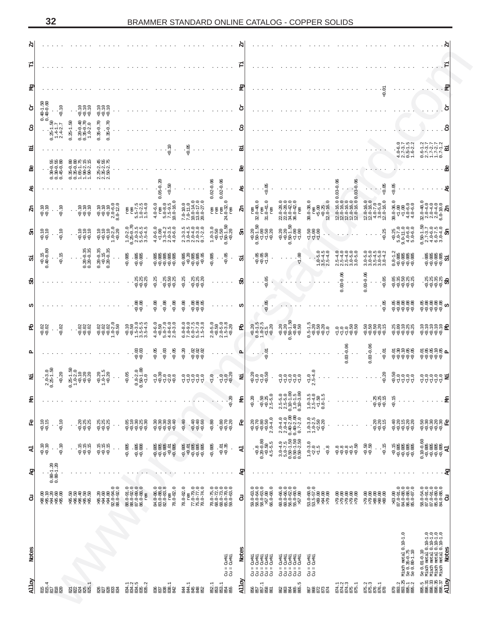| 编            |                                                                                    |                                                                                                                                      |                                                                                        |                                                                                                                                                                                                                                                                                                                                                    |                                                                                                              |                                                                                                                                    |                                                                                                                                                                                                                                                                                                                                                                                                                                                                                               |       |                                                                                                                                        |                                                                                                                                    |                                                                                                                                                                                                                                                                                                                                                                                                                                                                                                                                                                                                                                                                                                                 |                                                                                                                                                                                                                                                                                                        |                                                                                                                                  |                                                                                                                                                   |                                                                                                                                                                                                                                                                      |
|--------------|------------------------------------------------------------------------------------|--------------------------------------------------------------------------------------------------------------------------------------|----------------------------------------------------------------------------------------|----------------------------------------------------------------------------------------------------------------------------------------------------------------------------------------------------------------------------------------------------------------------------------------------------------------------------------------------------|--------------------------------------------------------------------------------------------------------------|------------------------------------------------------------------------------------------------------------------------------------|-----------------------------------------------------------------------------------------------------------------------------------------------------------------------------------------------------------------------------------------------------------------------------------------------------------------------------------------------------------------------------------------------------------------------------------------------------------------------------------------------|-------|----------------------------------------------------------------------------------------------------------------------------------------|------------------------------------------------------------------------------------------------------------------------------------|-----------------------------------------------------------------------------------------------------------------------------------------------------------------------------------------------------------------------------------------------------------------------------------------------------------------------------------------------------------------------------------------------------------------------------------------------------------------------------------------------------------------------------------------------------------------------------------------------------------------------------------------------------------------------------------------------------------------|--------------------------------------------------------------------------------------------------------------------------------------------------------------------------------------------------------------------------------------------------------------------------------------------------------|----------------------------------------------------------------------------------------------------------------------------------|---------------------------------------------------------------------------------------------------------------------------------------------------|----------------------------------------------------------------------------------------------------------------------------------------------------------------------------------------------------------------------------------------------------------------------|
| 겁            |                                                                                    |                                                                                                                                      |                                                                                        |                                                                                                                                                                                                                                                                                                                                                    |                                                                                                              |                                                                                                                                    |                                                                                                                                                                                                                                                                                                                                                                                                                                                                                               |       |                                                                                                                                        |                                                                                                                                    |                                                                                                                                                                                                                                                                                                                                                                                                                                                                                                                                                                                                                                                                                                                 |                                                                                                                                                                                                                                                                                                        |                                                                                                                                  |                                                                                                                                                   | Е                                                                                                                                                                                                                                                                    |
| Æд           |                                                                                    |                                                                                                                                      |                                                                                        |                                                                                                                                                                                                                                                                                                                                                    |                                                                                                              |                                                                                                                                    |                                                                                                                                                                                                                                                                                                                                                                                                                                                                                               |       |                                                                                                                                        |                                                                                                                                    |                                                                                                                                                                                                                                                                                                                                                                                                                                                                                                                                                                                                                                                                                                                 |                                                                                                                                                                                                                                                                                                        | $-0.01$                                                                                                                          |                                                                                                                                                   | ्र सु                                                                                                                                                                                                                                                                |
| ტ            | $.40 - 1.50$<br>$.40 - 0.60$<br>$-0.10$                                            |                                                                                                                                      | $\begin{array}{l} 10 \\ 0 \\ 10 \\ 0 \\ 0 \\ 0 \\ \end{array}$                         |                                                                                                                                                                                                                                                                                                                                                    |                                                                                                              |                                                                                                                                    |                                                                                                                                                                                                                                                                                                                                                                                                                                                                                               | შ     |                                                                                                                                        |                                                                                                                                    |                                                                                                                                                                                                                                                                                                                                                                                                                                                                                                                                                                                                                                                                                                                 |                                                                                                                                                                                                                                                                                                        |                                                                                                                                  |                                                                                                                                                   | ტ                                                                                                                                                                                                                                                                    |
| 8            | $\circ$<br>$\begin{matrix} 0 \\ 0 \\ 0 \\ 1.4 \\ -1.7 \\ 2.4 \\ -2.7 \end{matrix}$ | $0.20 - 0.40$<br>$0.35 - 0.70$<br>$1.0 - 2.0$<br>$0.25 - 1.50$                                                                       | $0.35 - 0.70$<br>$-0.70$<br>0.35                                                       |                                                                                                                                                                                                                                                                                                                                                    |                                                                                                              |                                                                                                                                    |                                                                                                                                                                                                                                                                                                                                                                                                                                                                                               |       |                                                                                                                                        |                                                                                                                                    |                                                                                                                                                                                                                                                                                                                                                                                                                                                                                                                                                                                                                                                                                                                 |                                                                                                                                                                                                                                                                                                        |                                                                                                                                  |                                                                                                                                                   |                                                                                                                                                                                                                                                                      |
| ᆆ            |                                                                                    |                                                                                                                                      |                                                                                        |                                                                                                                                                                                                                                                                                                                                                    | $-0.10$<br>$\sim$                                                                                            | $\cdot$ 8<br>$\bullet$ .<br><br>$\bullet$ .                                                                                        |                                                                                                                                                                                                                                                                                                                                                                                                                                                                                               |       |                                                                                                                                        |                                                                                                                                    |                                                                                                                                                                                                                                                                                                                                                                                                                                                                                                                                                                                                                                                                                                                 |                                                                                                                                                                                                                                                                                                        |                                                                                                                                  | $0 - 6.7$<br>$7 - 3.5$<br>$6 - 2.2$<br>$6 - 2.2$<br>$\frac{1}{4}$ $\frac{1}{4}$ $\frac{1}{4}$                                                     | $\begin{array}{l} 6 \\ -1.3 \\ -2.3 \\ -1.2 \\ -1.2 \\ -1.3 \\ \end{array}$<br>O N H O                                                                                                                                                                               |
| ቆ            | $\begin{array}{c} 0.30 - 0.55 \\ 0.30 - 0.55 \\ 0.45 - 0.80 \end{array}$           | $\begin{array}{c} 0.35\text{--}0.80 \\ 0.35\text{--}0.80 \\ 1.65\text{--}1.75 \\ 1.90\text{--}2.15 \\ 1.90\text{--}2.15 \end{array}$ | $-2.45$<br>$-2.75$<br>2.350-<br>2.350-                                                 |                                                                                                                                                                                                                                                                                                                                                    |                                                                                                              |                                                                                                                                    |                                                                                                                                                                                                                                                                                                                                                                                                                                                                                               |       |                                                                                                                                        |                                                                                                                                    |                                                                                                                                                                                                                                                                                                                                                                                                                                                                                                                                                                                                                                                                                                                 |                                                                                                                                                                                                                                                                                                        |                                                                                                                                  |                                                                                                                                                   |                                                                                                                                                                                                                                                                      |
| As           |                                                                                    |                                                                                                                                      |                                                                                        |                                                                                                                                                                                                                                                                                                                                                    | $.05 - 0.20$<br>0.50<br>$\dot{\circ}$                                                                        |                                                                                                                                    | $.02 - 0.06$<br>$0.0 - 0.06$<br>$\sim$<br>$\circ$<br>$\circ$                                                                                                                                                                                                                                                                                                                                                                                                                                  | æ     | 0.05<br>$\sim$ $\sim$ $\sim$                                                                                                           |                                                                                                                                    |                                                                                                                                                                                                                                                                                                                                                                                                                                                                                                                                                                                                                                                                                                                 | $.03 - 0.06$<br>$6.03 - 0.06$<br>$\circ$<br>$\circ$                                                                                                                                                                                                                                                    | $\cdots$ <sup>5</sup>                                                                                                            | 0.05                                                                                                                                              |                                                                                                                                                                                                                                                                      |
| 염            | $-0.10$<br>$-0.10$                                                                 | $2330$<br>$233$                                                                                                                      | $\begin{array}{c} 0.10 \\ 0.10 \\ 0.01 \\ 0.0-6.0 \\ 2.0-12.0 \\ 8.0-12.0 \end{array}$ | rem<br>5.5-7.5<br>1.5-4.0<br>1.5-4.0<br>ren                                                                                                                                                                                                                                                                                                        | $4.0-6.0$<br>$\begin{array}{c}\n 4.0-6.0 \\  \text{rem} \\  5.0-8.0 \\  7.5-9.5 \\  10.0-16.0\n \end{array}$ | $\begin{array}{l} 7.0\hbox{--}10.0 \\ 7.0\hbox{--}11.0 \\ 10.0\hbox{--}14.0 \\ 13.0\hbox{--}17.0 \\ 20.0\hbox{--}27.0 \end{array}$ | $\circ$<br>$\begin{tabular}{c} {\bf 1} & {\bf 2} & {\bf 3} \\ {\bf 1} & {\bf 1} & {\bf 2} \\ {\bf 2} & {\bf 3} & {\bf 1} \\ {\bf 2} & {\bf 3} & {\bf 1} \\ {\bf 1} & {\bf 2} & {\bf 3} \\ {\bf 2} & {\bf 1} & {\bf 3} \\ {\bf 2} & {\bf 1} & {\bf 3} \\ {\bf 1} & {\bf 2} & {\bf 3} \\ \end{tabular}$                                                                                                                                                                                         | Я     | $\begin{array}{l} {\rm rem} \\ 32.0\!\!-\!\!40.0 \\ {\rm rem} \\ 31.0\!\!-\!\!41.0 \\ {\rm rem} \\ {\rm rem} \\ {\rm rem} \end{array}$ | $\begin{array}{l} 22.0\text{--}28.0 \\ 22.0\text{--}28.0 \\ 34.0\text{--}42.0 \\ 36.0\text{--}42.0 \\ \mathrm{rem} \\ \end{array}$ | $\begin{array}{r} 30.0-38.0 \\ \text{rem} \\ -5.00 \\ -0.25 \\ 12.0-16.0 \end{array}$                                                                                                                                                                                                                                                                                                                                                                                                                                                                                                                                                                                                                           | $\begin{array}{l} 12.0\hbox{-}16.0\\ 12.0\hbox{-}16.0\\ 12.0\hbox{-}16.0\\ 12.0\hbox{-}16.0\\ 12.0\hbox{-}16.0\\ 12.0\hbox{-}16.0 \end{array}$                                                                                                                                                         | $\begin{array}{l} 12.0\hbox{--}16.0 \\ 12.0\hbox{--}16.0 \\ 4.0\hbox{--}7.0 \\ 3.0\hbox{--}5.0 \\ 12.0\hbox{--}16.0 \end{array}$ | $\begin{array}{r} 30.0-36.0 \\ {\bf 4.0-6.0} \\ {\bf 4.0-6.0} \\ {\bf 4.0-6.0} \\ {\bf 4.0-6.0} \end{array}$                                      | $\begin{array}{r} 32.0-40.0\\ 2.0-4.0\\ 2.0-4.0\\ 2.0-4.0\\ 6.0-10.0\\ \end{array}$                                                                                                                                                                                  |
| 8            | $-0.10$<br>$-0.10$                                                                 | $\begin{array}{c} 13 \\ 23 \\ 36 \\ 58 \end{array}$                                                                                  |                                                                                        | $\begin{array}{c} 1.0-2.0 \\ 0.25-0.70 \\ 2.0-3.5 \\ 5.5-4.5 \\ \end{array}$                                                                                                                                                                                                                                                                       | $1.0 - 6.0$<br>$-1.3$<br>$-3.3$<br>$-3.3$<br>$-3.5$<br>$-6.0$<br>$-1.0$<br>4<br>$M$ $N$ $4$                  | $\begin{array}{r} 2.3-3.5 \\ 2.0-4.5 \\ 2.0-4.0 \\ 2.0-3.0 \\ 0.7-2.0 \end{array}$                                                 | $\begin{array}{r} 1.0\text{-}3.0 \\ \text{-}0.50 \\ \text{-}1.50 \\ \text{-}50\text{-}1.50 \\ \text{-}0.20 \end{array}$<br>$\dot{\circ}$                                                                                                                                                                                                                                                                                                                                                      | සි    | $\dot{\circ}$                                                                                                                          | ลล<br>สลี่<br>สลี่ยื่อย<br>สลี่ยัง<br>்                                                                                            | នខេ<br>ក្នុង                                                                                                                                                                                                                                                                                                                                                                                                                                                                                                                                                                                                                                                                                                    |                                                                                                                                                                                                                                                                                                        | $-0.25$                                                                                                                          | $5.0-7.0$<br>$9.0-11.0$<br>$4.0-6.0$<br>$5.0-6.0$                                                                                                 | $\begin{array}{c} 0.50\text{--}1.50 \\ 2.7\text{--}3.7 \\ 4.0\text{--}6.0 \\ 6.0\text{--}7.5 \\ 3.0\text{--}4.0 \\ \text{S} \textbf{m} \end{array}$                                                                                                                  |
| ď            | 8<br>$-0.15$<br>$-0.15$<br>$+0.8$<br>ö                                             | $0.20 - 0.35$<br>$0.20 - 0.35$                                                                                                       | $\begin{array}{c} 0.20\text{--}0.35 \\ \text{<0.15} \\ 0.20\text{--}0.35 \end{array}$  | 0.005<br>$-0.005$                                                                                                                                                                                                                                                                                                                                  |                                                                                                              | $\begin{array}{l} 0.0000\\ 0.0000\\ 0.0000\\ 0.0000\\ 0.0000\\ \end{array}$                                                        | $\cdot \cdot \frac{8}{9}$<br>0.005<br>$\cdot$                                                                                                                                                                                                                                                                                                                                                                                                                                                 | 껷     | sas<br>Rai                                                                                                                             | $-1.00$                                                                                                                            | $1.0 - 5.0$<br>$3.5 - 4.5$<br>$2.5 - 4.0$                                                                                                                                                                                                                                                                                                                                                                                                                                                                                                                                                                                                                                                                       | $\begin{array}{l} 2.5 - 4.0 \\ 2.5 - 4.0 \\ 2.4 - 5.0 \\ 3.0 - 5.0 \\ 3.0 - 5.0 \\ 3.0 - 5.0 \\ 4.0 - 5.0 \\ 5.0 - 5.0 \\ 7.0 - 5.0 \\ 8.0 - 7.0 \\ 9.0 - 7.0 \\ 1.0 - 7.0 \\ 1.0 - 7.0 \\ 1.0 - 7.0 \\ 1.0 - 7.0 \\ 1.0 - 7.0 \\ 1.0 - 7.0 \\ 1.0 - 7.0 \\ 1.0 - 7.0 \\ 1.0 - 7.0 \\ 1.0 - 7.0 \\ 1.$ |                                                                                                                                  | $-3.2$<br>$-3.05$<br>$-3.05$<br>$-3.05$<br>$-3.05$<br>$-3.05$<br>$-3.05$                                                                          | 88888.<br>88888.                                                                                                                                                                                                                                                     |
| ₩            |                                                                                    |                                                                                                                                      |                                                                                        | sas<br>Rasa<br>Rasa                                                                                                                                                                                                                                                                                                                                | 55<br>୍ୟ ଜ୍ୟୁ<br>.<br>ଟି ଟି ଟି<br>ਂ                                                                          | ୍ୟୁ<br>କୁମ୍ବ<br>ବଟ୍<br>$-0.25$                                                                                                     |                                                                                                                                                                                                                                                                                                                                                                                                                                                                                               | ਲੰ    | 0.05<br>$\cdot$                                                                                                                        |                                                                                                                                    |                                                                                                                                                                                                                                                                                                                                                                                                                                                                                                                                                                                                                                                                                                                 | $0.03 - 0.06$<br>$\sim$ 100 $\sim$ 100 $\sim$                                                                                                                                                                                                                                                          | $.03 - 0.06$<br>පි<br>ė                                                                                                          | s<br>Ragna<br>Ragna                                                                                                                               | ខុត៌ខុង<br>ដូច្នេះ <b>ខួ</b>                                                                                                                                                                                                                                         |
| Ω            |                                                                                    |                                                                                                                                      |                                                                                        | 용용<br>V V                                                                                                                                                                                                                                                                                                                                          | $-0.08$<br>$\cdot \frac{8}{9}$<br>$\cdot \frac{8}{9}$                                                        | 88.<br>999<br>999<br>$\frac{8}{90}$                                                                                                |                                                                                                                                                                                                                                                                                                                                                                                                                                                                                               | w     | $-0.05$<br>$\cdot$                                                                                                                     |                                                                                                                                    |                                                                                                                                                                                                                                                                                                                                                                                                                                                                                                                                                                                                                                                                                                                 |                                                                                                                                                                                                                                                                                                        | $-0.05$                                                                                                                          | $\begin{array}{l} 6.86668\\ 6.86668\\ 6.86668\\ \end{array}$                                                                                      | େ<br>ବ୍ରବ୍ରକ୍ଷ<br>ଅ                                                                                                                                                                                                                                                  |
| 윰            | 0.02<br>$\frac{8}{9}$ . $\frac{8}{9}$                                              | ਼ੂ<br>ਬੁਲ<br>ਬੁਲ                                                                                                                     |                                                                                        | $-1 \nmid \mathcal{N}$                                                                                                                                                                                                                                                                                                                             | $-0.50$<br>$-0.500$<br>$-0.500$<br>$-0.500$<br>$-0.500$<br>$\mathbf{d}$<br>$104$ $\alpha$                    | 0.001                                                                                                                              | $\begin{array}{r} 2.0 - 5.0 \\ - 5.0 \\ - 5.0 \\ 2.0 - 3.8 \\ 1.5 - 3.8 \\ - 0.20 \end{array}$                                                                                                                                                                                                                                                                                                                                                                                                | 윤     | ru ru<br>$30.8 - 3.5$<br>$3 - 2.5$<br>$3 - 3.5$<br>$3 - 3.5$<br>$O -$                                                                  | 50<br>ลล":่จะ<br>จริงวัน<br>்                                                                                                      | -18889<br>-18889<br>-18989<br>$\circ$                                                                                                                                                                                                                                                                                                                                                                                                                                                                                                                                                                                                                                                                           | AAA&&<br>Göörge                                                                                                                                                                                                                                                                                        | នុន្ទនុង<br><u>ଚ୍ଚ୍ଚ୍</u><br>ę<br>ę                                                                                              | ង់ទង់ដង់<br>ę<br>9999                                                                                                                             | न्नन्नन्न <b>स्</b><br>नन्ननन् <b>न</b>                                                                                                                                                                                                                              |
|              |                                                                                    |                                                                                                                                      |                                                                                        | $\cdot \frac{33}{99}$ .                                                                                                                                                                                                                                                                                                                            | $-0.05$<br>$\cdot$ .03<br>$\frac{3}{9}$                                                                      | . ୱଞ<br>ଚଟଟ<br>$-30$                                                                                                               |                                                                                                                                                                                                                                                                                                                                                                                                                                                                                               |       | $-0.01$<br>$\cdots$ .                                                                                                                  |                                                                                                                                    |                                                                                                                                                                                                                                                                                                                                                                                                                                                                                                                                                                                                                                                                                                                 | $.03 - 0.06$<br>$\circ$                                                                                                                                                                                                                                                                                | $03 - 0.06$<br>$\sim 0.01$<br>$\circ$                                                                                            | 88888<br>Sasa                                                                                                                                     | a<br>aaaaa<br>a                                                                                                                                                                                                                                                      |
| Ę,           | $2.0 - 3.0$<br>0.25–1.50<br><0.20                                                  | 5<br>1.0-2.0<br>1.0-5.0<br>2008                                                                                                      | $\begin{array}{c} 0.20 \\ -1.0 - 1.5 \\ -0.20 \end{array}$                             | $-3.8 - 2.0$<br>$-3.00$<br>$-1.00$<br>$-0.05$<br>$\circ$                                                                                                                                                                                                                                                                                           | 46446<br>6                                                                                                   | $\begin{array}{cc} \Delta \, \Delta \, \Delta \, \Delta \, \Delta \\ \Delta \, \Delta \, \Delta \, \Delta \, \Delta \end{array}$   | ୍ର ଏ - ୧<br>. ୧ ୦ ଖି<br>$\overline{d}$ .0                                                                                                                                                                                                                                                                                                                                                                                                                                                     | 뷤     | 8448<br>8                                                                                                                              |                                                                                                                                    | $\frac{4.0}{2.5-4.0}$<br>$\sim$                                                                                                                                                                                                                                                                                                                                                                                                                                                                                                                                                                                                                                                                                 |                                                                                                                                                                                                                                                                                                        | $-0.20$                                                                                                                          | AAAA<br>geeee                                                                                                                                     | 44444<br>승승승승승 <b>독</b>                                                                                                                                                                                                                                              |
| £            |                                                                                    |                                                                                                                                      |                                                                                        |                                                                                                                                                                                                                                                                                                                                                    |                                                                                                              |                                                                                                                                    | 0.20                                                                                                                                                                                                                                                                                                                                                                                                                                                                                          | £     | $-0.50$<br>$-0.25$<br>$-5.0$<br>$-3.5-5.0$<br>0.20                                                                                     | $\begin{array}{c} 2.5-5.0 \\ 2.5-5.0 \\ 0.10-1.0 \\ 1.0-1.5 \\ 0.10-3.00 \end{array}$                                              | $\begin{array}{c} 1.0\text{--}3.5 \\ 2.5\text{--}4.0 \\ \text{--}4.50 \\ 0.8\text{--}1.5 \end{array}$                                                                                                                                                                                                                                                                                                                                                                                                                                                                                                                                                                                                           |                                                                                                                                                                                                                                                                                                        | e<br>1885<br>188                                                                                                                 | $-0.15$<br>$\cdots$<br>$\cdots$                                                                                                                   | £                                                                                                                                                                                                                                                                    |
| 입            | $-0.10$<br>$rac{10}{80.15}$<br>$\cdot$                                             | ବ୍ୟୁ<br>ବ୍ୟୁ<br>ବି                                                                                                                   | ६,<br>१९९<br>१९                                                                        | sassis<br>Rassis                                                                                                                                                                                                                                                                                                                                   | e<br>Sesse<br>S                                                                                              | $-0.40$<br>୍କ କ୍ଷ<br>ଚତ୍ର                                                                                                          | $-0.80$<br>ଞ୍ଚମ୍ପ<br>ଟ୍ଟ୍                                                                                                                                                                                                                                                                                                                                                                                                                                                                     | ደ     | $\begin{array}{l} 20 \\ 70 \\ 80 \\ 70 \\ 80 \\ 10 \\ 2.0 \\ 4.0 \\ \end{array}$                                                       | $\begin{array}{c} 2.0-4.0\\ 2.0-4.0\\ 0.40-2.00\\ 0.40-2.00\\ 0.7-2.0 \end{array}$                                                 | $\begin{array}{l} 1.0\hbox{-}3.0 \\ 1.0\hbox{-}2.5 \\ 2.50 \\ \hline 0.30 \end{array}$                                                                                                                                                                                                                                                                                                                                                                                                                                                                                                                                                                                                                          |                                                                                                                                                                                                                                                                                                        | a<br>1985<br>198                                                                                                                 | agaaga<br>Saasa                                                                                                                                   | ଜ୍ଞ୍ଞ୍ଞ୍ଞ୍ <b>ଞ</b><br>ଟଟଟଟଟ                                                                                                                                                                                                                                         |
| 덗            | $-0.10$<br>$-0.10$                                                                 | e<br>1999<br>199                                                                                                                     | $\begin{array}{c} 4.7 \\ 4.3 \\ 4.3 \\ 4.4 \end{array}$                                | $-0.005$<br>$-8.008$                                                                                                                                                                                                                                                                                                                               |                                                                                                              | $-0.005$                                                                                                                           | 0.005<br>$-\frac{6}{9}$ or $-\frac{6}{9}$<br>$\cdot$                                                                                                                                                                                                                                                                                                                                                                                                                                          | 굯     | $\begin{array}{c} 20.8 \\ 0.20 - 0.80 \\ 4.5 - 5.5 \end{array}$                                                                        | $\begin{array}{r} 3.0 - 4.9 \\ 5.0 - 7.5 \\ 0.50 - 1.50 \\ 0.50 - 1.50 \\ 0.50 - 2.50 \end{array}$                                 | $\circ$<br>$\frac{1}{2}$ $\frac{1}{2}$ $\frac{1}{2}$ $\frac{1}{2}$ $\frac{1}{2}$ $\frac{1}{2}$ $\frac{1}{2}$ $\frac{1}{2}$ $\frac{1}{2}$ $\frac{1}{2}$                                                                                                                                                                                                                                                                                                                                                                                                                                                                                                                                                          | ၜၜၜၟၜၯၯ<br>ၜၟႜၟၜၟႜၟႜၟ                                                                                                                                                                                                                                                                                  | $\begin{array}{c} 56 \\ 64 \\ 64 \end{array}$<br>$-0.15$                                                                         | $\begin{array}{c} 488888 \\ 488888 \\ 29888 \\ 29888 \\ \end{array}$                                                                              | 8                                                                                                                                                                                                                                                                    |
| ጄ            | នុនុ<br>$0.80 - 1.$<br>$0.80 - 1.$                                                 |                                                                                                                                      |                                                                                        |                                                                                                                                                                                                                                                                                                                                                    |                                                                                                              |                                                                                                                                    |                                                                                                                                                                                                                                                                                                                                                                                                                                                                                               | ጄ     |                                                                                                                                        |                                                                                                                                    |                                                                                                                                                                                                                                                                                                                                                                                                                                                                                                                                                                                                                                                                                                                 |                                                                                                                                                                                                                                                                                                        |                                                                                                                                  |                                                                                                                                                   | ጄ                                                                                                                                                                                                                                                                    |
| ච්           | ខុន្ម<br>ទី អូន ទី<br>ទី ទី ទី ទី                                                  | ត្ត<br>ឆ្លូន ទី<br>ម្លូន ម៉ូន ម៉ូ                                                                                                    | $395.20$<br>$394.80$<br>$394.80$<br>$92.0 - 94.0$<br>$88.0 - 92.0$                     | $\begin{array}{r} 88.0 - 91.0 \\ 88.0 - 92.0 \\ 87.0 - 89.0 \\ 86.0 - 88.0 \\ \text{se.0 - 88.0} \\ \text{rem} \end{array}$                                                                                                                                                                                                                        | $\begin{array}{c} 84.0 - 86.0 \\ 83.0 - 88.0 \\ 82.0 - 83.8 \end{array}$<br>$78.0 - 82.0$                    | $78.0 - 82.0$<br>$\begin{array}{c} 1200 \\ 77.0 - 79.0 \\ 75.0 - 77.0 \\ 70.0 - 74.0 \end{array}$                                  | $\begin{array}{l} 70.0-75.0 \\ 68.0-72.0 \\ 68.0-73.0 \\ 65.0-70.0 \\ 65.0-70.0 \\ 59.0-63.0 \end{array}$                                                                                                                                                                                                                                                                                                                                                                                     | 5     | $\begin{array}{r} 59.0-63.0\\ 58.0-64.0\\ 58.0-63.0\\ 59.7\ 00\\ 66.0-68.0 \end{array}$                                                | $\begin{array}{l} 60.0-66.0\\ 60.0-66.0\\ 56.0-62.0\\ 55.0-60.0\\ 55.0\\ -57.00 \end{array}$                                       | $53.0 - 60.0$<br>$53.5 - 57.0$<br>$>89.00$<br>$>94.00$<br>$>94.00$                                                                                                                                                                                                                                                                                                                                                                                                                                                                                                                                                                                                                                              | នុខខុន្ទ<br>ភូមិ ខេត្ត<br>ភូមិ ខេត្ត                                                                                                                                                                                                                                                                   | ី<br>ខេត្តខ្លួន<br>ខេត្តខ្លួ                                                                                                     | $\begin{array}{r} > & 63 & 00 \\ 87 & 0 & -91 & 0 \\ 84 & 0 & -88 & 0 \\ 86 & 0 & -88 & 0 \\ 86 & 0 & -87 & 0 \\ 85 & 0 & -87 & 0 \\ \end{array}$ | $\begin{array}{l} 58.0 - 54.0 \\ 87.0 - 91.0 \\ 87.0 - 89.0 \\ 85.0 - 88.0 \\ 84.0 - 88.0 \\ \end{array}$                                                                                                                                                            |
| <b>Notes</b> |                                                                                    |                                                                                                                                      |                                                                                        |                                                                                                                                                                                                                                                                                                                                                    |                                                                                                              |                                                                                                                                    | $\begin{array}{c} \n\frac{\sqrt{3}}{2} \\ \frac{\sqrt{3}}{2} \\ \frac{\sqrt{3}}{2} \\ \frac{\sqrt{3}}{2} \\ \frac{\sqrt{3}}{2} \\ \frac{\sqrt{3}}{2} \\ \frac{\sqrt{3}}{2} \\ \frac{\sqrt{3}}{2} \\ \frac{\sqrt{3}}{2} \\ \frac{\sqrt{3}}{2} \\ \frac{\sqrt{3}}{2} \\ \frac{\sqrt{3}}{2} \\ \frac{\sqrt{3}}{2} \\ \frac{\sqrt{3}}{2} \\ \frac{\sqrt{3}}{2} \\ \frac{\sqrt{3}}{2} \\ \frac{\sqrt{3}}{2} \\ \frac{\sqrt{3}}{2} \\ \frac{\sqrt{3}}{2} \\ \frac$<br>$\mathbf{H}=\mathbf{H}$<br>88 | Notes | 결정<br>경우<br>경우 경우<br>경우 경우<br>$0\leq 0\leq 0\leq 0\leq 0$<br>88888                                                                     | ERER<br>BERTHE<br>$\mathbf{H}=\mathbf{H}=\mathbf{H}=\mathbf{H}=\mathbf{H}$<br>33333                                                | $\begin{array}{c}\n\stackrel{\text{d}}{\rightarrow} \\ \stackrel{\text{d}}{\rightarrow} \\ \stackrel{\text{d}}{\rightarrow} \\ \stackrel{\text{d}}{\rightarrow} \\ \stackrel{\text{d}}{\rightarrow} \\ \stackrel{\text{d}}{\rightarrow} \\ \stackrel{\text{d}}{\rightarrow} \\ \stackrel{\text{d}}{\rightarrow} \\ \stackrel{\text{d}}{\rightarrow} \\ \stackrel{\text{d}}{\rightarrow} \\ \stackrel{\text{d}}{\rightarrow} \\ \stackrel{\text{d}}{\rightarrow} \\ \stackrel{\text{d}}{\rightarrow} \\ \stackrel{\text{d}}{\rightarrow} \\ \stackrel{\text{d}}{\rightarrow} \\ \stackrel{\text{d}}{\rightarrow} \\ \stackrel{\text{d}}{\rightarrow} \\ \stackrel{\text{d}}$<br>$\mathbf{H}=\mathbf{H}$<br>ಕೆ ಕೆ |                                                                                                                                                                                                                                                                                                        |                                                                                                                                  | $\circ$<br>$0.10 - 1.$<br>Misch metal 0<br>Se $0.35 - 0.75$<br>Se $0.80 - 1.10$                                                                   | $\begin{array}{ll} 10-1.0 \\ 10-1.0 \\ 10-1.0 \\ 10-1.0 \\ \hline \end{array}$<br>$\begin{tabular}{l} \bf 8e 0.01-0.10 \\ \bf Misch metal 0.1 \\ \bf Misch metal 0.1 \\ \bf Misch metal 0.1 \\ \bf Misch metal 0.1 \\ \bf Misch metal 0.1 \\ \end{tabular}$<br>Notes |
| <b>Alloy</b> | 4<br><b>BEZES</b>                                                                  | ឌន្លងនន្ទី<br>ខ្លួនន្ទី                                                                                                              | 85833                                                                                  | $\begin{array}{cc} -1.7 & -1.7 \\ -1.7 & -1.7 \\ -1.7 & -1.7 \\ -1.7 & -1.7 \\ -1.7 & -1.7 \\ -1.7 & -1.7 \\ -1.7 & -1.7 \\ -1.7 & -1.7 \\ -1.7 & -1.7 \\ -1.7 & -1.7 \\ -1.7 & -1.7 \\ -1.7 & -1.7 \\ -1.7 & -1.7 \\ -1.7 & -1.7 \\ -1.7 & -1.7 \\ -1.7 & -1.7 \\ -1.7 & -1.7 \\ -1.7 & -1.7 \\ -1.7 & -1.7 \\ -1.7 & -1.7 \\ -1.7 & -1.7 \\ -1.$ | និង<br>ខ្លួន ខ្លួន 3<br>ខ្លួន ខ្លួន                                                                          | a 1<br>33338<br>3358                                                                                                               | នេះ :<br>នេះ : :<br>នេង និង និ                                                                                                                                                                                                                                                                                                                                                                                                                                                                | Alloy | និង<br>ខេត្តនិង<br>ខេត្តនិង                                                                                                            | ច<br>ចំនិងខ្លួន<br>ទំនងខ្លួន                                                                                                       | <b>88234</b><br>8825                                                                                                                                                                                                                                                                                                                                                                                                                                                                                                                                                                                                                                                                                            | 874.1<br>874.13<br>874.13<br>875.1                                                                                                                                                                                                                                                                     | $87.3$<br>$87.3$<br>$87.3$<br>$87.3$<br>$87.3$<br>$87.3$                                                                         | 833.35<br>833.35<br>83888                                                                                                                         | 85.33<br>888.335<br>888.357<br><b>ALQY</b>                                                                                                                                                                                                                           |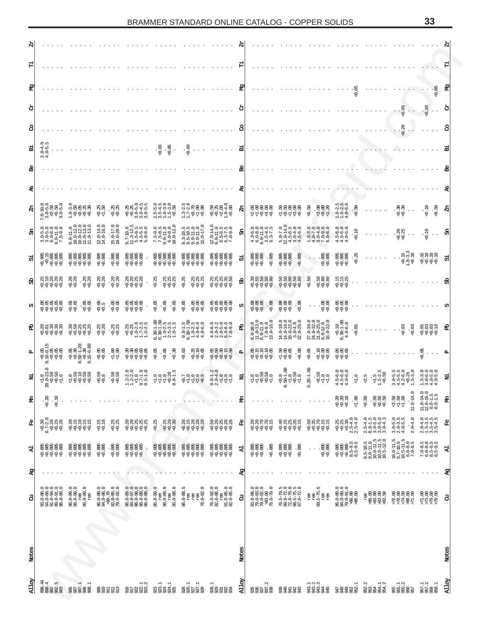| Ñ     |                                                                                                                                                                                                                                                                                                                          |                                                                                                                                                                                           |                                                                                                      |                                                                                                                         |                                                                                                                                                                                                                                                                                                                                                                  |                                                                                                                                  |                                                                                                                                                                                                 |              |                                                                                                                                     |                                                                                                                                 |                                                                                                                                                       |                                                                                      |                                                                                                                                    |                                                                                                                            |                                                                                                             |       |
|-------|--------------------------------------------------------------------------------------------------------------------------------------------------------------------------------------------------------------------------------------------------------------------------------------------------------------------------|-------------------------------------------------------------------------------------------------------------------------------------------------------------------------------------------|------------------------------------------------------------------------------------------------------|-------------------------------------------------------------------------------------------------------------------------|------------------------------------------------------------------------------------------------------------------------------------------------------------------------------------------------------------------------------------------------------------------------------------------------------------------------------------------------------------------|----------------------------------------------------------------------------------------------------------------------------------|-------------------------------------------------------------------------------------------------------------------------------------------------------------------------------------------------|--------------|-------------------------------------------------------------------------------------------------------------------------------------|---------------------------------------------------------------------------------------------------------------------------------|-------------------------------------------------------------------------------------------------------------------------------------------------------|--------------------------------------------------------------------------------------|------------------------------------------------------------------------------------------------------------------------------------|----------------------------------------------------------------------------------------------------------------------------|-------------------------------------------------------------------------------------------------------------|-------|
|       |                                                                                                                                                                                                                                                                                                                          |                                                                                                                                                                                           |                                                                                                      |                                                                                                                         |                                                                                                                                                                                                                                                                                                                                                                  |                                                                                                                                  |                                                                                                                                                                                                 |              |                                                                                                                                     |                                                                                                                                 |                                                                                                                                                       |                                                                                      |                                                                                                                                    |                                                                                                                            |                                                                                                             | 땁     |
| ቋ     |                                                                                                                                                                                                                                                                                                                          |                                                                                                                                                                                           |                                                                                                      |                                                                                                                         |                                                                                                                                                                                                                                                                                                                                                                  |                                                                                                                                  |                                                                                                                                                                                                 |              |                                                                                                                                     |                                                                                                                                 |                                                                                                                                                       | $-0.05$                                                                              |                                                                                                                                    |                                                                                                                            | $-0.05$                                                                                                     | P.    |
| ტ     |                                                                                                                                                                                                                                                                                                                          |                                                                                                                                                                                           |                                                                                                      |                                                                                                                         |                                                                                                                                                                                                                                                                                                                                                                  |                                                                                                                                  |                                                                                                                                                                                                 | ტ            |                                                                                                                                     |                                                                                                                                 |                                                                                                                                                       |                                                                                      |                                                                                                                                    | $rac{50}{2}$ .<br>$\sim$ $\sim$                                                                                            | 20.20                                                                                                       | đ     |
| 8     |                                                                                                                                                                                                                                                                                                                          |                                                                                                                                                                                           |                                                                                                      |                                                                                                                         |                                                                                                                                                                                                                                                                                                                                                                  |                                                                                                                                  |                                                                                                                                                                                                 | 8            |                                                                                                                                     |                                                                                                                                 |                                                                                                                                                       |                                                                                      |                                                                                                                                    | $\cdot \cdot \frac{8}{9}$<br>$\sim$                                                                                        |                                                                                                             | 8     |
| ᆆ     | o w<br>$0 - 4$<br>$\sim$ 4                                                                                                                                                                                                                                                                                               |                                                                                                                                                                                           |                                                                                                      |                                                                                                                         | $\cdot \frac{3}{9} \cdot \frac{8}{9}$<br>$\epsilon$                                                                                                                                                                                                                                                                                                              | $\cdot \frac{3}{9}$<br>$\alpha = \alpha = 1$                                                                                     |                                                                                                                                                                                                 | 寓            |                                                                                                                                     |                                                                                                                                 |                                                                                                                                                       |                                                                                      |                                                                                                                                    |                                                                                                                            |                                                                                                             | 굽     |
|       |                                                                                                                                                                                                                                                                                                                          |                                                                                                                                                                                           |                                                                                                      |                                                                                                                         |                                                                                                                                                                                                                                                                                                                                                                  |                                                                                                                                  |                                                                                                                                                                                                 |              |                                                                                                                                     |                                                                                                                                 |                                                                                                                                                       |                                                                                      |                                                                                                                                    |                                                                                                                            |                                                                                                             |       |
|       |                                                                                                                                                                                                                                                                                                                          |                                                                                                                                                                                           |                                                                                                      |                                                                                                                         |                                                                                                                                                                                                                                                                                                                                                                  |                                                                                                                                  |                                                                                                                                                                                                 |              |                                                                                                                                     |                                                                                                                                 |                                                                                                                                                       |                                                                                      |                                                                                                                                    |                                                                                                                            |                                                                                                             |       |
| 염     | $\begin{array}{r} 7.0-10.0 \\ 3.0-5.0 \\ -0.50 \\ \times 0.50 \\ -5.0 \\ 3.0-5.0 \end{array}$                                                                                                                                                                                                                            | ្មី<br>ភូមិទំនួន<br>ភូមិទំនួ                                                                                                                                                              | ងូ ន<br>$-\frac{8}{9}$ $\frac{8}{9}$<br>ੳ ↑                                                          | $\begin{array}{c} 25 \\ 0.25 \\ -0.25 \\ -0.415 \\ -0.55 \\ -0.55 \\ \end{array}$                                       | $\begin{array}{c} 2.5 - 5.0 \\ 3.5 - 4.5 \\ 1.5 - 3.0 \\ 1.5 - 3.0 \\ \hline \end{array}$                                                                                                                                                                                                                                                                        | $\begin{array}{l} 1.3\hbox{-} 2.5 \\ 1.7\hbox{-} 2.8 \\ 1.7\hbox{-} 2.8 \\ \hline 9.000 \\ \end{array}$                          | ត្ត ដូន<br>ទី ដូន ី<br>ខី ខ័ ខ្ញុំ ខ្ញុំ ខ្ញុំ                                                                                                                                                  | Я            | ssassa<br>Viviti                                                                                                                    | asses<br>Raises                                                                                                                 | $3888$<br>$797$<br>$-0.50$                                                                                                                            | n in o<br>B<br>$1.0 - 2.1$<br>$4.0 - 6.1$<br>$\frac{1}{\sqrt{2}}$                    |                                                                                                                                    | ୍ସ ଅ<br>'ଟିଟି · ·                                                                                                          | $\cdot \frac{5}{9} \cdot \frac{5}{9}$                                                                       | Я     |
| සි    | $\begin{array}{r} 3.0-5.0 \\ 3.0-5.0 \\ 6.0-11.0 \\ 9.0-11.0 \\ 7.5-9.0 \end{array}$                                                                                                                                                                                                                                     | $\begin{array}{l} 9.0-11.0 \\ 10.0-12.0 \\ 10.0-12.0 \\ 10.0-13.0 \\ 11.0-13.0 \\ 11.0-13.0 \end{array}$                                                                                  | $\begin{array}{c} 12.0\text{--}14.0 \\ 14.0\text{--}16.0 \end{array}$<br>$15.0 - 17.0$ $18.0 - 20.0$ | $9.7-10.8$<br>11.3-12.5<br>5.5-6.5<br>4.5-5.5<br>5.0-6.0                                                                | $\begin{array}{r} 7.5-9.0 \\ 7.5-8.5 \\ 9.0-11.0 \\ 6.0-8.0 \\ 10.0-12.0 \end{array}$                                                                                                                                                                                                                                                                            | $\begin{array}{l} 9.3\text{--}10.5 \\ 9.5\text{--}10.5 \\ 9.0\text{--}11.0 \\ 9.0\text{--}11.0 \\ 15.0\text{--}17.0 \end{array}$ | $\begin{array}{l} 12.0\hbox{--}14.0 \\ 9.0\hbox{--}11.0 \\ 6.5\hbox{--}8.5 \\ 6.3\hbox{--}7.5 \\ 7.0\hbox{--}9.0 \end{array}$                                                                   | Я            | $\begin{array}{r} 4.3-6.0 \\ 6.0-8.0 \\ 9.0-11.0 \\ 3.5-4.5 \\ 6.3-7.5 \end{array}$                                                 | $\begin{array}{l} 5.0-7.0 \\ 12.0-14.0 \\ 4.5-6.5 \\ 3.0-4.0 \\ 4.5-6.0 \end{array}$                                            | $n \rightarrow 0$<br>$n \rightarrow 4$<br>$n \rightarrow 0$<br>$n \rightarrow 0$<br>$n \rightarrow 0$<br>$n \rightarrow 0$<br>$H$ $\Delta$ $\sim$ $D$ | $\circ \circ \circ$<br>$\frac{1}{9}$<br>ဖွဲ့ဖွဲ့ဖွဲ့<br>ဖွဲ့ဖွဲ့စွဲ<br>444           |                                                                                                                                    | $\frac{28}{90}$<br>$\sim$ $\sim$                                                                                           | $\frac{1}{\sqrt{2}}$                                                                                        | a     |
| £,    | $8.9888$<br>$8.9888$<br>$8.9888$<br>$8.988$                                                                                                                                                                                                                                                                              |                                                                                                                                                                                           | $-0.005$<br>$-0.005$                                                                                 | 88888<br>00089                                                                                                          |                                                                                                                                                                                                                                                                                                                                                                  | 888888<br>0008999                                                                                                                |                                                                                                                                                                                                 | 凉            | $\frac{0.005}{0.005}$<br>$-0.005$                                                                                                   | $\frac{0.005}{0.005}$<br>$-0.005$                                                                                               | $-0.005$                                                                                                                                              |                                                                                      |                                                                                                                                    | $94,90$<br>$94,90$                                                                                                         | e<br>Raaaa<br>Haaaa                                                                                         | 넚     |
| ਲੰ    | ยายยน<br>หารัก                                                                                                                                                                                                                                                                                                           | ର୍ଥ<br>⊽଼ି<br>ିଟ୍ର<br>- ବିଶ୍                                                                                                                                                              | ୍ସ ଅ<br>ଚଟ୍<br>ର୍<br>ବିପ୍ର                                                                           | ଛ୍ଛ୍ୟ<br>ଟିଟିଟିଟି                                                                                                       | $-0.25$<br>୍ୟ ଖ୍ୟୁ<br>. ଚିତି ଚି                                                                                                                                                                                                                                                                                                                                  | $-0.25$<br>58 58 59<br>ି <del>ଡ଼</del> ଡ଼ି ଡ଼ି                                                                                   | ଞ୍ଜ୍ଞ୍ଜନ<br>ବଟ୍ଟି                                                                                                                                                                               | ਲੰ           | នុងឧន្តន<br>ទី១៩១៩                                                                                                                  | ଜନ୍ଞନ୍ତ<br>ଚିଚ୍ଚଚ୍ଚ                                                                                                             | $-0.50$<br>ି ଜଞ୍ଚ<br>. କୁ କୁ କୁ                                                                                                                       | e<br>198<br>198                                                                      |                                                                                                                                    |                                                                                                                            |                                                                                                             |       |
| ω     | s<br>88888<br>8988                                                                                                                                                                                                                                                                                                       | - ୦.୦<br>୧୦<br>୧୦<br>$\frac{8}{9}$                                                                                                                                                        | $\frac{88}{99}$<br>$-0.5$                                                                            | e<br>8888<br>888                                                                                                        | 0.05<br>ි.<br>ඉ<br>$\cdot$ 85                                                                                                                                                                                                                                                                                                                                    | 0.05<br>ុខខេត្ត<br>ខេត្ត                                                                                                         | e<br>Refese<br>Refese                                                                                                                                                                           | Ω            | 8888<br>222<br>$-8.08$                                                                                                              | 0.08<br>$888$<br>$888$<br>$88$                                                                                                  | $\cdots \frac{88}{99}$                                                                                                                                | ses<br>Ses                                                                           |                                                                                                                                    |                                                                                                                            |                                                                                                             |       |
| 윤     | e e e e e<br>Visión                                                                                                                                                                                                                                                                                                      | ននៅអូង<br><u>२२२२२</u>                                                                                                                                                                    | $8.36$<br>$-0.36$<br>$-0.25$                                                                         | $\begin{array}{l} 0.25 \\ 0.25 \\ 1.0-2.0 \\ 1.7-2.5 \\ 1.1-2.5 \end{array}$                                            | $\begin{array}{c} 0.30\text{--}1.00 \\ 0.30\text{--}1.50 \\ 1.0\text{--}2.5 \\ 2.5\text{--}3.5 \\ 1.0\text{--}1.5 \end{array}$                                                                                                                                                                                                                                   | ៲៰ៜ៲៰៰<br>$\begin{array}{r} 0.8-1.1 \\ 0.30-1.1 \\ 1.0-2.1 \\ 4.0-6.0 \\ 4.0-6.0 \end{array}$                                    | 0.0000<br>$\begin{array}{c}\n\phi \text{ m} \text{ m} \text{ m} \text{ s} \\ 0 \text{ s} \text{ s} \text{ s} \text{ s} \\ \vdots \text{ s} \text{ s} \text{ s} \text{ s}\n\end{array}$<br>70000 | 윤            | $\begin{array}{l} \text{8.0--10.0} \\ \text{11.0--13.0} \\ \text{8.0--11.0} \\ \text{7.0--9.0} \\ \text{13.0--16.0} \\ \end{array}$ | $\begin{array}{l} 14.0\text{--}18.0\\ 14.0\text{--}16.0\\ 18.0\text{--}22.0\\ 3.0\text{--}4.0\\ 2.0\text{--}25.0\\ \end{array}$ | $\begin{array}{l} 27.0-34.0\\ 24.0-32.0\\ 24.0-25.0\\ 9.0-12.0\\ 16.0-22.0 \end{array}$                                                               | $30 - 1.00$<br>$4.0 - 6.0$<br>$4.0 - 6.0$<br>$0.05$                                  |                                                                                                                                    | $-0.03$<br>$\frac{3}{9}$                                                                                                   | e<br>aaaa<br>a                                                                                              | 용     |
| д     | $\begin{array}{l} 0.75 \\ 0.75 \\ 0.04 \\ 0.05 \\ 0.05 \\ 0.05 \\ 0.07 \\ 0.07 \\ 0.07 \\ 0.07 \\ 0.07 \\ 0.07 \\ 0.07 \\ 0.07 \\ 0.07 \\ 0.07 \\ 0.07 \\ 0.07 \\ 0.07 \\ 0.07 \\ 0.07 \\ 0.07 \\ 0.07 \\ 0.07 \\ 0.07 \\ 0.07 \\ 0.07 \\ 0.07 \\ 0.07 \\ 0.07 \\ 0.07 \\ 0.07 \\ 0.07 \\ 0.07 \\ 0.07 \\ 0.$<br>$\circ$ | $\begin{array}{c} <\!\!\! 0.05\\ \!\!\! <\!\!\! 0.30\\ \!\!\! 0.50\!\!-\!\! 1.20\\ \!\!\! 0.30\\ \!\!\! <\!\!\! 0.30\\ \!\!\! 0.30\\ \!\!\! 0.30\\ \!\!\! 0.45\!\!-\!\! 0.80 \end{array}$ | $66.88$<br>$66.88$                                                                                   | s<br>88888<br>8888                                                                                                      | $-0.05$<br>$\cdot$ 85<br>$-30$                                                                                                                                                                                                                                                                                                                                   | $\frac{839}{399}$<br>$-0.03$                                                                                                     | ន្ទ្រីន្ទអូន<br>ខេត្តមុទ្                                                                                                                                                                       | д            | eada<br>Radia                                                                                                                       | ត្ត<br>ខុទីទី<br>កុទីទី<br>$\frac{8}{9}$                                                                                        | ុម្មនី<br>ខេត្ត<br>$-0.05$                                                                                                                            | e<br>Bee<br>Bee                                                                      |                                                                                                                                    |                                                                                                                            | $-0.05$<br>$\sim$ $\sim$                                                                                    | — A⊣  |
| 뵈     |                                                                                                                                                                                                                                                                                                                          | ុធិកិច្ច<br>- តូម៉ូតូ                                                                                                                                                                     | $-0.50$<br>$-0.8$<br>$\cdot\frac{50}{90}$                                                            | $\begin{array}{l} 1.2\text{--}2.0 \\ 1.2\text{--}2.0 \\ \text{--}1.0 \\ 0.5\text{--}1.0 \\ 0.5\text{--}1.0 \end{array}$ |                                                                                                                                                                                                                                                                                                                                                                  | 64408                                                                                                                            | $\begin{array}{c}\n 0.8 \\  0.8 \\  0.9 \\  0.9 \\  0.9\n\end{array}$                                                                                                                           | 뀸            | ००६६०<br>जनसङ्ख                                                                                                                     | 8 - 1<br>8 - 1 - 1 - 1<br>8 - 1 - 1 - 1<br>$\circ$                                                                              | $.25 - 1.00$<br>$\frac{1}{2}$ , $\frac{1}{2}$ , $\frac{1}{2}$ , $\frac{1}{2}$<br>$\circ$                                                              | $\begin{array}{c} 0 & 0 & 0 \\ 0 & 0 & 0 \\ 0 & 0 & 0 \\ 0 & 0 & 0 \end{array}$      | $\sqrt{4.5}$<br>$\sqrt{4.5}$ 50<br>$\sqrt{4.5}$ 50                                                                                 | $\begin{array}{l} 3.0 - 5.5 \\ 4.5 - 6.0 \\ 4.2 - 6.25 \\ - 2.5 - 3.0 \\ - 5.3 \\ - 1.5 - 3.0 \\ \hline \end{array}$       | $\begin{array}{r} 1.5\text{--}3.0 \\ 3.0\text{--}6.0 \\ 4.0\text{--}5.0 \\ \end{array}$                     | Σ     |
| ξ     | $-6.20$<br>$-0.10$                                                                                                                                                                                                                                                                                                       |                                                                                                                                                                                           |                                                                                                      |                                                                                                                         |                                                                                                                                                                                                                                                                                                                                                                  |                                                                                                                                  |                                                                                                                                                                                                 | €            |                                                                                                                                     |                                                                                                                                 |                                                                                                                                                       | ବ୍ୟୁ<br>ଜୁନ୍ମ<br>ବିଷ୍କୃ<br>$\frac{3}{5}$                                             | និន្ទី<br>ខេត្ត<br>$-0.50$                                                                                                         | $11.0 - 14.0$                                                                                                              | $\begin{array}{c} 11.0\text{--}14.0 \\ 12.0\text{--}15.0 \\ 0.8\text{--}1.5 \\ 0.8\text{--}1.5 \end{array}$ | €     |
| ደ     | ล<br>จ.ว.ส.หล<br>จ.ว.จรจ                                                                                                                                                                                                                                                                                                 | ន្តដូម្មដ<br>ខ្លួងម្នង់ដូ                                                                                                                                                                 | $\frac{45}{9}$<br>$\frac{36}{9}$                                                                     | ลลมมุ่ม<br>สุลมุมมุ่                                                                                                    | ୍ୟୁ<br>୧ଟଟ<br>$-0.25$                                                                                                                                                                                                                                                                                                                                            | ବ୍ୟୁ<br>ବ୍ୟୁକ୍ଷ୍<br>ବିଧାର                                                                                                        | ลลมลล<br>ริงังรัง                                                                                                                                                                               | ピ            | 88888<br>88888                                                                                                                      | ទំនង់<br>ទំនង់ម៉ង់ដ                                                                                                             | ទីមុនដូច<br>មូនទំនង                                                                                                                                   |                                                                                      |                                                                                                                                    | $\begin{array}{c} 3.0 - 5.0 \\ 2.0 - 3.5 \\ 4.0 - 5.5 \end{array}$<br>$2.0 - 4.0$                                          | $2.0 - 4.5$<br>$1.5 - 4.5$<br>$3.5 - 4.5$<br>$3.5 - 4.5$                                                    | ፎ     |
| 덗     | e<br>Resea<br>Resea                                                                                                                                                                                                                                                                                                      | é é é é é<br>Randa                                                                                                                                                                        | $-0.005$<br>$-0.005$                                                                                 |                                                                                                                         | 88888<br>98888                                                                                                                                                                                                                                                                                                                                                   | 888888<br>888888                                                                                                                 | 88888<br>88888                                                                                                                                                                                  | 뎌            | $-0.005$                                                                                                                            | 9<br>9<br>9<br>9<br>9<br>9<br>9<br>$-0.005$                                                                                     | $-0.005$                                                                                                                                              |                                                                                      | $\begin{array}{l} 9.5\text{--}10.5 \\ 9.0\text{--}11.0 \\ 10.0\text{--}11.5 \\ 10.0\text{--}11.5 \\ 10.5\text{--}12.0 \end{array}$ | $\begin{array}{l} 10.0\hbox{-}11.5 \\ 9.7\hbox{-}10.9 \\ 10.5\hbox{-}11.5 \\ 6.0\hbox{-}8.0 \\ 7.0\hbox{-}8.5 \end{array}$ | $7.0 - 8.5 - 9.5$<br>$6.0 - 9.5 - 9.5$<br>$8.5 - 9.5$                                                       | 굯     |
| B     |                                                                                                                                                                                                                                                                                                                          |                                                                                                                                                                                           |                                                                                                      |                                                                                                                         |                                                                                                                                                                                                                                                                                                                                                                  |                                                                                                                                  |                                                                                                                                                                                                 | Ŗg           |                                                                                                                                     |                                                                                                                                 |                                                                                                                                                       |                                                                                      |                                                                                                                                    |                                                                                                                            |                                                                                                             | Ŗg    |
| 5     | $\begin{array}{r} 83.0-86.0\\ 64.0-68.0\\ 91.0-94.0\\ 89.0-91.0\\ 89.0-89.0\\ 86.0-89.0 \end{array}$                                                                                                                                                                                                                     | $\begin{array}{r} 86.0\text{--}89.0 \\ 88.0\text{--}90.0 \\ \text{rem} \\ 85.0\text{--}89.0 \\ \text{rem} \\ \text{rem} \end{array}$                                                      | 86.0-89.0<br>84.0-86.0<br>>99.70<br>82.0-85.0<br>79.0-82.0                                           | $\begin{array}{r} 86.0 - 89.0 \\ 84.0 - 87.0 \\ 86.0 - 90.0 \\ 86.0 - 89.0 \\ 86.0 - 89.0 \\ 86.0 - 88.0 \end{array}$   | $85.0 - 89.0$<br>$\begin{array}{c} 1000 \\ 1000 \\ -1000 \\ -1000 \\ -1000 \\ -1000 \\ -1000 \\ -1000 \\ -1000 \\ -1000 \\ -1000 \\ -1000 \\ -1000 \\ -1000 \\ -1000 \\ -1000 \\ -1000 \\ -1000 \\ -1000 \\ -1000 \\ -1000 \\ -1000 \\ -1000 \\ -1000 \\ -1000 \\ -1000 \\ -1000 \\ -1000 \\ -1000 \\ -1000 \\ -1000 \\ -1000 \\ -1000 \\ -1000 \\ -1000 \\ -10$ | $\begin{array}{r}\n 86.0 - 88.5 \\  \text{rem} \\  \text{rem}\n\end{array}$<br>$78.0 - 82.0$                                     | $78.0 - 82.0$<br>$82.0 - 86.0$<br>rem<br>81.0–85.0<br>82.0–85.0                                                                                                                                 | შ            | $\begin{array}{r} 83.0-86.0\\ 79.0-83.0\\ 78.0-82.0\\ >83.00\\ >83.00\\ 75.0-79.0 \end{array}$                                      | $\begin{array}{l} 76.5-79.5 \\ 69.0-72.0 \\ 72.0-79.0 \\ 68.5-75.5 \\ 67.0-72.0 \end{array}$                                    | $rac{r}{r}$ em<br>68.5-75.5<br>fem<br>rem                                                                                                             | $\begin{array}{l} 85.0-89.0\\ 84.0-89.0\\ 79.0-81.0\\ -86.00\\ -86.00\\ \end{array}$ | FEI 00<br>86.000 00<br>88.88.88                                                                                                    | 00 05<br>88 06<br>88 06<br>88 06<br>88 06                                                                                  | $\begin{array}{l} 00 \\ 00 \\ 00 \\ 00 \\ 00 \\ 00 \\ 0 \\ 0 \\ \end{array}$                                | კ     |
|       |                                                                                                                                                                                                                                                                                                                          |                                                                                                                                                                                           |                                                                                                      |                                                                                                                         |                                                                                                                                                                                                                                                                                                                                                                  |                                                                                                                                  |                                                                                                                                                                                                 |              |                                                                                                                                     |                                                                                                                                 |                                                                                                                                                       |                                                                                      |                                                                                                                                    |                                                                                                                            |                                                                                                             |       |
| Notes |                                                                                                                                                                                                                                                                                                                          |                                                                                                                                                                                           |                                                                                                      |                                                                                                                         |                                                                                                                                                                                                                                                                                                                                                                  |                                                                                                                                  |                                                                                                                                                                                                 | Notes        |                                                                                                                                     |                                                                                                                                 |                                                                                                                                                       |                                                                                      |                                                                                                                                    |                                                                                                                            |                                                                                                             | Notes |
| Alloy | 44<br>88923<br>888888                                                                                                                                                                                                                                                                                                    | 888888<br>88888                                                                                                                                                                           | <b>Sagaa</b>                                                                                         |                                                                                                                         | 33.1<br>2333.1<br>2333.2                                                                                                                                                                                                                                                                                                                                         | 886.1<br>886.1<br>88888                                                                                                          | ី<br>ខ្លួនដឹង<br>ក្នុង                                                                                                                                                                          | <b>Alloy</b> | n 855.3<br>2355.38<br>2358.39                                                                                                       | 33533                                                                                                                           | 그 ?<br>였다.<br>3 3 3 3 3 3                                                                                                                             |                                                                                      | 2<br>ខ្លីង 4.12<br>១៩២១១                                                                                                           | គ្គី<br>គូគូគូគូគូ<br>ទីទីនិទ្ធិ                                                                                           | 957.1<br>957.2<br>958.1                                                                                     | Alloy |
|       |                                                                                                                                                                                                                                                                                                                          |                                                                                                                                                                                           |                                                                                                      |                                                                                                                         |                                                                                                                                                                                                                                                                                                                                                                  |                                                                                                                                  |                                                                                                                                                                                                 |              |                                                                                                                                     |                                                                                                                                 |                                                                                                                                                       |                                                                                      |                                                                                                                                    |                                                                                                                            |                                                                                                             |       |